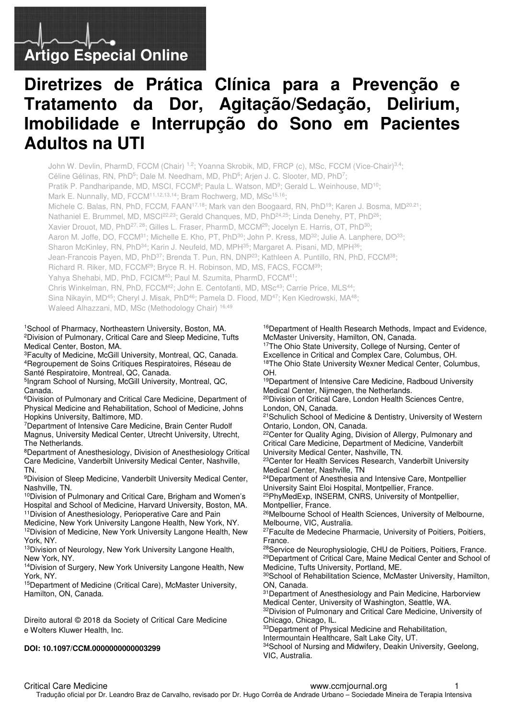# **Artigo Especial Online**

# **Diretrizes de Prática Clínica para a Prevenção e Tratamento da Dor, Agitação/Sedação, Delirium, Imobilidade e Interrupção do Sono em Pacientes Adultos na UTI**

John W. Devlin, PharmD, FCCM (Chair) <sup>1,2</sup>; Yoanna Skrobik, MD, FRCP (c), MSc, FCCM (Vice-Chair)<sup>3,4</sup>; Céline Gélinas, RN, PhD<sup>5</sup>; Dale M. Needham, MD, PhD<sup>6</sup>; Arjen J. C. Slooter, MD, PhD<sup>7</sup>; Pratik P. Pandharipande, MD, MSCI, FCCM<sup>8</sup>; Paula L. Watson, MD<sup>9</sup>; Gerald L. Weinhouse, MD<sup>10</sup>; Mark E. Nunnally, MD, FCCM<sup>11,12,13,14</sup>; Bram Rochwerg, MD, MSc<sup>15,16</sup>; Michele C. Balas, RN, PhD, FCCM, FAAN<sup>17,18</sup>; Mark van den Boogaard, RN, PhD<sup>19</sup>; Karen J. Bosma, MD<sup>20,21</sup>; Nathaniel E. Brummel, MD, MSCI<sup>22,23</sup>; Gerald Chanques, MD, PhD<sup>24,25</sup>; Linda Denehy, PT, PhD<sup>26</sup>; Xavier Drouot, MD, PhD<sup>27, 28</sup>; Gilles L. Fraser, PharmD, MCCM<sup>29</sup>; Jocelyn E. Harris, OT, PhD<sup>30</sup>; Aaron M. Joffe, DO, FCCM<sup>31</sup>; Michelle E. Kho, PT, PhD<sup>30</sup>; John P. Kress, MD<sup>32</sup>; Julie A. Lanphere, DO<sup>33</sup>; Sharon McKinley, RN, PhD<sup>34</sup>; Karin J. Neufeld, MD, MPH<sup>35</sup>; Margaret A. Pisani, MD, MPH<sup>36</sup>; Jean-Francois Payen, MD, PhD<sup>37</sup>; Brenda T. Pun, RN, DNP<sup>23</sup>; Kathleen A. Puntillo, RN, PhD, FCCM<sup>38</sup>; Richard R. Riker, MD, FCCM<sup>29</sup>; Bryce R. H. Robinson, MD, MS, FACS, FCCM<sup>39</sup>; Yahya Shehabi, MD, PhD, FCICM<sup>40</sup>; Paul M. Szumita, PharmD, FCCM<sup>41</sup>; Chris Winkelman, RN, PhD, FCCM<sup>42</sup>; John E. Centofanti, MD, MSc<sup>43</sup>; Carrie Price, MLS<sup>44</sup>; Sina Nikayin, MD<sup>45</sup>; Cheryl J. Misak, PhD<sup>46</sup>; Pamela D. Flood, MD<sup>47</sup>; Ken Kiedrowski, MA<sup>48</sup>; Waleed Alhazzani, MD, MSc (Methodology Chair) 16,49

#### <sup>1</sup>School of Pharmacy, Northeastern University, Boston, MA. <sup>2</sup>Division of Pulmonary, Critical Care and Sleep Medicine, Tufts Medical Center, Boston, MA.

<sup>3</sup>Faculty of Medicine, McGill University, Montreal, QC, Canada. <sup>4</sup>Regroupement de Soins Critiques Respiratoires, Réseau de Santé Respiratoire, Montreal, QC, Canada.

5 Ingram School of Nursing, McGill University, Montreal, QC, Canada.

<sup>6</sup>Division of Pulmonary and Critical Care Medicine, Department of Physical Medicine and Rehabilitation, School of Medicine, Johns Hopkins University, Baltimore, MD.

<sup>7</sup>Department of Intensive Care Medicine, Brain Center Rudolf Magnus, University Medical Center, Utrecht University, Utrecht, The Netherlands.

<sup>8</sup>Department of Anesthesiology, Division of Anesthesiology Critical Care Medicine, Vanderbilt University Medical Center, Nashville, TN.

<sup>9</sup>Division of Sleep Medicine, Vanderbilt University Medical Center, Nashville, TN.

<sup>10</sup>Division of Pulmonary and Critical Care, Brigham and Women's Hospital and School of Medicine, Harvard University, Boston, MA. <sup>11</sup>Division of Anesthesiology, Perioperative Care and Pain

Medicine, New York University Langone Health, New York, NY. <sup>12</sup>Division of Medicine, New York University Langone Health, New York, NY.

13Division of Neurology, New York University Langone Health, New York, NY.

<sup>14</sup>Division of Surgery, New York University Langone Health, New York, NY.

<sup>15</sup>Department of Medicine (Critical Care), McMaster University, Hamilton, ON, Canada.

Direito autoral © 2018 da Society of Critical Care Medicine e Wolters Kluwer Health, Inc.

#### **DOI: 10.1097/CCM.0000000000003299**

<sup>16</sup>Department of Health Research Methods, Impact and Evidence, McMaster University, Hamilton, ON, Canada.

<sup>17</sup>The Ohio State University, College of Nursing, Center of Excellence in Critical and Complex Care, Columbus, OH. <sup>18</sup>The Ohio State University Wexner Medical Center, Columbus, OH.

<sup>19</sup>Department of Intensive Care Medicine, Radboud University Medical Center, Nijmegen, the Netherlands.

<sup>20</sup>Division of Critical Care, London Health Sciences Centre, London, ON, Canada.

<sup>21</sup>Schulich School of Medicine & Dentistry, University of Western Ontario, London, ON, Canada.

<sup>22</sup>Center for Quality Aging, Division of Allergy, Pulmonary and Critical Care Medicine, Department of Medicine, Vanderbilt University Medical Center, Nashville, TN.

<sup>23</sup>Center for Health Services Research, Vanderbilt University Medical Center, Nashville, TN

<sup>24</sup>Department of Anesthesia and Intensive Care, Montpellier University Saint Eloi Hospital, Montpellier, France.

<sup>25</sup>PhyMedExp, INSERM, CNRS, University of Montpellier, Montpellier, France.

<sup>26</sup>Melbourne School of Health Sciences, University of Melbourne, Melbourne, VIC, Australia.

<sup>27</sup>Faculte de Medecine Pharmacie, University of Poitiers, Poitiers, France.

<sup>28</sup>Service de Neurophysiologie, CHU de Poitiers, Poitiers, France. <sup>29</sup>Department of Critical Care, Maine Medical Center and School of Medicine, Tufts University, Portland, ME.

<sup>30</sup>School of Rehabilitation Science, McMaster University, Hamilton, ON, Canada.

<sup>31</sup>Department of Anesthesiology and Pain Medicine, Harborview Medical Center, University of Washington, Seattle, WA. 32Division of Pulmonary and Critical Care Medicine, University of

Chicago, Chicago, IL. 33Department of Physical Medicine and Rehabilitation,

Intermountain Healthcare, Salt Lake City, UT.

34School of Nursing and Midwifery, Deakin University, Geelong, VIC, Australia.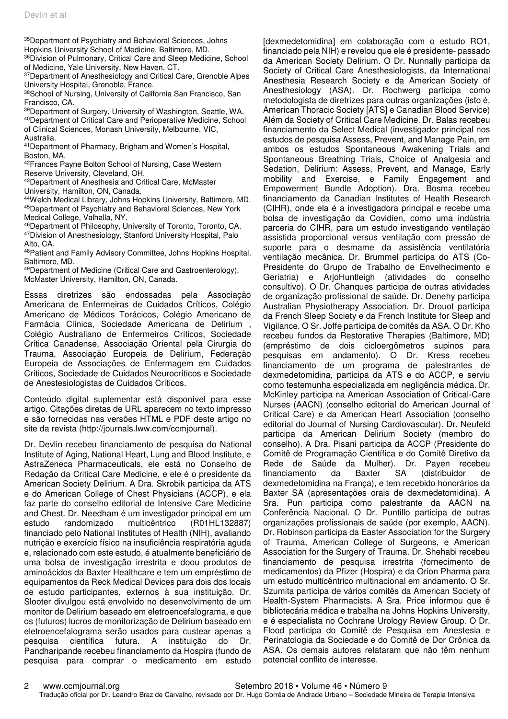<sup>35</sup>Department of Psychiatry and Behavioral Sciences, Johns

Hopkins University School of Medicine, Baltimore, MD. 36 Division of Pulmonary, Critical Care and Sleep Medicine, School

of Medicine, Yale University, New Haven, CT.

<sup>37</sup>Department of Anesthesiology and Critical Care, Grenoble Alpes University Hospital, Grenoble, France.

38School of Nursing, University of California San Francisco, San Francisco, CA.

<sup>39</sup>Department of Surgery, University of Washington, Seattle, WA. <sup>40</sup>Department of Critical Care and Perioperative Medicine, School of Clinical Sciences, Monash University, Melbourne, VIC, Australia.

<sup>41</sup>Department of Pharmacy, Brigham and Women's Hospital, Boston, MA.

42Frances Payne Bolton School of Nursing, Case Western Reserve University, Cleveland, OH.

<sup>43</sup>Department of Anesthesia and Critical Care, McMaster

University, Hamilton, ON, Canada.

<sup>44</sup>Welch Medical Library, Johns Hopkins University, Baltimore, MD. <sup>45</sup>Department of Psychiatry and Behavioral Sciences, New York Medical College, Valhalla, NY.

<sup>46</sup>Department of Philosophy, University of Toronto, Toronto, CA. <sup>47</sup>Division of Anesthesiology, Stanford University Hospital, Palo Alto, CA.

<sup>48</sup>Patient and Family Advisory Committee, Johns Hopkins Hospital, Baltimore, MD.

<sup>49</sup>Department of Medicine (Critical Care and Gastroenterology), McMaster University, Hamilton, ON, Canada.

Essas diretrizes são endossadas pela Associação Americana de Enfermeiras de Cuidados Críticos, Colégio Americano de Médicos Torácicos, Colégio Americano de Farmácia Clínica, Sociedade Americana de Delirium , Colégio Australiano de Enfermeiros Críticos, Sociedade Crítica Canadense, Associação Oriental pela Cirurgia do Trauma, Associação Europeia de Delirium, Federação Europeia de Associações de Enfermagem em Cuidados Críticos, Sociedade de Cuidados Neurocríticos e Sociedade de Anestesiologistas de Cuidados Críticos.

Conteúdo digital suplementar está disponível para esse artigo. Citações diretas de URL aparecem no texto impresso e são fornecidas nas versões HTML e PDF deste artigo no site da revista (http://journals.lww.com/ccmjournal).

Dr. Devlin recebeu financiamento de pesquisa do National Institute of Aging, National Heart, Lung and Blood Institute, e AstraZeneca Pharmaceuticals, ele está no Conselho de Redação da Critical Care Medicine, e ele é o presidente da American Society Delirium. A Dra. Skrobik participa da ATS e do American College of Chest Physicians (ACCP), e ela faz parte do conselho editorial de Intensive Care Medicine and Chest. Dr. Needham é um investigador principal em um estudo randomizado multicêntrico (R01HL132887) financiado pelo National Institutes of Health (NIH), avaliando nutrição e exercício físico na insuficiência respiratória aguda e, relacionado com este estudo, é atualmente beneficiário de uma bolsa de investigação irrestrita e doou produtos de aminoácidos da Baxter Healthcare e tem um empréstimo de equipamentos da Reck Medical Devices para dois dos locais de estudo participantes, externos à sua instituição. Dr. Slooter divulgou está envolvido no desenvolvimento de um monitor de Delirium baseado em eletroencefalograma, e que os (futuros) lucros de monitorização de Delirium baseado em eletroencefalograma serão usados para custear apenas a pesquisa científica futura. A instituição do Dr. Pandharipande recebeu financiamento da Hospira (fundo de pesquisa para comprar o medicamento em estudo

[dexmedetomidina] em colaboração com o estudo RO1, financiado pela NIH) e revelou que ele é presidente- passado da American Society Delirium. O Dr. Nunnally participa da Society of Critical Care Anesthesiologists, da International Anesthesia Research Society e da American Society of Anesthesiology (ASA). Dr. Rochwerg participa como metodologista de diretrizes para outras organizações (isto é, American Thoracic Society [ATS] e Canadian Blood Service) Além da Society of Critical Care Medicine. Dr. Balas recebeu financiamento da Select Medical (investigador principal nos estudos de pesquisa Assess, Prevent, and Manage Pain, em ambos os estudos Spontaneous Awakening Trials and Spontaneous Breathing Trials, Choice of Analgesia and Sedation, Delirium: Assess, Prevent, and Manage, Early mobility and Exercise, e Family Engagement and Empowerment Bundle Adoption). Dra. Bosma recebeu financiamento da Canadian Institutes of Health Research (CIHR), onde ela é a investigadora principal e recebe uma bolsa de investigação da Covidien, como uma indústria parceria do CIHR, para um estudo investigando ventilação assistida proporcional versus ventilação com pressão de suporte para o desmame da assistência ventilatória ventilação mecânica. Dr. Brummel participa do ATS (Co-Presidente do Grupo de Trabalho de Envelhecimento e Geriatria) e ArjoHuntleigh (atividades do conselho consultivo). O Dr. Chanques participa de outras atividades de organização profissional de saúde. Dr. Denehy participa Australian Physiotherapy Association. Dr. Drouot participa da French Sleep Society e da French Institute for Sleep and Vigilance. O Sr. Joffe participa de comitês da ASA. O Dr. Kho recebeu fundos da Restorative Therapies (Baltimore, MD) (empréstimo de dois cicloergômetros supinos para pesquisas em andamento). O Dr. Kress recebeu financiamento de um programa de palestrantes de dexmedetomidina, participa da ATS e do ACCP, e serviu como testemunha especializada em negligência médica. Dr. McKinley participa na American Association of Critical-Care Nurses (AACN) (conselho editorial do American Journal of Critical Care) e da American Heart Association (conselho editorial do Journal of Nursing Cardiovascular). Dr. Neufeld participa da American Delirium Society (membro do conselho). A Dra. Pisani participa da ACCP (Presidente do Comitê de Programação Científica e do Comitê Diretivo da Rede de Saúde da Mulher). Dr. Payen recebeu financiamento da Baxter SA (distribuidor de dexmedetomidina na França), e tem recebido honorários da Baxter SA (apresentações orais de dexmedetomidina). A Sra. Pun participa como palestrante da AACN na Conferência Nacional. O Dr. Puntillo participa de outras organizações profissionais de saúde (por exemplo, AACN). Dr. Robinson participa da Easter Association for the Surgery of Trauma, American College of Surgeons, e American Association for the Surgery of Trauma. Dr. Shehabi recebeu financiamento de pesquisa irrestrita (fornecimento de medicamentos) da Pfizer (Hospira) e da Orion Pharma para um estudo multicêntrico multinacional em andamento. O Sr. Szumita participa de vários comitês da American Society of Health-System Pharmacists. A Sra. Price informou que é bibliotecária médica e trabalha na Johns Hopkins University, e é especialista no Cochrane Urology Review Group. O Dr. Flood participa do Comitê de Pesquisa em Anestesia e Perinatologia da Sociedade e do Comitê de Dor Crônica da ASA. Os demais autores relataram que não têm nenhum potencial conflito de interesse.

2 www.ccmjournal.org Setembro 2018 • Volume 46 • Número 9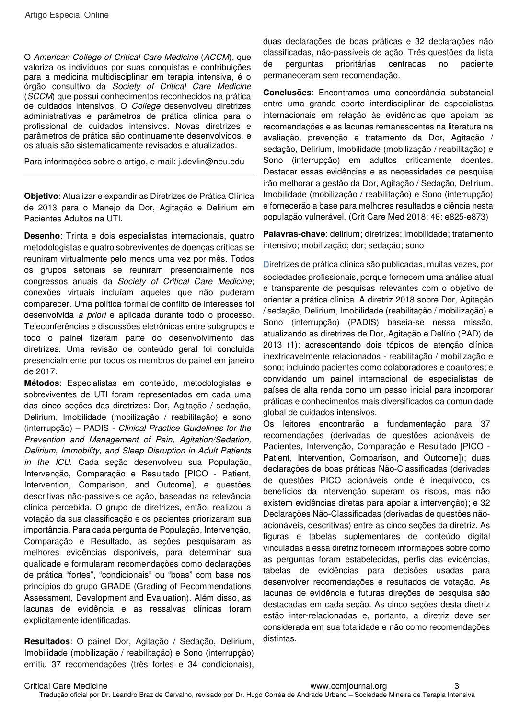O American College of Critical Care Medicine (ACCM), que valoriza os indivíduos por suas conquistas e contribuições para a medicina multidisciplinar em terapia intensiva, é o órgão consultivo da Society of Critical Care Medicine (SCCM) que possui conhecimentos reconhecidos na prática de cuidados intensivos. O College desenvolveu diretrizes administrativas e parâmetros de prática clínica para o profissional de cuidados intensivos. Novas diretrizes e parâmetros de prática são continuamente desenvolvidos, e os atuais são sistematicamente revisados e atualizados.

Para informações sobre o artigo, e-mail: j.devlin@neu.edu

**Objetivo**: Atualizar e expandir as Diretrizes de Prática Clínica de 2013 para o Manejo da Dor, Agitação e Delirium em Pacientes Adultos na UTI.

**Desenho**: Trinta e dois especialistas internacionais, quatro metodologistas e quatro sobreviventes de doenças críticas se reuniram virtualmente pelo menos uma vez por mês. Todos os grupos setoriais se reuniram presencialmente nos congressos anuais da Society of Critical Care Medicine; conexões virtuais incluíam aqueles que não puderam comparecer. Uma política formal de conflito de interesses foi desenvolvida a priori e aplicada durante todo o processo. Teleconferências e discussões eletrônicas entre subgrupos e todo o painel fizeram parte do desenvolvimento das diretrizes. Uma revisão de conteúdo geral foi concluída presencialmente por todos os membros do painel em janeiro de 2017.

**Métodos**: Especialistas em conteúdo, metodologistas e sobreviventes de UTI foram representados em cada uma das cinco seções das diretrizes: Dor, Agitação / sedação, Delirium, Imobilidade (mobilização / reabilitação) e sono (interrupção) – PADIS - Clinical Practice Guidelines for the Prevention and Management of Pain, Agitation/Sedation, Delirium, Immobility, and Sleep Disruption in Adult Patients in the ICU. Cada seção desenvolveu sua População, Intervenção, Comparação e Resultado [PICO - Patient, Intervention, Comparison, and Outcome], e questões descritivas não-passíveis de ação, baseadas na relevância clínica percebida. O grupo de diretrizes, então, realizou a votação da sua classificação e os pacientes priorizaram sua importância. Para cada pergunta de População, Intervenção, Comparação e Resultado, as seções pesquisaram as melhores evidências disponíveis, para determinar sua qualidade e formularam recomendações como declarações de prática "fortes", "condicionais" ou "boas" com base nos princípios do grupo GRADE (Grading of Recommendations Assessment, Development and Evaluation). Além disso, as lacunas de evidência e as ressalvas clínicas foram explicitamente identificadas.

**Resultados**: O painel Dor, Agitação / Sedação, Delirium, Imobilidade (mobilização / reabilitação) e Sono (interrupção) emitiu 37 recomendações (três fortes e 34 condicionais), duas declarações de boas práticas e 32 declarações não classificadas, não-passíveis de ação. Três questões da lista de perguntas prioritárias centradas no paciente permaneceram sem recomendação.

**Conclusões**: Encontramos uma concordância substancial entre uma grande coorte interdisciplinar de especialistas internacionais em relação às evidências que apoiam as recomendações e as lacunas remanescentes na literatura na avaliação, prevenção e tratamento da Dor, Agitação / sedação, Delirium, Imobilidade (mobilização / reabilitação) e Sono (interrupção) em adultos criticamente doentes. Destacar essas evidências e as necessidades de pesquisa irão melhorar a gestão da Dor, Agitação / Sedação, Delirium, Imobilidade (mobilização / reabilitação) e Sono (interrupção) e fornecerão a base para melhores resultados e ciência nesta população vulnerável. (Crit Care Med 2018; 46: e825-e873)

**Palavras-chave**: delirium; diretrizes; imobilidade; tratamento intensivo; mobilização; dor; sedação; sono

Diretrizes de prática clínica são publicadas, muitas vezes, por sociedades profissionais, porque fornecem uma análise atual e transparente de pesquisas relevantes com o objetivo de orientar a prática clínica. A diretriz 2018 sobre Dor, Agitação / sedação, Delirium, Imobilidade (reabilitação / mobilização) e Sono (interrupção) (PADIS) baseia-se nessa missão, atualizando as diretrizes de Dor, Agitação e Delírio (PAD) de 2013 (1); acrescentando dois tópicos de atenção clínica inextricavelmente relacionados - reabilitação / mobilização e sono; incluindo pacientes como colaboradores e coautores; e convidando um painel internacional de especialistas de países de alta renda como um passo inicial para incorporar práticas e conhecimentos mais diversificados da comunidade global de cuidados intensivos.

Os leitores encontrarão a fundamentação para 37 recomendações (derivadas de questões acionáveis de Pacientes, Intervenção, Comparação e Resultado [PICO - Patient, Intervention, Comparison, and Outcome]); duas declarações de boas práticas Não-Classificadas (derivadas de questões PICO acionáveis onde é inequívoco, os benefícios da intervenção superam os riscos, mas não existem evidências diretas para apoiar a intervenção); e 32 Declarações Não-Classificadas (derivadas de questões nãoacionáveis, descritivas) entre as cinco seções da diretriz. As figuras e tabelas suplementares de conteúdo digital vinculadas a essa diretriz fornecem informações sobre como as perguntas foram estabelecidas, perfis das evidências, tabelas de evidências para decisões usadas para desenvolver recomendações e resultados de votação. As lacunas de evidência e futuras direções de pesquisa são destacadas em cada seção. As cinco seções desta diretriz estão inter-relacionadas e, portanto, a diretriz deve ser considerada em sua totalidade e não como recomendações distintas.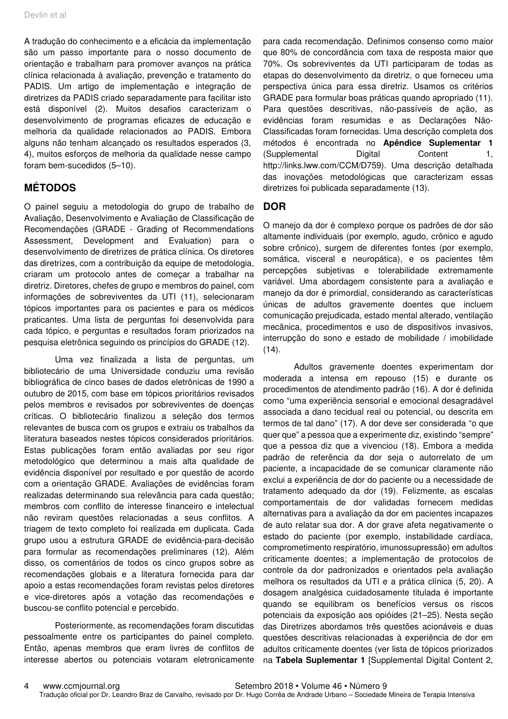A tradução do conhecimento e a eficácia da implementação são um passo importante para o nosso documento de orientação e trabalham para promover avanços na prática clínica relacionada à avaliação, prevenção e tratamento do PADIS. Um artigo de implementação e integração de diretrizes da PADIS criado separadamente para facilitar isto está disponível (2). Muitos desafios caracterizam o desenvolvimento de programas eficazes de educação e melhoria da qualidade relacionados ao PADIS. Embora alguns não tenham alcançado os resultados esperados (3, 4), muitos esforços de melhoria da qualidade nesse campo foram bem-sucedidos (5–10).

# **MÉTODOS**

O painel seguiu a metodologia do grupo de trabalho de Avaliação, Desenvolvimento e Avaliação de Classificação de Recomendações (GRADE - Grading of Recommendations Assessment, Development and Evaluation) para o desenvolvimento de diretrizes de prática clínica. Os diretores das diretrizes, com a contribuição da equipe de metodologia, criaram um protocolo antes de começar a trabalhar na diretriz. Diretores, chefes de grupo e membros do painel, com informações de sobreviventes da UTI (11), selecionaram tópicos importantes para os pacientes e para os médicos praticantes. Uma lista de perguntas foi desenvolvida para cada tópico, e perguntas e resultados foram priorizados na pesquisa eletrônica seguindo os princípios do GRADE (12).

Uma vez finalizada a lista de perguntas, um bibliotecário de uma Universidade conduziu uma revisão bibliográfica de cinco bases de dados eletrônicas de 1990 a outubro de 2015, com base em tópicos prioritários revisados pelos membros e revisados por sobreviventes de doenças críticas. O bibliotecário finalizou a seleção dos termos relevantes de busca com os grupos e extraiu os trabalhos da literatura baseados nestes tópicos considerados prioritários. Estas publicações foram então avaliadas por seu rigor metodológico que determinou a mais alta qualidade de evidência disponível por resultado e por questão de acordo com a orientação GRADE. Avaliações de evidências foram realizadas determinando sua relevância para cada questão; membros com conflito de interesse financeiro e intelectual não reviram questões relacionadas a seus conflitos. A triagem de texto completo foi realizada em duplicata. Cada grupo usou a estrutura GRADE de evidência-para-decisão para formular as recomendações preliminares (12). Além disso, os comentários de todos os cinco grupos sobre as recomendações globais e a literatura fornecida para dar apoio a estas recomendações foram revistas pelos diretores e vice-diretores após a votação das recomendações e buscou-se conflito potencial e percebido.

Posteriormente, as recomendações foram discutidas pessoalmente entre os participantes do painel completo. Então, apenas membros que eram livres de conflitos de interesse abertos ou potenciais votaram eletronicamente

para cada recomendação. Definimos consenso como maior que 80% de concordância com taxa de resposta maior que 70%. Os sobreviventes da UTI participaram de todas as etapas do desenvolvimento da diretriz, o que forneceu uma perspectiva única para essa diretriz. Usamos os critérios GRADE para formular boas práticas quando apropriado (11). Para questões descritivas, não-passíveis de ação, as evidências foram resumidas e as Declarações Não-Classificadas foram fornecidas. Uma descrição completa dos métodos é encontrada no **Apêndice Suplementar 1** (Supplemental Digital Content 1, http://links.lww.com/CCM/D759). Uma descrição detalhada das inovações metodológicas que caracterizam essas diretrizes foi publicada separadamente (13).

### **DOR**

O manejo da dor é complexo porque os padrões de dor são altamente individuais (por exemplo, agudo, crônico e agudo sobre crônico), surgem de diferentes fontes (por exemplo, somática, visceral e neuropática), e os pacientes têm percepções subjetivas e tolerabilidade extremamente variável. Uma abordagem consistente para a avaliação e manejo da dor é primordial, considerando as características únicas de adultos gravemente doentes que incluem comunicação prejudicada, estado mental alterado, ventilação mecânica, procedimentos e uso de dispositivos invasivos, interrupção do sono e estado de mobilidade / imobilidade  $(14).$ 

Adultos gravemente doentes experimentam dor moderada a intensa em repouso (15) e durante os procedimentos de atendimento padrão (16). A dor é definida como "uma experiência sensorial e emocional desagradável associada a dano tecidual real ou potencial, ou descrita em termos de tal dano" (17). A dor deve ser considerada "o que quer que" a pessoa que a experimente diz, existindo "sempre" que a pessoa diz que a vivenciou (18). Embora a medida padrão de referência da dor seja o autorrelato de um paciente, a incapacidade de se comunicar claramente não exclui a experiência de dor do paciente ou a necessidade de tratamento adequado da dor (19). Felizmente, as escalas comportamentais de dor validadas fornecem medidas alternativas para a avaliação da dor em pacientes incapazes de auto relatar sua dor. A dor grave afeta negativamente o estado do paciente (por exemplo, instabilidade cardíaca, comprometimento respiratório, imunossupressão) em adultos criticamente doentes; a implementação de protocolos de controle da dor padronizados e orientados pela avaliação melhora os resultados da UTI e a prática clínica (5, 20). A dosagem analgésica cuidadosamente titulada é importante quando se equilibram os benefícios versus os riscos potenciais da exposição aos opióides (21–25). Nesta seção das Diretrizes abordamos três questões acionáveis e duas questões descritivas relacionadas à experiência de dor em adultos criticamente doentes (ver lista de tópicos priorizados na **Tabela Suplementar 1** [Supplemental Digital Content 2,

4 www.ccmjournal.org Setembro 2018 • Volume 46 • Número 9 Tradução oficial por Dr. Leandro Braz de Carvalho, revisado por Dr. Hugo Corrêa de Andrade Urbano – Sociedade Mineira de Terapia Intensiva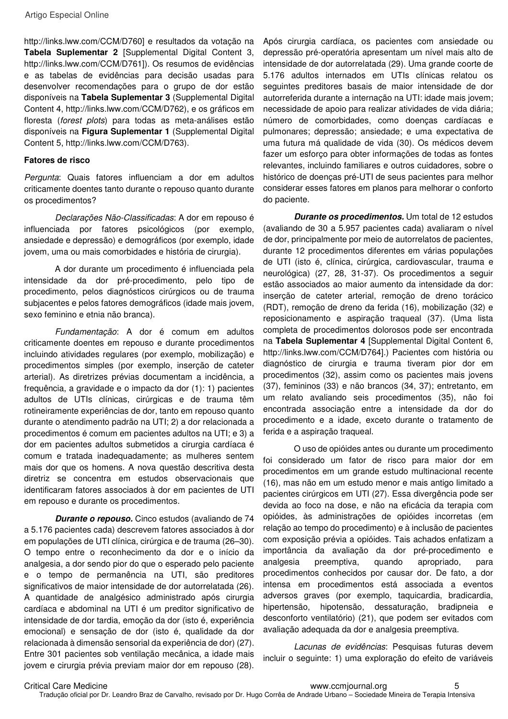http://links.lww.com/CCM/D760] e resultados da votação na **Tabela Suplementar 2** [Supplemental Digital Content 3, http://links.lww.com/CCM/D761]). Os resumos de evidências e as tabelas de evidências para decisão usadas para desenvolver recomendações para o grupo de dor estão disponíveis na **Tabela Suplementar 3** (Supplemental Digital Content 4, http://links.lww.com/CCM/D762), e os gráficos em floresta (forest plots) para todas as meta-análises estão disponíveis na **Figura Suplementar 1** (Supplemental Digital Content 5, http://links.lww.com/CCM/D763).

#### **Fatores de risco**

Pergunta: Quais fatores influenciam a dor em adultos criticamente doentes tanto durante o repouso quanto durante os procedimentos?

Declarações Não-Classificadas: A dor em repouso é influenciada por fatores psicológicos (por exemplo, ansiedade e depressão) e demográficos (por exemplo, idade jovem, uma ou mais comorbidades e história de cirurgia).

A dor durante um procedimento é influenciada pela intensidade da dor pré-procedimento, pelo tipo de procedimento, pelos diagnósticos cirúrgicos ou de trauma subjacentes e pelos fatores demográficos (idade mais jovem, sexo feminino e etnia não branca).

Fundamentação: A dor é comum em adultos criticamente doentes em repouso e durante procedimentos incluindo atividades regulares (por exemplo, mobilização) e procedimentos simples (por exemplo, inserção de cateter arterial). As diretrizes prévias documentam a incidência, a frequência, a gravidade e o impacto da dor (1): 1) pacientes adultos de UTIs clínicas, cirúrgicas e de trauma têm rotineiramente experiências de dor, tanto em repouso quanto durante o atendimento padrão na UTI; 2) a dor relacionada a procedimentos é comum em pacientes adultos na UTI; e 3) a dor em pacientes adultos submetidos a cirurgia cardíaca é comum e tratada inadequadamente; as mulheres sentem mais dor que os homens. A nova questão descritiva desta diretriz se concentra em estudos observacionais que identificaram fatores associados à dor em pacientes de UTI em repouso e durante os procedimentos.

**Durante o repouso.** Cinco estudos (avaliando de 74 a 5.176 pacientes cada) descrevem fatores associados à dor em populações de UTI clínica, cirúrgica e de trauma (26–30). O tempo entre o reconhecimento da dor e o início da analgesia, a dor sendo pior do que o esperado pelo paciente e o tempo de permanência na UTI, são preditores significativos de maior intensidade de dor autorrelatada (26). A quantidade de analgésico administrado após cirurgia cardíaca e abdominal na UTI é um preditor significativo de intensidade de dor tardia, emoção da dor (isto é, experiência emocional) e sensação de dor (isto é, qualidade da dor relacionada à dimensão sensorial da experiência de dor) (27). Entre 301 pacientes sob ventilação mecânica, a idade mais jovem e cirurgia prévia previam maior dor em repouso (28).

Após cirurgia cardíaca, os pacientes com ansiedade ou depressão pré-operatória apresentam um nível mais alto de intensidade de dor autorrelatada (29). Uma grande coorte de 5.176 adultos internados em UTIs clínicas relatou os seguintes preditores basais de maior intensidade de dor autorreferida durante a internação na UTI: idade mais jovem; necessidade de apoio para realizar atividades de vida diária; número de comorbidades, como doenças cardíacas e pulmonares; depressão; ansiedade; e uma expectativa de uma futura má qualidade de vida (30). Os médicos devem fazer um esforço para obter informações de todas as fontes relevantes, incluindo familiares e outros cuidadores, sobre o histórico de doenças pré-UTI de seus pacientes para melhor considerar esses fatores em planos para melhorar o conforto do paciente.

**Durante os procedimentos.** Um total de 12 estudos (avaliando de 30 a 5.957 pacientes cada) avaliaram o nível de dor, principalmente por meio de autorrelatos de pacientes, durante 12 procedimentos diferentes em várias populações de UTI (isto é, clínica, cirúrgica, cardiovascular, trauma e neurológica) (27, 28, 31-37). Os procedimentos a seguir estão associados ao maior aumento da intensidade da dor: inserção de cateter arterial, remoção de dreno torácico (RDT), remoção de dreno da ferida (16), mobilização (32) e reposicionamento e aspiração traqueal (37). (Uma lista completa de procedimentos dolorosos pode ser encontrada na **Tabela Suplementar 4** [Supplemental Digital Content 6, http://links.lww.com/CCM/D764].) Pacientes com história ou diagnóstico de cirurgia e trauma tiveram pior dor em procedimentos (32), assim como os pacientes mais jovens (37), femininos (33) e não brancos (34, 37); entretanto, em um relato avaliando seis procedimentos (35), não foi encontrada associação entre a intensidade da dor do procedimento e a idade, exceto durante o tratamento de ferida e a aspiração traqueal.

O uso de opióides antes ou durante um procedimento foi considerado um fator de risco para maior dor em procedimentos em um grande estudo multinacional recente (16), mas não em um estudo menor e mais antigo limitado a pacientes cirúrgicos em UTI (27). Essa divergência pode ser devida ao foco na dose, e não na eficácia da terapia com opióides, às administrações de opióides incorretas (em relação ao tempo do procedimento) e à inclusão de pacientes com exposição prévia a opióides. Tais achados enfatizam a importância da avaliação da dor pré-procedimento e analgesia preemptiva, quando apropriado, para procedimentos conhecidos por causar dor. De fato, a dor intensa em procedimentos está associada a eventos adversos graves (por exemplo, taquicardia, bradicardia, hipertensão, hipotensão, dessaturação, bradipneia e desconforto ventilatório) (21), que podem ser evitados com avaliação adequada da dor e analgesia preemptiva.

Lacunas de evidências: Pesquisas futuras devem incluir o seguinte: 1) uma exploração do efeito de variáveis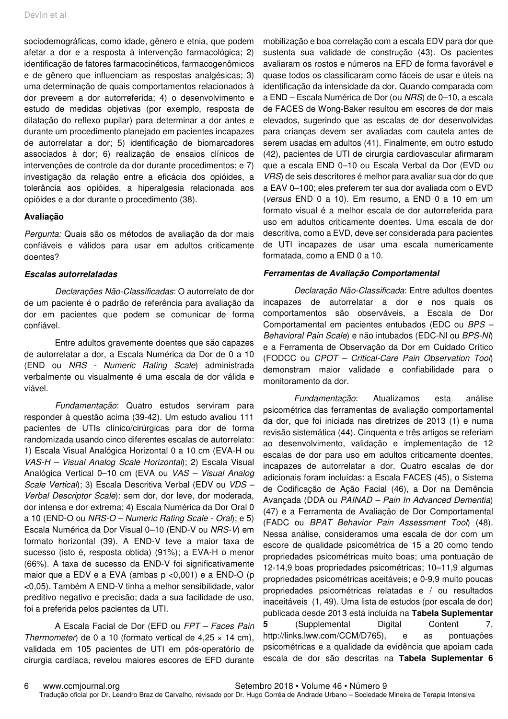sociodemográficas, como idade, gênero e etnia, que podem afetar a dor e a resposta à intervenção farmacológica; 2) identificação de fatores farmacocinéticos, farmacogenômicos e de gênero que influenciam as respostas analgésicas; 3) uma determinação de quais comportamentos relacionados à dor preveem a dor autorreferida; 4) o desenvolvimento e estudo de medidas objetivas (por exemplo, resposta de dilatação do reflexo pupilar) para determinar a dor antes e durante um procedimento planejado em pacientes incapazes de autorrelatar a dor; 5) identificação de biomarcadores associados à dor; 6) realização de ensaios clínicos de intervenções de controle da dor durante procedimentos; e 7) investigação da relação entre a eficácia dos opióides, a tolerância aos opióides, a hiperalgesia relacionada aos opióides e a dor durante o procedimento (38).

#### **Avaliação**

Pergunta: Quais são os métodos de avaliação da dor mais confiáveis e válidos para usar em adultos criticamente doentes?

#### **Escalas autorrelatadas**

Declarações Não-Classificadas: O autorrelato de dor de um paciente é o padrão de referência para avaliação da dor em pacientes que podem se comunicar de forma confiável.

Entre adultos gravemente doentes que são capazes de autorrelatar a dor, a Escala Numérica da Dor de 0 a 10 (END ou NRS - Numeric Rating Scale) administrada verbalmente ou visualmente é uma escala de dor válida e viável.

Fundamentação: Quatro estudos serviram para responder à questão acima (39-42). Um estudo avaliou 111 pacientes de UTIs clínico/cirúrgicas para dor de forma randomizada usando cinco diferentes escalas de autorrelato: 1) Escala Visual Analógica Horizontal 0 a 10 cm (EVA-H ou VAS-H – Visual Analog Scale Horizontal); 2) Escala Visual Analógica Vertical 0–10 cm (EVA ou VAS – Visual Analog Scale Vertical); 3) Escala Descritiva Verbal (EDV ou VDS -Verbal Descriptor Scale): sem dor, dor leve, dor moderada, dor intensa e dor extrema; 4) Escala Numérica da Dor Oral 0 a 10 (END-O ou NRS-O – Numeric Rating Scale - Oral); e 5) Escala Numérica da Dor Visual 0–10 (END-V ou NRS-V) em formato horizontal (39). A END-V teve a maior taxa de sucesso (isto é, resposta obtida) (91%); a EVA-H o menor (66%). A taxa de sucesso da END-V foi significativamente maior que a EDV e a EVA (ambas p <0,001) e a END-O (p <0,05). Também A END-V tinha a melhor sensibilidade, valor preditivo negativo e precisão; dada a sua facilidade de uso, foi a preferida pelos pacientes da UTI.

A Escala Facial de Dor (EFD ou FPT – Faces Pain Thermometer) de 0 a 10 (formato vertical de 4.25  $\times$  14 cm). validada em 105 pacientes de UTI em pós-operatório de cirurgia cardíaca, revelou maiores escores de EFD durante

mobilização e boa correlação com a escala EDV para dor que sustenta sua validade de construção (43). Os pacientes avaliaram os rostos e números na EFD de forma favorável e quase todos os classificaram como fáceis de usar e úteis na identificação da intensidade da dor. Quando comparada com a END – Escala Numérica de Dor (ou NRS) de 0–10, a escala de FACES de Wong-Baker resultou em escores de dor mais elevados, sugerindo que as escalas de dor desenvolvidas para crianças devem ser avaliadas com cautela antes de serem usadas em adultos (41). Finalmente, em outro estudo (42), pacientes de UTI de cirurgia cardiovascular afirmaram que a escala END 0–10 ou Escala Verbal da Dor (EVD ou VRS) de seis descritores é melhor para avaliar sua dor do que a EAV 0–100; eles preferem ter sua dor avaliada com o EVD (versus END 0 a 10). Em resumo, a END 0 a 10 em um formato visual é a melhor escala de dor autorreferida para uso em adultos criticamente doentes. Uma escala de dor descritiva, como a EVD, deve ser considerada para pacientes de UTI incapazes de usar uma escala numericamente formatada, como a END 0 a 10.

#### **Ferramentas de Avaliação Comportamental**

Declaração Não-Classificada: Entre adultos doentes incapazes de autorrelatar a dor e nos quais os comportamentos são observáveis, a Escala de Dor Comportamental em pacientes entubados (EDC ou BPS – Behavioral Pain Scale) e não intubados (EDC-NI ou BPS-NI) e a Ferramenta de Observação da Dor em Cuidado Crítico (FODCC ou CPOT – Critical-Care Pain Observation Tool) demonstram maior validade e confiabilidade para o monitoramento da dor.

Fundamentação: Atualizamos esta análise psicométrica das ferramentas de avaliação comportamental da dor, que foi iniciada nas diretrizes de 2013 (1) e numa revisão sistemática (44). Cinquenta e três artigos se referiam ao desenvolvimento, validação e implementação de 12 escalas de dor para uso em adultos criticamente doentes, incapazes de autorrelatar a dor. Quatro escalas de dor adicionais foram incluídas: a Escala FACES (45), o Sistema de Codificação de Ação Facial (46), a Dor na Demência Avançada (DDA ou PAINAD – Pain In Advanced Dementia) (47) e a Ferramenta de Avaliação de Dor Comportamental (FADC ou BPAT Behavior Pain Assessment Tool) (48). Nessa análise, consideramos uma escala de dor com um escore de qualidade psicométrica de 15 a 20 como tendo propriedades psicométricas muito boas; uma pontuação de 12-14,9 boas propriedades psicométricas; 10–11,9 algumas propriedades psicométricas aceitáveis; e 0-9,9 muito poucas propriedades psicométricas relatadas e / ou resultados inaceitáveis (1, 49). Uma lista de estudos (por escala de dor) publicada desde 2013 está incluída na **Tabela Suplementar 5** (Supplemental Digital Content 7, http://links.lww.com/CCM/D765), e as pontuações psicométricas e a qualidade da evidência que apoiam cada

escala de dor são descritas na **Tabela Suplementar 6**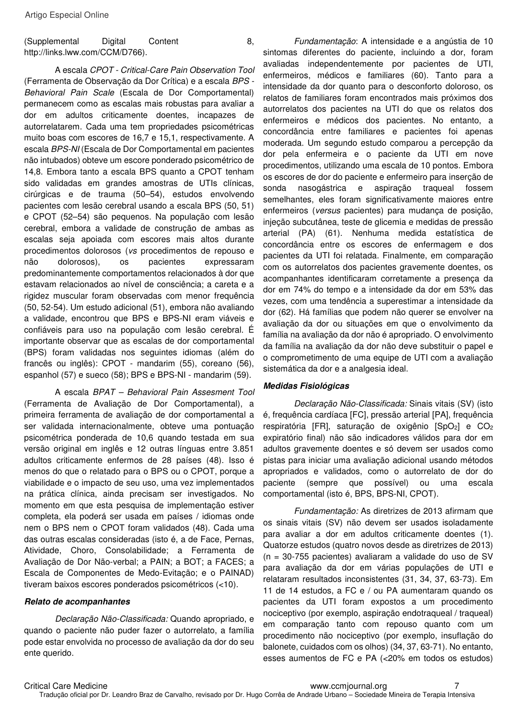#### (Supplemental Digital Content 8, http://links.lww.com/CCM/D766).

A escala CPOT - Critical-Care Pain Observation Tool (Ferramenta de Observação da Dor Crítica) e a escala BPS - Behavioral Pain Scale (Escala de Dor Comportamental) permanecem como as escalas mais robustas para avaliar a dor em adultos criticamente doentes, incapazes de autorrelatarem. Cada uma tem propriedades psicométricas muito boas com escores de 16,7 e 15,1, respectivamente. A escala BPS-NI (Escala de Dor Comportamental em pacientes não intubados) obteve um escore ponderado psicométrico de 14,8. Embora tanto a escala BPS quanto a CPOT tenham sido validadas em grandes amostras de UTIs clínicas, cirúrgicas e de trauma (50–54), estudos envolvendo pacientes com lesão cerebral usando a escala BPS (50, 51) e CPOT (52–54) são pequenos. Na população com lesão cerebral, embora a validade de construção de ambas as escalas seja apoiada com escores mais altos durante procedimentos dolorosos (vs procedimentos de repouso e não dolorosos), os pacientes expressaram predominantemente comportamentos relacionados à dor que estavam relacionados ao nível de consciência; a careta e a rigidez muscular foram observadas com menor frequência (50, 52-54). Um estudo adicional (51), embora não avaliando a validade, encontrou que BPS e BPS-NI eram viáveis e confiáveis para uso na população com lesão cerebral. É importante observar que as escalas de dor comportamental (BPS) foram validadas nos seguintes idiomas (além do francês ou inglês): CPOT - mandarim (55), coreano (56), espanhol (57) e sueco (58); BPS e BPS-NI - mandarim (59).

A escala BPAT – Behavioral Pain Assesment Tool (Ferramenta de Avaliação de Dor Comportamental), a primeira ferramenta de avaliação de dor comportamental a ser validada internacionalmente, obteve uma pontuação psicométrica ponderada de 10,6 quando testada em sua versão original em inglês e 12 outras línguas entre 3.851 adultos criticamente enfermos de 28 países (48). Isso é menos do que o relatado para o BPS ou o CPOT, porque a viabilidade e o impacto de seu uso, uma vez implementados na prática clínica, ainda precisam ser investigados. No momento em que esta pesquisa de implementação estiver completa, ela poderá ser usada em países / idiomas onde nem o BPS nem o CPOT foram validados (48). Cada uma das outras escalas consideradas (isto é, a de Face, Pernas, Atividade, Choro, Consolabilidade; a Ferramenta de Avaliação de Dor Não-verbal; a PAIN; a BOT; a FACES; a Escala de Componentes de Medo-Evitação; e o PAINAD) tiveram baixos escores ponderados psicométricos (<10).

#### **Relato de acompanhantes**

Declaração Não-Classificada: Quando apropriado, e quando o paciente não puder fazer o autorrelato, a família pode estar envolvida no processo de avaliação da dor do seu ente querido.

Fundamentação: A intensidade e a angústia de 10 sintomas diferentes do paciente, incluindo a dor, foram avaliadas independentemente por pacientes de UTI, enfermeiros, médicos e familiares (60). Tanto para a intensidade da dor quanto para o desconforto doloroso, os relatos de familiares foram encontrados mais próximos dos autorrelatos dos pacientes na UTI do que os relatos dos enfermeiros e médicos dos pacientes. No entanto, a concordância entre familiares e pacientes foi apenas moderada. Um segundo estudo comparou a percepção da dor pela enfermeira e o paciente da UTI em nove procedimentos, utilizando uma escala de 10 pontos. Embora os escores de dor do paciente e enfermeiro para inserção de sonda nasogástrica e aspiração traqueal fossem semelhantes, eles foram significativamente maiores entre enfermeiros (versus pacientes) para mudança de posição, injeção subcutânea, teste de glicemia e medidas de pressão arterial (PA) (61). Nenhuma medida estatística de concordância entre os escores de enfermagem e dos pacientes da UTI foi relatada. Finalmente, em comparação com os autorrelatos dos pacientes gravemente doentes, os acompanhantes identificaram corretamente a presença da dor em 74% do tempo e a intensidade da dor em 53% das vezes, com uma tendência a superestimar a intensidade da dor (62). Há famílias que podem não querer se envolver na avaliação da dor ou situações em que o envolvimento da família na avaliação da dor não é apropriado. O envolvimento da família na avaliação da dor não deve substituir o papel e o comprometimento de uma equipe de UTI com a avaliação sistemática da dor e a analgesia ideal.

#### **Medidas Fisiológicas**

Declaração Não-Classificada: Sinais vitais (SV) (isto é, frequência cardíaca [FC], pressão arterial [PA], frequência respiratória [FR], saturação de oxigênio [SpO2] e CO<sup>2</sup> expiratório final) não são indicadores válidos para dor em adultos gravemente doentes e só devem ser usados como pistas para iniciar uma avaliação adicional usando métodos apropriados e validados, como o autorrelato de dor do paciente (sempre que possível) ou uma escala comportamental (isto é, BPS, BPS-NI, CPOT).

Fundamentação: As diretrizes de 2013 afirmam que os sinais vitais (SV) não devem ser usados isoladamente para avaliar a dor em adultos criticamente doentes (1). Quatorze estudos (quatro novos desde as diretrizes de 2013) (n = 30-755 pacientes) avaliaram a validade do uso de SV para avaliação da dor em várias populações de UTI e relataram resultados inconsistentes (31, 34, 37, 63-73). Em 11 de 14 estudos, a FC e / ou PA aumentaram quando os pacientes da UTI foram expostos a um procedimento nociceptivo (por exemplo, aspiração endotraqueal / traqueal) em comparação tanto com repouso quanto com um procedimento não nociceptivo (por exemplo, insuflação do balonete, cuidados com os olhos) (34, 37, 63-71). No entanto, esses aumentos de FC e PA (<20% em todos os estudos)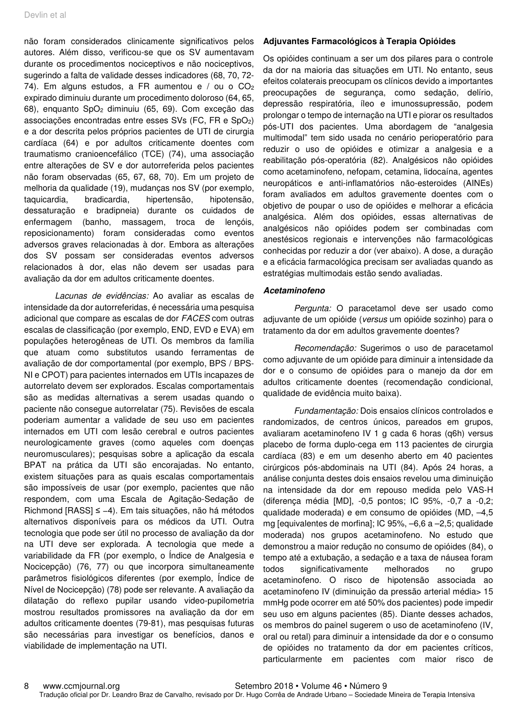não foram considerados clinicamente significativos pelos autores. Além disso, verificou-se que os SV aumentavam durante os procedimentos nociceptivos e não nociceptivos, sugerindo a falta de validade desses indicadores (68, 70, 72- 74). Em alguns estudos, a FR aumentou e  $/$  ou o  $CO<sub>2</sub>$ expirado diminuiu durante um procedimento doloroso (64, 65, 68), enquanto SpO2 diminuiu (65, 69). Com exceção das associações encontradas entre esses SVs (FC, FR e SpO2) e a dor descrita pelos próprios pacientes de UTI de cirurgia cardíaca (64) e por adultos criticamente doentes com traumatismo cranioencefálico (TCE) (74), uma associação entre alterações de SV e dor autorreferida pelos pacientes não foram observadas (65, 67, 68, 70). Em um projeto de melhoria da qualidade (19), mudanças nos SV (por exemplo, taquicardia, bradicardia, hipertensão, hipotensão, dessaturação e bradipneia) durante os cuidados de enfermagem (banho, massagem, troca de lençóis, reposicionamento) foram consideradas como eventos adversos graves relacionadas à dor. Embora as alterações dos SV possam ser consideradas eventos adversos relacionados à dor, elas não devem ser usadas para avaliação da dor em adultos criticamente doentes.

Lacunas de evidências: Ao avaliar as escalas de intensidade da dor autorreferidas, é necessária uma pesquisa adicional que compare as escalas de dor FACES com outras escalas de classificação (por exemplo, END, EVD e EVA) em populações heterogêneas de UTI. Os membros da família que atuam como substitutos usando ferramentas de avaliação de dor comportamental (por exemplo, BPS / BPS-NI e CPOT) para pacientes internados em UTIs incapazes de autorrelato devem ser explorados. Escalas comportamentais são as medidas alternativas a serem usadas quando o paciente não consegue autorrelatar (75). Revisões de escala poderiam aumentar a validade de seu uso em pacientes internados em UTI com lesão cerebral e outros pacientes neurologicamente graves (como aqueles com doenças neuromusculares); pesquisas sobre a aplicação da escala BPAT na prática da UTI são encorajadas. No entanto, existem situações para as quais escalas comportamentais são impossíveis de usar (por exemplo, pacientes que não respondem, com uma Escala de Agitação-Sedação de Richmond [RASS] ≤ −4). Em tais situações, não há métodos alternativos disponíveis para os médicos da UTI. Outra tecnologia que pode ser útil no processo de avaliação da dor na UTI deve ser explorada. A tecnologia que mede a variabilidade da FR (por exemplo, o Índice de Analgesia e Nocicepção) (76, 77) ou que incorpora simultaneamente parâmetros fisiológicos diferentes (por exemplo, Índice de Nível de Nocicepção) (78) pode ser relevante. A avaliação da dilatação do reflexo pupilar usando video-pupilometria mostrou resultados promissores na avaliação da dor em adultos criticamente doentes (79-81), mas pesquisas futuras são necessárias para investigar os benefícios, danos e viabilidade de implementação na UTI.

#### **Adjuvantes Farmacológicos à Terapia Opióides**

Os opióides continuam a ser um dos pilares para o controle da dor na maioria das situações em UTI. No entanto, seus efeitos colaterais preocupam os clínicos devido a importantes preocupações de segurança, como sedação, delírio, depressão respiratória, íleo e imunossupressão, podem prolongar o tempo de internação na UTI e piorar os resultados pós-UTI dos pacientes. Uma abordagem de "analgesia multimodal" tem sido usada no cenário perioperatório para reduzir o uso de opióides e otimizar a analgesia e a reabilitação pós-operatória (82). Analgésicos não opióides como acetaminofeno, nefopam, cetamina, lidocaína, agentes neuropáticos e anti-inflamatórios não-esteroides (AINEs) foram avaliados em adultos gravemente doentes com o objetivo de poupar o uso de opióides e melhorar a eficácia analgésica. Além dos opióides, essas alternativas de analgésicos não opióides podem ser combinadas com anestésicos regionais e intervenções não farmacológicas conhecidas por reduzir a dor (ver abaixo). A dose, a duração e a eficácia farmacológica precisam ser avaliadas quando as estratégias multimodais estão sendo avaliadas.

#### **Acetaminofeno**

Pergunta: O paracetamol deve ser usado como adjuvante de um opióide (versus um opióide sozinho) para o tratamento da dor em adultos gravemente doentes?

Recomendação: Sugerimos o uso de paracetamol como adjuvante de um opióide para diminuir a intensidade da dor e o consumo de opióides para o manejo da dor em adultos criticamente doentes (recomendação condicional, qualidade de evidência muito baixa).

Fundamentação: Dois ensaios clínicos controlados e randomizados, de centros únicos, pareados em grupos, avaliaram acetaminofeno IV 1 g cada 6 horas (q6h) versus placebo de forma duplo-cega em 113 pacientes de cirurgia cardíaca (83) e em um desenho aberto em 40 pacientes cirúrgicos pós-abdominais na UTI (84). Após 24 horas, a análise conjunta destes dois ensaios revelou uma diminuição na intensidade da dor em repouso medida pelo VAS-H (diferença média [MD], -0,5 pontos; IC 95%, -0,7 a -0,2; qualidade moderada) e em consumo de opióides (MD, –4,5 mg [equivalentes de morfina]; IC 95%, –6,6 a –2,5; qualidade moderada) nos grupos acetaminofeno. No estudo que demonstrou a maior redução no consumo de opióides (84), o tempo até a extubação, a sedação e a taxa de náusea foram todos significativamente melhorados no grupo acetaminofeno. O risco de hipotensão associada ao acetaminofeno IV (diminuição da pressão arterial média> 15 mmHg pode ocorrer em até 50% dos pacientes) pode impedir seu uso em alguns pacientes (85). Diante desses achados, os membros do painel sugerem o uso de acetaminofeno (IV, oral ou retal) para diminuir a intensidade da dor e o consumo de opióides no tratamento da dor em pacientes críticos, particularmente em pacientes com maior risco de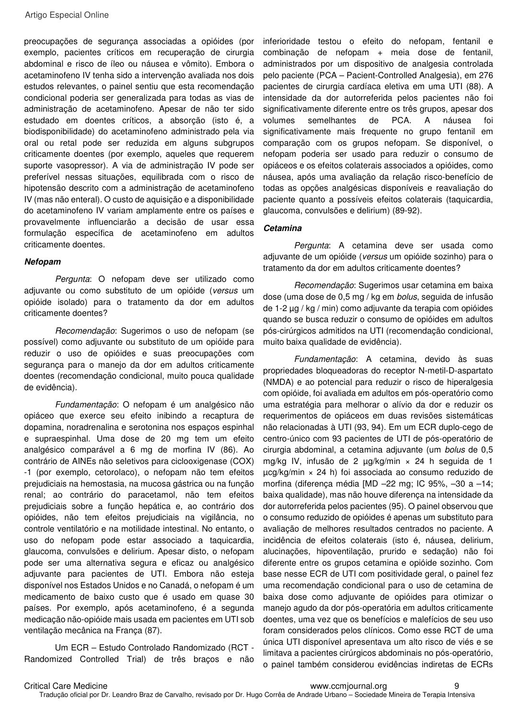preocupações de segurança associadas a opióides (por exemplo, pacientes críticos em recuperação de cirurgia abdominal e risco de íleo ou náusea e vômito). Embora o acetaminofeno IV tenha sido a intervenção avaliada nos dois estudos relevantes, o painel sentiu que esta recomendação condicional poderia ser generalizada para todas as vias de administração de acetaminofeno. Apesar de não ter sido estudado em doentes críticos, a absorção (isto é, a biodisponibilidade) do acetaminofeno administrado pela via oral ou retal pode ser reduzida em alguns subgrupos criticamente doentes (por exemplo, aqueles que requerem suporte vasopressor). A via de administração IV pode ser preferível nessas situações, equilibrada com o risco de hipotensão descrito com a administração de acetaminofeno IV (mas não enteral). O custo de aquisição e a disponibilidade do acetaminofeno IV variam amplamente entre os países e provavelmente influenciarão a decisão de usar essa formulação específica de acetaminofeno em adultos criticamente doentes.

#### **Nefopam**

Pergunta: O nefopam deve ser utilizado como adjuvante ou como substituto de um opióide (versus um opióide isolado) para o tratamento da dor em adultos criticamente doentes?

Recomendação: Sugerimos o uso de nefopam (se possível) como adjuvante ou substituto de um opióide para reduzir o uso de opióides e suas preocupações com segurança para o manejo da dor em adultos criticamente doentes (recomendação condicional, muito pouca qualidade de evidência).

Fundamentação: O nefopam é um analgésico não opiáceo que exerce seu efeito inibindo a recaptura de dopamina, noradrenalina e serotonina nos espaços espinhal e supraespinhal. Uma dose de 20 mg tem um efeito analgésico comparável a 6 mg de morfina IV (86). Ao contrário de AINEs não seletivos para ciclooxigenase (COX) -1 (por exemplo, cetorolaco), o nefopam não tem efeitos prejudiciais na hemostasia, na mucosa gástrica ou na função renal; ao contrário do paracetamol, não tem efeitos prejudiciais sobre a função hepática e, ao contrário dos opióides, não tem efeitos prejudiciais na vigilância, no controle ventilatório e na motilidade intestinal. No entanto, o uso do nefopam pode estar associado a taquicardia, glaucoma, convulsões e delirium. Apesar disto, o nefopam pode ser uma alternativa segura e eficaz ou analgésico adjuvante para pacientes de UTI. Embora não esteja disponível nos Estados Unidos e no Canadá, o nefopam é um medicamento de baixo custo que é usado em quase 30 países. Por exemplo, após acetaminofeno, é a segunda medicação não-opióide mais usada em pacientes em UTI sob ventilação mecânica na França (87).

Um ECR – Estudo Controlado Randomizado (RCT - Randomized Controlled Trial) de três braços e não inferioridade testou o efeito do nefopam, fentanil e combinação de nefopam + meia dose de fentanil, administrados por um dispositivo de analgesia controlada pelo paciente (PCA – Pacient-Controlled Analgesia), em 276 pacientes de cirurgia cardíaca eletiva em uma UTI (88). A intensidade da dor autorreferida pelos pacientes não foi significativamente diferente entre os três grupos, apesar dos volumes semelhantes de PCA. A náusea foi significativamente mais frequente no grupo fentanil em comparação com os grupos nefopam. Se disponível, o nefopam poderia ser usado para reduzir o consumo de opiáceos e os efeitos colaterais associados a opióides, como náusea, após uma avaliação da relação risco-benefício de todas as opções analgésicas disponíveis e reavaliação do paciente quanto a possíveis efeitos colaterais (taquicardia, glaucoma, convulsões e delirium) (89-92).

#### **Cetamina**

Pergunta: A cetamina deve ser usada como adjuvante de um opióide (versus um opióide sozinho) para o tratamento da dor em adultos criticamente doentes?

Recomendação: Sugerimos usar cetamina em baixa dose (uma dose de 0,5 mg / kg em bolus, seguida de infusão de 1-2 µg / kg / min) como adjuvante da terapia com opióides quando se busca reduzir o consumo de opióides em adultos pós-cirúrgicos admitidos na UTI (recomendação condicional, muito baixa qualidade de evidência).

Fundamentação: A cetamina, devido às suas propriedades bloqueadoras do receptor N-metil-D-aspartato (NMDA) e ao potencial para reduzir o risco de hiperalgesia com opióide, foi avaliada em adultos em pós-operatório como uma estratégia para melhorar o alívio da dor e reduzir os requerimentos de opiáceos em duas revisões sistemáticas não relacionadas à UTI (93, 94). Em um ECR duplo-cego de centro-único com 93 pacientes de UTI de pós-operatório de cirurgia abdominal, a cetamina adjuvante (um bolus de 0,5 mg/kg IV, infusão de 2 µg/kg/min × 24 h seguida de 1 µcg/kg/min × 24 h) foi associada ao consumo reduzido de morfina (diferença média [MD –22 mg; IC 95%, –30 a –14; baixa qualidade), mas não houve diferença na intensidade da dor autorreferida pelos pacientes (95). O painel observou que o consumo reduzido de opióides é apenas um substituto para avaliação de melhores resultados centrados no paciente. A incidência de efeitos colaterais (isto é, náusea, delirium, alucinações, hipoventilação, prurido e sedação) não foi diferente entre os grupos cetamina e opióide sozinho. Com base nesse ECR de UTI com positividade geral, o painel fez uma recomendação condicional para o uso de cetamina de baixa dose como adjuvante de opióides para otimizar o manejo agudo da dor pós-operatória em adultos criticamente doentes, uma vez que os benefícios e malefícios de seu uso foram considerados pelos clínicos. Como esse RCT de uma única UTI disponível apresentava um alto risco de viés e se limitava a pacientes cirúrgicos abdominais no pós-operatório, o painel também considerou evidências indiretas de ECRs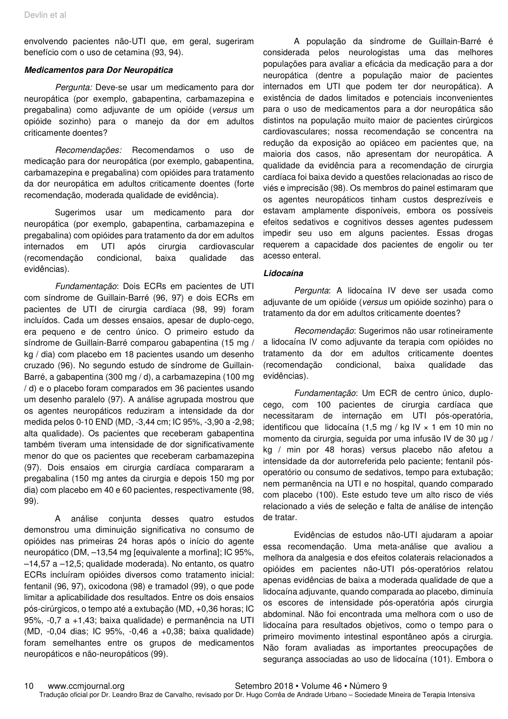envolvendo pacientes não-UTI que, em geral, sugeriram benefício com o uso de cetamina (93, 94).

#### **Medicamentos para Dor Neuropática**

Pergunta: Deve-se usar um medicamento para dor neuropática (por exemplo, gabapentina, carbamazepina e pregabalina) como adjuvante de um opióide (versus um opióide sozinho) para o manejo da dor em adultos criticamente doentes?

Recomendações: Recomendamos o uso de medicação para dor neuropática (por exemplo, gabapentina, carbamazepina e pregabalina) com opióides para tratamento da dor neuropática em adultos criticamente doentes (forte recomendação, moderada qualidade de evidência).

Sugerimos usar um medicamento para dor neuropática (por exemplo, gabapentina, carbamazepina e pregabalina) com opióides para tratamento da dor em adultos internados em UTI após cirurgia cardiovascular (recomendação condicional, baixa qualidade das evidências).

Fundamentação: Dois ECRs em pacientes de UTI com síndrome de Guillain-Barré (96, 97) e dois ECRs em pacientes de UTI de cirurgia cardíaca (98, 99) foram incluídos. Cada um desses ensaios, apesar de duplo-cego, era pequeno e de centro único. O primeiro estudo da síndrome de Guillain-Barré comparou gabapentina (15 mg / kg / dia) com placebo em 18 pacientes usando um desenho cruzado (96). No segundo estudo de síndrome de Guillain-Barré, a gabapentina (300 mg / d), a carbamazepina (100 mg / d) e o placebo foram comparados em 36 pacientes usando um desenho paralelo (97). A análise agrupada mostrou que os agentes neuropáticos reduziram a intensidade da dor medida pelos 0-10 END (MD, -3,44 cm; IC 95%, -3,90 a -2,98; alta qualidade). Os pacientes que receberam gabapentina também tiveram uma intensidade de dor significativamente menor do que os pacientes que receberam carbamazepina (97). Dois ensaios em cirurgia cardíaca compararam a pregabalina (150 mg antes da cirurgia e depois 150 mg por dia) com placebo em 40 e 60 pacientes, respectivamente (98, 99).

A análise conjunta desses quatro estudos demonstrou uma diminuição significativa no consumo de opióides nas primeiras 24 horas após o início do agente neuropático (DM, –13,54 mg [equivalente a morfina]; IC 95%, –14,57 a –12,5; qualidade moderada). No entanto, os quatro ECRs incluíram opióides diversos como tratamento inicial: fentanil (96, 97), oxicodona (98) e tramadol (99), o que pode limitar a aplicabilidade dos resultados. Entre os dois ensaios pós-cirúrgicos, o tempo até a extubação (MD, +0,36 horas; IC 95%, -0,7 a +1,43; baixa qualidade) e permanência na UTI (MD, -0,04 dias; IC 95%, -0,46 a +0,38; baixa qualidade) foram semelhantes entre os grupos de medicamentos neuropáticos e não-neuropáticos (99).

A população da síndrome de Guillain-Barré é considerada pelos neurologistas uma das melhores populações para avaliar a eficácia da medicação para a dor neuropática (dentre a população maior de pacientes internados em UTI que podem ter dor neuropática). A existência de dados limitados e potenciais inconvenientes para o uso de medicamentos para a dor neuropática são distintos na população muito maior de pacientes cirúrgicos cardiovasculares; nossa recomendação se concentra na redução da exposição ao opiáceo em pacientes que, na maioria dos casos, não apresentam dor neuropática. A qualidade da evidência para a recomendação de cirurgia cardíaca foi baixa devido a questões relacionadas ao risco de viés e imprecisão (98). Os membros do painel estimaram que os agentes neuropáticos tinham custos desprezíveis e estavam amplamente disponíveis, embora os possíveis efeitos sedativos e cognitivos desses agentes pudessem impedir seu uso em alguns pacientes. Essas drogas requerem a capacidade dos pacientes de engolir ou ter acesso enteral.

#### **Lidocaína**

Pergunta: A lidocaína IV deve ser usada como adiuvante de um opióide (versus um opióide sozinho) para o tratamento da dor em adultos criticamente doentes?

Recomendação: Sugerimos não usar rotineiramente a lidocaína IV como adjuvante da terapia com opióides no tratamento da dor em adultos criticamente doentes (recomendação condicional, baixa qualidade das evidências).

Fundamentação: Um ECR de centro único, duplocego, com 100 pacientes de cirurgia cardíaca que necessitaram de internação em UTI pós-operatória, identificou que lidocaína  $(1.5 \text{ mg} / \text{kg} \text{ IV} \times 1 \text{ em} 10 \text{ min} \text{ no}$ momento da cirurgia, seguida por uma infusão IV de 30 µg / kg / min por 48 horas) versus placebo não afetou a intensidade da dor autorreferida pelo paciente; fentanil pósoperatório ou consumo de sedativos, tempo para extubação; nem permanência na UTI e no hospital, quando comparado com placebo (100). Este estudo teve um alto risco de viés relacionado a viés de seleção e falta de análise de intenção de tratar.

Evidências de estudos não-UTI ajudaram a apoiar essa recomendação. Uma meta-análise que avaliou a melhora da analgesia e dos efeitos colaterais relacionados a opióides em pacientes não-UTI pós-operatórios relatou apenas evidências de baixa a moderada qualidade de que a lidocaína adjuvante, quando comparada ao placebo, diminuía os escores de intensidade pós-operatória após cirurgia abdominal. Não foi encontrada uma melhora com o uso de lidocaína para resultados objetivos, como o tempo para o primeiro movimento intestinal espontâneo após a cirurgia. Não foram avaliadas as importantes preocupações de segurança associadas ao uso de lidocaína (101). Embora o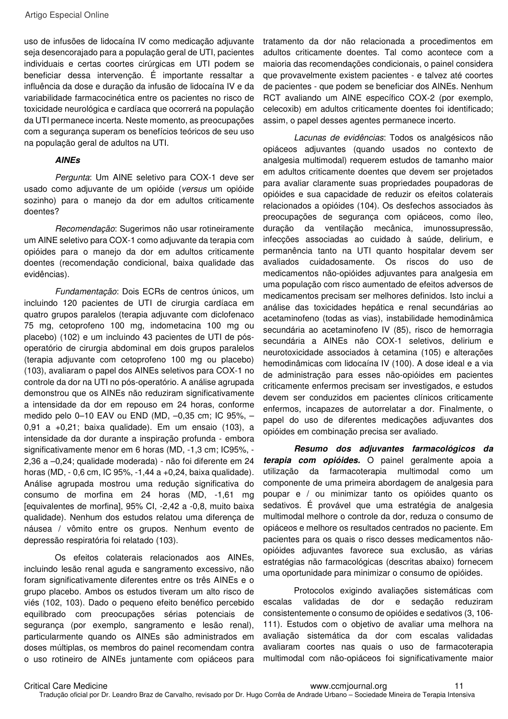uso de infusões de lidocaína IV como medicação adjuvante seja desencorajado para a população geral de UTI, pacientes individuais e certas coortes cirúrgicas em UTI podem se beneficiar dessa intervenção. É importante ressaltar a influência da dose e duração da infusão de lidocaína IV e da variabilidade farmacocinética entre os pacientes no risco de toxicidade neurológica e cardíaca que ocorrerá na população da UTI permanece incerta. Neste momento, as preocupações com a segurança superam os benefícios teóricos de seu uso na população geral de adultos na UTI.

#### **AINEs**

Pergunta: Um AINE seletivo para COX-1 deve ser usado como adjuvante de um opióide (versus um opióide sozinho) para o manejo da dor em adultos criticamente doentes?

Recomendação: Sugerimos não usar rotineiramente um AINE seletivo para COX-1 como adjuvante da terapia com opióides para o manejo da dor em adultos criticamente doentes (recomendação condicional, baixa qualidade das evidências).

Fundamentação: Dois ECRs de centros únicos, um incluindo 120 pacientes de UTI de cirurgia cardíaca em quatro grupos paralelos (terapia adjuvante com diclofenaco 75 mg, cetoprofeno 100 mg, indometacina 100 mg ou placebo) (102) e um incluindo 43 pacientes de UTI de pósoperatório de cirurgia abdominal em dois grupos paralelos (terapia adjuvante com cetoprofeno 100 mg ou placebo) (103), avaliaram o papel dos AINEs seletivos para COX-1 no controle da dor na UTI no pós-operatório. A análise agrupada demonstrou que os AINEs não reduziram significativamente a intensidade da dor em repouso em 24 horas, conforme medido pelo 0–10 EAV ou END (MD, –0,35 cm; IC 95%, – 0,91 a +0,21; baixa qualidade). Em um ensaio (103), a intensidade da dor durante a inspiração profunda - embora significativamente menor em 6 horas (MD, -1,3 cm; IC95%, - 2,36 a –0,24; qualidade moderada) - não foi diferente em 24 horas (MD, - 0,6 cm, IC 95%, -1,44 a +0,24, baixa qualidade). Análise agrupada mostrou uma redução significativa do consumo de morfina em 24 horas (MD, -1,61 mg [equivalentes de morfina], 95% CI, -2,42 a -0,8, muito baixa qualidade). Nenhum dos estudos relatou uma diferença de náusea / vômito entre os grupos. Nenhum evento de depressão respiratória foi relatado (103).

Os efeitos colaterais relacionados aos AINEs, incluindo lesão renal aguda e sangramento excessivo, não foram significativamente diferentes entre os três AINEs e o grupo placebo. Ambos os estudos tiveram um alto risco de viés (102, 103). Dado o pequeno efeito benéfico percebido equilibrado com preocupações sérias potenciais de segurança (por exemplo, sangramento e lesão renal), particularmente quando os AINEs são administrados em doses múltiplas, os membros do painel recomendam contra o uso rotineiro de AINEs juntamente com opiáceos para

tratamento da dor não relacionada a procedimentos em adultos criticamente doentes. Tal como acontece com a maioria das recomendações condicionais, o painel considera que provavelmente existem pacientes - e talvez até coortes de pacientes - que podem se beneficiar dos AINEs. Nenhum RCT avaliando um AINE específico COX-2 (por exemplo, celecoxib) em adultos criticamente doentes foi identificado; assim, o papel desses agentes permanece incerto.

Lacunas de evidências: Todos os analgésicos não opiáceos adjuvantes (quando usados no contexto de analgesia multimodal) requerem estudos de tamanho maior em adultos criticamente doentes que devem ser projetados para avaliar claramente suas propriedades poupadoras de opióides e sua capacidade de reduzir os efeitos colaterais relacionados a opióides (104). Os desfechos associados às preocupações de segurança com opiáceos, como íleo, duração da ventilação mecânica, imunossupressão, infecções associadas ao cuidado à saúde, delirium, e permanência tanto na UTI quanto hospitalar devem ser avaliados cuidadosamente. Os riscos do uso de medicamentos não-opióides adjuvantes para analgesia em uma população com risco aumentado de efeitos adversos de medicamentos precisam ser melhores definidos. Isto inclui a análise das toxicidades hepática e renal secundárias ao acetaminofeno (todas as vias), instabilidade hemodinâmica secundária ao acetaminofeno IV (85), risco de hemorragia secundária a AINEs não COX-1 seletivos, delirium e neurotoxicidade associados à cetamina (105) e alterações hemodinâmicas com lidocaína IV (100). A dose ideal e a via de administração para esses não-opióides em pacientes criticamente enfermos precisam ser investigados, e estudos devem ser conduzidos em pacientes clínicos criticamente enfermos, incapazes de autorrelatar a dor. Finalmente, o papel do uso de diferentes medicações adjuvantes dos opióides em combinação precisa ser avaliado.

**Resumo dos adjuvantes farmacológicos da terapia com opióides.** O painel geralmente apoia a utilização da farmacoterapia multimodal como um componente de uma primeira abordagem de analgesia para poupar e / ou minimizar tanto os opióides quanto os sedativos. É provável que uma estratégia de analgesia multimodal melhore o controle da dor, reduza o consumo de opiáceos e melhore os resultados centrados no paciente. Em pacientes para os quais o risco desses medicamentos nãoopióides adjuvantes favorece sua exclusão, as várias estratégias não farmacológicas (descritas abaixo) fornecem uma oportunidade para minimizar o consumo de opióides.

Protocolos exigindo avaliações sistemáticas com escalas validadas de dor e sedação reduziram consistentemente o consumo de opióides e sedativos (3, 106- 111). Estudos com o objetivo de avaliar uma melhora na avaliação sistemática da dor com escalas validadas avaliaram coortes nas quais o uso de farmacoterapia multimodal com não-opiáceos foi significativamente maior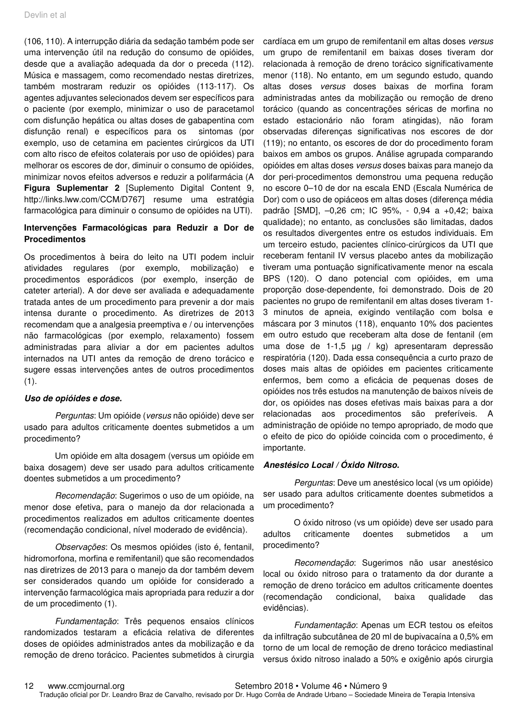(106, 110). A interrupção diária da sedação também pode ser uma intervenção útil na redução do consumo de opióides, desde que a avaliação adequada da dor o preceda (112). Música e massagem, como recomendado nestas diretrizes, também mostraram reduzir os opióides (113-117). Os agentes adjuvantes selecionados devem ser específicos para o paciente (por exemplo, minimizar o uso de paracetamol com disfunção hepática ou altas doses de gabapentina com disfunção renal) e específicos para os sintomas (por exemplo, uso de cetamina em pacientes cirúrgicos da UTI com alto risco de efeitos colaterais por uso de opióides) para melhorar os escores de dor, diminuir o consumo de opióides, minimizar novos efeitos adversos e reduzir a polifarmácia (A **Figura Suplementar 2** [Suplemento Digital Content 9, http://links.lww.com/CCM/D767] resume uma estratégia farmacológica para diminuir o consumo de opióides na UTI).

### **Intervenções Farmacológicas para Reduzir a Dor de Procedimentos**

Os procedimentos à beira do leito na UTI podem incluir atividades regulares (por exemplo, mobilização) e procedimentos esporádicos (por exemplo, inserção de cateter arterial). A dor deve ser avaliada e adequadamente tratada antes de um procedimento para prevenir a dor mais intensa durante o procedimento. As diretrizes de 2013 recomendam que a analgesia preemptiva e / ou intervenções não farmacológicas (por exemplo, relaxamento) fossem administradas para aliviar a dor em pacientes adultos internados na UTI antes da remoção de dreno torácico e sugere essas intervenções antes de outros procedimentos  $(1).$ 

#### **Uso de opióides e dose.**

Perguntas: Um opióide (versus não opióide) deve ser usado para adultos criticamente doentes submetidos a um procedimento?

Um opióide em alta dosagem (versus um opióide em baixa dosagem) deve ser usado para adultos criticamente doentes submetidos a um procedimento?

Recomendação: Sugerimos o uso de um opióide, na menor dose efetiva, para o manejo da dor relacionada a procedimentos realizados em adultos criticamente doentes (recomendação condicional, nível moderado de evidência).

Observações: Os mesmos opióides (isto é, fentanil, hidromorfona, morfina e remifentanil) que são recomendados nas diretrizes de 2013 para o manejo da dor também devem ser considerados quando um opióide for considerado a intervenção farmacológica mais apropriada para reduzir a dor de um procedimento (1).

Fundamentação: Três pequenos ensaios clínicos randomizados testaram a eficácia relativa de diferentes doses de opióides administrados antes da mobilização e da remoção de dreno torácico. Pacientes submetidos à cirurgia

cardíaca em um grupo de remifentanil em altas doses versus um grupo de remifentanil em baixas doses tiveram dor relacionada à remoção de dreno torácico significativamente menor (118). No entanto, em um segundo estudo, quando altas doses versus doses baixas de morfina foram administradas antes da mobilização ou remoção de dreno torácico (quando as concentrações séricas de morfina no estado estacionário não foram atingidas), não foram observadas diferenças significativas nos escores de dor (119); no entanto, os escores de dor do procedimento foram baixos em ambos os grupos. Análise agrupada comparando opióides em altas doses versus doses baixas para manejo da dor peri-procedimentos demonstrou uma pequena redução no escore 0–10 de dor na escala END (Escala Numérica de Dor) com o uso de opiáceos em altas doses (diferença média padrão [SMD], –0,26 cm; IC 95%, - 0,94 a +0,42; baixa qualidade); no entanto, as conclusões são limitadas, dados os resultados divergentes entre os estudos individuais. Em um terceiro estudo, pacientes clínico-cirúrgicos da UTI que receberam fentanil IV versus placebo antes da mobilização tiveram uma pontuação significativamente menor na escala BPS (120). O dano potencial com opióides, em uma proporção dose-dependente, foi demonstrado. Dois de 20 pacientes no grupo de remifentanil em altas doses tiveram 1- 3 minutos de apneia, exigindo ventilação com bolsa e máscara por 3 minutos (118), enquanto 10% dos pacientes em outro estudo que receberam alta dose de fentanil (em uma dose de 1-1,5 µg / kg) apresentaram depressão respiratória (120). Dada essa consequência a curto prazo de doses mais altas de opióides em pacientes criticamente enfermos, bem como a eficácia de pequenas doses de opióides nos três estudos na manutenção de baixos níveis de dor, os opióides nas doses efetivas mais baixas para a dor relacionadas aos procedimentos são preferíveis. A administração de opióide no tempo apropriado, de modo que o efeito de pico do opióide coincida com o procedimento, é importante.

#### **Anestésico Local / Óxido Nitroso.**

Perguntas: Deve um anestésico local (vs um opióide) ser usado para adultos criticamente doentes submetidos a um procedimento?

O óxido nitroso (vs um opióide) deve ser usado para adultos criticamente doentes submetidos a um procedimento?

Recomendação: Sugerimos não usar anestésico local ou óxido nitroso para o tratamento da dor durante a remoção de dreno torácico em adultos criticamente doentes (recomendação condicional, baixa qualidade das evidências).

Fundamentação: Apenas um ECR testou os efeitos da infiltração subcutânea de 20 ml de bupivacaína a 0,5% em torno de um local de remoção de dreno torácico mediastinal versus óxido nitroso inalado a 50% e oxigênio após cirurgia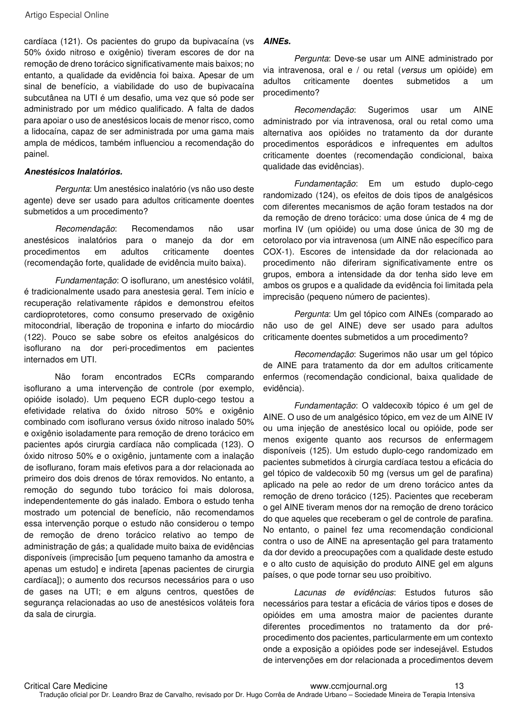cardíaca (121). Os pacientes do grupo da bupivacaína (vs 50% óxido nitroso e oxigênio) tiveram escores de dor na remoção de dreno torácico significativamente mais baixos; no entanto, a qualidade da evidência foi baixa. Apesar de um sinal de benefício, a viabilidade do uso de bupivacaína subcutânea na UTI é um desafio, uma vez que só pode ser administrado por um médico qualificado. A falta de dados para apoiar o uso de anestésicos locais de menor risco, como a lidocaína, capaz de ser administrada por uma gama mais ampla de médicos, também influenciou a recomendação do painel.

#### **Anestésicos Inalatórios.**

Pergunta: Um anestésico inalatório (vs não uso deste agente) deve ser usado para adultos criticamente doentes submetidos a um procedimento?

Recomendação: Recomendamos não usar anestésicos inalatórios para o manejo da dor em procedimentos em adultos criticamente doentes (recomendação forte, qualidade de evidência muito baixa).

Fundamentação: O isoflurano, um anestésico volátil, é tradicionalmente usado para anestesia geral. Tem início e recuperação relativamente rápidos e demonstrou efeitos cardioprotetores, como consumo preservado de oxigênio mitocondrial, liberação de troponina e infarto do miocárdio (122). Pouco se sabe sobre os efeitos analgésicos do isoflurano na dor peri-procedimentos em pacientes internados em UTI.

Não foram encontrados ECRs comparando isoflurano a uma intervenção de controle (por exemplo, opióide isolado). Um pequeno ECR duplo-cego testou a efetividade relativa do óxido nitroso 50% e oxigênio combinado com isoflurano versus óxido nitroso inalado 50% e oxigênio isoladamente para remoção de dreno torácico em pacientes após cirurgia cardíaca não complicada (123). O óxido nitroso 50% e o oxigênio, juntamente com a inalação de isoflurano, foram mais efetivos para a dor relacionada ao primeiro dos dois drenos de tórax removidos. No entanto, a remoção do segundo tubo torácico foi mais dolorosa, independentemente do gás inalado. Embora o estudo tenha mostrado um potencial de benefício, não recomendamos essa intervenção porque o estudo não considerou o tempo de remoção de dreno torácico relativo ao tempo de administração de gás; a qualidade muito baixa de evidências disponíveis (imprecisão [um pequeno tamanho da amostra e apenas um estudo] e indireta [apenas pacientes de cirurgia cardíaca]); o aumento dos recursos necessários para o uso de gases na UTI; e em alguns centros, questões de segurança relacionadas ao uso de anestésicos voláteis fora da sala de cirurgia.

#### **AINEs.**

Pergunta: Deve-se usar um AINE administrado por via intravenosa, oral e / ou retal (versus um opióide) em adultos criticamente doentes submetidos a um procedimento?

Recomendação: Sugerimos usar um AINE administrado por via intravenosa, oral ou retal como uma alternativa aos opióides no tratamento da dor durante procedimentos esporádicos e infrequentes em adultos criticamente doentes (recomendação condicional, baixa qualidade das evidências).

Fundamentação: Em um estudo duplo-cego randomizado (124), os efeitos de dois tipos de analgésicos com diferentes mecanismos de ação foram testados na dor da remoção de dreno torácico: uma dose única de 4 mg de morfina IV (um opióide) ou uma dose única de 30 mg de cetorolaco por via intravenosa (um AINE não específico para COX-1). Escores de intensidade da dor relacionada ao procedimento não diferiram significativamente entre os grupos, embora a intensidade da dor tenha sido leve em ambos os grupos e a qualidade da evidência foi limitada pela imprecisão (pequeno número de pacientes).

Pergunta: Um gel tópico com AINEs (comparado ao não uso de gel AINE) deve ser usado para adultos criticamente doentes submetidos a um procedimento?

Recomendação: Sugerimos não usar um gel tópico de AINE para tratamento da dor em adultos criticamente enfermos (recomendação condicional, baixa qualidade de evidência).

Fundamentação: O valdecoxib tópico é um gel de AINE. O uso de um analgésico tópico, em vez de um AINE IV ou uma injeção de anestésico local ou opióide, pode ser menos exigente quanto aos recursos de enfermagem disponíveis (125). Um estudo duplo-cego randomizado em pacientes submetidos à cirurgia cardíaca testou a eficácia do gel tópico de valdecoxib 50 mg (versus um gel de parafina) aplicado na pele ao redor de um dreno torácico antes da remoção de dreno torácico (125). Pacientes que receberam o gel AINE tiveram menos dor na remoção de dreno torácico do que aqueles que receberam o gel de controle de parafina. No entanto, o painel fez uma recomendação condicional contra o uso de AINE na apresentação gel para tratamento da dor devido a preocupações com a qualidade deste estudo e o alto custo de aquisição do produto AINE gel em alguns países, o que pode tornar seu uso proibitivo.

Lacunas de evidências: Estudos futuros são necessários para testar a eficácia de vários tipos e doses de opióides em uma amostra maior de pacientes durante diferentes procedimentos no tratamento da dor préprocedimento dos pacientes, particularmente em um contexto onde a exposição a opióides pode ser indesejável. Estudos de intervenções em dor relacionada a procedimentos devem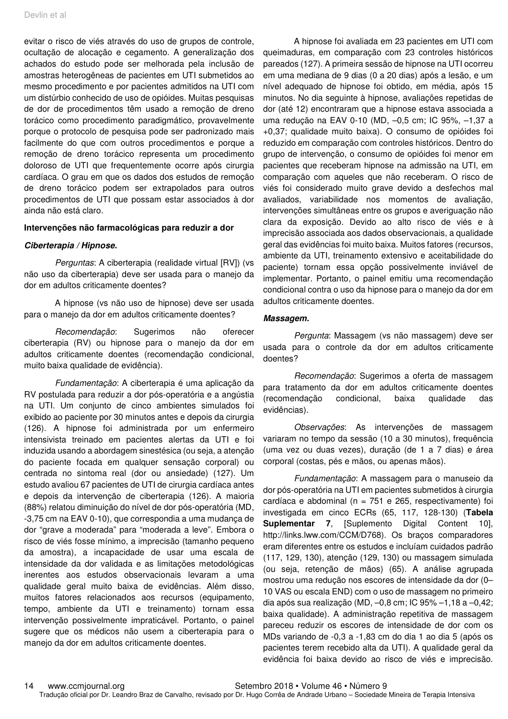evitar o risco de viés através do uso de grupos de controle, ocultação de alocação e cegamento. A generalização dos achados do estudo pode ser melhorada pela inclusão de amostras heterogêneas de pacientes em UTI submetidos ao mesmo procedimento e por pacientes admitidos na UTI com um distúrbio conhecido de uso de opióides. Muitas pesquisas de dor de procedimentos têm usado a remoção de dreno torácico como procedimento paradigmático, provavelmente porque o protocolo de pesquisa pode ser padronizado mais facilmente do que com outros procedimentos e porque a remoção de dreno torácico representa um procedimento doloroso de UTI que frequentemente ocorre após cirurgia cardíaca. O grau em que os dados dos estudos de remoção de dreno torácico podem ser extrapolados para outros procedimentos de UTI que possam estar associados à dor ainda não está claro.

#### **Intervenções não farmacológicas para reduzir a dor**

#### **Ciberterapia / Hipnose.**

Perguntas: A ciberterapia (realidade virtual [RV]) (vs não uso da ciberterapia) deve ser usada para o manejo da dor em adultos criticamente doentes?

A hipnose (vs não uso de hipnose) deve ser usada para o manejo da dor em adultos criticamente doentes?

Recomendação: Sugerimos não oferecer ciberterapia (RV) ou hipnose para o manejo da dor em adultos criticamente doentes (recomendação condicional, muito baixa qualidade de evidência).

Fundamentação: A ciberterapia é uma aplicação da RV postulada para reduzir a dor pós-operatória e a angústia na UTI. Um conjunto de cinco ambientes simulados foi exibido ao paciente por 30 minutos antes e depois da cirurgia (126). A hipnose foi administrada por um enfermeiro intensivista treinado em pacientes alertas da UTI e foi induzida usando a abordagem sinestésica (ou seja, a atenção do paciente focada em qualquer sensação corporal) ou centrada no sintoma real (dor ou ansiedade) (127). Um estudo avaliou 67 pacientes de UTI de cirurgia cardíaca antes e depois da intervenção de ciberterapia (126). A maioria (88%) relatou diminuição do nível de dor pós-operatória (MD, -3,75 cm na EAV 0-10), que correspondia a uma mudança de dor "grave a moderada" para "moderada a leve". Embora o risco de viés fosse mínimo, a imprecisão (tamanho pequeno da amostra), a incapacidade de usar uma escala de intensidade da dor validada e as limitações metodológicas inerentes aos estudos observacionais levaram a uma qualidade geral muito baixa de evidências. Além disso, muitos fatores relacionados aos recursos (equipamento, tempo, ambiente da UTI e treinamento) tornam essa intervenção possivelmente impraticável. Portanto, o painel sugere que os médicos não usem a ciberterapia para o manejo da dor em adultos criticamente doentes.

A hipnose foi avaliada em 23 pacientes em UTI com queimaduras, em comparação com 23 controles históricos pareados (127). A primeira sessão de hipnose na UTI ocorreu em uma mediana de 9 dias (0 a 20 dias) após a lesão, e um nível adequado de hipnose foi obtido, em média, após 15 minutos. No dia seguinte à hipnose, avaliações repetidas de dor (até 12) encontraram que a hipnose estava associada a uma redução na EAV 0-10 (MD, –0,5 cm; IC 95%, –1,37 a +0,37; qualidade muito baixa). O consumo de opióides foi reduzido em comparação com controles históricos. Dentro do grupo de intervenção, o consumo de opióides foi menor em pacientes que receberam hipnose na admissão na UTI, em comparação com aqueles que não receberam. O risco de viés foi considerado muito grave devido a desfechos mal avaliados, variabilidade nos momentos de avaliação, intervenções simultâneas entre os grupos e averiguação não clara da exposição. Devido ao alto risco de viés e à imprecisão associada aos dados observacionais, a qualidade geral das evidências foi muito baixa. Muitos fatores (recursos, ambiente da UTI, treinamento extensivo e aceitabilidade do paciente) tornam essa opção possivelmente inviável de implementar. Portanto, o painel emitiu uma recomendação condicional contra o uso da hipnose para o manejo da dor em adultos criticamente doentes.

#### **Massagem.**

Pergunta: Massagem (vs não massagem) deve ser usada para o controle da dor em adultos criticamente doentes?

Recomendação: Sugerimos a oferta de massagem para tratamento da dor em adultos criticamente doentes (recomendação condicional, baixa qualidade das evidências).

Observações: As intervenções de massagem variaram no tempo da sessão (10 a 30 minutos), frequência (uma vez ou duas vezes), duração (de 1 a 7 dias) e área corporal (costas, pés e mãos, ou apenas mãos).

Fundamentação: A massagem para o manuseio da dor pós-operatória na UTI em pacientes submetidos à cirurgia cardíaca e abdominal ( $n = 751$  e 265, respectivamente) foi investigada em cinco ECRs (65, 117, 128-130) (**Tabela Suplementar 7**, [Suplemento Digital Content 10], http://links.lww.com/CCM/D768). Os braços comparadores eram diferentes entre os estudos e incluíam cuidados padrão (117, 129, 130), atenção (129, 130) ou massagem simulada (ou seja, retenção de mãos) (65). A análise agrupada mostrou uma redução nos escores de intensidade da dor (0– 10 VAS ou escala END) com o uso de massagem no primeiro dia após sua realização (MD, –0,8 cm; IC 95% –1,18 a –0,42; baixa qualidade). A administração repetitiva de massagem pareceu reduzir os escores de intensidade de dor com os MDs variando de -0,3 a -1,83 cm do dia 1 ao dia 5 (após os pacientes terem recebido alta da UTI). A qualidade geral da evidência foi baixa devido ao risco de viés e imprecisão.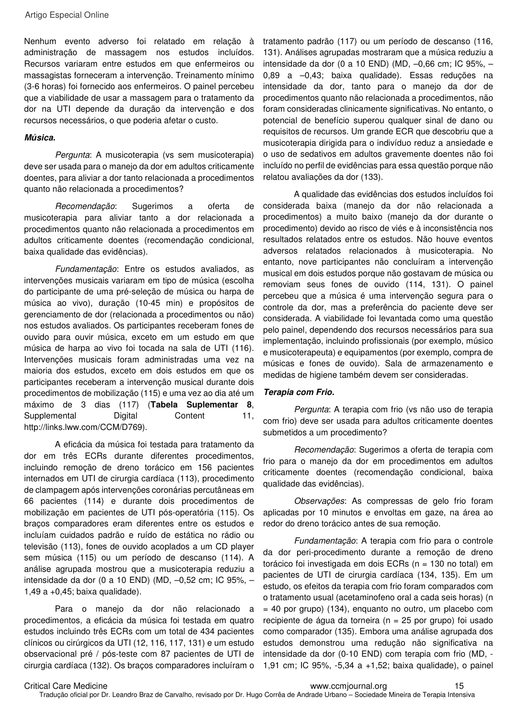Artigo Especial Online

Nenhum evento adverso foi relatado em relação à administração de massagem nos estudos incluídos. Recursos variaram entre estudos em que enfermeiros ou massagistas forneceram a intervenção. Treinamento mínimo (3-6 horas) foi fornecido aos enfermeiros. O painel percebeu que a viabilidade de usar a massagem para o tratamento da dor na UTI depende da duração da intervenção e dos recursos necessários, o que poderia afetar o custo.

#### **Música.**

Pergunta: A musicoterapia (vs sem musicoterapia) deve ser usada para o manejo da dor em adultos criticamente doentes, para aliviar a dor tanto relacionada a procedimentos quanto não relacionada a procedimentos?

Recomendação: Sugerimos a oferta de musicoterapia para aliviar tanto a dor relacionada a procedimentos quanto não relacionada a procedimentos em adultos criticamente doentes (recomendação condicional, baixa qualidade das evidências).

Fundamentação: Entre os estudos avaliados, as intervenções musicais variaram em tipo de música (escolha do participante de uma pré-seleção de música ou harpa de música ao vivo), duração (10-45 min) e propósitos de gerenciamento de dor (relacionada a procedimentos ou não) nos estudos avaliados. Os participantes receberam fones de ouvido para ouvir música, exceto em um estudo em que música de harpa ao vivo foi tocada na sala de UTI (116). Intervenções musicais foram administradas uma vez na maioria dos estudos, exceto em dois estudos em que os participantes receberam a intervenção musical durante dois procedimentos de mobilização (115) e uma vez ao dia até um máximo de 3 dias (117) (**Tabela Suplementar 8**, Supplemental Digital Content 11, http://links.lww.com/CCM/D769).

A eficácia da música foi testada para tratamento da dor em três ECRs durante diferentes procedimentos, incluindo remoção de dreno torácico em 156 pacientes internados em UTI de cirurgia cardíaca (113), procedimento de clampagem após intervenções coronárias percutâneas em 66 pacientes (114) e durante dois procedimentos de mobilização em pacientes de UTI pós-operatória (115). Os braços comparadores eram diferentes entre os estudos e incluíam cuidados padrão e ruído de estática no rádio ou televisão (113), fones de ouvido acoplados a um CD player sem música (115) ou um período de descanso (114). A análise agrupada mostrou que a musicoterapia reduziu a intensidade da dor (0 a 10 END) (MD, –0,52 cm; IC 95%, – 1,49 a +0,45; baixa qualidade).

Para o manejo da dor não relacionado a procedimentos, a eficácia da música foi testada em quatro estudos incluindo três ECRs com um total de 434 pacientes clínicos ou cirúrgicos da UTI (12, 116, 117, 131) e um estudo observacional pré / pós-teste com 87 pacientes de UTI de cirurgia cardíaca (132). Os braços comparadores incluíram o

tratamento padrão (117) ou um período de descanso (116, 131). Análises agrupadas mostraram que a música reduziu a intensidade da dor (0 a 10 END) (MD, –0,66 cm; IC 95%, – 0,89 a –0,43; baixa qualidade). Essas reduções na intensidade da dor, tanto para o manejo da dor de procedimentos quanto não relacionada a procedimentos, não foram consideradas clinicamente significativas. No entanto, o potencial de benefício superou qualquer sinal de dano ou requisitos de recursos. Um grande ECR que descobriu que a musicoterapia dirigida para o indivíduo reduz a ansiedade e o uso de sedativos em adultos gravemente doentes não foi incluído no perfil de evidências para essa questão porque não relatou avaliações da dor (133).

A qualidade das evidências dos estudos incluídos foi considerada baixa (manejo da dor não relacionada a procedimentos) a muito baixo (manejo da dor durante o procedimento) devido ao risco de viés e à inconsistência nos resultados relatados entre os estudos. Não houve eventos adversos relatados relacionados à musicoterapia. No entanto, nove participantes não concluíram a intervenção musical em dois estudos porque não gostavam de música ou removiam seus fones de ouvido (114, 131). O painel percebeu que a música é uma intervenção segura para o controle da dor, mas a preferência do paciente deve ser considerada. A viabilidade foi levantada como uma questão pelo painel, dependendo dos recursos necessários para sua implementação, incluindo profissionais (por exemplo, músico e musicoterapeuta) e equipamentos (por exemplo, compra de músicas e fones de ouvido). Sala de armazenamento e medidas de higiene também devem ser consideradas.

#### **Terapia com Frio.**

Pergunta: A terapia com frio (vs não uso de terapia com frio) deve ser usada para adultos criticamente doentes submetidos a um procedimento?

Recomendação: Sugerimos a oferta de terapia com frio para o manejo da dor em procedimentos em adultos criticamente doentes (recomendação condicional, baixa qualidade das evidências).

Observações: As compressas de gelo frio foram aplicadas por 10 minutos e envoltas em gaze, na área ao redor do dreno torácico antes de sua remoção.

Fundamentação: A terapia com frio para o controle da dor peri-procedimento durante a remoção de dreno torácico foi investigada em dois ECRs (n = 130 no total) em pacientes de UTI de cirurgia cardíaca (134, 135). Em um estudo, os efeitos da terapia com frio foram comparados com o tratamento usual (acetaminofeno oral a cada seis horas) (n  $=$  40 por grupo) (134), enguanto no outro, um placebo com recipiente de água da torneira ( $n = 25$  por grupo) foi usado como comparador (135). Embora uma análise agrupada dos estudos demonstrou uma redução não significativa na intensidade da dor (0-10 END) com terapia com frio (MD, - 1,91 cm; IC 95%, -5,34 a +1,52; baixa qualidade), o painel

Critical Care Medicine www.ccmjournal.org 15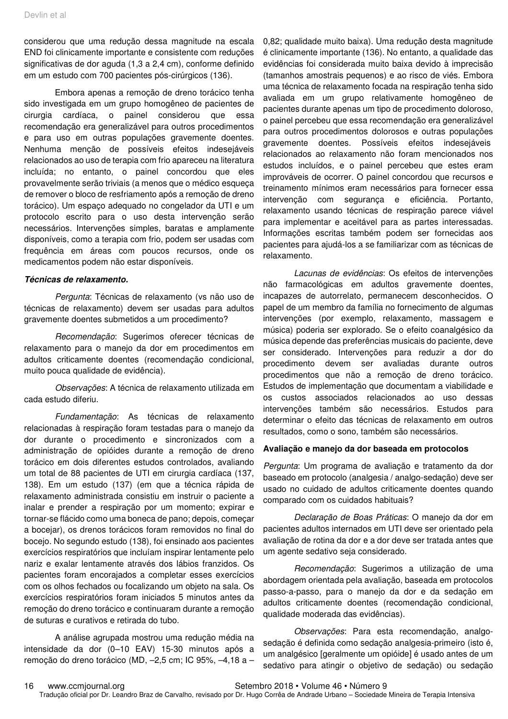considerou que uma redução dessa magnitude na escala END foi clinicamente importante e consistente com reduções significativas de dor aguda (1,3 a 2,4 cm), conforme definido em um estudo com 700 pacientes pós-cirúrgicos (136).

Embora apenas a remoção de dreno torácico tenha sido investigada em um grupo homogêneo de pacientes de cirurgia cardíaca, o painel considerou que essa recomendação era generalizável para outros procedimentos e para uso em outras populações gravemente doentes. Nenhuma menção de possíveis efeitos indesejáveis relacionados ao uso de terapia com frio apareceu na literatura incluída; no entanto, o painel concordou que eles provavelmente serão triviais (a menos que o médico esqueça de remover o bloco de resfriamento após a remoção de dreno torácico). Um espaço adequado no congelador da UTI e um protocolo escrito para o uso desta intervenção serão necessários. Intervenções simples, baratas e amplamente disponíveis, como a terapia com frio, podem ser usadas com frequência em áreas com poucos recursos, onde os medicamentos podem não estar disponíveis.

#### **Técnicas de relaxamento.**

Pergunta: Técnicas de relaxamento (vs não uso de técnicas de relaxamento) devem ser usadas para adultos gravemente doentes submetidos a um procedimento?

Recomendação: Sugerimos oferecer técnicas de relaxamento para o manejo da dor em procedimentos em adultos criticamente doentes (recomendação condicional, muito pouca qualidade de evidência).

Observações: A técnica de relaxamento utilizada em cada estudo diferiu.

Fundamentação: As técnicas de relaxamento relacionadas à respiração foram testadas para o manejo da dor durante o procedimento e sincronizados com a administração de opióides durante a remoção de dreno torácico em dois diferentes estudos controlados, avaliando um total de 88 pacientes de UTI em cirurgia cardíaca (137, 138). Em um estudo (137) (em que a técnica rápida de relaxamento administrada consistiu em instruir o paciente a inalar e prender a respiração por um momento; expirar e tornar-se flácido como uma boneca de pano; depois, começar a bocejar), os drenos torácicos foram removidos no final do bocejo. No segundo estudo (138), foi ensinado aos pacientes exercícios respiratórios que incluíam inspirar lentamente pelo nariz e exalar lentamente através dos lábios franzidos. Os pacientes foram encorajados a completar esses exercícios com os olhos fechados ou focalizando um objeto na sala. Os exercícios respiratórios foram iniciados 5 minutos antes da remoção do dreno torácico e continuaram durante a remoção de suturas e curativos e retirada do tubo.

A análise agrupada mostrou uma redução média na intensidade da dor (0–10 EAV) 15-30 minutos após a remoção do dreno torácico (MD, –2,5 cm; IC 95%, –4,18 a – 0,82; qualidade muito baixa). Uma redução desta magnitude é clinicamente importante (136). No entanto, a qualidade das evidências foi considerada muito baixa devido à imprecisão (tamanhos amostrais pequenos) e ao risco de viés. Embora uma técnica de relaxamento focada na respiração tenha sido avaliada em um grupo relativamente homogêneo de pacientes durante apenas um tipo de procedimento doloroso, o painel percebeu que essa recomendação era generalizável para outros procedimentos dolorosos e outras populações gravemente doentes. Possíveis efeitos indesejáveis relacionados ao relaxamento não foram mencionados nos estudos incluídos, e o painel percebeu que estes eram improváveis de ocorrer. O painel concordou que recursos e treinamento mínimos eram necessários para fornecer essa intervenção com segurança e eficiência. Portanto, relaxamento usando técnicas de respiração parece viável para implementar e aceitável para as partes interessadas. Informações escritas também podem ser fornecidas aos pacientes para ajudá-los a se familiarizar com as técnicas de relaxamento.

Lacunas de evidências: Os efeitos de intervenções não farmacológicas em adultos gravemente doentes, incapazes de autorrelato, permanecem desconhecidos. O papel de um membro da família no fornecimento de algumas intervenções (por exemplo, relaxamento, massagem e música) poderia ser explorado. Se o efeito coanalgésico da música depende das preferências musicais do paciente, deve ser considerado. Intervenções para reduzir a dor do procedimento devem ser avaliadas durante outros procedimentos que não a remoção de dreno torácico. Estudos de implementação que documentam a viabilidade e os custos associados relacionados ao uso dessas intervenções também são necessários. Estudos para determinar o efeito das técnicas de relaxamento em outros resultados, como o sono, também são necessários.

#### **Avaliação e manejo da dor baseada em protocolos**

Pergunta: Um programa de avaliação e tratamento da dor baseado em protocolo (analgesia / analgo-sedação) deve ser usado no cuidado de adultos criticamente doentes quando comparado com os cuidados habituais?

Declaração de Boas Práticas: O manejo da dor em pacientes adultos internados em UTI deve ser orientado pela avaliação de rotina da dor e a dor deve ser tratada antes que um agente sedativo seja considerado.

Recomendação: Sugerimos a utilização de uma abordagem orientada pela avaliação, baseada em protocolos passo-a-passo, para o manejo da dor e da sedação em adultos criticamente doentes (recomendação condicional, qualidade moderada das evidências).

Observações: Para esta recomendação, analgosedação é definida como sedação analgesia-primeiro (isto é, um analgésico [geralmente um opióide] é usado antes de um sedativo para atingir o objetivo de sedação) ou sedação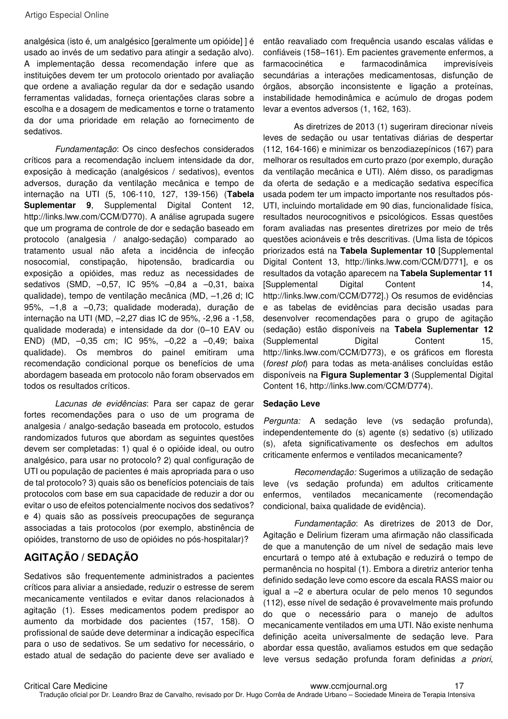analgésica (isto é, um analgésico [geralmente um opióide] ] é usado ao invés de um sedativo para atingir a sedação alvo). A implementação dessa recomendação infere que as instituições devem ter um protocolo orientado por avaliação que ordene a avaliação regular da dor e sedação usando ferramentas validadas, forneça orientações claras sobre a escolha e a dosagem de medicamentos e torne o tratamento da dor uma prioridade em relação ao fornecimento de sedativos.

Fundamentação: Os cinco desfechos considerados críticos para a recomendação incluem intensidade da dor, exposição à medicação (analgésicos / sedativos), eventos adversos, duração da ventilação mecânica e tempo de internação na UTI (5, 106-110, 127, 139-156) (**Tabela Suplementar 9**, Supplemental Digital Content 12, http://links.lww.com/CCM/D770). A análise agrupada sugere que um programa de controle de dor e sedação baseado em protocolo (analgesia / analgo-sedação) comparado ao tratamento usual não afeta a incidência de infecção nosocomial, constipação, hipotensão, bradicardia ou exposição a opióides, mas reduz as necessidades de sedativos (SMD, –0,57, IC 95% –0,84 a –0,31, baixa qualidade), tempo de ventilação mecânica (MD, –1,26 d; IC 95%, –1,8 a –0,73; qualidade moderada), duração de internação na UTI (MD, –2,27 dias IC de 95%, -2,96 a -1,58, qualidade moderada) e intensidade da dor (0–10 EAV ou END) (MD, –0,35 cm; IC 95%, –0,22 a –0,49; baixa qualidade). Os membros do painel emitiram uma recomendação condicional porque os benefícios de uma abordagem baseada em protocolo não foram observados em todos os resultados críticos.

Lacunas de evidências: Para ser capaz de gerar fortes recomendações para o uso de um programa de analgesia / analgo-sedação baseada em protocolo, estudos randomizados futuros que abordam as seguintes questões devem ser completadas: 1) qual é o opióide ideal, ou outro analgésico, para usar no protocolo? 2) qual configuração de UTI ou população de pacientes é mais apropriada para o uso de tal protocolo? 3) quais são os benefícios potenciais de tais protocolos com base em sua capacidade de reduzir a dor ou evitar o uso de efeitos potencialmente nocivos dos sedativos? e 4) quais são as possíveis preocupações de segurança associadas a tais protocolos (por exemplo, abstinência de opióides, transtorno de uso de opióides no pós-hospitalar)?

# **AGITAÇÃO / SEDAÇÃO**

Sedativos são frequentemente administrados a pacientes críticos para aliviar a ansiedade, reduzir o estresse de serem mecanicamente ventilados e evitar danos relacionados à agitação (1). Esses medicamentos podem predispor ao aumento da morbidade dos pacientes (157, 158). O profissional de saúde deve determinar a indicação específica para o uso de sedativos. Se um sedativo for necessário, o estado atual de sedação do paciente deve ser avaliado e

então reavaliado com frequência usando escalas válidas e confiáveis (158–161). Em pacientes gravemente enfermos, a farmacocinética e farmacodinâmica imprevisíveis secundárias a interações medicamentosas, disfunção de órgãos, absorção inconsistente e ligação a proteínas, instabilidade hemodinâmica e acúmulo de drogas podem levar a eventos adversos (1, 162, 163).

As diretrizes de 2013 (1) sugeriram direcionar níveis leves de sedação ou usar tentativas diárias de despertar (112, 164-166) e minimizar os benzodiazepínicos (167) para melhorar os resultados em curto prazo (por exemplo, duração da ventilação mecânica e UTI). Além disso, os paradigmas da oferta de sedação e a medicação sedativa específica usada podem ter um impacto importante nos resultados pós-UTI, incluindo mortalidade em 90 dias, funcionalidade física, resultados neurocognitivos e psicológicos. Essas questões foram avaliadas nas presentes diretrizes por meio de três questões acionáveis e três descritivas. (Uma lista de tópicos priorizados está na **Tabela Suplementar 10** [Supplemental Digital Content 13, http://links.lww.com/CCM/D771], e os resultados da votação aparecem na **Tabela Suplementar 11** [Supplemental Digital Content 14, http://links.lww.com/CCM/D772].) Os resumos de evidências e as tabelas de evidências para decisão usadas para desenvolver recomendações para o grupo de agitação (sedação) estão disponíveis na **Tabela Suplementar 12** (Supplemental Digital Content 15, http://links.lww.com/CCM/D773), e os gráficos em floresta (forest plot) para todas as meta-análises concluídas estão disponíveis na **Figura Suplementar 3** (Supplemental Digital Content 16, http://links.lww.com/CCM/D774).

#### **Sedação Leve**

Pergunta: A sedação leve (vs sedação profunda), independentemente do (s) agente (s) sedativo (s) utilizado (s), afeta significativamente os desfechos em adultos criticamente enfermos e ventilados mecanicamente?

Recomendação: Sugerimos a utilização de sedação leve (vs sedação profunda) em adultos criticamente enfermos, ventilados mecanicamente (recomendação condicional, baixa qualidade de evidência).

Fundamentação: As diretrizes de 2013 de Dor, Agitação e Delirium fizeram uma afirmação não classificada de que a manutenção de um nível de sedação mais leve encurtará o tempo até à extubação e reduzirá o tempo de permanência no hospital (1). Embora a diretriz anterior tenha definido sedação leve como escore da escala RASS maior ou igual a –2 e abertura ocular de pelo menos 10 segundos (112), esse nível de sedação é provavelmente mais profundo do que o necessário para o manejo de adultos mecanicamente ventilados em uma UTI. Não existe nenhuma definição aceita universalmente de sedação leve. Para abordar essa questão, avaliamos estudos em que sedação leve versus sedação profunda foram definidas a priori,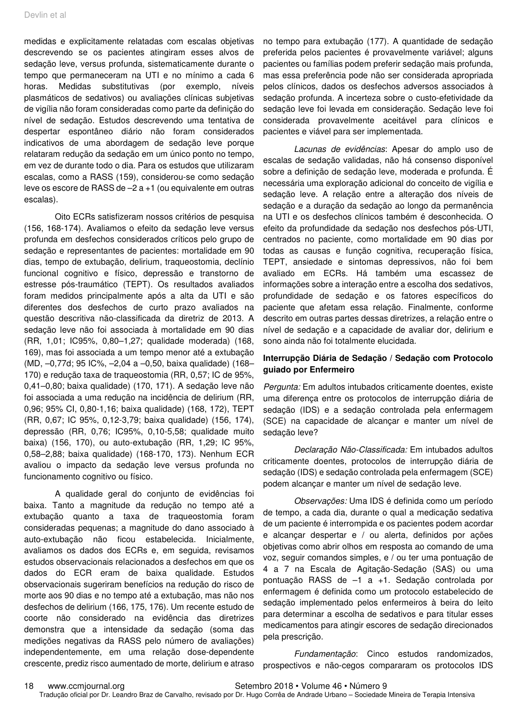medidas e explicitamente relatadas com escalas objetivas descrevendo se os pacientes atingiram esses alvos de sedação leve, versus profunda, sistematicamente durante o tempo que permaneceram na UTI e no mínimo a cada 6 horas. Medidas substitutivas (por exemplo, níveis plasmáticos de sedativos) ou avaliações clínicas subjetivas de vigília não foram consideradas como parte da definição do nível de sedação. Estudos descrevendo uma tentativa de despertar espontâneo diário não foram considerados indicativos de uma abordagem de sedação leve porque relataram redução da sedação em um único ponto no tempo, em vez de durante todo o dia. Para os estudos que utilizaram escalas, como a RASS (159), considerou-se como sedação leve os escore de RASS de –2 a +1 (ou equivalente em outras escalas).

Oito ECRs satisfizeram nossos critérios de pesquisa (156, 168-174). Avaliamos o efeito da sedação leve versus profunda em desfechos considerados críticos pelo grupo de sedação e representantes de pacientes: mortalidade em 90 dias, tempo de extubação, delirium, traqueostomia, declínio funcional cognitivo e físico, depressão e transtorno de estresse pós-traumático (TEPT). Os resultados avaliados foram medidos principalmente após a alta da UTI e são diferentes dos desfechos de curto prazo avaliados na questão descritiva não-classificada da diretriz de 2013. A sedação leve não foi associada à mortalidade em 90 dias (RR, 1,01; IC95%, 0,80–1,27; qualidade moderada) (168, 169), mas foi associada a um tempo menor até a extubação (MD, –0,77d; 95 IC%, –2,04 a –0,50, baixa qualidade) (168– 170) e redução taxa de traqueostomia (RR, 0,57; IC de 95%, 0,41–0,80; baixa qualidade) (170, 171). A sedação leve não foi associada a uma redução na incidência de delirium (RR, 0,96; 95% CI, 0,80-1,16; baixa qualidade) (168, 172), TEPT (RR, 0,67; IC 95%, 0,12-3,79; baixa qualidade) (156, 174), depressão (RR, 0,76; IC95%, 0,10-5,58; qualidade muito baixa) (156, 170), ou auto-extubação (RR, 1,29; IC 95%, 0,58–2,88; baixa qualidade) (168-170, 173). Nenhum ECR avaliou o impacto da sedação leve versus profunda no funcionamento cognitivo ou físico.

A qualidade geral do conjunto de evidências foi baixa. Tanto a magnitude da redução no tempo até a extubação quanto a taxa de traqueostomia foram consideradas pequenas; a magnitude do dano associado à auto-extubação não ficou estabelecida. Inicialmente, avaliamos os dados dos ECRs e, em seguida, revisamos estudos observacionais relacionados a desfechos em que os dados do ECR eram de baixa qualidade. Estudos observacionais sugeriram benefícios na redução do risco de morte aos 90 dias e no tempo até a extubação, mas não nos desfechos de delirium (166, 175, 176). Um recente estudo de coorte não considerado na evidência das diretrizes demonstra que a intensidade da sedação (soma das medições negativas da RASS pelo número de avaliações) independentemente, em uma relação dose-dependente crescente, prediz risco aumentado de morte, delirium e atraso

no tempo para extubação (177). A quantidade de sedação preferida pelos pacientes é provavelmente variável; alguns pacientes ou famílias podem preferir sedação mais profunda, mas essa preferência pode não ser considerada apropriada pelos clínicos, dados os desfechos adversos associados à sedação profunda. A incerteza sobre o custo-efetividade da sedação leve foi levada em consideração. Sedação leve foi considerada provavelmente aceitável para clínicos e pacientes e viável para ser implementada.

Lacunas de evidências: Apesar do amplo uso de escalas de sedação validadas, não há consenso disponível sobre a definição de sedação leve, moderada e profunda. É necessária uma exploração adicional do conceito de vigília e sedação leve. A relação entre a alteração dos níveis de sedação e a duração da sedação ao longo da permanência na UTI e os desfechos clínicos também é desconhecida. O efeito da profundidade da sedação nos desfechos pós-UTI, centrados no paciente, como mortalidade em 90 dias por todas as causas e função cognitiva, recuperação física, TEPT, ansiedade e sintomas depressivos, não foi bem avaliado em ECRs. Há também uma escassez de informações sobre a interação entre a escolha dos sedativos, profundidade de sedação e os fatores específicos do paciente que afetam essa relação. Finalmente, conforme descrito em outras partes dessas diretrizes, a relação entre o nível de sedação e a capacidade de avaliar dor, delirium e sono ainda não foi totalmente elucidada.

#### **Interrupção Diária de Sedação / Sedação com Protocolo guiado por Enfermeiro**

Pergunta: Em adultos intubados criticamente doentes, existe uma diferença entre os protocolos de interrupção diária de sedação (IDS) e a sedação controlada pela enfermagem (SCE) na capacidade de alcançar e manter um nível de sedação leve?

Declaração Não-Classificada: Em intubados adultos criticamente doentes, protocolos de interrupção diária de sedação (IDS) e sedação controlada pela enfermagem (SCE) podem alcançar e manter um nível de sedação leve.

Observações: Uma IDS é definida como um período de tempo, a cada dia, durante o qual a medicação sedativa de um paciente é interrompida e os pacientes podem acordar e alcançar despertar e / ou alerta, definidos por ações objetivas como abrir olhos em resposta ao comando de uma voz, seguir comandos simples, e / ou ter uma pontuação de 4 a 7 na Escala de Agitação-Sedação (SAS) ou uma pontuação RASS de –1 a +1. Sedação controlada por enfermagem é definida como um protocolo estabelecido de sedação implementado pelos enfermeiros à beira do leito para determinar a escolha de sedativos e para titular esses medicamentos para atingir escores de sedação direcionados pela prescrição.

Fundamentação: Cinco estudos randomizados, prospectivos e não-cegos compararam os protocolos IDS

18 www.ccmjournal.org Setembro 2018 • Volume 46 • Número 9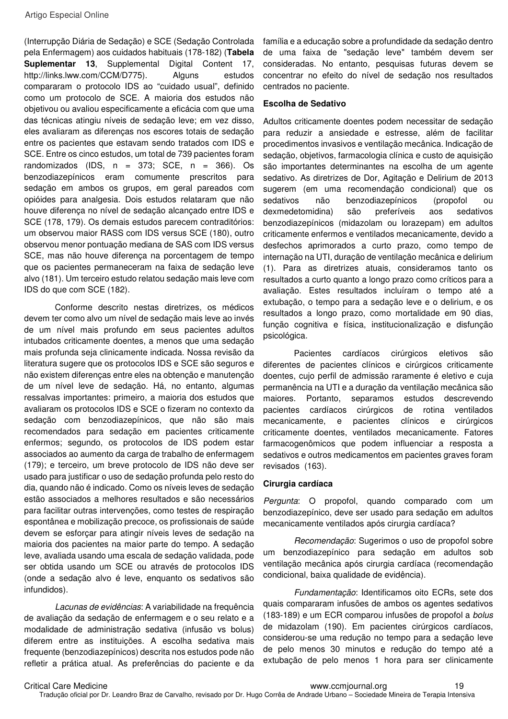(Interrupção Diária de Sedação) e SCE (Sedação Controlada pela Enfermagem) aos cuidados habituais (178-182) (**Tabela Suplementar 13**, Supplemental Digital Content 17, http://links.lww.com/CCM/D775). Alguns estudos compararam o protocolo IDS ao "cuidado usual", definido como um protocolo de SCE. A maioria dos estudos não objetivou ou avaliou especificamente a eficácia com que uma das técnicas atingiu níveis de sedação leve; em vez disso, eles avaliaram as diferenças nos escores totais de sedação entre os pacientes que estavam sendo tratados com IDS e SCE. Entre os cinco estudos, um total de 739 pacientes foram randomizados (IDS,  $n = 373$ ; SCE,  $n = 366$ ). Os benzodiazepínicos eram comumente prescritos para sedação em ambos os grupos, em geral pareados com opióides para analgesia. Dois estudos relataram que não houve diferença no nível de sedação alcançado entre IDS e SCE (178, 179). Os demais estudos parecem contraditórios: um observou maior RASS com IDS versus SCE (180), outro observou menor pontuação mediana de SAS com IDS versus SCE, mas não houve diferença na porcentagem de tempo que os pacientes permaneceram na faixa de sedação leve alvo (181). Um terceiro estudo relatou sedação mais leve com IDS do que com SCE (182).

Conforme descrito nestas diretrizes, os médicos devem ter como alvo um nível de sedação mais leve ao invés de um nível mais profundo em seus pacientes adultos intubados criticamente doentes, a menos que uma sedação mais profunda seja clinicamente indicada. Nossa revisão da literatura sugere que os protocolos IDS e SCE são seguros e não existem diferenças entre eles na obtenção e manutenção de um nível leve de sedação. Há, no entanto, algumas ressalvas importantes: primeiro, a maioria dos estudos que avaliaram os protocolos IDS e SCE o fizeram no contexto da sedação com benzodiazepínicos, que não são mais recomendados para sedação em pacientes criticamente enfermos; segundo, os protocolos de IDS podem estar associados ao aumento da carga de trabalho de enfermagem (179); e terceiro, um breve protocolo de IDS não deve ser usado para justificar o uso de sedação profunda pelo resto do dia, quando não é indicado. Como os níveis leves de sedação estão associados a melhores resultados e são necessários para facilitar outras intervenções, como testes de respiração espontânea e mobilização precoce, os profissionais de saúde devem se esforçar para atingir níveis leves de sedação na maioria dos pacientes na maior parte do tempo. A sedação leve, avaliada usando uma escala de sedação validada, pode ser obtida usando um SCE ou através de protocolos IDS (onde a sedação alvo é leve, enquanto os sedativos são infundidos).

Lacunas de evidências: A variabilidade na frequência de avaliação da sedação de enfermagem e o seu relato e a modalidade de administração sedativa (infusão vs bolus) diferem entre as instituições. A escolha sedativa mais frequente (benzodiazepínicos) descrita nos estudos pode não refletir a prática atual. As preferências do paciente e da

família e a educação sobre a profundidade da sedação dentro de uma faixa de "sedação leve" também devem ser consideradas. No entanto, pesquisas futuras devem se concentrar no efeito do nível de sedação nos resultados centrados no paciente.

#### **Escolha de Sedativo**

Adultos criticamente doentes podem necessitar de sedação para reduzir a ansiedade e estresse, além de facilitar procedimentos invasivos e ventilação mecânica. Indicação de sedação, objetivos, farmacologia clínica e custo de aquisição são importantes determinantes na escolha de um agente sedativo. As diretrizes de Dor, Agitação e Delirium de 2013 sugerem (em uma recomendação condicional) que os sedativos não benzodiazepínicos (propofol ou dexmedetomidina) são preferíveis aos sedativos benzodiazepínicos (midazolam ou lorazepam) em adultos criticamente enfermos e ventilados mecanicamente, devido a desfechos aprimorados a curto prazo, como tempo de internação na UTI, duração de ventilação mecânica e delirium (1). Para as diretrizes atuais, consideramos tanto os resultados a curto quanto a longo prazo como críticos para a avaliação. Estes resultados incluíram o tempo até a extubação, o tempo para a sedação leve e o delirium, e os resultados a longo prazo, como mortalidade em 90 dias, função cognitiva e física, institucionalização e disfunção psicológica.

Pacientes cardíacos cirúrgicos eletivos são diferentes de pacientes clínicos e cirúrgicos criticamente doentes, cujo perfil de admissão raramente é eletivo e cuja permanência na UTI e a duração da ventilação mecânica são maiores. Portanto, separamos estudos descrevendo pacientes cardíacos cirúrgicos de rotina ventilados mecanicamente, e pacientes clínicos e cirúrgicos criticamente doentes, ventilados mecanicamente. Fatores farmacogenômicos que podem influenciar a resposta a sedativos e outros medicamentos em pacientes graves foram revisados (163).

#### **Cirurgia cardíaca**

Pergunta: O propofol, quando comparado com um benzodiazepínico, deve ser usado para sedação em adultos mecanicamente ventilados após cirurgia cardíaca?

Recomendação: Sugerimos o uso de propofol sobre um benzodiazepínico para sedação em adultos sob ventilação mecânica após cirurgia cardíaca (recomendação condicional, baixa qualidade de evidência).

Fundamentação: Identificamos oito ECRs, sete dos quais compararam infusões de ambos os agentes sedativos (183-189) e um ECR comparou infusões de propofol a bolus de midazolam (190). Em pacientes cirúrgicos cardíacos, considerou-se uma redução no tempo para a sedação leve de pelo menos 30 minutos e redução do tempo até a extubação de pelo menos 1 hora para ser clinicamente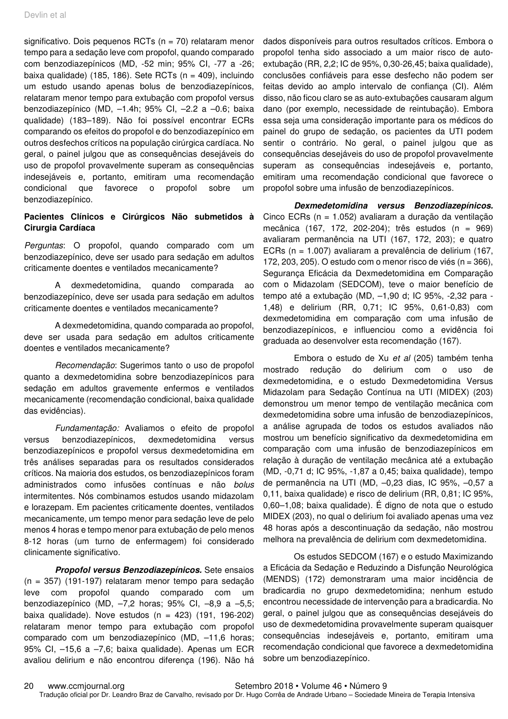significativo. Dois pequenos RCTs ( $n = 70$ ) relataram menor tempo para a sedação leve com propofol, quando comparado com benzodiazepínicos (MD, -52 min; 95% CI, -77 a -26; baixa qualidade) (185, 186). Sete RCTs ( $n = 409$ ), incluindo um estudo usando apenas bolus de benzodiazepínicos, relataram menor tempo para extubação com propofol versus benzodiazepínico (MD, –1.4h; 95% CI, –2.2 a –0.6; baixa qualidade) (183–189). Não foi possível encontrar ECRs comparando os efeitos do propofol e do benzodiazepínico em outros desfechos críticos na população cirúrgica cardíaca. No geral, o painel julgou que as consequências desejáveis do uso de propofol provavelmente superam as consequências indesejáveis e, portanto, emitiram uma recomendação condicional que favorece o propofol sobre um benzodiazepínico.

### **Pacientes Clínicos e Cirúrgicos Não submetidos à Cirurgia Cardíaca**

Perguntas: O propofol, quando comparado com um benzodiazepínico, deve ser usado para sedação em adultos criticamente doentes e ventilados mecanicamente?

A dexmedetomidina, quando comparada ao benzodiazepínico, deve ser usada para sedação em adultos criticamente doentes e ventilados mecanicamente?

A dexmedetomidina, quando comparada ao propofol, deve ser usada para sedação em adultos criticamente doentes e ventilados mecanicamente?

Recomendação: Sugerimos tanto o uso de propofol quanto a dexmedetomidina sobre benzodiazepínicos para sedação em adultos gravemente enfermos e ventilados mecanicamente (recomendação condicional, baixa qualidade das evidências).

Fundamentação: Avaliamos o efeito de propofol versus benzodiazepínicos, dexmedetomidina versus benzodiazepínicos e propofol versus dexmedetomidina em três análises separadas para os resultados considerados críticos. Na maioria dos estudos, os benzodiazepínicos foram administrados como infusões contínuas e não bolus intermitentes. Nós combinamos estudos usando midazolam e lorazepam. Em pacientes criticamente doentes, ventilados mecanicamente, um tempo menor para sedação leve de pelo menos 4 horas e tempo menor para extubação de pelo menos 8-12 horas (um turno de enfermagem) foi considerado clinicamente significativo.

**Propofol versus Benzodiazepínicos.** Sete ensaios (n = 357) (191-197) relataram menor tempo para sedação leve com propofol quando comparado com um benzodiazepínico (MD, –7,2 horas; 95% CI, –8,9 a –5,5; baixa qualidade). Nove estudos (n = 423) (191, 196-202) relataram menor tempo para extubação com propofol comparado com um benzodiazepínico (MD, –11,6 horas; 95% CI, –15,6 a –7,6; baixa qualidade). Apenas um ECR avaliou delirium e não encontrou diferença (196). Não há

dados disponíveis para outros resultados críticos. Embora o propofol tenha sido associado a um maior risco de autoextubação (RR, 2,2; IC de 95%, 0,30-26,45; baixa qualidade), conclusões confiáveis para esse desfecho não podem ser feitas devido ao amplo intervalo de confiança (CI). Além disso, não ficou claro se as auto-extubações causaram algum dano (por exemplo, necessidade de reintubação). Embora essa seja uma consideração importante para os médicos do painel do grupo de sedação, os pacientes da UTI podem sentir o contrário. No geral, o painel julgou que as consequências desejáveis do uso de propofol provavelmente superam as consequências indesejáveis e, portanto, emitiram uma recomendação condicional que favorece o propofol sobre uma infusão de benzodiazepínicos.

**Dexmedetomidina versus Benzodiazepínicos.** Cinco ECRs (n = 1.052) avaliaram a duração da ventilação mecânica (167, 172, 202-204); três estudos (n = 969) avaliaram permanência na UTI (167, 172, 203); e quatro ECRs (n = 1.007) avaliaram a prevalência de delirium (167, 172, 203, 205). O estudo com o menor risco de viés (n = 366), Segurança Eficácia da Dexmedetomidina em Comparação com o Midazolam (SEDCOM), teve o maior benefício de tempo até a extubação (MD, –1,90 d; IC 95%, -2,32 para - 1,48) e delirium (RR, 0,71; IC 95%, 0,61-0,83) com dexmedetomidina em comparação com uma infusão de benzodiazepínicos, e influenciou como a evidência foi graduada ao desenvolver esta recomendação (167).

Embora o estudo de Xu et al (205) também tenha mostrado redução do delirium com o uso de dexmedetomidina, e o estudo Dexmedetomidina Versus Midazolam para Sedação Contínua na UTI (MIDEX) (203) demonstrou um menor tempo de ventilação mecânica com dexmedetomidina sobre uma infusão de benzodiazepínicos, a análise agrupada de todos os estudos avaliados não mostrou um benefício significativo da dexmedetomidina em comparação com uma infusão de benzodiazepínicos em relação à duração de ventilação mecânica até a extubação (MD, -0,71 d; IC 95%, -1,87 a 0,45; baixa qualidade), tempo de permanência na UTI (MD, –0,23 dias, IC 95%, –0,57 a 0,11, baixa qualidade) e risco de delirium (RR, 0,81; IC 95%, 0,60–1,08; baixa qualidade). É digno de nota que o estudo MIDEX (203), no qual o delirium foi avaliado apenas uma vez 48 horas após a descontinuação da sedação, não mostrou melhora na prevalência de delirium com dexmedetomidina.

Os estudos SEDCOM (167) e o estudo Maximizando a Eficácia da Sedação e Reduzindo a Disfunção Neurológica (MENDS) (172) demonstraram uma maior incidência de bradicardia no grupo dexmedetomidina; nenhum estudo encontrou necessidade de intervenção para a bradicardia. No geral, o painel julgou que as consequências desejáveis do uso de dexmedetomidina provavelmente superam quaisquer consequências indesejáveis e, portanto, emitiram uma recomendação condicional que favorece a dexmedetomidina sobre um benzodiazepínico.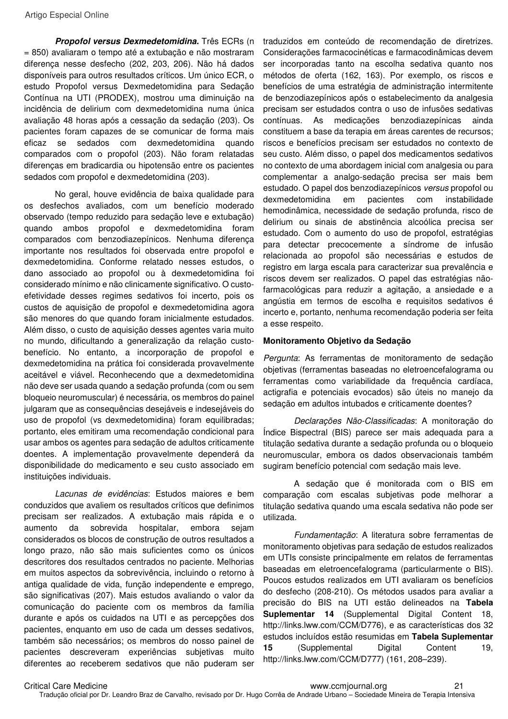**Propofol versus Dexmedetomidina.** Três ECRs (n = 850) avaliaram o tempo até a extubação e não mostraram diferença nesse desfecho (202, 203, 206). Não há dados disponíveis para outros resultados críticos. Um único ECR, o estudo Propofol versus Dexmedetomidina para Sedação Contínua na UTI (PRODEX), mostrou uma diminuição na incidência de delirium com dexmedetomidina numa única avaliação 48 horas após a cessação da sedação (203). Os pacientes foram capazes de se comunicar de forma mais eficaz se sedados com dexmedetomidina quando comparados com o propofol (203). Não foram relatadas diferenças em bradicardia ou hipotensão entre os pacientes sedados com propofol e dexmedetomidina (203).

No geral, houve evidência de baixa qualidade para os desfechos avaliados, com um benefício moderado observado (tempo reduzido para sedação leve e extubação) quando ambos propofol e dexmedetomidina foram comparados com benzodiazepínicos. Nenhuma diferença importante nos resultados foi observada entre propofol e dexmedetomidina. Conforme relatado nesses estudos, o dano associado ao propofol ou à dexmedetomidina foi considerado mínimo e não clinicamente significativo. O custoefetividade desses regimes sedativos foi incerto, pois os custos de aquisição de propofol e dexmedetomidina agora são menores do que quando foram inicialmente estudados. Além disso, o custo de aquisição desses agentes varia muito no mundo, dificultando a generalização da relação custobenefício. No entanto, a incorporação de propofol e dexmedetomidina na prática foi considerada provavelmente aceitável e viável. Reconhecendo que a dexmedetomidina não deve ser usada quando a sedação profunda (com ou sem bloqueio neuromuscular) é necessária, os membros do painel julgaram que as consequências desejáveis e indesejáveis do uso de propofol (vs dexmedetomidina) foram equilibradas; portanto, eles emitiram uma recomendação condicional para usar ambos os agentes para sedação de adultos criticamente doentes. A implementação provavelmente dependerá da disponibilidade do medicamento e seu custo associado em instituições individuais.

Lacunas de evidências: Estudos maiores e bem conduzidos que avaliem os resultados críticos que definimos precisam ser realizados. A extubação mais rápida e o aumento da sobrevida hospitalar, embora sejam considerados os blocos de construção de outros resultados a longo prazo, não são mais suficientes como os únicos descritores dos resultados centrados no paciente. Melhorias em muitos aspectos da sobrevivência, incluindo o retorno à antiga qualidade de vida, função independente e emprego, são significativas (207). Mais estudos avaliando o valor da comunicação do paciente com os membros da família durante e após os cuidados na UTI e as percepções dos pacientes, enquanto em uso de cada um desses sedativos, também são necessários; os membros do nosso painel de pacientes descreveram experiências subjetivas muito diferentes ao receberem sedativos que não puderam ser

traduzidos em conteúdo de recomendação de diretrizes. Considerações farmacocinéticas e farmacodinâmicas devem ser incorporadas tanto na escolha sedativa quanto nos métodos de oferta (162, 163). Por exemplo, os riscos e benefícios de uma estratégia de administração intermitente de benzodiazepínicos após o estabelecimento da analgesia precisam ser estudados contra o uso de infusões sedativas contínuas. As medicações benzodiazepínicas ainda constituem a base da terapia em áreas carentes de recursos; riscos e benefícios precisam ser estudados no contexto de seu custo. Além disso, o papel dos medicamentos sedativos no contexto de uma abordagem inicial com analgesia ou para complementar a analgo-sedação precisa ser mais bem estudado. O papel dos benzodiazepínicos versus propofol ou dexmedetomidina em pacientes com instabilidade hemodinâmica, necessidade de sedação profunda, risco de delirium ou sinais de abstinência alcoólica precisa ser estudado. Com o aumento do uso de propofol, estratégias para detectar precocemente a síndrome de infusão relacionada ao propofol são necessárias e estudos de registro em larga escala para caracterizar sua prevalência e riscos devem ser realizados. O papel das estratégias nãofarmacológicas para reduzir a agitação, a ansiedade e a angústia em termos de escolha e requisitos sedativos é incerto e, portanto, nenhuma recomendação poderia ser feita a esse respeito.

#### **Monitoramento Objetivo da Sedação**

Pergunta: As ferramentas de monitoramento de sedação objetivas (ferramentas baseadas no eletroencefalograma ou ferramentas como variabilidade da frequência cardíaca, actigrafia e potenciais evocados) são úteis no manejo da sedação em adultos intubados e criticamente doentes?

Declarações Não-Classificadas: A monitoração do Índice Bispectral (BIS) parece ser mais adequada para a titulação sedativa durante a sedação profunda ou o bloqueio neuromuscular, embora os dados observacionais também sugiram benefício potencial com sedação mais leve.

A sedação que é monitorada com o BIS em comparação com escalas subjetivas pode melhorar a titulação sedativa quando uma escala sedativa não pode ser utilizada.

Fundamentação: A literatura sobre ferramentas de monitoramento objetivas para sedação de estudos realizados em UTIs consiste principalmente em relatos de ferramentas baseadas em eletroencefalograma (particularmente o BIS). Poucos estudos realizados em UTI avaliaram os benefícios do desfecho (208-210). Os métodos usados para avaliar a precisão do BIS na UTI estão delineados na **Tabela Suplementar 14** (Supplemental Digital Content 18, http://links.lww.com/CCM/D776), e as características dos 32 estudos incluídos estão resumidas em **Tabela Suplementar**  15 (Supplemental Digital Content 19, http://links.lww.com/CCM/D777) (161, 208–239).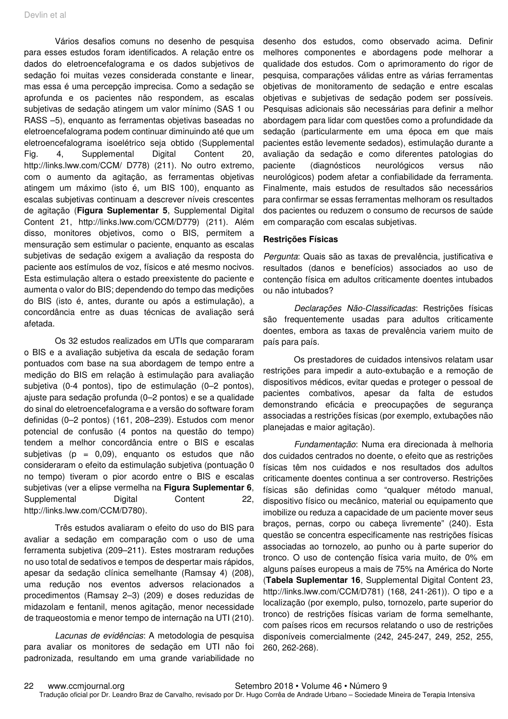Vários desafios comuns no desenho de pesquisa para esses estudos foram identificados. A relação entre os dados do eletroencefalograma e os dados subjetivos de sedação foi muitas vezes considerada constante e linear, mas essa é uma percepção imprecisa. Como a sedação se aprofunda e os pacientes não respondem, as escalas subjetivas de sedação atingem um valor mínimo (SAS 1 ou RASS –5), enquanto as ferramentas objetivas baseadas no eletroencefalograma podem continuar diminuindo até que um eletroencefalograma isoelétrico seja obtido (Supplemental Fig. 4, Supplemental Digital Content 20, http://links.lww.com/CCM/ D778) (211). No outro extremo, com o aumento da agitação, as ferramentas objetivas atingem um máximo (isto é, um BIS 100), enquanto as escalas subjetivas continuam a descrever níveis crescentes de agitação (**Figura Suplementar 5**, Supplemental Digital Content 21, http://links.lww.com/CCM/D779) (211). Além disso, monitores objetivos, como o BIS, permitem a mensuração sem estimular o paciente, enquanto as escalas subjetivas de sedação exigem a avaliação da resposta do paciente aos estímulos de voz, físicos e até mesmo nocivos. Esta estimulação altera o estado preexistente do paciente e aumenta o valor do BIS; dependendo do tempo das medições do BIS (isto é, antes, durante ou após a estimulação), a concordância entre as duas técnicas de avaliação será afetada.

Os 32 estudos realizados em UTIs que compararam o BIS e a avaliação subjetiva da escala de sedação foram pontuados com base na sua abordagem de tempo entre a medição do BIS em relação à estimulação para avaliação subjetiva (0-4 pontos), tipo de estimulação (0–2 pontos), ajuste para sedação profunda (0–2 pontos) e se a qualidade do sinal do eletroencefalograma e a versão do software foram definidas (0–2 pontos) (161, 208–239). Estudos com menor potencial de confusão (4 pontos na questão do tempo) tendem a melhor concordância entre o BIS e escalas subjetivas (p = 0,09), enquanto os estudos que não consideraram o efeito da estimulação subjetiva (pontuação 0 no tempo) tiveram o pior acordo entre o BIS e escalas subjetivas (ver a elipse vermelha na **Figura Suplementar 6**, Supplemental Digital Content 22, http://links.lww.com/CCM/D780).

Três estudos avaliaram o efeito do uso do BIS para avaliar a sedação em comparação com o uso de uma ferramenta subjetiva (209–211). Estes mostraram reduções no uso total de sedativos e tempos de despertar mais rápidos, apesar da sedação clínica semelhante (Ramsay 4) (208), uma redução nos eventos adversos relacionados a procedimentos (Ramsay 2–3) (209) e doses reduzidas de midazolam e fentanil, menos agitação, menor necessidade de traqueostomia e menor tempo de internação na UTI (210).

Lacunas de evidências: A metodologia de pesquisa para avaliar os monitores de sedação em UTI não foi padronizada, resultando em uma grande variabilidade no

desenho dos estudos, como observado acima. Definir melhores componentes e abordagens pode melhorar a qualidade dos estudos. Com o aprimoramento do rigor de pesquisa, comparações válidas entre as várias ferramentas objetivas de monitoramento de sedação e entre escalas objetivas e subjetivas de sedação podem ser possíveis. Pesquisas adicionais são necessárias para definir a melhor abordagem para lidar com questões como a profundidade da sedação (particularmente em uma época em que mais pacientes estão levemente sedados), estimulação durante a avaliação da sedação e como diferentes patologias do paciente (diagnósticos neurológicos versus não neurológicos) podem afetar a confiabilidade da ferramenta. Finalmente, mais estudos de resultados são necessários para confirmar se essas ferramentas melhoram os resultados dos pacientes ou reduzem o consumo de recursos de saúde em comparação com escalas subjetivas.

#### **Restrições Físicas**

Pergunta: Quais são as taxas de prevalência, justificativa e resultados (danos e benefícios) associados ao uso de contenção física em adultos criticamente doentes intubados ou não intubados?

Declarações Não-Classificadas: Restrições físicas são frequentemente usadas para adultos criticamente doentes, embora as taxas de prevalência variem muito de país para país.

Os prestadores de cuidados intensivos relatam usar restrições para impedir a auto-extubação e a remoção de dispositivos médicos, evitar quedas e proteger o pessoal de pacientes combativos, apesar da falta de estudos demonstrando eficácia e preocupações de segurança associadas a restrições físicas (por exemplo, extubações não planejadas e maior agitação).

Fundamentação: Numa era direcionada à melhoria dos cuidados centrados no doente, o efeito que as restrições físicas têm nos cuidados e nos resultados dos adultos criticamente doentes continua a ser controverso. Restrições físicas são definidas como "qualquer método manual, dispositivo físico ou mecânico, material ou equipamento que imobilize ou reduza a capacidade de um paciente mover seus braços, pernas, corpo ou cabeça livremente" (240). Esta questão se concentra especificamente nas restrições físicas associadas ao tornozelo, ao punho ou à parte superior do tronco. O uso de contenção física varia muito, de 0% em alguns países europeus a mais de 75% na América do Norte (**Tabela Suplementar 16**, Supplemental Digital Content 23, http://links.lww.com/CCM/D781) (168, 241-261)). O tipo e a localização (por exemplo, pulso, tornozelo, parte superior do tronco) de restrições físicas variam de forma semelhante, com países ricos em recursos relatando o uso de restrições disponíveis comercialmente (242, 245-247, 249, 252, 255, 260, 262-268).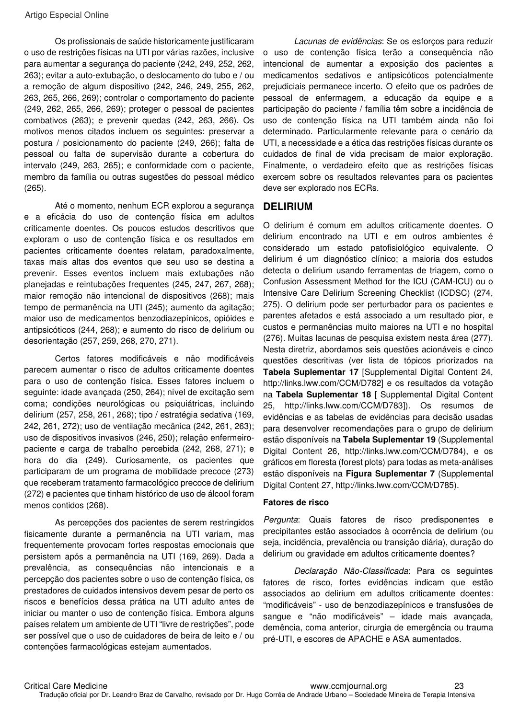Os profissionais de saúde historicamente justificaram o uso de restrições físicas na UTI por várias razões, inclusive para aumentar a segurança do paciente (242, 249, 252, 262, 263); evitar a auto-extubação, o deslocamento do tubo e / ou a remoção de algum dispositivo (242, 246, 249, 255, 262, 263, 265, 266, 269); controlar o comportamento do paciente (249, 262, 265, 266, 269); proteger o pessoal de pacientes combativos (263); e prevenir quedas (242, 263, 266). Os motivos menos citados incluem os seguintes: preservar a postura / posicionamento do paciente (249, 266); falta de pessoal ou falta de supervisão durante a cobertura do intervalo (249, 263, 265); e conformidade com o paciente, membro da família ou outras sugestões do pessoal médico (265).

Até o momento, nenhum ECR explorou a segurança e a eficácia do uso de contenção física em adultos criticamente doentes. Os poucos estudos descritivos que exploram o uso de contenção física e os resultados em pacientes criticamente doentes relatam, paradoxalmente, taxas mais altas dos eventos que seu uso se destina a prevenir. Esses eventos incluem mais extubações não planejadas e reintubações frequentes (245, 247, 267, 268); maior remoção não intencional de dispositivos (268); mais tempo de permanência na UTI (245); aumento da agitação; maior uso de medicamentos benzodiazepínicos, opióides e antipsicóticos (244, 268); e aumento do risco de delirium ou desorientação (257, 259, 268, 270, 271).

Certos fatores modificáveis e não modificáveis parecem aumentar o risco de adultos criticamente doentes para o uso de contenção física. Esses fatores incluem o seguinte: idade avançada (250, 264); nível de excitação sem coma; condições neurológicas ou psiquiátricas, incluindo delirium (257, 258, 261, 268); tipo / estratégia sedativa (169, 242, 261, 272); uso de ventilação mecânica (242, 261, 263); uso de dispositivos invasivos (246, 250); relação enfermeiropaciente e carga de trabalho percebida (242, 268, 271); e hora do dia (249). Curiosamente, os pacientes que participaram de um programa de mobilidade precoce (273) que receberam tratamento farmacológico precoce de delirium (272) e pacientes que tinham histórico de uso de álcool foram menos contidos (268).

As percepções dos pacientes de serem restringidos fisicamente durante a permanência na UTI variam, mas frequentemente provocam fortes respostas emocionais que persistem após a permanência na UTI (169, 269). Dada a prevalência, as consequências não intencionais e a percepção dos pacientes sobre o uso de contenção física, os prestadores de cuidados intensivos devem pesar de perto os riscos e benefícios dessa prática na UTI adulto antes de iniciar ou manter o uso de contenção física. Embora alguns países relatem um ambiente de UTI "livre de restrições", pode ser possível que o uso de cuidadores de beira de leito e / ou contenções farmacológicas estejam aumentados.

Lacunas de evidências: Se os esforços para reduzir o uso de contenção física terão a consequência não intencional de aumentar a exposição dos pacientes a medicamentos sedativos e antipsicóticos potencialmente prejudiciais permanece incerto. O efeito que os padrões de pessoal de enfermagem, a educação da equipe e a participação do paciente / família têm sobre a incidência de uso de contenção física na UTI também ainda não foi determinado. Particularmente relevante para o cenário da UTI, a necessidade e a ética das restrições físicas durante os cuidados de final de vida precisam de maior exploração. Finalmente, o verdadeiro efeito que as restrições físicas exercem sobre os resultados relevantes para os pacientes deve ser explorado nos ECRs.

### **DELIRIUM**

O delirium é comum em adultos criticamente doentes. O delirium encontrado na UTI e em outros ambientes é considerado um estado patofisiológico equivalente. O delirium é um diagnóstico clínico; a maioria dos estudos detecta o delirium usando ferramentas de triagem, como o Confusion Assessment Method for the ICU (CAM-ICU) ou o Intensive Care Delirium Screening Checklist (ICDSC) (274, 275). O delirium pode ser perturbador para os pacientes e parentes afetados e está associado a um resultado pior, e custos e permanências muito maiores na UTI e no hospital (276). Muitas lacunas de pesquisa existem nesta área (277). Nesta diretriz, abordamos seis questões acionáveis e cinco questões descritivas (ver lista de tópicos priorizados na **Tabela Suplementar 17** [Supplemental Digital Content 24, http://links.lww.com/CCM/D782] e os resultados da votação na **Tabela Suplementar 18** [ Supplemental Digital Content 25, http://links.lww.com/CCM/D783]). Os resumos de evidências e as tabelas de evidências para decisão usadas para desenvolver recomendações para o grupo de delirium estão disponíveis na **Tabela Suplementar 19** (Supplemental Digital Content 26, http://links.lww.com/CCM/D784), e os gráficos em floresta (forest plots) para todas as meta-análises estão disponíveis na **Figura Suplementar 7** (Supplemental Digital Content 27, http://links.lww.com/CCM/D785).

#### **Fatores de risco**

Pergunta: Quais fatores de risco predisponentes e precipitantes estão associados à ocorrência de delirium (ou seja, incidência, prevalência ou transição diária), duração do delirium ou gravidade em adultos criticamente doentes?

Declaração Não-Classificada: Para os seguintes fatores de risco, fortes evidências indicam que estão associados ao delirium em adultos criticamente doentes: "modificáveis" - uso de benzodiazepínicos e transfusões de sangue e "não modificáveis" – idade mais avançada, demência, coma anterior, cirurgia de emergência ou trauma pré-UTI, e escores de APACHE e ASA aumentados.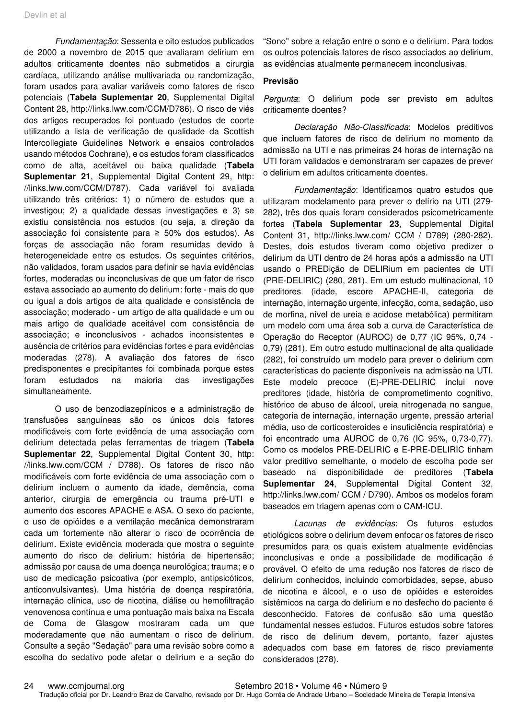Fundamentação: Sessenta e oito estudos publicados de 2000 a novembro de 2015 que avaliaram delirium em adultos criticamente doentes não submetidos a cirurgia cardíaca, utilizando análise multivariada ou randomização, foram usados para avaliar variáveis como fatores de risco potenciais (**Tabela Suplementar 20**, Supplemental Digital Content 28, http://links.lww.com/CCM/D786). O risco de viés dos artigos recuperados foi pontuado (estudos de coorte utilizando a lista de verificação de qualidade da Scottish Intercollegiate Guidelines Network e ensaios controlados usando métodos Cochrane), e os estudos foram classificados como de alta, aceitável ou baixa qualidade (**Tabela Suplementar 21**, Supplemental Digital Content 29, http: //links.lww.com/CCM/D787). Cada variável foi avaliada utilizando três critérios: 1) o número de estudos que a investigou; 2) a qualidade dessas investigações e 3) se existiu consistência nos estudos (ou seja, a direção da associação foi consistente para ≥ 50% dos estudos). As forças de associação não foram resumidas devido à heterogeneidade entre os estudos. Os seguintes critérios, não validados, foram usados para definir se havia evidências fortes, moderadas ou inconclusivas de que um fator de risco estava associado ao aumento do delirium: forte - mais do que ou igual a dois artigos de alta qualidade e consistência de associação; moderado - um artigo de alta qualidade e um ou mais artigo de qualidade aceitável com consistência de associação; e inconclusivos - achados inconsistentes e ausência de critérios para evidências fortes e para evidências moderadas (278). A avaliação dos fatores de risco predisponentes e precipitantes foi combinada porque estes foram estudados na maioria das investigações simultaneamente.

O uso de benzodiazepínicos e a administração de transfusões sanguíneas são os únicos dois fatores modificáveis com forte evidência de uma associação com delirium detectada pelas ferramentas de triagem (**Tabela Suplementar 22**, Supplemental Digital Content 30, http: //links.lww.com/CCM / D788). Os fatores de risco não modificáveis com forte evidência de uma associação com o delirium incluem o aumento da idade, demência, coma anterior, cirurgia de emergência ou trauma pré-UTI e aumento dos escores APACHE e ASA. O sexo do paciente, o uso de opióides e a ventilação mecânica demonstraram cada um fortemente não alterar o risco de ocorrência de delirium. Existe evidência moderada que mostra o seguinte aumento do risco de delirium: história de hipertensão; admissão por causa de uma doença neurológica; trauma; e o uso de medicação psicoativa (por exemplo, antipsicóticos, anticonvulsivantes). Uma história de doença respiratória, internação clínica, uso de nicotina, diálise ou hemofiltração venovenosa contínua e uma pontuação mais baixa na Escala de Coma de Glasgow mostraram cada um que moderadamente que não aumentam o risco de delirium. Consulte a seção "Sedação" para uma revisão sobre como a escolha do sedativo pode afetar o delirium e a seção do

"Sono" sobre a relação entre o sono e o delirium. Para todos os outros potenciais fatores de risco associados ao delirium, as evidências atualmente permanecem inconclusivas.

#### **Previsão**

Pergunta: O delirium pode ser previsto em adultos criticamente doentes?

Declaração Não-Classificada: Modelos preditivos que incluem fatores de risco de delirium no momento da admissão na UTI e nas primeiras 24 horas de internação na UTI foram validados e demonstraram ser capazes de prever o delirium em adultos criticamente doentes.

Fundamentação: Identificamos quatro estudos que utilizaram modelamento para prever o delírio na UTI (279- 282), três dos quais foram considerados psicometricamente fortes (**Tabela Suplementar 23**, Supplemental Digital Content 31, http://links.lww.com/ CCM / D789) (280-282). Destes, dois estudos tiveram como objetivo predizer o delirium da UTI dentro de 24 horas após a admissão na UTI usando o PREDição de DELIRium em pacientes de UTI (PRE-DELIRIC) (280, 281). Em um estudo multinacional, 10 preditores (idade, escore APACHE-II, categoria de internação, internação urgente, infecção, coma, sedação, uso de morfina, nível de ureia e acidose metabólica) permitiram um modelo com uma área sob a curva de Característica de Operação do Receptor (AUROC) de 0,77 (IC 95%, 0,74 - 0,79) (281). Em outro estudo multinacional de alta qualidade (282), foi construído um modelo para prever o delirium com características do paciente disponíveis na admissão na UTI. Este modelo precoce (E)-PRE-DELIRIC inclui nove preditores (idade, história de comprometimento cognitivo, histórico de abuso de álcool, ureia nitrogenada no sangue, categoria de internação, internação urgente, pressão arterial média, uso de corticosteroides e insuficiência respiratória) e foi encontrado uma AUROC de 0,76 (IC 95%, 0,73-0,77). Como os modelos PRE-DELIRIC e E-PRE-DELIRIC tinham valor preditivo semelhante, o modelo de escolha pode ser baseado na disponibilidade de preditores (**Tabela Suplementar 24**, Supplemental Digital Content 32, http://links.lww.com/ CCM / D790). Ambos os modelos foram baseados em triagem apenas com o CAM-ICU.

Lacunas de evidências: Os futuros estudos etiológicos sobre o delirium devem enfocar os fatores de risco presumidos para os quais existem atualmente evidências inconclusivas e onde a possibilidade de modificação é provável. O efeito de uma redução nos fatores de risco de delirium conhecidos, incluindo comorbidades, sepse, abuso de nicotina e álcool, e o uso de opióides e esteroides sistêmicos na carga do delirium e no desfecho do paciente é desconhecido. Fatores de confusão são uma questão fundamental nesses estudos. Futuros estudos sobre fatores de risco de delirium devem, portanto, fazer ajustes adequados com base em fatores de risco previamente considerados (278).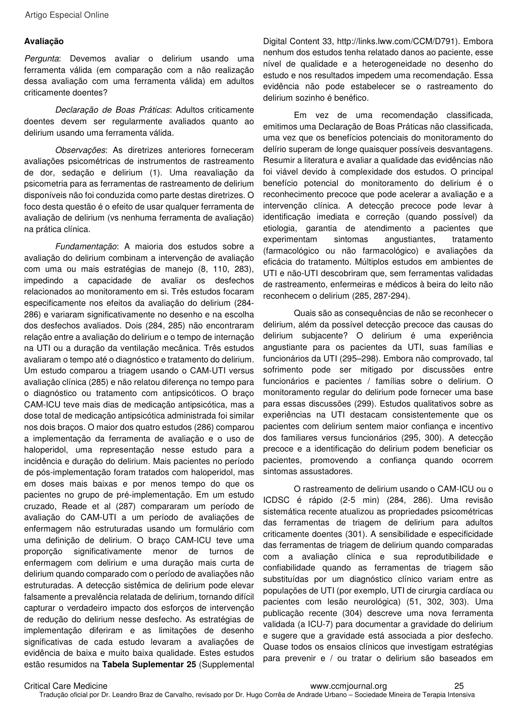#### **Avaliação**

Pergunta: Devemos avaliar o delirium usando uma ferramenta válida (em comparação com a não realização dessa avaliação com uma ferramenta válida) em adultos criticamente doentes?

Declaração de Boas Práticas: Adultos criticamente doentes devem ser regularmente avaliados quanto ao delirium usando uma ferramenta válida.

Observações: As diretrizes anteriores forneceram avaliações psicométricas de instrumentos de rastreamento de dor, sedação e delirium (1). Uma reavaliação da psicometria para as ferramentas de rastreamento de delirium disponíveis não foi conduzida como parte destas diretrizes. O foco desta questão é o efeito de usar qualquer ferramenta de avaliação de delirium (vs nenhuma ferramenta de avaliação) na prática clínica.

Fundamentação: A maioria dos estudos sobre a avaliação do delirium combinam a intervenção de avaliação com uma ou mais estratégias de manejo (8, 110, 283), impedindo a capacidade de avaliar os desfechos relacionados ao monitoramento em si. Três estudos focaram especificamente nos efeitos da avaliação do delirium (284- 286) e variaram significativamente no desenho e na escolha dos desfechos avaliados. Dois (284, 285) não encontraram relação entre a avaliação do delirium e o tempo de internação na UTI ou a duração da ventilação mecânica. Três estudos avaliaram o tempo até o diagnóstico e tratamento do delirium. Um estudo comparou a triagem usando o CAM-UTI versus avaliação clínica (285) e não relatou diferença no tempo para o diagnóstico ou tratamento com antipsicóticos. O braço CAM-ICU teve mais dias de medicação antipsicótica, mas a dose total de medicação antipsicótica administrada foi similar nos dois braços. O maior dos quatro estudos (286) comparou a implementação da ferramenta de avaliação e o uso de haloperidol, uma representação nesse estudo para a incidência e duração do delirium. Mais pacientes no período de pós-implementação foram tratados com haloperidol, mas em doses mais baixas e por menos tempo do que os pacientes no grupo de pré-implementação. Em um estudo cruzado, Reade et al (287) compararam um período de avaliação do CAM-UTI a um período de avaliações de enfermagem não estruturadas usando um formulário com uma definição de delirium. O braço CAM-ICU teve uma proporção significativamente menor de turnos de enfermagem com delirium e uma duração mais curta de delirium quando comparado com o período de avaliações não estruturadas. A detecção sistêmica de delirium pode elevar falsamente a prevalência relatada de delirium, tornando difícil capturar o verdadeiro impacto dos esforços de intervenção de redução do delirium nesse desfecho. As estratégias de implementação diferiram e as limitações de desenho significativas de cada estudo levaram a avaliações de evidência de baixa e muito baixa qualidade. Estes estudos estão resumidos na **Tabela Suplementar 25** (Supplemental

Digital Content 33, http://links.lww.com/CCM/D791). Embora nenhum dos estudos tenha relatado danos ao paciente, esse nível de qualidade e a heterogeneidade no desenho do estudo e nos resultados impedem uma recomendação. Essa evidência não pode estabelecer se o rastreamento do delirium sozinho é benéfico.

Em vez de uma recomendação classificada, emitimos uma Declaração de Boas Práticas não classificada, uma vez que os benefícios potenciais do monitoramento do delírio superam de longe quaisquer possíveis desvantagens. Resumir a literatura e avaliar a qualidade das evidências não foi viável devido à complexidade dos estudos. O principal benefício potencial do monitoramento do delirium é o reconhecimento precoce que pode acelerar a avaliação e a intervenção clínica. A detecção precoce pode levar à identificação imediata e correção (quando possível) da etiologia, garantia de atendimento a pacientes que experimentam sintomas angustiantes, tratamento (farmacológico ou não farmacológico) e avaliações da eficácia do tratamento. Múltiplos estudos em ambientes de UTI e não-UTI descobriram que, sem ferramentas validadas de rastreamento, enfermeiras e médicos à beira do leito não reconhecem o delirium (285, 287-294).

Quais são as consequências de não se reconhecer o delirium, além da possível detecção precoce das causas do delirium subjacente? O delirium é uma experiência angustiante para os pacientes da UTI, suas famílias e funcionários da UTI (295–298). Embora não comprovado, tal sofrimento pode ser mitigado por discussões entre funcionários e pacientes / famílias sobre o delirium. O monitoramento regular do delirium pode fornecer uma base para essas discussões (299). Estudos qualitativos sobre as experiências na UTI destacam consistentemente que os pacientes com delirium sentem maior confiança e incentivo dos familiares versus funcionários (295, 300). A detecção precoce e a identificação do delirium podem beneficiar os pacientes, promovendo a confiança quando ocorrem sintomas assustadores.

O rastreamento de delirium usando o CAM-ICU ou o ICDSC é rápido (2-5 min) (284, 286). Uma revisão sistemática recente atualizou as propriedades psicométricas das ferramentas de triagem de delirium para adultos criticamente doentes (301). A sensibilidade e especificidade das ferramentas de triagem de delirium quando comparadas com a avaliação clínica e sua reprodutibilidade e confiabilidade quando as ferramentas de triagem são substituídas por um diagnóstico clínico variam entre as populações de UTI (por exemplo, UTI de cirurgia cardíaca ou pacientes com lesão neurológica) (51, 302, 303). Uma publicação recente (304) descreve uma nova ferramenta validada (a ICU-7) para documentar a gravidade do delirium e sugere que a gravidade está associada a pior desfecho. Quase todos os ensaios clínicos que investigam estratégias para prevenir e / ou tratar o delirium são baseados em

Critical Care Medicine www.ccmjournal.org 25 Tradução oficial por Dr. Leandro Braz de Carvalho, revisado por Dr. Hugo Corrêa de Andrade Urbano – Sociedade Mineira de Terapia Intensiva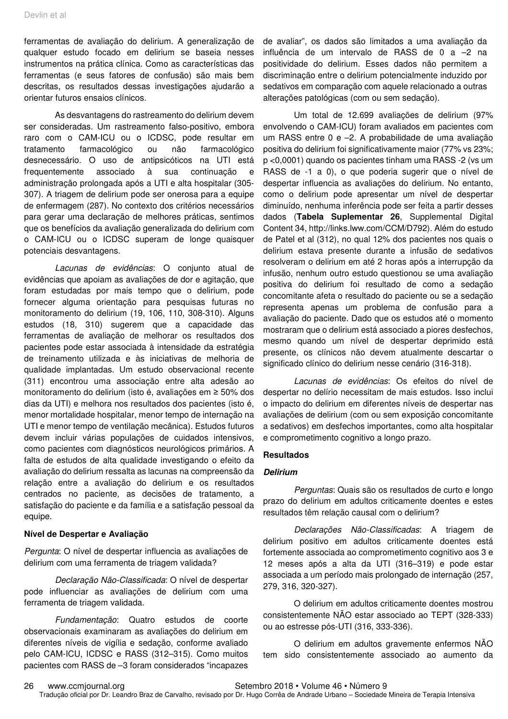ferramentas de avaliação do delirium. A generalização de qualquer estudo focado em delirium se baseia nesses instrumentos na prática clínica. Como as características das ferramentas (e seus fatores de confusão) são mais bem descritas, os resultados dessas investigações ajudarão a orientar futuros ensaios clínicos.

As desvantagens do rastreamento do delirium devem ser consideradas. Um rastreamento falso-positivo, embora raro com o CAM-ICU ou o ICDSC, pode resultar em tratamento farmacológico ou não farmacológico desnecessário. O uso de antipsicóticos na UTI está frequentemente associado à sua continuação e administração prolongada após a UTI e alta hospitalar (305- 307). A triagem de delirium pode ser onerosa para a equipe de enfermagem (287). No contexto dos critérios necessários para gerar uma declaração de melhores práticas, sentimos que os benefícios da avaliação generalizada do delirium com o CAM-ICU ou o ICDSC superam de longe quaisquer potenciais desvantagens.

Lacunas de evidências: O conjunto atual de evidências que apoiam as avaliações de dor e agitação, que foram estudadas por mais tempo que o delirium, pode fornecer alguma orientação para pesquisas futuras no monitoramento do delirium (19, 106, 110, 308-310). Alguns estudos (18, 310) sugerem que a capacidade das ferramentas de avaliação de melhorar os resultados dos pacientes pode estar associada à intensidade da estratégia de treinamento utilizada e às iniciativas de melhoria de qualidade implantadas. Um estudo observacional recente (311) encontrou uma associação entre alta adesão ao monitoramento do delirium (isto é, avaliações em ≥ 50% dos dias da UTI) e melhora nos resultados dos pacientes (isto é, menor mortalidade hospitalar, menor tempo de internação na UTI e menor tempo de ventilação mecânica). Estudos futuros devem incluir várias populações de cuidados intensivos, como pacientes com diagnósticos neurológicos primários. A falta de estudos de alta qualidade investigando o efeito da avaliação do delirium ressalta as lacunas na compreensão da relação entre a avaliação do delirium e os resultados centrados no paciente, as decisões de tratamento, a satisfação do paciente e da família e a satisfação pessoal da equipe.

#### **Nível de Despertar e Avaliação**

Pergunta: O nível de despertar influencia as avaliações de delirium com uma ferramenta de triagem validada?

Declaração Não-Classificada: O nível de despertar pode influenciar as avaliações de delirium com uma ferramenta de triagem validada.

Fundamentação: Quatro estudos de coorte observacionais examinaram as avaliações do delirium em diferentes níveis de vigília e sedação, conforme avaliado pelo CAM-ICU, ICDSC e RASS (312–315). Como muitos pacientes com RASS de –3 foram considerados "incapazes

de avaliar", os dados são limitados a uma avaliação da influência de um intervalo de RASS de 0 a –2 na positividade do delirium. Esses dados não permitem a discriminação entre o delirium potencialmente induzido por sedativos em comparação com aquele relacionado a outras alterações patológicas (com ou sem sedação).

Um total de 12.699 avaliações de delirium (97% envolvendo o CAM-ICU) foram avaliados em pacientes com um RASS entre 0 e –2. A probabilidade de uma avaliação positiva do delirium foi significativamente maior (77% vs 23%; p <0,0001) quando os pacientes tinham uma RASS -2 (vs um RASS de -1 a 0), o que poderia sugerir que o nível de despertar influencia as avaliações do delirium. No entanto, como o delirium pode apresentar um nível de despertar diminuído, nenhuma inferência pode ser feita a partir desses dados (**Tabela Suplementar 26**, Supplemental Digital Content 34, http://links.lww.com/CCM/D792). Além do estudo de Patel et al (312), no qual 12% dos pacientes nos quais o delirium estava presente durante a infusão de sedativos resolveram o delirium em até 2 horas após a interrupção da infusão, nenhum outro estudo questionou se uma avaliação positiva do delirium foi resultado de como a sedação concomitante afeta o resultado do paciente ou se a sedação representa apenas um problema de confusão para a avaliação do paciente. Dado que os estudos até o momento mostraram que o delirium está associado a piores desfechos, mesmo quando um nível de despertar deprimido está presente, os clínicos não devem atualmente descartar o significado clínico do delirium nesse cenário (316-318).

Lacunas de evidências: Os efeitos do nível de despertar no delírio necessitam de mais estudos. Isso inclui o impacto do delirium em diferentes níveis de despertar nas avaliações de delirium (com ou sem exposição concomitante a sedativos) em desfechos importantes, como alta hospitalar e comprometimento cognitivo a longo prazo.

#### **Resultados**

#### **Delirium**

Perguntas: Quais são os resultados de curto e longo prazo do delirium em adultos criticamente doentes e estes resultados têm relação causal com o delirium?

Declarações Não-Classificadas: A triagem de delirium positivo em adultos criticamente doentes está fortemente associada ao comprometimento cognitivo aos 3 e 12 meses após a alta da UTI (316–319) e pode estar associada a um período mais prolongado de internação (257, 279, 316, 320-327).

O delirium em adultos criticamente doentes mostrou consistentemente NÃO estar associado ao TEPT (328-333) ou ao estresse pós-UTI (316, 333-336).

O delirium em adultos gravemente enfermos NÃO tem sido consistentemente associado ao aumento da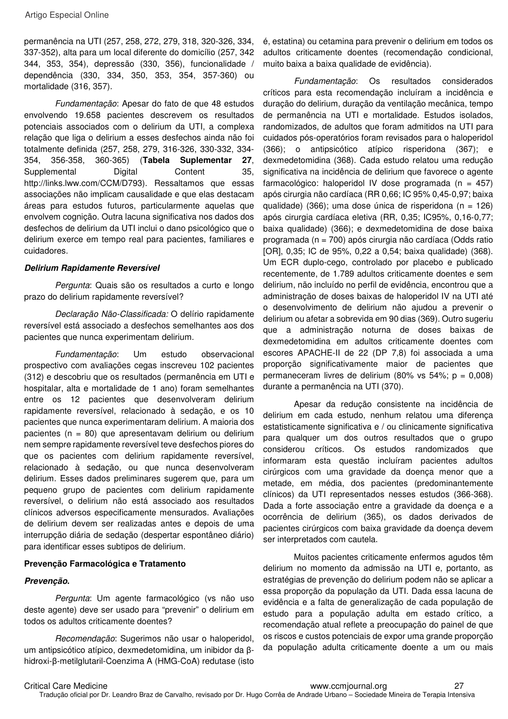permanência na UTI (257, 258, 272, 279, 318, 320-326, 334, 337-352), alta para um local diferente do domicílio (257, 342 344, 353, 354), depressão (330, 356), funcionalidade / dependência (330, 334, 350, 353, 354, 357-360) ou mortalidade (316, 357).

Fundamentação: Apesar do fato de que 48 estudos envolvendo 19.658 pacientes descrevem os resultados potenciais associados com o delirium da UTI, a complexa relação que liga o delirium a esses desfechos ainda não foi totalmente definida (257, 258, 279, 316-326, 330-332, 334- 354, 356-358, 360-365) (**Tabela Suplementar 27**, Supplemental Digital Content 35, http://links.lww.com/CCM/D793). Ressaltamos que essas associações não implicam causalidade e que elas destacam áreas para estudos futuros, particularmente aquelas que envolvem cognição. Outra lacuna significativa nos dados dos desfechos de delirium da UTI inclui o dano psicológico que o delirium exerce em tempo real para pacientes, familiares e cuidadores.

#### **Delirium Rapidamente Reversível**

Pergunta: Quais são os resultados a curto e longo prazo do delirium rapidamente reversível?

Declaração Não-Classificada: O delírio rapidamente reversível está associado a desfechos semelhantes aos dos pacientes que nunca experimentam delirium.

Fundamentação: Um estudo observacional prospectivo com avaliações cegas inscreveu 102 pacientes (312) e descobriu que os resultados (permanência em UTI e hospitalar, alta e mortalidade de 1 ano) foram semelhantes entre os 12 pacientes que desenvolveram delirium rapidamente reversível, relacionado à sedação, e os 10 pacientes que nunca experimentaram delirium. A maioria dos pacientes (n = 80) que apresentavam delirium ou delirium nem sempre rapidamente reversível teve desfechos piores do que os pacientes com delirium rapidamente reversível, relacionado à sedação, ou que nunca desenvolveram delirium. Esses dados preliminares sugerem que, para um pequeno grupo de pacientes com delirium rapidamente reversível, o delirium não está associado aos resultados clínicos adversos especificamente mensurados. Avaliações de delirium devem ser realizadas antes e depois de uma interrupção diária de sedação (despertar espontâneo diário) para identificar esses subtipos de delirium.

#### **Prevenção Farmacológica e Tratamento**

#### **Prevenção.**

Pergunta: Um agente farmacológico (vs não uso deste agente) deve ser usado para "prevenir" o delirium em todos os adultos criticamente doentes?

Recomendação: Sugerimos não usar o haloperidol, um antipsicótico atípico, dexmedetomidina, um inibidor da βhidroxi-β-metilglutaril-Coenzima A (HMG-CoA) redutase (isto é, estatina) ou cetamina para prevenir o delirium em todos os adultos criticamente doentes (recomendação condicional, muito baixa a baixa qualidade de evidência).

Fundamentação: Os resultados considerados críticos para esta recomendação incluíram a incidência e duração do delirium, duração da ventilação mecânica, tempo de permanência na UTI e mortalidade. Estudos isolados, randomizados, de adultos que foram admitidos na UTI para cuidados pós-operatórios foram revisados para o haloperidol (366); o antipsicótico atípico risperidona (367); e dexmedetomidina (368). Cada estudo relatou uma redução significativa na incidência de delirium que favorece o agente farmacológico: haloperidol IV dose programada (n = 457) após cirurgia não cardíaca (RR 0,66; IC 95% 0,45‐0,97; baixa qualidade) (366); uma dose única de risperidona (n = 126) após cirurgia cardíaca eletiva (RR, 0,35; IC95%, 0,16‐0,77; baixa qualidade) (366); e dexmedetomidina de dose baixa programada (n = 700) após cirurgia não cardíaca (Odds ratio [OR], 0,35; IC de 95%, 0,22 a 0,54; baixa qualidade) (368). Um ECR duplo-cego, controlado por placebo e publicado recentemente, de 1.789 adultos criticamente doentes e sem delirium, não incluído no perfil de evidência, encontrou que a administração de doses baixas de haloperidol IV na UTI até o desenvolvimento de delirium não ajudou a prevenir o delirium ou afetar a sobrevida em 90 dias (369). Outro sugeriu que a administração noturna de doses baixas de dexmedetomidina em adultos criticamente doentes com escores APACHE-II de 22 (DP 7,8) foi associada a uma proporção significativamente maior de pacientes que permaneceram livres de delirium (80% vs 54%;  $p = 0,008$ ) durante a permanência na UTI (370).

Apesar da redução consistente na incidência de delirium em cada estudo, nenhum relatou uma diferença estatisticamente significativa e / ou clinicamente significativa para qualquer um dos outros resultados que o grupo considerou críticos. Os estudos randomizados que informaram esta questão incluíram pacientes adultos cirúrgicos com uma gravidade da doença menor que a metade, em média, dos pacientes (predominantemente clínicos) da UTI representados nesses estudos (366-368). Dada a forte associação entre a gravidade da doença e a ocorrência de delirium (365), os dados derivados de pacientes cirúrgicos com baixa gravidade da doença devem ser interpretados com cautela.

Muitos pacientes criticamente enfermos agudos têm delirium no momento da admissão na UTI e, portanto, as estratégias de prevenção do delirium podem não se aplicar a essa proporção da população da UTI. Dada essa lacuna de evidência e a falta de generalização de cada população de estudo para a população adulta em estado crítico, a recomendação atual reflete a preocupação do painel de que os riscos e custos potenciais de expor uma grande proporção da população adulta criticamente doente a um ou mais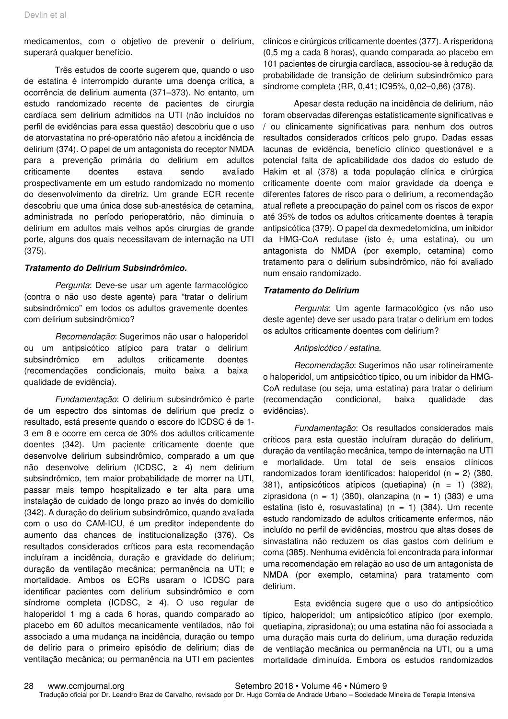medicamentos, com o objetivo de prevenir o delirium, superará qualquer benefício.

Três estudos de coorte sugerem que, quando o uso de estatina é interrompido durante uma doença crítica, a ocorrência de delirium aumenta (371–373). No entanto, um estudo randomizado recente de pacientes de cirurgia cardíaca sem delirium admitidos na UTI (não incluídos no perfil de evidências para essa questão) descobriu que o uso de atorvastatina no pré-operatório não afetou a incidência de delirium (374). O papel de um antagonista do receptor NMDA para a prevenção primária do delirium em adultos criticamente doentes estava sendo avaliado prospectivamente em um estudo randomizado no momento do desenvolvimento da diretriz. Um grande ECR recente descobriu que uma única dose sub-anestésica de cetamina, administrada no período perioperatório, não diminuía o delirium em adultos mais velhos após cirurgias de grande porte, alguns dos quais necessitavam de internação na UTI (375).

#### **Tratamento do Delirium Subsindrômico.**

Pergunta: Deve-se usar um agente farmacológico (contra o não uso deste agente) para "tratar o delirium subsindrômico" em todos os adultos gravemente doentes com delirium subsindrômico?

Recomendação: Sugerimos não usar o haloperidol ou um antipsicótico atípico para tratar o delirium subsindrômico em adultos criticamente doentes (recomendações condicionais, muito baixa a baixa qualidade de evidência).

Fundamentação: O delirium subsindrômico é parte de um espectro dos sintomas de delirium que prediz o resultado, está presente quando o escore do ICDSC é de 1- 3 em 8 e ocorre em cerca de 30% dos adultos criticamente doentes (342). Um paciente criticamente doente que desenvolve delirium subsindrômico, comparado a um que não desenvolve delirium (ICDSC, ≥ 4) nem delirium subsindrômico, tem maior probabilidade de morrer na UTI, passar mais tempo hospitalizado e ter alta para uma instalação de cuidado de longo prazo ao invés do domicílio (342). A duração do delirium subsindrômico, quando avaliada com o uso do CAM-ICU, é um preditor independente do aumento das chances de institucionalização (376). Os resultados considerados críticos para esta recomendação incluíram a incidência, duração e gravidade do delirium; duração da ventilação mecânica; permanência na UTI; e mortalidade. Ambos os ECRs usaram o ICDSC para identificar pacientes com delirium subsindrômico e com síndrome completa (ICDSC, ≥ 4). O uso regular de haloperidol 1 mg a cada 6 horas, quando comparado ao placebo em 60 adultos mecanicamente ventilados, não foi associado a uma mudança na incidência, duração ou tempo de delírio para o primeiro episódio de delirium; dias de ventilação mecânica; ou permanência na UTI em pacientes

clínicos e cirúrgicos criticamente doentes (377). A risperidona (0,5 mg a cada 8 horas), quando comparada ao placebo em 101 pacientes de cirurgia cardíaca, associou-se à redução da probabilidade de transição de delirium subsindrômico para síndrome completa (RR, 0,41; IC95%, 0,02–0,86) (378).

Apesar desta redução na incidência de delirium, não foram observadas diferenças estatisticamente significativas e / ou clinicamente significativas para nenhum dos outros resultados considerados críticos pelo grupo. Dadas essas lacunas de evidência, benefício clínico questionável e a potencial falta de aplicabilidade dos dados do estudo de Hakim et al (378) a toda população clínica e cirúrgica criticamente doente com maior gravidade da doença e diferentes fatores de risco para o delirium, a recomendação atual reflete a preocupação do painel com os riscos de expor até 35% de todos os adultos criticamente doentes à terapia antipsicótica (379). O papel da dexmedetomidina, um inibidor da HMG-CoA redutase (isto é, uma estatina), ou um antagonista do NMDA (por exemplo, cetamina) como tratamento para o delirium subsindrômico, não foi avaliado num ensaio randomizado.

#### **Tratamento do Delirium**

Pergunta: Um agente farmacológico (vs não uso deste agente) deve ser usado para tratar o delirium em todos os adultos criticamente doentes com delirium?

#### Antipsicótico / estatina.

Recomendação: Sugerimos não usar rotineiramente o haloperidol, um antipsicótico típico, ou um inibidor da HMG-CoA redutase (ou seja, uma estatina) para tratar o delirium (recomendação condicional, baixa qualidade das evidências).

Fundamentação: Os resultados considerados mais críticos para esta questão incluíram duração do delirium, duração da ventilação mecânica, tempo de internação na UTI e mortalidade. Um total de seis ensaios clínicos randomizados foram identificados: haloperidol (n =  $2)$  (380, 381), antipsicóticos atípicos (quetiapina) (n = 1) (382), ziprasidona (n = 1) (380), olanzapina (n = 1) (383) e uma estatina (isto é, rosuvastatina) (n = 1) (384). Um recente estudo randomizado de adultos criticamente enfermos, não incluído no perfil de evidências, mostrou que altas doses de sinvastatina não reduzem os dias gastos com delirium e coma (385). Nenhuma evidência foi encontrada para informar uma recomendação em relação ao uso de um antagonista de NMDA (por exemplo, cetamina) para tratamento com delirium.

Esta evidência sugere que o uso do antipsicótico típico, haloperidol; um antipsicótico atípico (por exemplo, quetiapina, ziprasidona); ou uma estatina não foi associada a uma duração mais curta do delirium, uma duração reduzida de ventilação mecânica ou permanência na UTI, ou a uma mortalidade diminuída. Embora os estudos randomizados

28 www.ccmjournal.org Setembro 2018 • Volume 46 • Número 9 Tradução oficial por Dr. Leandro Braz de Carvalho, revisado por Dr. Hugo Corrêa de Andrade Urbano – Sociedade Mineira de Terapia Intensiva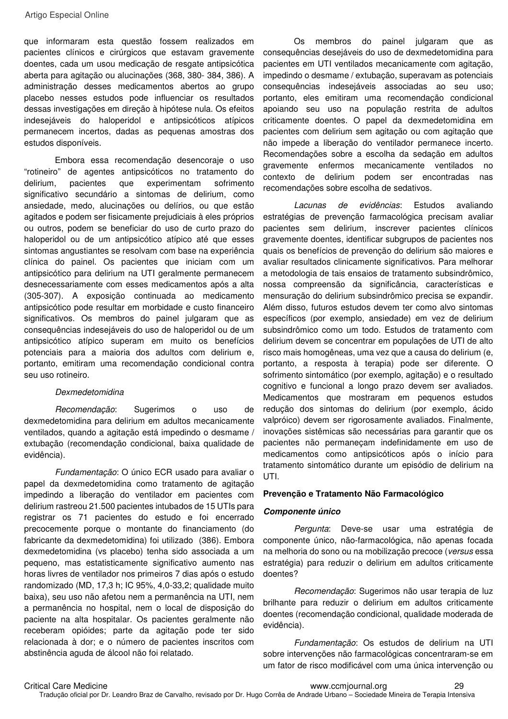que informaram esta questão fossem realizados em pacientes clínicos e cirúrgicos que estavam gravemente doentes, cada um usou medicação de resgate antipsicótica aberta para agitação ou alucinações (368, 380- 384, 386). A administração desses medicamentos abertos ao grupo placebo nesses estudos pode influenciar os resultados dessas investigações em direção à hipótese nula. Os efeitos indesejáveis do haloperidol e antipsicóticos atípicos permanecem incertos, dadas as pequenas amostras dos estudos disponíveis.

Embora essa recomendação desencoraje o uso "rotineiro" de agentes antipsicóticos no tratamento do delirium, pacientes que experimentam sofrimento significativo secundário a sintomas de delirium, como ansiedade, medo, alucinações ou delírios, ou que estão agitados e podem ser fisicamente prejudiciais à eles próprios ou outros, podem se beneficiar do uso de curto prazo do haloperidol ou de um antipsicótico atípico até que esses sintomas angustiantes se resolvam com base na experiência clínica do painel. Os pacientes que iniciam com um antipsicótico para delirium na UTI geralmente permanecem desnecessariamente com esses medicamentos após a alta (305-307). A exposição continuada ao medicamento antipsicótico pode resultar em morbidade e custo financeiro significativos. Os membros do painel julgaram que as consequências indesejáveis do uso de haloperidol ou de um antipsicótico atípico superam em muito os benefícios potenciais para a maioria dos adultos com delirium e, portanto, emitiram uma recomendação condicional contra seu uso rotineiro.

#### Dexmedetomidina

Recomendação: Sugerimos o uso de dexmedetomidina para delirium em adultos mecanicamente ventilados, quando a agitação está impedindo o desmame / extubação (recomendação condicional, baixa qualidade de evidência).

Fundamentação: O único ECR usado para avaliar o papel da dexmedetomidina como tratamento de agitação impedindo a liberação do ventilador em pacientes com delirium rastreou 21.500 pacientes intubados de 15 UTIs para registrar os 71 pacientes do estudo e foi encerrado precocemente porque o montante do financiamento (do fabricante da dexmedetomidina) foi utilizado (386). Embora dexmedetomidina (vs placebo) tenha sido associada a um pequeno, mas estatisticamente significativo aumento nas horas livres de ventilador nos primeiros 7 dias após o estudo randomizado (MD, 17,3 h; IC 95%, 4,0-33,2; qualidade muito baixa), seu uso não afetou nem a permanência na UTI, nem a permanência no hospital, nem o local de disposição do paciente na alta hospitalar. Os pacientes geralmente não receberam opióides; parte da agitação pode ter sido relacionada à dor; e o número de pacientes inscritos com abstinência aguda de álcool não foi relatado.

Os membros do painel julgaram que as consequências desejáveis do uso de dexmedetomidina para pacientes em UTI ventilados mecanicamente com agitação, impedindo o desmame / extubação, superavam as potenciais consequências indesejáveis associadas ao seu uso; portanto, eles emitiram uma recomendação condicional apoiando seu uso na população restrita de adultos criticamente doentes. O papel da dexmedetomidina em pacientes com delirium sem agitação ou com agitação que não impede a liberação do ventilador permanece incerto. Recomendações sobre a escolha da sedação em adultos gravemente enfermos mecanicamente ventilados no contexto de delirium podem ser encontradas nas recomendações sobre escolha de sedativos.

Lacunas de evidências: Estudos avaliando estratégias de prevenção farmacológica precisam avaliar pacientes sem delirium, inscrever pacientes clínicos gravemente doentes, identificar subgrupos de pacientes nos quais os benefícios de prevenção do delirium são maiores e avaliar resultados clinicamente significativos. Para melhorar a metodologia de tais ensaios de tratamento subsindrômico, nossa compreensão da significância, características e mensuração do delirium subsindrômico precisa se expandir. Além disso, futuros estudos devem ter como alvo sintomas específicos (por exemplo, ansiedade) em vez de delirium subsindrômico como um todo. Estudos de tratamento com delirium devem se concentrar em populações de UTI de alto risco mais homogêneas, uma vez que a causa do delirium (e, portanto, a resposta à terapia) pode ser diferente. O sofrimento sintomático (por exemplo, agitação) e o resultado cognitivo e funcional a longo prazo devem ser avaliados. Medicamentos que mostraram em pequenos estudos redução dos sintomas do delirium (por exemplo, ácido valpróico) devem ser rigorosamente avaliados. Finalmente, inovações sistêmicas são necessárias para garantir que os pacientes não permaneçam indefinidamente em uso de medicamentos como antipsicóticos após o início para tratamento sintomático durante um episódio de delirium na UTI.

#### **Prevenção e Tratamento Não Farmacológico**

#### **Componente único**

Pergunta: Deve-se usar uma estratégia de componente único, não-farmacológica, não apenas focada na melhoria do sono ou na mobilização precoce (versus essa estratégia) para reduzir o delirium em adultos criticamente doentes?

Recomendação: Sugerimos não usar terapia de luz brilhante para reduzir o delirium em adultos criticamente doentes (recomendação condicional, qualidade moderada de evidência).

Fundamentação: Os estudos de delirium na UTI sobre intervenções não farmacológicas concentraram-se em um fator de risco modificável com uma única intervenção ou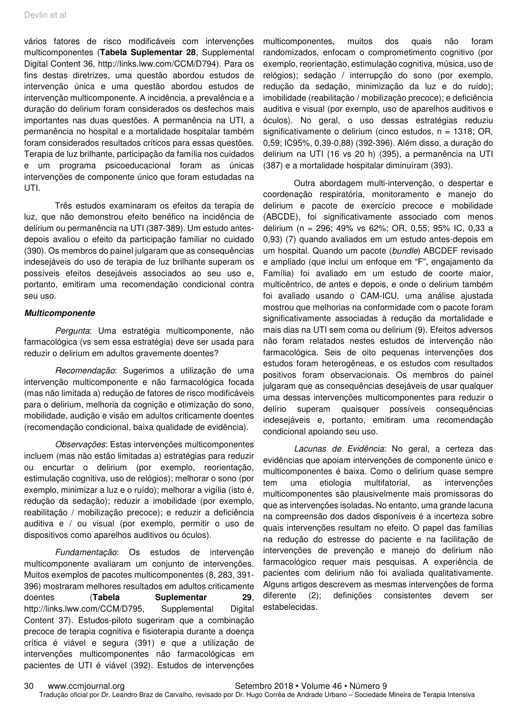vários fatores de risco modificáveis com intervenções multicomponentes (**Tabela Suplementar 28**, Supplemental Digital Content 36, http://links.lww.com/CCM/D794). Para os fins destas diretrizes, uma questão abordou estudos de intervenção única e uma questão abordou estudos de intervenção multicomponente. A incidência, a prevalência e a duração do delirium foram considerados os desfechos mais importantes nas duas questões. A permanência na UTI, a permanência no hospital e a mortalidade hospitalar também foram considerados resultados críticos para essas questões. Terapia de luz brilhante, participação da família nos cuidados e um programa psicoeducacional foram as únicas intervenções de componente único que foram estudadas na UTI.

Três estudos examinaram os efeitos da terapia de luz, que não demonstrou efeito benéfico na incidência de delirium ou permanência na UTI (387-389). Um estudo antesdepois avaliou o efeito da participação familiar no cuidado (390). Os membros do painel julgaram que as consequências indesejáveis do uso de terapia de luz brilhante superam os possíveis efeitos desejáveis associados ao seu uso e, portanto, emitiram uma recomendação condicional contra seu uso.

#### **Multicomponente**

Pergunta: Uma estratégia multicomponente, não farmacológica (vs sem essa estratégia) deve ser usada para reduzir o delirium em adultos gravemente doentes?

Recomendação: Sugerimos a utilização de uma intervenção multicomponente e não farmacológica focada (mas não limitada a) redução de fatores de risco modificáveis para o delirium, melhoria da cognição e otimização do sono, mobilidade, audição e visão em adultos criticamente doentes (recomendação condicional, baixa qualidade de evidência).

Observações: Estas intervenções multicomponentes incluem (mas não estão limitadas a) estratégias para reduzir ou encurtar o delirium (por exemplo, reorientação, estimulação cognitiva, uso de relógios); melhorar o sono (por exemplo, minimizar a luz e o ruído); melhorar a vigília (isto é, redução da sedação); reduzir a imobilidade (por exemplo, reabilitação / mobilização precoce); e reduzir a deficiência auditiva e / ou visual (por exemplo, permitir o uso de dispositivos como aparelhos auditivos ou óculos).

Fundamentação: Os estudos de intervenção multicomponente avaliaram um conjunto de intervenções. Muitos exemplos de pacotes multicomponentes (8, 283, 391- 396) mostraram melhores resultados em adultos criticamente doentes (**Tabela Suplementar 29**, http://links.lww.com/CCM/D795, Supplemental Digital Content 37). Estudos-piloto sugeriram que a combinação precoce de terapia cognitiva e fisioterapia durante a doença crítica é viável e segura (391) e que a utilização de intervenções multicomponentes não farmacológicas em pacientes de UTI é viável (392). Estudos de intervenções

multicomponentes, muitos dos quais não foram randomizados, enfocam o comprometimento cognitivo (por exemplo, reorientação, estimulação cognitiva, música, uso de relógios); sedação / interrupção do sono (por exemplo, redução da sedação, minimização da luz e do ruído); imobilidade (reabilitação / mobilização precoce); e deficiência auditiva e visual (por exemplo, uso de aparelhos auditivos e óculos). No geral, o uso dessas estratégias reduziu significativamente o delirium (cinco estudos, n = 1318; OR, 0,59; IC95%, 0,39-0,88) (392-396). Além disso, a duração do delirium na UTI (16 vs 20 h) (395), a permanência na UTI (387) e a mortalidade hospitalar diminuíram (393).

Outra abordagem multi-intervenção, o despertar e coordenação respiratória, monitoramento e manejo do delirium e pacote de exercício precoce e mobilidade (ABCDE), foi significativamente associado com menos delirium (n = 296; 49% vs 62%; OR, 0,55; 95% IC, 0,33 a 0,93) (7) quando avaliados em um estudo antes-depois em um hospital. Quando um pacote (bundle) ABCDEF revisado e ampliado (que inclui um enfoque em "F", engajamento da Família) foi avaliado em um estudo de coorte maior, multicêntrico, de antes e depois, e onde o delirium também foi avaliado usando o CAM-ICU, uma análise ajustada mostrou que melhorias na conformidade com o pacote foram significativamente associadas à redução da mortalidade e mais dias na UTI sem coma ou delirium (9). Efeitos adversos não foram relatados nestes estudos de intervenção não farmacológica. Seis de oito pequenas intervenções dos estudos foram heterogêneas, e os estudos com resultados positivos foram observacionais. Os membros do painel julgaram que as consequências desejáveis de usar qualquer uma dessas intervenções multicomponentes para reduzir o delírio superam quaisquer possíveis consequências indesejáveis e, portanto, emitiram uma recomendação condicional apoiando seu uso.

Lacunas de Evidência: No geral, a certeza das evidências que apoiam intervenções de componente único e multicomponentes é baixa. Como o delirium quase sempre tem uma etiologia multifatorial, as intervenções multicomponentes são plausivelmente mais promissoras do que as intervenções isoladas. No entanto, uma grande lacuna na compreensão dos dados disponíveis é a incerteza sobre quais intervenções resultam no efeito. O papel das famílias na redução do estresse do paciente e na facilitação de intervenções de prevenção e manejo do delirium não farmacológico requer mais pesquisas. A experiência de pacientes com delirium não foi avaliada qualitativamente. Alguns artigos descrevem as mesmas intervenções de forma diferente (2); definições consistentes devem ser estabelecidas.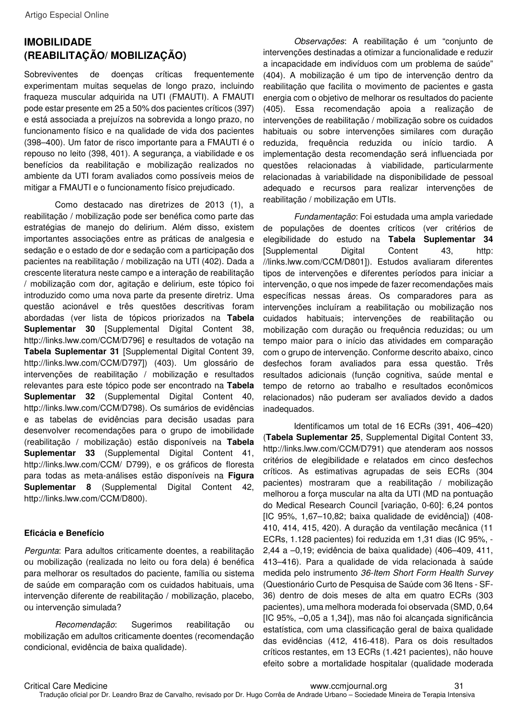# **IMOBILIDADE (REABILITAÇÃO/ MOBILIZAÇÃO)**

Sobreviventes de doenças críticas frequentemente experimentam muitas sequelas de longo prazo, incluindo fraqueza muscular adquirida na UTI (FMAUTI). A FMAUTI pode estar presente em 25 a 50% dos pacientes críticos (397) e está associada a prejuízos na sobrevida a longo prazo, no funcionamento físico e na qualidade de vida dos pacientes (398–400). Um fator de risco importante para a FMAUTI é o repouso no leito (398, 401). A segurança, a viabilidade e os benefícios da reabilitação e mobilização realizados no ambiente da UTI foram avaliados como possíveis meios de mitigar a FMAUTI e o funcionamento físico prejudicado.

Como destacado nas diretrizes de 2013 (1), a reabilitação / mobilização pode ser benéfica como parte das estratégias de manejo do delirium. Além disso, existem importantes associações entre as práticas de analgesia e sedação e o estado de dor e sedação com a participação dos pacientes na reabilitação / mobilização na UTI (402). Dada a crescente literatura neste campo e a interação de reabilitação / mobilização com dor, agitação e delirium, este tópico foi introduzido como uma nova parte da presente diretriz. Uma questão acionável e três questões descritivas foram abordadas (ver lista de tópicos priorizados na **Tabela Suplementar 30** [Supplemental Digital Content 38, http://links.lww.com/CCM/D796] e resultados de votação na **Tabela Suplementar 31** [Supplemental Digital Content 39, http://links.lww.com/CCM/D797]) (403). Um glossário de intervenções de reabilitação / mobilização e resultados relevantes para este tópico pode ser encontrado na **Tabela Suplementar 32** (Supplemental Digital Content 40, http://links.lww.com/CCM/D798). Os sumários de evidências e as tabelas de evidências para decisão usadas para desenvolver recomendações para o grupo de imobilidade (reabilitação / mobilização) estão disponíveis na **Tabela Suplementar 33** (Supplemental Digital Content 41, http://links.lww.com/CCM/ D799), e os gráficos de floresta para todas as meta-análises estão disponíveis na **Figura Suplementar 8** (Supplemental Digital Content 42, http://links.lww.com/CCM/D800).

#### **Eficácia e Benefício**

Pergunta: Para adultos criticamente doentes, a reabilitação ou mobilização (realizada no leito ou fora dela) é benéfica para melhorar os resultados do paciente, família ou sistema de saúde em comparação com os cuidados habituais, uma intervenção diferente de reabilitação / mobilização, placebo, ou intervenção simulada?

Recomendação: Sugerimos reabilitação ou mobilização em adultos criticamente doentes (recomendação condicional, evidência de baixa qualidade).

Observações: A reabilitação é um "conjunto de intervenções destinadas a otimizar a funcionalidade e reduzir a incapacidade em indivíduos com um problema de saúde" (404). A mobilização é um tipo de intervenção dentro da reabilitação que facilita o movimento de pacientes e gasta energia com o objetivo de melhorar os resultados do paciente (405). Essa recomendação apoia a realização de intervenções de reabilitação / mobilização sobre os cuidados habituais ou sobre intervenções similares com duração reduzida, frequência reduzida ou início tardio. A implementação desta recomendação será influenciada por questões relacionadas à viabilidade, particularmente relacionadas à variabilidade na disponibilidade de pessoal adequado e recursos para realizar intervenções de reabilitação / mobilização em UTIs.

Fundamentação: Foi estudada uma ampla variedade de populações de doentes críticos (ver critérios de elegibilidade do estudo na **Tabela Suplementar 34** [Supplemental Digital Content 43, http: //links.lww.com/CCM/D801]). Estudos avaliaram diferentes tipos de intervenções e diferentes períodos para iniciar a intervenção, o que nos impede de fazer recomendações mais específicas nessas áreas. Os comparadores para as intervenções incluíram a reabilitação ou mobilização nos cuidados habituais; intervenções de reabilitação ou mobilização com duração ou frequência reduzidas; ou um tempo maior para o início das atividades em comparação com o grupo de intervenção. Conforme descrito abaixo, cinco desfechos foram avaliados para essa questão. Três resultados adicionais (função cognitiva, saúde mental e tempo de retorno ao trabalho e resultados econômicos relacionados) não puderam ser avaliados devido a dados inadequados.

Identificamos um total de 16 ECRs (391, 406–420) (**Tabela Suplementar 25**, Supplemental Digital Content 33, http://links.lww.com/CCM/D791) que atenderam aos nossos critérios de elegibilidade e relatados em cinco desfechos críticos. As estimativas agrupadas de seis ECRs (304 pacientes) mostraram que a reabilitação / mobilização melhorou a força muscular na alta da UTI (MD na pontuação do Medical Research Council [variação, 0-60]: 6,24 pontos [IC 95%, 1,67–10,82; baixa qualidade de evidência]) (408- 410, 414, 415, 420). A duração da ventilação mecânica (11 ECRs, 1.128 pacientes) foi reduzida em 1,31 dias (IC 95%, - 2,44 a –0,19; evidência de baixa qualidade) (406–409, 411, 413–416). Para a qualidade de vida relacionada à saúde medida pelo instrumento 36-Item Short Form Health Survey (Questionário Curto de Pesquisa de Saúde com 36 Itens - SF-36) dentro de dois meses de alta em quatro ECRs (303 pacientes), uma melhora moderada foi observada (SMD, 0,64 [IC 95%, –0,05 a 1,34]), mas não foi alcançada significância estatística, com uma classificação geral de baixa qualidade das evidências (412, 416-418). Para os dois resultados críticos restantes, em 13 ECRs (1.421 pacientes), não houve efeito sobre a mortalidade hospitalar (qualidade moderada

Critical Care Medicine www.ccmjournal.org 31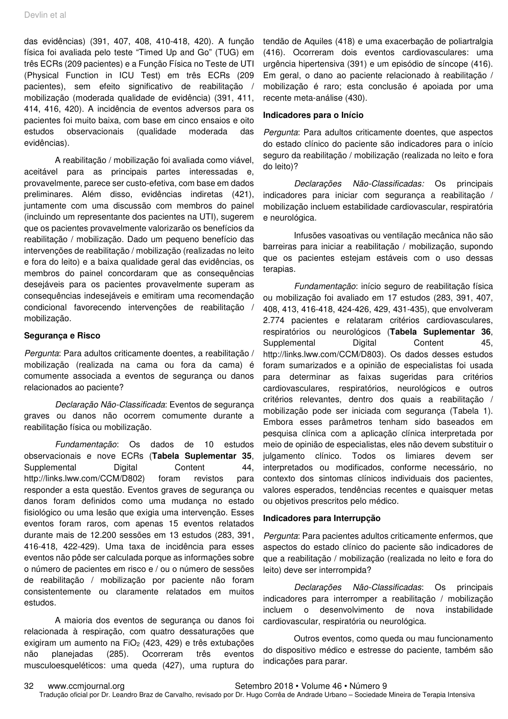das evidências) (391, 407, 408, 410-418, 420). A função física foi avaliada pelo teste "Timed Up and Go" (TUG) em três ECRs (209 pacientes) e a Função Física no Teste de UTI (Physical Function in ICU Test) em três ECRs (209 pacientes), sem efeito significativo de reabilitação / mobilização (moderada qualidade de evidência) (391, 411, 414, 416, 420). A incidência de eventos adversos para os pacientes foi muito baixa, com base em cinco ensaios e oito estudos observacionais (qualidade moderada das evidências).

A reabilitação / mobilização foi avaliada como viável, aceitável para as principais partes interessadas e, provavelmente, parece ser custo-efetiva, com base em dados preliminares. Além disso, evidências indiretas (421), juntamente com uma discussão com membros do painel (incluindo um representante dos pacientes na UTI), sugerem que os pacientes provavelmente valorizarão os benefícios da reabilitação / mobilização. Dado um pequeno benefício das intervenções de reabilitação / mobilização (realizadas no leito e fora do leito) e a baixa qualidade geral das evidências, os membros do painel concordaram que as consequências desejáveis para os pacientes provavelmente superam as consequências indesejáveis e emitiram uma recomendação condicional favorecendo intervenções de reabilitação / mobilização.

#### **Segurança e Risco**

Pergunta: Para adultos criticamente doentes, a reabilitação / mobilização (realizada na cama ou fora da cama) é comumente associada a eventos de segurança ou danos relacionados ao paciente?

Declaração Não-Classificada: Eventos de segurança graves ou danos não ocorrem comumente durante a reabilitação física ou mobilização.

Fundamentação: Os dados de 10 estudos observacionais e nove ECRs (**Tabela Suplementar 35**, Supplemental Digital Content 44, http://links.lww.com/CCM/D802) foram revistos para responder a esta questão. Eventos graves de segurança ou danos foram definidos como uma mudança no estado fisiológico ou uma lesão que exigia uma intervenção. Esses eventos foram raros, com apenas 15 eventos relatados durante mais de 12.200 sessões em 13 estudos (283, 391, 416-418, 422-429). Uma taxa de incidência para esses eventos não pôde ser calculada porque as informações sobre o número de pacientes em risco e / ou o número de sessões de reabilitação / mobilização por paciente não foram consistentemente ou claramente relatados em muitos estudos.

A maioria dos eventos de segurança ou danos foi relacionada à respiração, com quatro dessaturações que exigiram um aumento na  $FiO<sub>2</sub>$  (423, 429) e três extubações não planejadas (285). Ocorreram três eventos musculoesqueléticos: uma queda (427), uma ruptura do

tendão de Aquiles (418) e uma exacerbação de poliartralgia (416). Ocorreram dois eventos cardiovasculares: uma urgência hipertensiva (391) e um episódio de síncope (416). Em geral, o dano ao paciente relacionado à reabilitação / mobilização é raro; esta conclusão é apoiada por uma recente meta-análise (430).

#### **Indicadores para o Início**

Pergunta: Para adultos criticamente doentes, que aspectos do estado clínico do paciente são indicadores para o início seguro da reabilitação / mobilização (realizada no leito e fora do leito)?

Declarações Não-Classificadas: Os principais indicadores para iniciar com segurança a reabilitação / mobilização incluem estabilidade cardiovascular, respiratória e neurológica.

Infusões vasoativas ou ventilação mecânica não são barreiras para iniciar a reabilitação / mobilização, supondo que os pacientes estejam estáveis com o uso dessas terapias.

Fundamentação: início seguro de reabilitação física ou mobilização foi avaliado em 17 estudos (283, 391, 407, 408, 413, 416-418, 424-426, 429, 431-435), que envolveram 2.774 pacientes e relataram critérios cardiovasculares, respiratórios ou neurológicos (**Tabela Suplementar 36**, Supplemental Digital Content 45, http://links.lww.com/CCM/D803). Os dados desses estudos foram sumarizados e a opinião de especialistas foi usada para determinar as faixas sugeridas para critérios cardiovasculares, respiratórios, neurológicos e outros critérios relevantes, dentro dos quais a reabilitação / mobilização pode ser iniciada com segurança (Tabela 1). Embora esses parâmetros tenham sido baseados em pesquisa clínica com a aplicação clínica interpretada por meio de opinião de especialistas, eles não devem substituir o julgamento clínico. Todos os limiares devem ser interpretados ou modificados, conforme necessário, no contexto dos sintomas clínicos individuais dos pacientes, valores esperados, tendências recentes e quaisquer metas ou objetivos prescritos pelo médico.

#### **Indicadores para Interrupção**

Pergunta: Para pacientes adultos criticamente enfermos, que aspectos do estado clínico do paciente são indicadores de que a reabilitação / mobilização (realizada no leito e fora do leito) deve ser interrompida?

Declarações Não-Classificadas: Os principais indicadores para interromper a reabilitação / mobilização incluem o desenvolvimento de nova instabilidade cardiovascular, respiratória ou neurológica.

Outros eventos, como queda ou mau funcionamento do dispositivo médico e estresse do paciente, também são indicações para parar.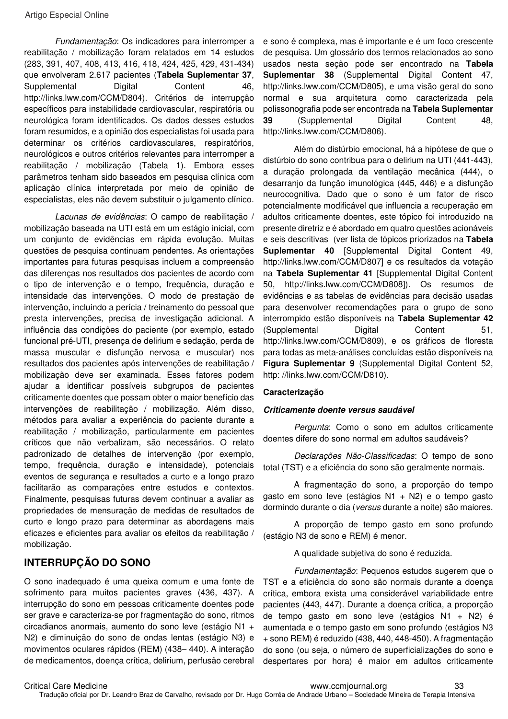Fundamentação: Os indicadores para interromper a reabilitação / mobilização foram relatados em 14 estudos (283, 391, 407, 408, 413, 416, 418, 424, 425, 429, 431-434) que envolveram 2.617 pacientes (**Tabela Suplementar 37**, Supplemental Digital Content 46, http://links.lww.com/CCM/D804). Critérios de interrupção específicos para instabilidade cardiovascular, respiratória ou neurológica foram identificados. Os dados desses estudos foram resumidos, e a opinião dos especialistas foi usada para determinar os critérios cardiovasculares, respiratórios, neurológicos e outros critérios relevantes para interromper a reabilitação / mobilização (Tabela 1). Embora esses parâmetros tenham sido baseados em pesquisa clínica com aplicação clínica interpretada por meio de opinião de especialistas, eles não devem substituir o julgamento clínico.

Lacunas de evidências: O campo de reabilitação / mobilização baseada na UTI está em um estágio inicial, com um conjunto de evidências em rápida evolução. Muitas questões de pesquisa continuam pendentes. As orientações importantes para futuras pesquisas incluem a compreensão das diferenças nos resultados dos pacientes de acordo com o tipo de intervenção e o tempo, frequência, duração e intensidade das intervenções. O modo de prestação de intervenção, incluindo a perícia / treinamento do pessoal que presta intervenções, precisa de investigação adicional. A influência das condições do paciente (por exemplo, estado funcional pré-UTI, presença de delirium e sedação, perda de massa muscular e disfunção nervosa e muscular) nos resultados dos pacientes após intervenções de reabilitação / mobilização deve ser examinada. Esses fatores podem ajudar a identificar possíveis subgrupos de pacientes criticamente doentes que possam obter o maior benefício das intervenções de reabilitação / mobilização. Além disso, métodos para avaliar a experiência do paciente durante a reabilitação / mobilização, particularmente em pacientes críticos que não verbalizam, são necessários. O relato padronizado de detalhes de intervenção (por exemplo, tempo, frequência, duração e intensidade), potenciais eventos de segurança e resultados a curto e a longo prazo facilitarão as comparações entre estudos e contextos. Finalmente, pesquisas futuras devem continuar a avaliar as propriedades de mensuração de medidas de resultados de curto e longo prazo para determinar as abordagens mais eficazes e eficientes para avaliar os efeitos da reabilitação / mobilização.

# **INTERRUPÇÃO DO SONO**

O sono inadequado é uma queixa comum e uma fonte de sofrimento para muitos pacientes graves (436, 437). A interrupção do sono em pessoas criticamente doentes pode ser grave e caracteriza-se por fragmentação do sono, ritmos circadianos anormais, aumento do sono leve (estágio N1 + N2) e diminuição do sono de ondas lentas (estágio N3) e movimentos oculares rápidos (REM) (438– 440). A interação de medicamentos, doença crítica, delirium, perfusão cerebral

e sono é complexa, mas é importante e é um foco crescente de pesquisa. Um glossário dos termos relacionados ao sono usados nesta seção pode ser encontrado na **Tabela Suplementar 38** (Supplemental Digital Content 47, http://links.lww.com/CCM/D805), e uma visão geral do sono normal e sua arquitetura como caracterizada pela polissonografia pode ser encontrada na **Tabela Suplementar 39** (Supplemental Digital Content 48, http://links.lww.com/CCM/D806).

Além do distúrbio emocional, há a hipótese de que o distúrbio do sono contribua para o delirium na UTI (441-443), a duração prolongada da ventilação mecânica (444), o desarranjo da função imunológica (445, 446) e a disfunção neurocognitiva. Dado que o sono é um fator de risco potencialmente modificável que influencia a recuperação em adultos criticamente doentes, este tópico foi introduzido na presente diretriz e é abordado em quatro questões acionáveis e seis descritivas (ver lista de tópicos priorizados na **Tabela Suplementar 40** [Supplemental Digital Content 49, http://links.lww.com/CCM/D807] e os resultados da votação na **Tabela Suplementar 41** [Supplemental Digital Content 50, http://links.lww.com/CCM/D808]). Os resumos de evidências e as tabelas de evidências para decisão usadas para desenvolver recomendações para o grupo de sono interrompido estão disponíveis na **Tabela Suplementar 42** (Supplemental Digital Content 51, http://links.lww.com/CCM/D809), e os gráficos de floresta para todas as meta-análises concluídas estão disponíveis na **Figura Suplementar 9** (Supplemental Digital Content 52, http: //links.lww.com/CCM/D810).

#### **Caracterização**

#### **Criticamente doente versus saudável**

Pergunta: Como o sono em adultos criticamente doentes difere do sono normal em adultos saudáveis?

Declarações Não-Classificadas: O tempo de sono total (TST) e a eficiência do sono são geralmente normais.

A fragmentação do sono, a proporção do tempo gasto em sono leve (estágios N1 + N2) e o tempo gasto dormindo durante o dia (versus durante a noite) são maiores.

A proporção de tempo gasto em sono profundo (estágio N3 de sono e REM) é menor.

A qualidade subjetiva do sono é reduzida.

Fundamentação: Pequenos estudos sugerem que o TST e a eficiência do sono são normais durante a doença crítica, embora exista uma considerável variabilidade entre pacientes (443, 447). Durante a doença crítica, a proporção de tempo gasto em sono leve (estágios N1 + N2) é aumentada e o tempo gasto em sono profundo (estágios N3 + sono REM) é reduzido (438, 440, 448-450). A fragmentação do sono (ou seja, o número de superficializações do sono e despertares por hora) é maior em adultos criticamente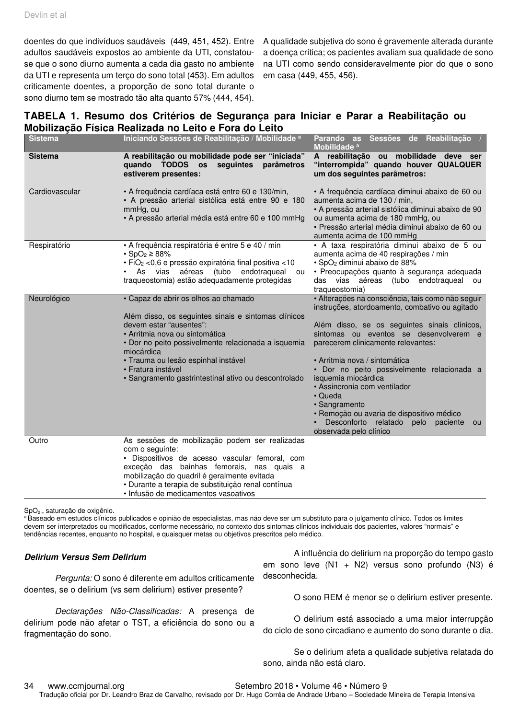doentes do que indivíduos saudáveis (449, 451, 452). Entre adultos saudáveis expostos ao ambiente da UTI, constatouse que o sono diurno aumenta a cada dia gasto no ambiente da UTI e representa um terço do sono total (453). Em adultos criticamente doentes, a proporção de sono total durante o sono diurno tem se mostrado tão alta quanto 57% (444, 454).

A qualidade subjetiva do sono é gravemente alterada durante a doença crítica; os pacientes avaliam sua qualidade de sono na UTI como sendo consideravelmente pior do que o sono em casa (449, 455, 456).

## **TABELA 1. Resumo dos Critérios de Segurança para Iniciar e Parar a Reabilitação ou Mobilização Física Realizada no Leito e Fora do Leito**

| <b>Sistema</b> | Iniciando Sessões de Reabilitação / Mobilidade a                                                                                                                                                                                                                                                                                                   | Parando as Sessões de Reabilitação /<br>Mobilidade <sup>a</sup>                                                                                                                                                                                                                                                                                                                                                                                                                                                          |
|----------------|----------------------------------------------------------------------------------------------------------------------------------------------------------------------------------------------------------------------------------------------------------------------------------------------------------------------------------------------------|--------------------------------------------------------------------------------------------------------------------------------------------------------------------------------------------------------------------------------------------------------------------------------------------------------------------------------------------------------------------------------------------------------------------------------------------------------------------------------------------------------------------------|
| <b>Sistema</b> | A reabilitação ou mobilidade pode ser "iniciada"<br>quando TODOS os seguintes parâmetros<br>estiverem presentes:                                                                                                                                                                                                                                   | A reabilitação ou mobilidade deve ser<br>"interrompida" quando houver QUALQUER<br>um dos seguintes parâmetros:                                                                                                                                                                                                                                                                                                                                                                                                           |
| Cardiovascular | • A frequência cardíaca está entre 60 e 130/min,<br>· A pressão arterial sistólica está entre 90 e 180<br>mmHg, ou<br>• A pressão arterial média está entre 60 e 100 mmHg                                                                                                                                                                          | • A frequência cardíaca diminui abaixo de 60 ou<br>aumenta acima de 130 / min,<br>• A pressão arterial sistólica diminui abaixo de 90<br>ou aumenta acima de 180 mmHg, ou<br>· Pressão arterial média diminui abaixo de 60 ou<br>aumenta acima de 100 mmHg                                                                                                                                                                                                                                                               |
| Respiratório   | • A frequência respiratória é entre 5 e 40 / min<br>$\cdot$ SpO <sub>2</sub> $\geq$ 88%<br>· FiO <sub>2</sub> < 0,6 e pressão expiratória final positiva < 10<br>As vias aéreas (tubo endotraqueal ou<br>traqueostomia) estão adequadamente protegidas                                                                                             | · A taxa respiratória diminui abaixo de 5 ou<br>aumenta acima de 40 respirações / min<br>· SpO <sub>2</sub> diminui abaixo de 88%<br>· Preocupações quanto à segurança adequada<br>das vias aéreas (tubo endotraqueal ou<br>traqueostomia)                                                                                                                                                                                                                                                                               |
| Neurológico    | • Capaz de abrir os olhos ao chamado<br>Além disso, os seguintes sinais e sintomas clínicos<br>devem estar "ausentes":<br>• Arritmia nova ou sintomática<br>· Dor no peito possivelmente relacionada a isquemia<br>miocárdica<br>· Trauma ou lesão espinhal instável<br>• Fratura instável<br>· Sangramento gastrintestinal ativo ou descontrolado | · Alterações na consciência, tais como não seguir<br>instruções, atordoamento, combativo ou agitado<br>Além disso, se os seguintes sinais clínicos,<br>sintomas ou eventos se desenvolverem e<br>parecerem clinicamente relevantes:<br>· Arritmia nova / sintomática<br>· Dor no peito possivelmente relacionada a<br>isquemia miocárdica<br>• Assincronia com ventilador<br>• Queda<br>· Sangramento<br>· Remoção ou avaria de dispositivo médico<br>Desconforto relatado pelo paciente<br>ou<br>observada pelo clínico |
| Outro          | As sessões de mobilização podem ser realizadas<br>com o seguinte:<br>• Dispositivos de acesso vascular femoral, com<br>exceção das bainhas femorais, nas quais a<br>mobilização do quadril é geralmente evitada<br>· Durante a terapia de substituição renal contínua<br>· Infusão de medicamentos vasoativos                                      |                                                                                                                                                                                                                                                                                                                                                                                                                                                                                                                          |

SpO<sub>2</sub> = saturação de oxigênio.

a Baseado em estudos clínicos publicados e opinião de especialistas, mas não deve ser um substituto para o julgamento clínico. Todos os limites devem ser interpretados ou modificados, conforme necessário, no contexto dos sintomas clínicos individuais dos pacientes, valores "normais" e tendências recentes, enquanto no hospital, e quaisquer metas ou objetivos prescritos pelo médico.

#### **Delirium Versus Sem Delirium**

Pergunta: O sono é diferente em adultos criticamente doentes, se o delirium (vs sem delirium) estiver presente?

Declarações Não-Classificadas: A presença de delirium pode não afetar o TST, a eficiência do sono ou a fragmentação do sono.

A influência do delirium na proporção do tempo gasto em sono leve (N1 + N2) versus sono profundo (N3) é desconhecida.

O sono REM é menor se o delirium estiver presente.

O delirium está associado a uma maior interrupção do ciclo de sono circadiano e aumento do sono durante o dia.

Se o delirium afeta a qualidade subjetiva relatada do sono, ainda não está claro.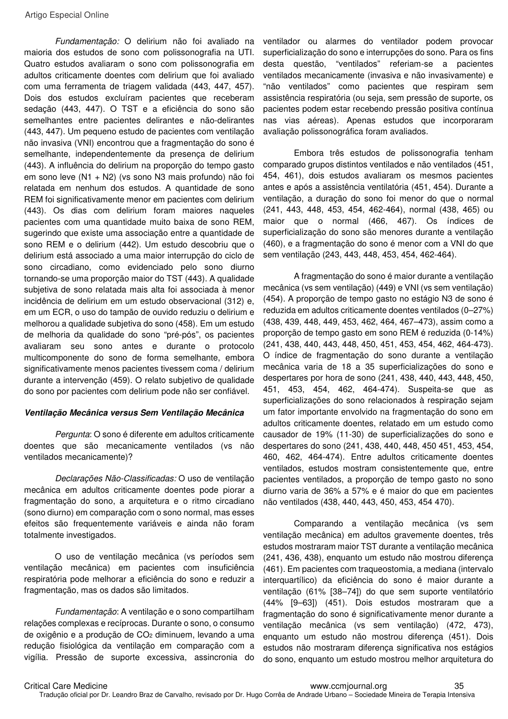Fundamentação: O delirium não foi avaliado na maioria dos estudos de sono com polissonografia na UTI. Quatro estudos avaliaram o sono com polissonografia em adultos criticamente doentes com delirium que foi avaliado com uma ferramenta de triagem validada (443, 447, 457). Dois dos estudos excluíram pacientes que receberam sedação (443, 447). O TST e a eficiência do sono são semelhantes entre pacientes delirantes e não-delirantes (443, 447). Um pequeno estudo de pacientes com ventilação não invasiva (VNI) encontrou que a fragmentação do sono é semelhante, independentemente da presença de delirium (443). A influência do delirium na proporção do tempo gasto em sono leve (N1 + N2) (vs sono N3 mais profundo) não foi relatada em nenhum dos estudos. A quantidade de sono REM foi significativamente menor em pacientes com delirium (443). Os dias com delirium foram maiores naqueles pacientes com uma quantidade muito baixa de sono REM, sugerindo que existe uma associação entre a quantidade de sono REM e o delirium (442). Um estudo descobriu que o delirium está associado a uma maior interrupção do ciclo de sono circadiano, como evidenciado pelo sono diurno tornando-se uma proporção maior do TST (443). A qualidade subjetiva de sono relatada mais alta foi associada à menor incidência de delirium em um estudo observacional (312) e, em um ECR, o uso do tampão de ouvido reduziu o delirium e melhorou a qualidade subjetiva do sono (458). Em um estudo de melhoria da qualidade do sono "pré-pós", os pacientes avaliaram seu sono antes e durante o protocolo multicomponente do sono de forma semelhante, embora significativamente menos pacientes tivessem coma / delirium durante a intervenção (459). O relato subjetivo de qualidade do sono por pacientes com delirium pode não ser confiável.

#### **Ventilação Mecânica versus Sem Ventilação Mecânica**

Pergunta: O sono é diferente em adultos criticamente doentes que são mecanicamente ventilados (vs não ventilados mecanicamente)?

Declarações Não-Classificadas: O uso de ventilação mecânica em adultos criticamente doentes pode piorar a fragmentação do sono, a arquitetura e o ritmo circadiano (sono diurno) em comparação com o sono normal, mas esses efeitos são frequentemente variáveis e ainda não foram totalmente investigados.

O uso de ventilação mecânica (vs períodos sem ventilação mecânica) em pacientes com insuficiência respiratória pode melhorar a eficiência do sono e reduzir a fragmentação, mas os dados são limitados.

Fundamentação: A ventilação e o sono compartilham relações complexas e recíprocas. Durante o sono, o consumo de oxigênio e a produção de CO<sub>2</sub> diminuem, levando a uma redução fisiológica da ventilação em comparação com a vigília. Pressão de suporte excessiva, assincronia do ventilador ou alarmes do ventilador podem provocar superficialização do sono e interrupções do sono. Para os fins desta questão, "ventilados" referiam-se a pacientes ventilados mecanicamente (invasiva e não invasivamente) e "não ventilados" como pacientes que respiram sem assistência respiratória (ou seja, sem pressão de suporte, os pacientes podem estar recebendo pressão positiva contínua nas vias aéreas). Apenas estudos que incorporaram avaliação polissonográfica foram avaliados.

Embora três estudos de polissonografia tenham comparado grupos distintos ventilados e não ventilados (451, 454, 461), dois estudos avaliaram os mesmos pacientes antes e após a assistência ventilatória (451, 454). Durante a ventilação, a duração do sono foi menor do que o normal (241, 443, 448, 453, 454, 462-464), normal (438, 465) ou maior que o normal (466, 467). Os índices de superficialização do sono são menores durante a ventilação (460), e a fragmentação do sono é menor com a VNI do que sem ventilação (243, 443, 448, 453, 454, 462-464).

A fragmentação do sono é maior durante a ventilação mecânica (vs sem ventilação) (449) e VNI (vs sem ventilação) (454). A proporção de tempo gasto no estágio N3 de sono é reduzida em adultos criticamente doentes ventilados (0–27%) (438, 439, 448, 449, 453, 462, 464, 467–473), assim como a proporção de tempo gasto em sono REM é reduzida (0-14%) (241, 438, 440, 443, 448, 450, 451, 453, 454, 462, 464-473). O índice de fragmentação do sono durante a ventilação mecânica varia de 18 a 35 superficializações do sono e despertares por hora de sono (241, 438, 440, 443, 448, 450, 451, 453, 454, 462, 464-474). Suspeita-se que as superficializações do sono relacionados à respiração sejam um fator importante envolvido na fragmentação do sono em adultos criticamente doentes, relatado em um estudo como causador de 19% (11-30) de superficializações do sono e despertares do sono (241, 438, 440, 448, 450 451, 453, 454, 460, 462, 464-474). Entre adultos criticamente doentes ventilados, estudos mostram consistentemente que, entre pacientes ventilados, a proporção de tempo gasto no sono diurno varia de 36% a 57% e é maior do que em pacientes não ventilados (438, 440, 443, 450, 453, 454 470).

Comparando a ventilação mecânica (vs sem ventilação mecânica) em adultos gravemente doentes, três estudos mostraram maior TST durante a ventilação mecânica (241, 436, 438), enquanto um estudo não mostrou diferença (461). Em pacientes com traqueostomia, a mediana (intervalo interquartílico) da eficiência do sono é maior durante a ventilação (61% [38–74]) do que sem suporte ventilatório (44% [9–63]) (451). Dois estudos mostraram que a fragmentação do sono é significativamente menor durante a ventilação mecânica (vs sem ventilação) (472, 473), enquanto um estudo não mostrou diferença (451). Dois estudos não mostraram diferença significativa nos estágios do sono, enquanto um estudo mostrou melhor arquitetura do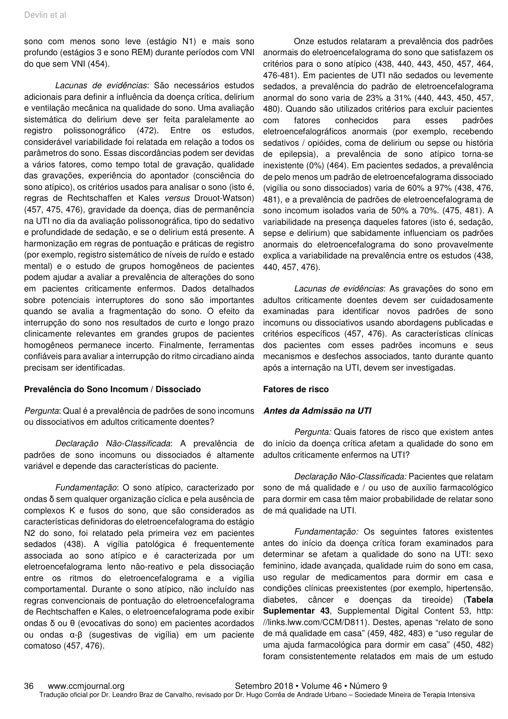sono com menos sono leve (estágio N1) e mais sono profundo (estágios 3 e sono REM) durante períodos com VNI do que sem VNI (454).

Lacunas de evidências: São necessários estudos adicionais para definir a influência da doença crítica, delirium e ventilação mecânica na qualidade do sono. Uma avaliação sistemática do delirium deve ser feita paralelamente ao registro polissonográfico (472). Entre os estudos, considerável variabilidade foi relatada em relação a todos os parâmetros do sono. Essas discordâncias podem ser devidas a vários fatores, como tempo total de gravação, qualidade das gravações, experiência do apontador (consciência do sono atípico), os critérios usados para analisar o sono (isto é, regras de Rechtschaffen et Kales versus Drouot-Watson) (457, 475, 476), gravidade da doença, dias de permanência na UTI no dia da avaliação polissonográfica, tipo do sedativo e profundidade de sedação, e se o delirium está presente. A harmonização em regras de pontuação e práticas de registro (por exemplo, registro sistemático de níveis de ruído e estado mental) e o estudo de grupos homogêneos de pacientes podem ajudar a avaliar a prevalência de alterações do sono em pacientes criticamente enfermos. Dados detalhados sobre potenciais interruptores do sono são importantes quando se avalia a fragmentação do sono. O efeito da interrupção do sono nos resultados de curto e longo prazo clinicamente relevantes em grandes grupos de pacientes homogêneos permanece incerto. Finalmente, ferramentas confiáveis para avaliar a interrupção do ritmo circadiano ainda precisam ser identificadas.

#### **Prevalência do Sono Incomum / Dissociado**

Pergunta: Qual é a prevalência de padrões de sono incomuns ou dissociativos em adultos criticamente doentes?

Declaração Não-Classificada: A prevalência de padrões de sono incomuns ou dissociados é altamente variável e depende das características do paciente.

Fundamentação: O sono atípico, caracterizado por ondas δ sem qualquer organização cíclica e pela ausência de complexos K e fusos do sono, que são considerados as características definidoras do eletroencefalograma do estágio N2 do sono, foi relatado pela primeira vez em pacientes sedados (438). A vigília patológica é frequentemente associada ao sono atípico e é caracterizada por um eletroencefalograma lento não-reativo e pela dissociação entre os ritmos do eletroencefalograma e a vigília comportamental. Durante o sono atípico, não incluído nas regras convencionais de pontuação do eletroencefalograma de Rechtschaffen e Kales, o eletroencefalograma pode exibir ondas δ ou θ (evocativas do sono) em pacientes acordados ou ondas α-β (sugestivas de vigília) em um paciente comatoso (457, 476).

Onze estudos relataram a prevalência dos padrões anormais do eletroencefalograma do sono que satisfazem os critérios para o sono atípico (438, 440, 443, 450, 457, 464, 476-481). Em pacientes de UTI não sedados ou levemente sedados, a prevalência do padrão de eletroencefalograma anormal do sono varia de 23% a 31% (440, 443, 450, 457, 480). Quando são utilizados critérios para excluir pacientes com fatores conhecidos para esses padrões eletroencefalográficos anormais (por exemplo, recebendo sedativos / opióides, coma de delirium ou sepse ou história de epilepsia), a prevalência de sono atípico torna-se inexistente (0%) (464). Em pacientes sedados, a prevalência de pelo menos um padrão de eletroencefalograma dissociado (vigília ou sono dissociados) varia de 60% a 97% (438, 476, 481), e a prevalência de padrões de eletroencefalograma de sono incomum isolados varia de 50% a 70%. (475, 481). A variabilidade na presença daqueles fatores (isto é, sedação, sepse e delirium) que sabidamente influenciam os padrões anormais do eletroencefalograma do sono provavelmente explica a variabilidade na prevalência entre os estudos (438, 440, 457, 476).

Lacunas de evidências: As gravações do sono em adultos criticamente doentes devem ser cuidadosamente examinadas para identificar novos padrões de sono incomuns ou dissociativos usando abordagens publicadas e critérios específicos (457, 476). As características clínicas dos pacientes com esses padrões incomuns e seus mecanismos e desfechos associados, tanto durante quanto após a internação na UTI, devem ser investigadas.

#### **Fatores de risco**

#### **Antes da Admissão na UTI**

Pergunta: Quais fatores de risco que existem antes do início da doença crítica afetam a qualidade do sono em adultos criticamente enfermos na UTI?

Declaração Não-Classificada: Pacientes que relatam sono de má qualidade e / ou uso de auxílio farmacológico para dormir em casa têm maior probabilidade de relatar sono de má qualidade na UTI.

Fundamentação: Os seguintes fatores existentes antes do início da doença crítica foram examinados para determinar se afetam a qualidade do sono na UTI: sexo feminino, idade avançada, qualidade ruim do sono em casa, uso regular de medicamentos para dormir em casa e condições clínicas preexistentes (por exemplo, hipertensão, diabetes, câncer e doenças da tireoide) (**Tabela Suplementar 43**, Supplemental Digital Content 53, http: //links.lww.com/CCM/D811). Destes, apenas "relato de sono de má qualidade em casa" (459, 482, 483) e "uso regular de uma ajuda farmacológica para dormir em casa" (450, 482) foram consistentemente relatados em mais de um estudo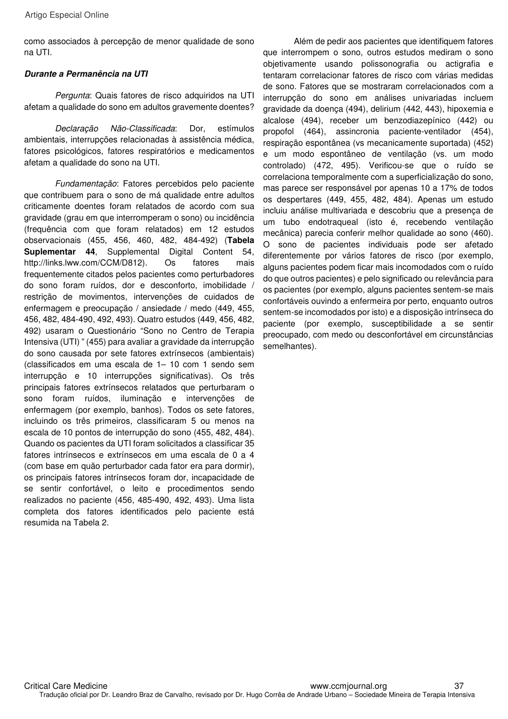como associados à percepção de menor qualidade de sono na UTI.

#### **Durante a Permanência na UTI**

Pergunta: Quais fatores de risco adquiridos na UTI afetam a qualidade do sono em adultos gravemente doentes?

Declaração Não-Classificada: Dor, estímulos ambientais, interrupções relacionadas à assistência médica, fatores psicológicos, fatores respiratórios e medicamentos afetam a qualidade do sono na UTI.

Fundamentação: Fatores percebidos pelo paciente que contribuem para o sono de má qualidade entre adultos criticamente doentes foram relatados de acordo com sua gravidade (grau em que interromperam o sono) ou incidência (frequência com que foram relatados) em 12 estudos observacionais (455, 456, 460, 482, 484-492) (**Tabela Suplementar 44**, Supplemental Digital Content 54, http://links.lww.com/CCM/D812). Os fatores mais frequentemente citados pelos pacientes como perturbadores do sono foram ruídos, dor e desconforto, imobilidade / restrição de movimentos, intervenções de cuidados de enfermagem e preocupação / ansiedade / medo (449, 455, 456, 482, 484-490, 492, 493). Quatro estudos (449, 456, 482, 492) usaram o Questionário "Sono no Centro de Terapia Intensiva (UTI) " (455) para avaliar a gravidade da interrupção do sono causada por sete fatores extrínsecos (ambientais) (classificados em uma escala de 1– 10 com 1 sendo sem interrupção e 10 interrupções significativas). Os três principais fatores extrínsecos relatados que perturbaram o sono foram ruídos, iluminação e intervenções de enfermagem (por exemplo, banhos). Todos os sete fatores, incluindo os três primeiros, classificaram 5 ou menos na escala de 10 pontos de interrupção do sono (455, 482, 484). Quando os pacientes da UTI foram solicitados a classificar 35 fatores intrínsecos e extrínsecos em uma escala de 0 a 4 (com base em quão perturbador cada fator era para dormir), os principais fatores intrínsecos foram dor, incapacidade de se sentir confortável, o leito e procedimentos sendo realizados no paciente (456, 485-490, 492, 493). Uma lista completa dos fatores identificados pelo paciente está resumida na Tabela 2.

Além de pedir aos pacientes que identifiquem fatores que interrompem o sono, outros estudos mediram o sono objetivamente usando polissonografia ou actigrafia e tentaram correlacionar fatores de risco com várias medidas de sono. Fatores que se mostraram correlacionados com a interrupção do sono em análises univariadas incluem gravidade da doença (494), delirium (442, 443), hipoxemia e alcalose (494), receber um benzodiazepínico (442) ou propofol (464), assincronia paciente-ventilador (454), respiração espontânea (vs mecanicamente suportada) (452) e um modo espontâneo de ventilação (vs. um modo controlado) (472, 495). Verificou-se que o ruído se correlaciona temporalmente com a superficialização do sono, mas parece ser responsável por apenas 10 a 17% de todos os despertares (449, 455, 482, 484). Apenas um estudo incluiu análise multivariada e descobriu que a presença de um tubo endotraqueal (isto é, recebendo ventilação mecânica) parecia conferir melhor qualidade ao sono (460). O sono de pacientes individuais pode ser afetado diferentemente por vários fatores de risco (por exemplo, alguns pacientes podem ficar mais incomodados com o ruído do que outros pacientes) e pelo significado ou relevância para os pacientes (por exemplo, alguns pacientes sentem-se mais confortáveis ouvindo a enfermeira por perto, enquanto outros sentem-se incomodados por isto) e a disposição intrínseca do paciente (por exemplo, susceptibilidade a se sentir preocupado, com medo ou desconfortável em circunstâncias semelhantes).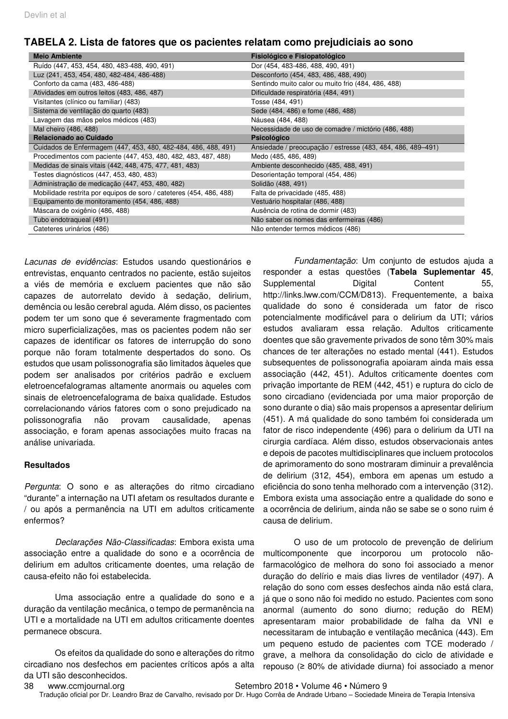| <b>Meio Ambiente</b>                                                | Fisiológico e Fisiopatológico                               |  |
|---------------------------------------------------------------------|-------------------------------------------------------------|--|
| Ruído (447, 453, 454, 480, 483-488, 490, 491)                       | Dor (454, 483-486, 488, 490, 491)                           |  |
| Luz (241, 453, 454, 480, 482-484, 486-488)                          | Desconforto (454, 483, 486, 488, 490)                       |  |
| Conforto da cama (483, 486-488)                                     | Sentindo muito calor ou muito frio (484, 486, 488)          |  |
| Atividades em outros leitos (483, 486, 487)                         | Dificuldade respiratória (484, 491)                         |  |
| Visitantes (clínico ou familiar) (483)                              | Tosse (484, 491)                                            |  |
| Sistema de ventilação do quarto (483)                               | Sede (484, 486) e fome (486, 488)                           |  |
| Lavagem das mãos pelos médicos (483)                                | Náusea (484, 488)                                           |  |
| Mal cheiro (486, 488)                                               | Necessidade de uso de comadre / mictório (486, 488)         |  |
| Relacionado ao Cuidado                                              | <b>Psicológico</b>                                          |  |
| Cuidados de Enfermagem (447, 453, 480, 482-484, 486, 488, 491)      | Ansiedade / preocupação / estresse (483, 484, 486, 489-491) |  |
| Procedimentos com paciente (447, 453, 480, 482, 483, 487, 488)      | Medo (485, 486, 489)                                        |  |
| Medidas de sinais vitais (442, 448, 475, 477, 481, 483)             | Ambiente desconhecido (485, 488, 491)                       |  |
| Testes diagnósticos (447, 453, 480, 483)                            | Desorientação temporal (454, 486)                           |  |
| Administração de medicação (447, 453, 480, 482)                     | Solidão (488, 491)                                          |  |
| Mobilidade restrita por equipos de soro / cateteres (454, 486, 488) | Falta de privacidade (485, 488)                             |  |
| Equipamento de monitoramento (454, 486, 488)                        | Vestuário hospitalar (486, 488)                             |  |
| Máscara de oxigênio (486, 488)                                      | Ausência de rotina de dormir (483)                          |  |
| Tubo endotraqueal (491)                                             | Não saber os nomes das enfermeiras (486)                    |  |
| Cateteres urinários (486)                                           | Não entender termos médicos (486)                           |  |

### **TABELA 2. Lista de fatores que os pacientes relatam como prejudiciais ao sono**

Lacunas de evidências: Estudos usando questionários e entrevistas, enquanto centrados no paciente, estão sujeitos a viés de memória e excluem pacientes que não são capazes de autorrelato devido à sedação, delirium, demência ou lesão cerebral aguda. Além disso, os pacientes podem ter um sono que é severamente fragmentado com micro superficializações, mas os pacientes podem não ser capazes de identificar os fatores de interrupção do sono porque não foram totalmente despertados do sono. Os estudos que usam polissonografia são limitados àqueles que podem ser analisados por critérios padrão e excluem eletroencefalogramas altamente anormais ou aqueles com sinais de eletroencefalograma de baixa qualidade. Estudos correlacionando vários fatores com o sono prejudicado na polissonografia não provam causalidade, apenas associação, e foram apenas associações muito fracas na análise univariada.

#### **Resultados**

Pergunta: O sono e as alterações do ritmo circadiano "durante" a internação na UTI afetam os resultados durante e / ou após a permanência na UTI em adultos criticamente enfermos?

Declarações Não-Classificadas: Embora exista uma associação entre a qualidade do sono e a ocorrência de delirium em adultos criticamente doentes, uma relação de causa-efeito não foi estabelecida.

Uma associação entre a qualidade do sono e a duração da ventilação mecânica, o tempo de permanência na UTI e a mortalidade na UTI em adultos criticamente doentes permanece obscura.

Os efeitos da qualidade do sono e alterações do ritmo circadiano nos desfechos em pacientes críticos após a alta da UTI são desconhecidos.

Fundamentação: Um conjunto de estudos ajuda a responder a estas questões (**Tabela Suplementar 45**, Supplemental Digital Content 55, http://links.lww.com/CCM/D813). Frequentemente, a baixa qualidade do sono é considerada um fator de risco potencialmente modificável para o delirium da UTI; vários estudos avaliaram essa relação. Adultos criticamente doentes que são gravemente privados de sono têm 30% mais chances de ter alterações no estado mental (441). Estudos subsequentes de polissonografia apoiaram ainda mais essa associação (442, 451). Adultos criticamente doentes com privação importante de REM (442, 451) e ruptura do ciclo de sono circadiano (evidenciada por uma maior proporção de sono durante o dia) são mais propensos a apresentar delirium (451). A má qualidade do sono também foi considerada um fator de risco independente (496) para o delirium da UTI na cirurgia cardíaca. Além disso, estudos observacionais antes e depois de pacotes multidisciplinares que incluem protocolos de aprimoramento do sono mostraram diminuir a prevalência de delirium (312, 454), embora em apenas um estudo a eficiência do sono tenha melhorado com a intervenção (312). Embora exista uma associação entre a qualidade do sono e a ocorrência de delirium, ainda não se sabe se o sono ruim é causa de delirium.

O uso de um protocolo de prevenção de delirium multicomponente que incorporou um protocolo nãofarmacológico de melhora do sono foi associado a menor duração do delírio e mais dias livres de ventilador (497). A relação do sono com esses desfechos ainda não está clara, já que o sono não foi medido no estudo. Pacientes com sono anormal (aumento do sono diurno; redução do REM) apresentaram maior probabilidade de falha da VNI e necessitaram de intubação e ventilação mecânica (443). Em um pequeno estudo de pacientes com TCE moderado / grave, a melhora da consolidação do ciclo de atividade e repouso (≥ 80% de atividade diurna) foi associado a menor

- 
- 38 www.ccmiournal.org Setembro 2018 Volume 46 Número 9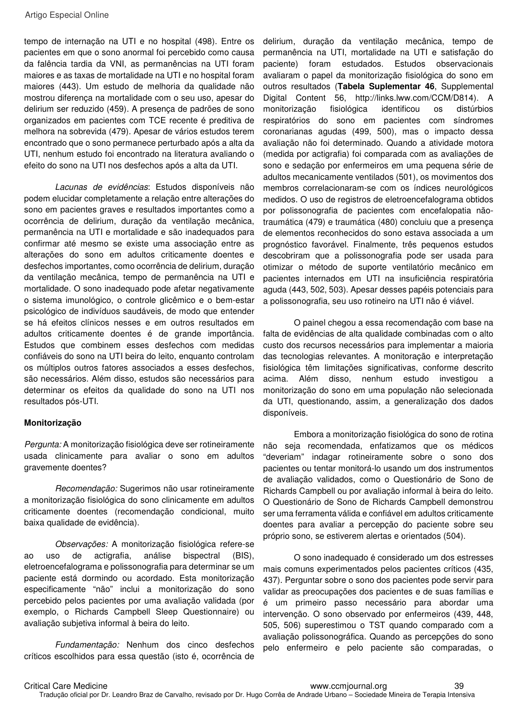tempo de internação na UTI e no hospital (498). Entre os pacientes em que o sono anormal foi percebido como causa da falência tardia da VNI, as permanências na UTI foram maiores e as taxas de mortalidade na UTI e no hospital foram maiores (443). Um estudo de melhoria da qualidade não mostrou diferença na mortalidade com o seu uso, apesar do delirium ser reduzido (459). A presença de padrões de sono organizados em pacientes com TCE recente é preditiva de melhora na sobrevida (479). Apesar de vários estudos terem encontrado que o sono permanece perturbado após a alta da UTI, nenhum estudo foi encontrado na literatura avaliando o efeito do sono na UTI nos desfechos após a alta da UTI.

Lacunas de evidências: Estudos disponíveis não podem elucidar completamente a relação entre alterações do sono em pacientes graves e resultados importantes como a ocorrência de delirium, duração da ventilação mecânica, permanência na UTI e mortalidade e são inadequados para confirmar até mesmo se existe uma associação entre as alterações do sono em adultos criticamente doentes e desfechos importantes, como ocorrência de delirium, duração da ventilação mecânica, tempo de permanência na UTI e mortalidade. O sono inadequado pode afetar negativamente o sistema imunológico, o controle glicêmico e o bem-estar psicológico de indivíduos saudáveis, de modo que entender se há efeitos clínicos nesses e em outros resultados em adultos criticamente doentes é de grande importância. Estudos que combinem esses desfechos com medidas confiáveis do sono na UTI beira do leito, enquanto controlam os múltiplos outros fatores associados a esses desfechos, são necessários. Além disso, estudos são necessários para determinar os efeitos da qualidade do sono na UTI nos resultados pós-UTI.

#### **Monitorização**

Pergunta: A monitorização fisiológica deve ser rotineiramente usada clinicamente para avaliar o sono em adultos gravemente doentes?

Recomendação: Sugerimos não usar rotineiramente a monitorização fisiológica do sono clinicamente em adultos criticamente doentes (recomendação condicional, muito baixa qualidade de evidência).

Observações: A monitorização fisiológica refere-se ao uso de actigrafia, análise bispectral (BIS), eletroencefalograma e polissonografia para determinar se um paciente está dormindo ou acordado. Esta monitorização especificamente "não" inclui a monitorização do sono percebido pelos pacientes por uma avaliação validada (por exemplo, o Richards Campbell Sleep Questionnaire) ou avaliação subjetiva informal à beira do leito.

Fundamentação: Nenhum dos cinco desfechos críticos escolhidos para essa questão (isto é, ocorrência de delirium, duração da ventilação mecânica, tempo de permanência na UTI, mortalidade na UTI e satisfação do paciente) foram estudados. Estudos observacionais avaliaram o papel da monitorização fisiológica do sono em outros resultados (**Tabela Suplementar 46**, Supplemental Digital Content 56, http://links.lww.com/CCM/D814). A monitorização fisiológica identificou os distúrbios respiratórios do sono em pacientes com síndromes coronarianas agudas (499, 500), mas o impacto dessa avaliação não foi determinado. Quando a atividade motora (medida por actigrafia) foi comparada com as avaliações de sono e sedação por enfermeiros em uma pequena série de adultos mecanicamente ventilados (501), os movimentos dos membros correlacionaram-se com os índices neurológicos medidos. O uso de registros de eletroencefalograma obtidos por polissonografia de pacientes com encefalopatia nãotraumática (479) e traumática (480) concluiu que a presença de elementos reconhecidos do sono estava associada a um prognóstico favorável. Finalmente, três pequenos estudos descobriram que a polissonografia pode ser usada para otimizar o método de suporte ventilatório mecânico em pacientes internados em UTI na insuficiência respiratória aguda (443, 502, 503). Apesar desses papéis potenciais para a polissonografia, seu uso rotineiro na UTI não é viável.

O painel chegou a essa recomendação com base na falta de evidências de alta qualidade combinadas com o alto custo dos recursos necessários para implementar a maioria das tecnologias relevantes. A monitoração e interpretação fisiológica têm limitações significativas, conforme descrito acima. Além disso, nenhum estudo investigou a monitorização do sono em uma população não selecionada da UTI, questionando, assim, a generalização dos dados disponíveis.

Embora a monitorização fisiológica do sono de rotina não seja recomendada, enfatizamos que os médicos "deveriam" indagar rotineiramente sobre o sono dos pacientes ou tentar monitorá-lo usando um dos instrumentos de avaliação validados, como o Questionário de Sono de Richards Campbell ou por avaliação informal à beira do leito. O Questionário de Sono de Richards Campbell demonstrou ser uma ferramenta válida e confiável em adultos criticamente doentes para avaliar a percepção do paciente sobre seu próprio sono, se estiverem alertas e orientados (504).

O sono inadequado é considerado um dos estresses mais comuns experimentados pelos pacientes críticos (435, 437). Perguntar sobre o sono dos pacientes pode servir para validar as preocupações dos pacientes e de suas famílias e é um primeiro passo necessário para abordar uma intervenção. O sono observado por enfermeiros (439, 448, 505, 506) superestimou o TST quando comparado com a avaliação polissonográfica. Quando as percepções do sono pelo enfermeiro e pelo paciente são comparadas, o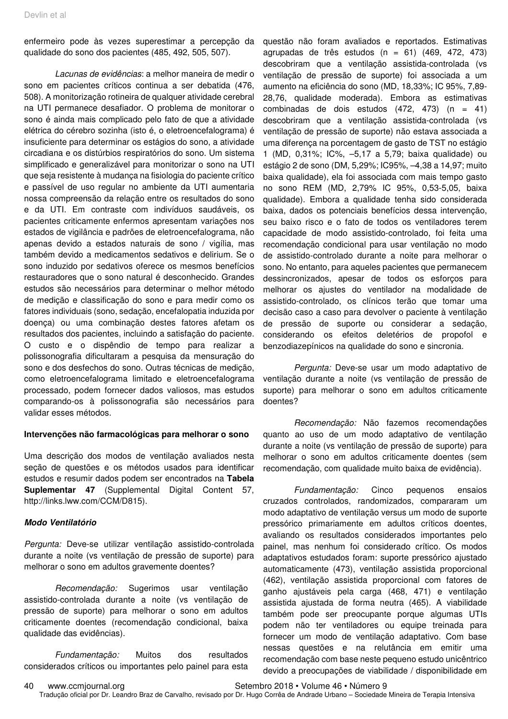enfermeiro pode às vezes superestimar a percepção da qualidade do sono dos pacientes (485, 492, 505, 507).

Lacunas de evidências: a melhor maneira de medir o sono em pacientes críticos continua a ser debatida (476, 508). A monitorização rotineira de qualquer atividade cerebral na UTI permanece desafiador. O problema de monitorar o sono é ainda mais complicado pelo fato de que a atividade elétrica do cérebro sozinha (isto é, o eletroencefalograma) é insuficiente para determinar os estágios do sono, a atividade circadiana e os distúrbios respiratórios do sono. Um sistema simplificado e generalizável para monitorizar o sono na UTI que seja resistente à mudança na fisiologia do paciente crítico e passível de uso regular no ambiente da UTI aumentaria nossa compreensão da relação entre os resultados do sono e da UTI. Em contraste com indivíduos saudáveis, os pacientes criticamente enfermos apresentam variações nos estados de vigilância e padrões de eletroencefalograma, não apenas devido a estados naturais de sono / vigília, mas também devido a medicamentos sedativos e delirium. Se o sono induzido por sedativos oferece os mesmos benefícios restauradores que o sono natural é desconhecido. Grandes estudos são necessários para determinar o melhor método de medição e classificação do sono e para medir como os fatores individuais (sono, sedação, encefalopatia induzida por doença) ou uma combinação destes fatores afetam os resultados dos pacientes, incluindo a satisfação do paciente. O custo e o dispêndio de tempo para realizar a polissonografia dificultaram a pesquisa da mensuração do sono e dos desfechos do sono. Outras técnicas de medição, como eletroencefalograma limitado e eletroencefalograma processado, podem fornecer dados valiosos, mas estudos comparando-os à polissonografia são necessários para validar esses métodos.

#### **Intervenções não farmacológicas para melhorar o sono**

Uma descrição dos modos de ventilação avaliados nesta seção de questões e os métodos usados para identificar estudos e resumir dados podem ser encontrados na **Tabela Suplementar 47** (Supplemental Digital Content 57, http://links.lww.com/CCM/D815).

#### **Modo Ventilatório**

Pergunta: Deve-se utilizar ventilação assistido-controlada durante a noite (vs ventilação de pressão de suporte) para melhorar o sono em adultos gravemente doentes?

Recomendação: Sugerimos usar ventilação assistido-controlada durante a noite (vs ventilação de pressão de suporte) para melhorar o sono em adultos criticamente doentes (recomendação condicional, baixa qualidade das evidências).

Fundamentação: Muitos dos resultados considerados críticos ou importantes pelo painel para esta questão não foram avaliados e reportados. Estimativas agrupadas de três estudos (n = 61)  $(469, 472, 473)$ descobriram que a ventilação assistida-controlada (vs ventilação de pressão de suporte) foi associada a um aumento na eficiência do sono (MD, 18,33%; IC 95%, 7,89- 28,76, qualidade moderada). Embora as estimativas combinadas de dois estudos (472, 473) (n = 41) descobriram que a ventilação assistida-controlada (vs ventilação de pressão de suporte) não estava associada a uma diferença na porcentagem de gasto de TST no estágio 1 (MD, 0,31%; IC%, –5,17 a 5,79; baixa qualidade) ou estágio 2 de sono (DM, 5,29%; IC95%, –4,38 a 14,97; muito baixa qualidade), ela foi associada com mais tempo gasto no sono REM (MD, 2,79% IC 95%, 0,53-5,05, baixa qualidade). Embora a qualidade tenha sido considerada baixa, dados os potenciais benefícios dessa intervenção, seu baixo risco e o fato de todos os ventiladores terem capacidade de modo assistido-controlado, foi feita uma recomendação condicional para usar ventilação no modo de assistido-controlado durante a noite para melhorar o sono. No entanto, para aqueles pacientes que permanecem dessincronizados, apesar de todos os esforços para melhorar os ajustes do ventilador na modalidade de assistido-controlado, os clínicos terão que tomar uma decisão caso a caso para devolver o paciente à ventilação de pressão de suporte ou considerar a sedação, considerando os efeitos deletérios de propofol e benzodiazepínicos na qualidade do sono e sincronia.

Pergunta: Deve-se usar um modo adaptativo de ventilação durante a noite (vs ventilação de pressão de suporte) para melhorar o sono em adultos criticamente doentes?

Recomendação: Não fazemos recomendações quanto ao uso de um modo adaptativo de ventilação durante a noite (vs ventilação de pressão de suporte) para melhorar o sono em adultos criticamente doentes (sem recomendação, com qualidade muito baixa de evidência).

Fundamentação: Cinco pequenos ensaios cruzados controlados, randomizados, compararam um modo adaptativo de ventilação versus um modo de suporte pressórico primariamente em adultos críticos doentes, avaliando os resultados considerados importantes pelo painel, mas nenhum foi considerado crítico. Os modos adaptativos estudados foram: suporte pressórico ajustado automaticamente (473), ventilação assistida proporcional (462), ventilação assistida proporcional com fatores de ganho ajustáveis pela carga (468, 471) e ventilação assistida ajustada de forma neutra (465). A viabilidade também pode ser preocupante porque algumas UTIs podem não ter ventiladores ou equipe treinada para fornecer um modo de ventilação adaptativo. Com base nessas questões e na relutância em emitir uma recomendação com base neste pequeno estudo unicêntrico devido a preocupações de viabilidade / disponibilidade em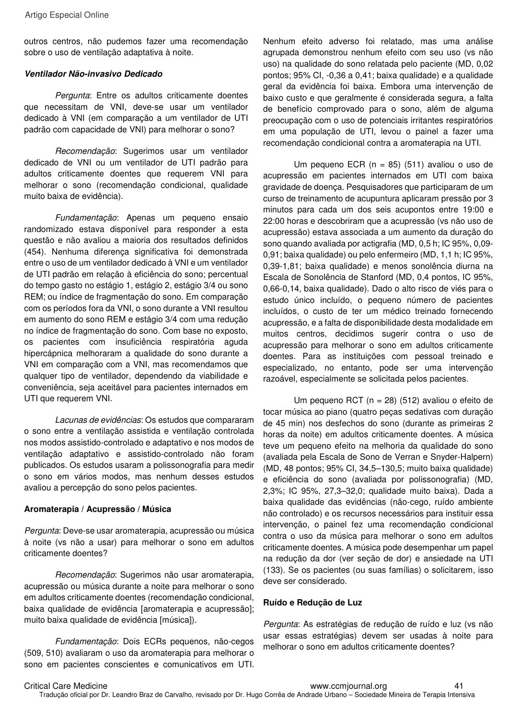outros centros, não pudemos fazer uma recomendação sobre o uso de ventilação adaptativa à noite.

#### **Ventilador Não-invasivo Dedicado**

Pergunta: Entre os adultos criticamente doentes que necessitam de VNI, deve-se usar um ventilador dedicado à VNI (em comparação a um ventilador de UTI padrão com capacidade de VNI) para melhorar o sono?

Recomendação: Sugerimos usar um ventilador dedicado de VNI ou um ventilador de UTI padrão para adultos criticamente doentes que requerem VNI para melhorar o sono (recomendação condicional, qualidade muito baixa de evidência).

Fundamentação: Apenas um pequeno ensaio randomizado estava disponível para responder a esta questão e não avaliou a maioria dos resultados definidos (454). Nenhuma diferença significativa foi demonstrada entre o uso de um ventilador dedicado à VNI e um ventilador de UTI padrão em relação à eficiência do sono; percentual do tempo gasto no estágio 1, estágio 2, estágio 3/4 ou sono REM; ou índice de fragmentação do sono. Em comparação com os períodos fora da VNI, o sono durante a VNI resultou em aumento do sono REM e estágio 3/4 com uma redução no índice de fragmentação do sono. Com base no exposto, os pacientes com insuficiência respiratória aguda hipercápnica melhoraram a qualidade do sono durante a VNI em comparação com a VNI, mas recomendamos que qualquer tipo de ventilador, dependendo da viabilidade e conveniência, seja aceitável para pacientes internados em UTI que requerem VNI.

Lacunas de evidências: Os estudos que compararam o sono entre a ventilação assistida e ventilação controlada nos modos assistido-controlado e adaptativo e nos modos de ventilação adaptativo e assistido-controlado não foram publicados. Os estudos usaram a polissonografia para medir o sono em vários modos, mas nenhum desses estudos avaliou a percepção do sono pelos pacientes.

#### **Aromaterapia / Acupressão / Música**

Pergunta: Deve-se usar aromaterapia, acupressão ou música à noite (vs não a usar) para melhorar o sono em adultos criticamente doentes?

Recomendação: Sugerimos não usar aromaterapia, acupressão ou música durante a noite para melhorar o sono em adultos criticamente doentes (recomendação condicional, baixa qualidade de evidência [aromaterapia e acupressão]; muito baixa qualidade de evidência [música]).

Fundamentação: Dois ECRs pequenos, não-cegos (509, 510) avaliaram o uso da aromaterapia para melhorar o sono em pacientes conscientes e comunicativos em UTI.

Nenhum efeito adverso foi relatado, mas uma análise agrupada demonstrou nenhum efeito com seu uso (vs não uso) na qualidade do sono relatada pelo paciente (MD, 0,02 pontos; 95% CI, -0,36 a 0,41; baixa qualidade) e a qualidade geral da evidência foi baixa. Embora uma intervenção de baixo custo e que geralmente é considerada segura, a falta de benefício comprovado para o sono, além de alguma preocupação com o uso de potenciais irritantes respiratórios em uma população de UTI, levou o painel a fazer uma recomendação condicional contra a aromaterapia na UTI.

Um pequeno ECR (n = 85) (511) avaliou o uso de acupressão em pacientes internados em UTI com baixa gravidade de doença. Pesquisadores que participaram de um curso de treinamento de acupuntura aplicaram pressão por 3 minutos para cada um dos seis acupontos entre 19:00 e 22:00 horas e descobriram que a acupressão (vs não uso de acupressão) estava associada a um aumento da duração do sono quando avaliada por actigrafia (MD, 0,5 h; IC 95%, 0,09- 0,91; baixa qualidade) ou pelo enfermeiro (MD, 1,1 h; IC 95%, 0,39-1,81; baixa qualidade) e menos sonolência diurna na Escala de Sonolência de Stanford (MD, 0,4 pontos, IC 95%, 0,66-0,14, baixa qualidade). Dado o alto risco de viés para o estudo único incluído, o pequeno número de pacientes incluídos, o custo de ter um médico treinado fornecendo acupressão, e a falta de disponibilidade desta modalidade em muitos centros, decidimos sugerir contra o uso de acupressão para melhorar o sono em adultos criticamente doentes. Para as instituições com pessoal treinado e especializado, no entanto, pode ser uma intervenção razoável, especialmente se solicitada pelos pacientes.

Um pequeno RCT (n = 28) (512) avaliou o efeito de tocar música ao piano (quatro peças sedativas com duração de 45 min) nos desfechos do sono (durante as primeiras 2 horas da noite) em adultos criticamente doentes. A música teve um pequeno efeito na melhoria da qualidade do sono (avaliada pela Escala de Sono de Verran e Snyder-Halpern) (MD, 48 pontos; 95% CI, 34,5–130,5; muito baixa qualidade) e eficiência do sono (avaliada por polissonografia) (MD, 2,3%; IC 95%, 27,3–32,0; qualidade muito baixa). Dada a baixa qualidade das evidências (não-cego, ruído ambiente não controlado) e os recursos necessários para instituir essa intervenção, o painel fez uma recomendação condicional contra o uso da música para melhorar o sono em adultos criticamente doentes. A música pode desempenhar um papel na redução da dor (ver seção de dor) e ansiedade na UTI (133). Se os pacientes (ou suas famílias) o solicitarem, isso deve ser considerado.

#### **Ruído e Redução de Luz**

Pergunta: As estratégias de redução de ruído e luz (vs não usar essas estratégias) devem ser usadas à noite para melhorar o sono em adultos criticamente doentes?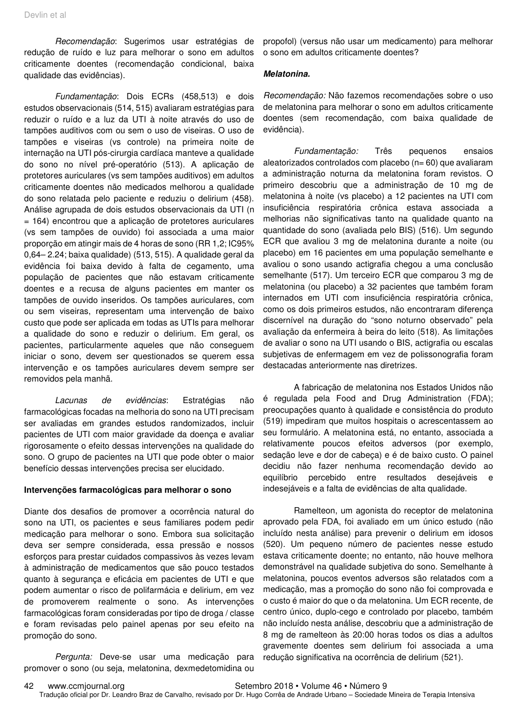Recomendação: Sugerimos usar estratégias de redução de ruído e luz para melhorar o sono em adultos criticamente doentes (recomendação condicional, baixa qualidade das evidências).

Fundamentação: Dois ECRs (458,513) e dois estudos observacionais (514, 515) avaliaram estratégias para reduzir o ruído e a luz da UTI à noite através do uso de tampões auditivos com ou sem o uso de viseiras. O uso de tampões e viseiras (vs controle) na primeira noite de internação na UTI pós-cirurgia cardíaca manteve a qualidade do sono no nível pré-operatório (513). A aplicação de protetores auriculares (vs sem tampões auditivos) em adultos criticamente doentes não medicados melhorou a qualidade do sono relatada pelo paciente e reduziu o delirium (458). Análise agrupada de dois estudos observacionais da UTI (n = 164) encontrou que a aplicação de protetores auriculares (vs sem tampões de ouvido) foi associada a uma maior proporção em atingir mais de 4 horas de sono (RR 1,2; IC95% 0,64– 2.24; baixa qualidade) (513, 515). A qualidade geral da evidência foi baixa devido à falta de cegamento, uma população de pacientes que não estavam criticamente doentes e a recusa de alguns pacientes em manter os tampões de ouvido inseridos. Os tampões auriculares, com ou sem viseiras, representam uma intervenção de baixo custo que pode ser aplicada em todas as UTIs para melhorar a qualidade do sono e reduzir o delirium. Em geral, os pacientes, particularmente aqueles que não conseguem iniciar o sono, devem ser questionados se querem essa intervenção e os tampões auriculares devem sempre ser removidos pela manhã.

Lacunas de evidências: Estratégias não farmacológicas focadas na melhoria do sono na UTI precisam ser avaliadas em grandes estudos randomizados, incluir pacientes de UTI com maior gravidade da doença e avaliar rigorosamente o efeito dessas intervenções na qualidade do sono. O grupo de pacientes na UTI que pode obter o maior benefício dessas intervenções precisa ser elucidado.

#### **Intervenções farmacológicas para melhorar o sono**

Diante dos desafios de promover a ocorrência natural do sono na UTI, os pacientes e seus familiares podem pedir medicação para melhorar o sono. Embora sua solicitação deva ser sempre considerada, essa pressão e nossos esforços para prestar cuidados compassivos às vezes levam à administração de medicamentos que são pouco testados quanto à segurança e eficácia em pacientes de UTI e que podem aumentar o risco de polifarmácia e delirium, em vez de promoverem realmente o sono. As intervenções farmacológicas foram consideradas por tipo de droga / classe e foram revisadas pelo painel apenas por seu efeito na promoção do sono.

Pergunta: Deve-se usar uma medicação para promover o sono (ou seja, melatonina, dexmedetomidina ou

propofol) (versus não usar um medicamento) para melhorar o sono em adultos criticamente doentes?

#### **Melatonina.**

Recomendação: Não fazemos recomendações sobre o uso de melatonina para melhorar o sono em adultos criticamente doentes (sem recomendação, com baixa qualidade de evidência).

Fundamentação: Três pequenos ensaios aleatorizados controlados com placebo (n= 60) que avaliaram a administração noturna da melatonina foram revistos. O primeiro descobriu que a administração de 10 mg de melatonina à noite (vs placebo) a 12 pacientes na UTI com insuficiência respiratória crônica estava associada a melhorias não significativas tanto na qualidade quanto na quantidade do sono (avaliada pelo BIS) (516). Um segundo ECR que avaliou 3 mg de melatonina durante a noite (ou placebo) em 16 pacientes em uma população semelhante e avaliou o sono usando actigrafia chegou a uma conclusão semelhante (517). Um terceiro ECR que comparou 3 mg de melatonina (ou placebo) a 32 pacientes que também foram internados em UTI com insuficiência respiratória crônica, como os dois primeiros estudos, não encontraram diferença discernível na duração do "sono noturno observado" pela avaliação da enfermeira à beira do leito (518). As limitações de avaliar o sono na UTI usando o BIS, actigrafia ou escalas subjetivas de enfermagem em vez de polissonografia foram destacadas anteriormente nas diretrizes.

A fabricação de melatonina nos Estados Unidos não é regulada pela Food and Drug Administration (FDA); preocupações quanto à qualidade e consistência do produto (519) impediram que muitos hospitais o acrescentassem ao seu formulário. A melatonina está, no entanto, associada a relativamente poucos efeitos adversos (por exemplo, sedação leve e dor de cabeça) e é de baixo custo. O painel decidiu não fazer nenhuma recomendação devido ao equilíbrio percebido entre resultados desejáveis e indesejáveis e a falta de evidências de alta qualidade.

Ramelteon, um agonista do receptor de melatonina aprovado pela FDA, foi avaliado em um único estudo (não incluído nesta análise) para prevenir o delirium em idosos (520). Um pequeno número de pacientes nesse estudo estava criticamente doente; no entanto, não houve melhora demonstrável na qualidade subjetiva do sono. Semelhante à melatonina, poucos eventos adversos são relatados com a medicação, mas a promoção do sono não foi comprovada e o custo é maior do que o da melatonina. Um ECR recente, de centro único, duplo-cego e controlado por placebo, também não incluído nesta análise, descobriu que a administração de 8 mg de ramelteon às 20:00 horas todos os dias a adultos gravemente doentes sem delirium foi associada a uma redução significativa na ocorrência de delirium (521).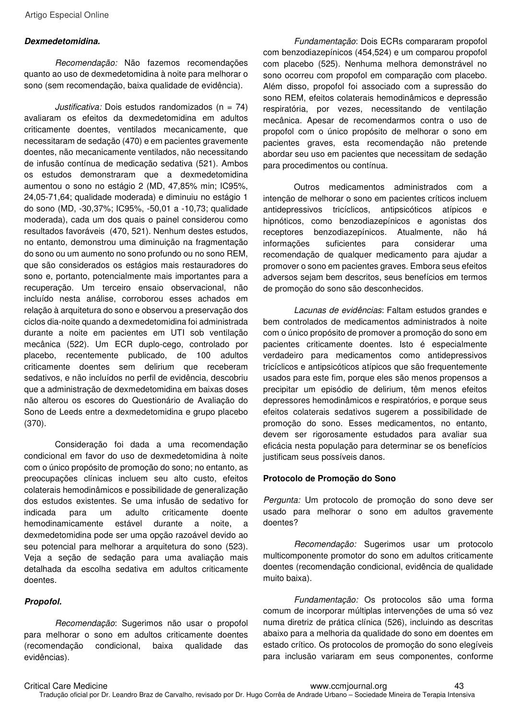#### **Dexmedetomidina.**

Recomendação: Não fazemos recomendações quanto ao uso de dexmedetomidina à noite para melhorar o sono (sem recomendação, baixa qualidade de evidência).

Justificativa: Dois estudos randomizados (n =  $74$ ) avaliaram os efeitos da dexmedetomidina em adultos criticamente doentes, ventilados mecanicamente, que necessitaram de sedação (470) e em pacientes gravemente doentes, não mecanicamente ventilados, não necessitando de infusão contínua de medicação sedativa (521). Ambos os estudos demonstraram que a dexmedetomidina aumentou o sono no estágio 2 (MD, 47,85% min; IC95%, 24,05-71,64; qualidade moderada) e diminuiu no estágio 1 do sono (MD, -30,37%; IC95%, -50,01 a -10,73; qualidade moderada), cada um dos quais o painel considerou como resultados favoráveis (470, 521). Nenhum destes estudos, no entanto, demonstrou uma diminuição na fragmentação do sono ou um aumento no sono profundo ou no sono REM, que são considerados os estágios mais restauradores do sono e, portanto, potencialmente mais importantes para a recuperação. Um terceiro ensaio observacional, não incluído nesta análise, corroborou esses achados em relação à arquitetura do sono e observou a preservação dos ciclos dia-noite quando a dexmedetomidina foi administrada durante a noite em pacientes em UTI sob ventilação mecânica (522). Um ECR duplo-cego, controlado por placebo, recentemente publicado, de 100 adultos criticamente doentes sem delirium que receberam sedativos, e não incluídos no perfil de evidência, descobriu que a administração de dexmedetomidina em baixas doses não alterou os escores do Questionário de Avaliação do Sono de Leeds entre a dexmedetomidina e grupo placebo (370).

Consideração foi dada a uma recomendação condicional em favor do uso de dexmedetomidina à noite com o único propósito de promoção do sono; no entanto, as preocupações clínicas incluem seu alto custo, efeitos colaterais hemodinâmicos e possibilidade de generalização dos estudos existentes. Se uma infusão de sedativo for indicada para um adulto criticamente doente hemodinamicamente estável durante a noite, a dexmedetomidina pode ser uma opção razoável devido ao seu potencial para melhorar a arquitetura do sono (523). Veja a seção de sedação para uma avaliação mais detalhada da escolha sedativa em adultos criticamente doentes.

#### **Propofol.**

Recomendação: Sugerimos não usar o propofol para melhorar o sono em adultos criticamente doentes (recomendação condicional, baixa qualidade das evidências).

Fundamentação: Dois ECRs compararam propofol com benzodiazepínicos (454,524) e um comparou propofol com placebo (525). Nenhuma melhora demonstrável no sono ocorreu com propofol em comparação com placebo. Além disso, propofol foi associado com a supressão do sono REM, efeitos colaterais hemodinâmicos e depressão respiratória, por vezes, necessitando de ventilação mecânica. Apesar de recomendarmos contra o uso de propofol com o único propósito de melhorar o sono em pacientes graves, esta recomendação não pretende abordar seu uso em pacientes que necessitam de sedação para procedimentos ou contínua.

Outros medicamentos administrados com a intenção de melhorar o sono em pacientes críticos incluem antidepressivos tricíclicos, antipsicóticos atípicos e hipnóticos, como benzodiazepínicos e agonistas dos receptores benzodiazepínicos. Atualmente, não há informações suficientes para considerar uma recomendação de qualquer medicamento para ajudar a promover o sono em pacientes graves. Embora seus efeitos adversos sejam bem descritos, seus benefícios em termos de promoção do sono são desconhecidos.

Lacunas de evidências: Faltam estudos grandes e bem controlados de medicamentos administrados à noite com o único propósito de promover a promoção do sono em pacientes criticamente doentes. Isto é especialmente verdadeiro para medicamentos como antidepressivos tricíclicos e antipsicóticos atípicos que são frequentemente usados para este fim, porque eles são menos propensos a precipitar um episódio de delirium, têm menos efeitos depressores hemodinâmicos e respiratórios, e porque seus efeitos colaterais sedativos sugerem a possibilidade de promoção do sono. Esses medicamentos, no entanto, devem ser rigorosamente estudados para avaliar sua eficácia nesta população para determinar se os benefícios justificam seus possíveis danos.

#### **Protocolo de Promoção do Sono**

Pergunta: Um protocolo de promoção do sono deve ser usado para melhorar o sono em adultos gravemente doentes?

Recomendação: Sugerimos usar um protocolo multicomponente promotor do sono em adultos criticamente doentes (recomendação condicional, evidência de qualidade muito baixa).

Fundamentação: Os protocolos são uma forma comum de incorporar múltiplas intervenções de uma só vez numa diretriz de prática clínica (526), incluindo as descritas abaixo para a melhoria da qualidade do sono em doentes em estado crítico. Os protocolos de promoção do sono elegíveis para inclusão variaram em seus componentes, conforme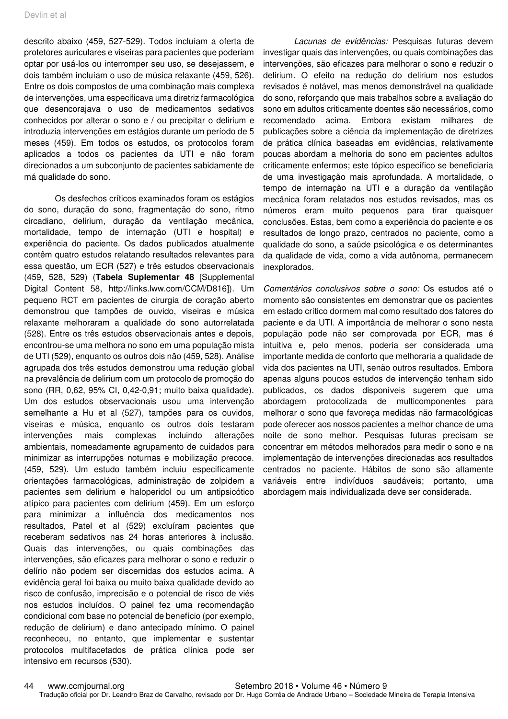descrito abaixo (459, 527-529). Todos incluíam a oferta de protetores auriculares e viseiras para pacientes que poderiam optar por usá-los ou interromper seu uso, se desejassem, e dois também incluíam o uso de música relaxante (459, 526). Entre os dois compostos de uma combinação mais complexa de intervenções, uma especificava uma diretriz farmacológica que desencorajava o uso de medicamentos sedativos conhecidos por alterar o sono e / ou precipitar o delirium e introduzia intervenções em estágios durante um período de 5 meses (459). Em todos os estudos, os protocolos foram aplicados a todos os pacientes da UTI e não foram direcionados a um subconjunto de pacientes sabidamente de má qualidade do sono.

Os desfechos críticos examinados foram os estágios do sono, duração do sono, fragmentação do sono, ritmo circadiano, delirium, duração da ventilação mecânica, mortalidade, tempo de internação (UTI e hospital) e experiência do paciente. Os dados publicados atualmente contêm quatro estudos relatando resultados relevantes para essa questão, um ECR (527) e três estudos observacionais (459, 528, 529) (**Tabela Suplementar 48** [Supplemental Digital Content 58, http://links.lww.com/CCM/D816]). Um pequeno RCT em pacientes de cirurgia de coração aberto demonstrou que tampões de ouvido, viseiras e música relaxante melhoraram a qualidade do sono autorrelatada (528). Entre os três estudos observacionais antes e depois, encontrou-se uma melhora no sono em uma população mista de UTI (529), enquanto os outros dois não (459, 528). Análise agrupada dos três estudos demonstrou uma redução global na prevalência de delirium com um protocolo de promoção do sono (RR, 0,62, 95% CI, 0,42-0,91; muito baixa qualidade). Um dos estudos observacionais usou uma intervenção semelhante a Hu et al (527), tampões para os ouvidos, viseiras e música, enquanto os outros dois testaram intervenções mais complexas incluindo alterações ambientais, nomeadamente agrupamento de cuidados para minimizar as interrupções noturnas e mobilização precoce. (459, 529). Um estudo também incluiu especificamente orientações farmacológicas, administração de zolpidem a pacientes sem delirium e haloperidol ou um antipsicótico atípico para pacientes com delirium (459). Em um esforço para minimizar a influência dos medicamentos nos resultados, Patel et al (529) excluíram pacientes que receberam sedativos nas 24 horas anteriores à inclusão. Quais das intervenções, ou quais combinações das intervenções, são eficazes para melhorar o sono e reduzir o delírio não podem ser discernidas dos estudos acima. A evidência geral foi baixa ou muito baixa qualidade devido ao risco de confusão, imprecisão e o potencial de risco de viés nos estudos incluídos. O painel fez uma recomendação condicional com base no potencial de benefício (por exemplo, redução de delirium) e dano antecipado mínimo. O painel reconheceu, no entanto, que implementar e sustentar protocolos multifacetados de prática clínica pode ser intensivo em recursos (530).

Lacunas de evidências: Pesquisas futuras devem investigar quais das intervenções, ou quais combinações das intervenções, são eficazes para melhorar o sono e reduzir o delirium. O efeito na redução do delirium nos estudos revisados é notável, mas menos demonstrável na qualidade do sono, reforçando que mais trabalhos sobre a avaliação do sono em adultos criticamente doentes são necessários, como recomendado acima. Embora existam milhares de publicações sobre a ciência da implementação de diretrizes de prática clínica baseadas em evidências, relativamente poucas abordam a melhoria do sono em pacientes adultos criticamente enfermos; este tópico específico se beneficiaria de uma investigação mais aprofundada. A mortalidade, o tempo de internação na UTI e a duração da ventilação mecânica foram relatados nos estudos revisados, mas os números eram muito pequenos para tirar quaisquer conclusões. Estas, bem como a experiência do paciente e os resultados de longo prazo, centrados no paciente, como a qualidade do sono, a saúde psicológica e os determinantes da qualidade de vida, como a vida autônoma, permanecem inexplorados.

Comentários conclusivos sobre o sono: Os estudos até o momento são consistentes em demonstrar que os pacientes em estado crítico dormem mal como resultado dos fatores do paciente e da UTI. A importância de melhorar o sono nesta população pode não ser comprovada por ECR, mas é intuitiva e, pelo menos, poderia ser considerada uma importante medida de conforto que melhoraria a qualidade de vida dos pacientes na UTI, senão outros resultados. Embora apenas alguns poucos estudos de intervenção tenham sido publicados, os dados disponíveis sugerem que uma abordagem protocolizada de multicomponentes para melhorar o sono que favoreça medidas não farmacológicas pode oferecer aos nossos pacientes a melhor chance de uma noite de sono melhor. Pesquisas futuras precisam se concentrar em métodos melhorados para medir o sono e na implementação de intervenções direcionadas aos resultados centrados no paciente. Hábitos de sono são altamente variáveis entre indivíduos saudáveis; portanto, uma abordagem mais individualizada deve ser considerada.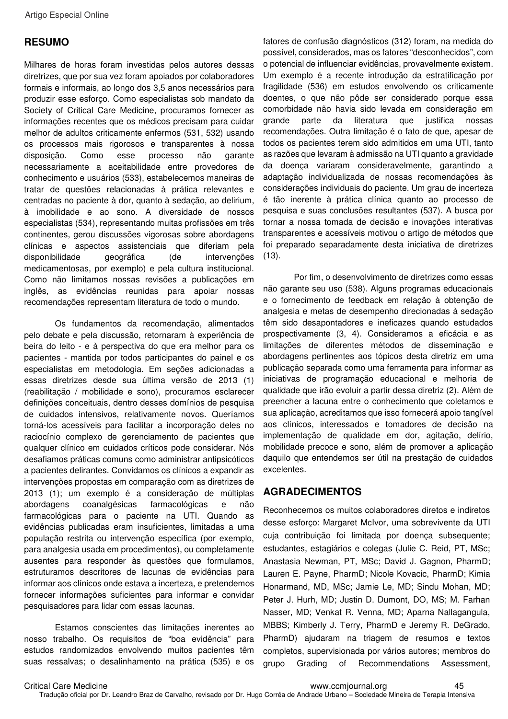# **RESUMO**

Milhares de horas foram investidas pelos autores dessas diretrizes, que por sua vez foram apoiados por colaboradores formais e informais, ao longo dos 3,5 anos necessários para produzir esse esforço. Como especialistas sob mandato da Society of Critical Care Medicine, procuramos fornecer as informações recentes que os médicos precisam para cuidar melhor de adultos criticamente enfermos (531, 532) usando os processos mais rigorosos e transparentes à nossa disposição. Como esse processo não garante necessariamente a aceitabilidade entre provedores de conhecimento e usuários (533), estabelecemos maneiras de tratar de questões relacionadas à prática relevantes e centradas no paciente à dor, quanto à sedação, ao delirium, à imobilidade e ao sono. A diversidade de nossos especialistas (534), representando muitas profissões em três continentes, gerou discussões vigorosas sobre abordagens clínicas e aspectos assistenciais que diferiam pela disponibilidade geográfica (de intervenções medicamentosas, por exemplo) e pela cultura institucional. Como não limitamos nossas revisões a publicações em inglês, as evidências reunidas para apoiar nossas recomendações representam literatura de todo o mundo.

Os fundamentos da recomendação, alimentados pelo debate e pela discussão, retornaram à experiência de beira do leito - e à perspectiva do que era melhor para os pacientes - mantida por todos participantes do painel e os especialistas em metodologia. Em seções adicionadas a essas diretrizes desde sua última versão de 2013 (1) (reabilitação / mobilidade e sono), procuramos esclarecer definições conceituais, dentro desses domínios de pesquisa de cuidados intensivos, relativamente novos. Queríamos torná-los acessíveis para facilitar a incorporação deles no raciocínio complexo de gerenciamento de pacientes que qualquer clínico em cuidados críticos pode considerar. Nós desafiamos práticas comuns como administrar antipsicóticos a pacientes delirantes. Convidamos os clínicos a expandir as intervenções propostas em comparação com as diretrizes de 2013 (1); um exemplo é a consideração de múltiplas abordagens coanalgésicas farmacológicas e não farmacológicas para o paciente na UTI. Quando as evidências publicadas eram insuficientes, limitadas a uma população restrita ou intervenção específica (por exemplo, para analgesia usada em procedimentos), ou completamente ausentes para responder às questões que formulamos, estruturamos descritores de lacunas de evidências para informar aos clínicos onde estava a incerteza, e pretendemos fornecer informações suficientes para informar e convidar pesquisadores para lidar com essas lacunas.

Estamos conscientes das limitações inerentes ao nosso trabalho. Os requisitos de "boa evidência" para estudos randomizados envolvendo muitos pacientes têm suas ressalvas; o desalinhamento na prática (535) e os

fatores de confusão diagnósticos (312) foram, na medida do possível, considerados, mas os fatores "desconhecidos", com o potencial de influenciar evidências, provavelmente existem. Um exemplo é a recente introdução da estratificação por fragilidade (536) em estudos envolvendo os criticamente doentes, o que não pôde ser considerado porque essa comorbidade não havia sido levada em consideração em grande parte da literatura que justifica nossas recomendações. Outra limitação é o fato de que, apesar de todos os pacientes terem sido admitidos em uma UTI, tanto as razões que levaram à admissão na UTI quanto a gravidade da doença variaram consideravelmente, garantindo a adaptação individualizada de nossas recomendações às considerações individuais do paciente. Um grau de incerteza é tão inerente à prática clínica quanto ao processo de pesquisa e suas conclusões resultantes (537). A busca por tornar a nossa tomada de decisão e inovações interativas transparentes e acessíveis motivou o artigo de métodos que foi preparado separadamente desta iniciativa de diretrizes  $(13)$ .

Por fim, o desenvolvimento de diretrizes como essas não garante seu uso (538). Alguns programas educacionais e o fornecimento de feedback em relação à obtenção de analgesia e metas de desempenho direcionadas à sedação têm sido desapontadores e ineficazes quando estudados prospectivamente (3, 4). Consideramos a eficácia e as limitações de diferentes métodos de disseminação e abordagens pertinentes aos tópicos desta diretriz em uma publicação separada como uma ferramenta para informar as iniciativas de programação educacional e melhoria de qualidade que irão evoluir a partir dessa diretriz (2). Além de preencher a lacuna entre o conhecimento que coletamos e sua aplicação, acreditamos que isso fornecerá apoio tangível aos clínicos, interessados e tomadores de decisão na implementação de qualidade em dor, agitação, delírio, mobilidade precoce e sono, além de promover a aplicação daquilo que entendemos ser útil na prestação de cuidados excelentes.

# **AGRADECIMENTOS**

Reconhecemos os muitos colaboradores diretos e indiretos desse esforço: Margaret McIvor, uma sobrevivente da UTI cuja contribuição foi limitada por doença subsequente; estudantes, estagiários e colegas (Julie C. Reid, PT, MSc; Anastasia Newman, PT, MSc; David J. Gagnon, PharmD; Lauren E. Payne, PharmD; Nicole Kovacic, PharmD; Kimia Honarmand, MD, MSc; Jamie Le, MD; Sindu Mohan, MD; Peter J. Hurh, MD; Justin D. Dumont, DO, MS; M. Farhan Nasser, MD; Venkat R. Venna, MD; Aparna Nallagangula, MBBS; Kimberly J. Terry, PharmD e Jeremy R. DeGrado, PharmD) ajudaram na triagem de resumos e textos completos, supervisionada por vários autores; membros do grupo Grading of Recommendations Assessment,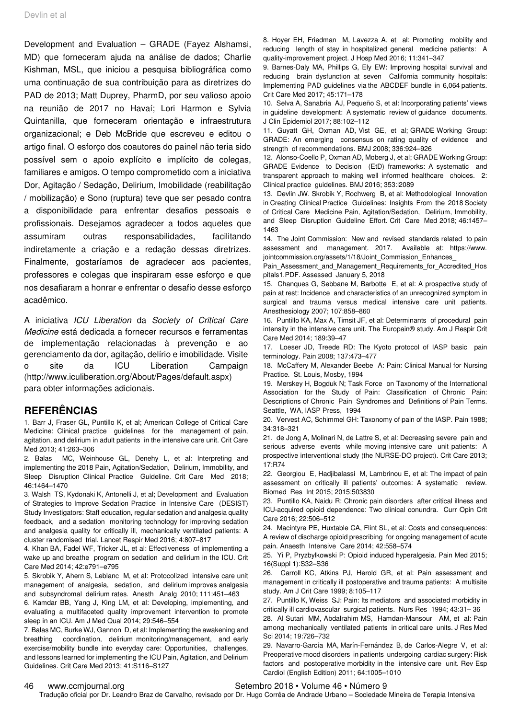Development and Evaluation – GRADE (Fayez Alshamsi, MD) que forneceram ajuda na análise de dados; Charlie Kishman, MSL, que iniciou a pesquisa bibliográfica como uma continuação de sua contribuição para as diretrizes do PAD de 2013; Matt Duprey, PharmD, por seu valioso apoio na reunião de 2017 no Havaí; Lori Harmon e Sylvia Quintanilla, que forneceram orientação e infraestrutura organizacional; e Deb McBride que escreveu e editou o artigo final. O esforço dos coautores do painel não teria sido possível sem o apoio explícito e implícito de colegas, familiares e amigos. O tempo comprometido com a iniciativa Dor, Agitação / Sedação, Delirium, Imobilidade (reabilitação / mobilização) e Sono (ruptura) teve que ser pesado contra a disponibilidade para enfrentar desafios pessoais e profissionais. Desejamos agradecer a todos aqueles que assumiram outras responsabilidades, facilitando indiretamente a criação e a redação dessas diretrizes. Finalmente, gostaríamos de agradecer aos pacientes, professores e colegas que inspiraram esse esforço e que nos desafiaram a honrar e enfrentar o desafio desse esforço acadêmico.

A iniciativa ICU Liberation da Society of Critical Care Medicine está dedicada a fornecer recursos e ferramentas de implementação relacionadas à prevenção e ao gerenciamento da dor, agitação, delírio e imobilidade. Visite o site da ICU Liberation Campaign (http://www.iculiberation.org/About/Pages/default.aspx) para obter informações adicionais.

### **REFERÊNCIAS**

1. Barr J, Fraser GL, Puntillo K, et al; American College of Critical Care Medicine: Clinical practice guidelines for the management of pain, agitation, and delirium in adult patients in the intensive care unit. Crit Care Med 2013; 41:263–306

2. Balas MC, Weinhouse GL, Denehy L, et al: Interpreting and implementing the 2018 Pain, Agitation/Sedation, Delirium, Immobility, and Sleep Disruption Clinical Practice Guideline. Crit Care Med 2018; 46:1464–1470

3. Walsh TS, Kydonaki K, Antonelli J, et al; Development and Evaluation of Strategies to Improve Sedation Practice in Intensive Care (DESIST) Study Investigators: Staff education, regular sedation and analgesia quality feedback, and a sedation monitoring technology for improving sedation and analgesia quality for critically ill, mechanically ventilated patients: A cluster randomised trial. Lancet Respir Med 2016; 4:807–817

4. Khan BA, Fadel WF, Tricker JL, et al: Effectiveness of implementing a wake up and breathe program on sedation and delirium in the ICU. Crit Care Med 2014; 42:e791–e795

5. Skrobik Y, Ahern S, Leblanc M, et al: Protocolized intensive care unit management of analgesia, sedation, and delirium improves analgesia and subsyndromal delirium rates. Anesth Analg 2010; 111:451–463

6. Kamdar BB, Yang J, King LM, et al: Developing, implementing, and evaluating a multifaceted quality improvement intervention to promote sleep in an ICU. Am J Med Qual 2014; 29:546–554

7. Balas MC, Burke WJ, Gannon D, et al: Implementing the awakening and breathing coordination, delirium monitoring/management, and early exercise/mobility bundle into everyday care: Opportunities, challenges, and lessons learned for implementing the ICU Pain, Agitation, and Delirium Guidelines. Crit Care Med 2013; 41:S116–S127

8. Hoyer EH, Friedman M, Lavezza A, et al: Promoting mobility and reducing length of stay in hospitalized general medicine patients: A quality-improvement project. J Hosp Med 2016; 11:341–347

9. Barnes-Daly MA, Phillips G, Ely EW: Improving hospital survival and reducing brain dysfunction at seven California community hospitals: Implementing PAD guidelines via the ABCDEF bundle in 6,064 patients. Crit Care Med 2017; 45:171–178

10. Selva A, Sanabria AJ, Pequeño S, et al: Incorporating patients' views in guideline development: A systematic review of guidance documents. J Clin Epidemiol 2017; 88:102–112

11. Guyatt GH, Oxman AD, Vist GE, et al; GRADE Working Group: GRADE: An emerging consensus on rating quality of evidence and strength of recommendations. BMJ 2008; 336:924–926

12. Alonso-Coello P, Oxman AD, Moberg J, et al; GRADE Working Group: GRADE Evidence to Decision (EtD) frameworks: A systematic and transparent approach to making well informed healthcare choices. 2: Clinical practice guidelines. BMJ 2016; 353:i2089

13. Devlin JW. Skrobik Y, Rochwerg B, et al: Methodological Innovation in Creating Clinical Practice Guidelines: Insights From the 2018 Society of Critical Care Medicine Pain, Agitation/Sedation, Delirium, Immobility, and Sleep Disruption Guideline Effort. Crit Care Med 2018; 46:1457– 1463

14. The Joint Commission: New and revised standards related to pain assessment and management. 2017. Available at: https://www. jointcommission.org/assets/1/18/Joint\_Commission\_Enhances

Pain Assessment and Management Requirements for Accredited Hos pitals1.PDF. Assessed January 5, 2018

15. Chanques G, Sebbane M, Barbotte E, et al: A prospective study of pain at rest: Incidence and characteristics of an unrecognized symptom in surgical and trauma versus medical intensive care unit patients. Anesthesiology 2007; 107:858–860

16. Puntillo KA, Max A, Timsit JF, et al: Determinants of procedural pain intensity in the intensive care unit. The Europain® study. Am J Respir Crit Care Med 2014; 189:39–47

17. Loeser JD, Treede RD: The Kyoto protocol of IASP basic pain terminology. Pain 2008; 137:473–477

18. McCaffery M, Alexander Beebe A: Pain: Clinical Manual for Nursing Practice. St. Louis, Mosby, 1994

19. Merskey H, Bogduk N; Task Force on Taxonomy of the International Association for the Study of Pain: Classification of Chronic Pain: Descriptions of Chronic Pain Syndromes and Definitions of Pain Terms. Seattle, WA, IASP Press, 1994

20. Vervest AC, Schimmel GH: Taxonomy of pain of the IASP. Pain 1988; 34:318–321

21. de Jong A, Molinari N, de Lattre S, et al: Decreasing severe pain and serious adverse events while moving intensive care unit patients: A prospective interventional study (the NURSE-DO project). Crit Care 2013; 17:R74

22. Georgiou E, Hadjibalassi M, Lambrinou E, et al: The impact of pain assessment on critically ill patients' outcomes: A systematic review. Biomed Res Int 2015; 2015:503830

23. Puntillo KA, Naidu R: Chronic pain disorders after critical illness and ICU-acquired opioid dependence: Two clinical conundra. Curr Opin Crit Care 2016; 22:506–512

24. Macintyre PE, Huxtable CA, Flint SL, et al: Costs and consequences: A review of discharge opioid prescribing for ongoing management of acute pain. Anaesth Intensive Care 2014; 42:558–574

25. Yi P, Pryzbylkowski P: Opioid induced hyperalgesia. Pain Med 2015; 16(Suppl 1):S32–S36

26. Carroll KC, Atkins PJ, Herold GR, et al: Pain assessment and management in critically ill postoperative and trauma patients: A multisite study. Am J Crit Care 1999; 8:105–117

27. Puntillo K, Weiss SJ: Pain: Its mediators and associated morbidity in critically ill cardiovascular surgical patients. Nurs Res 1994; 43:31– 36

28. Al Sutari MM, Abdalrahim MS, Hamdan-Mansour AM, et al: Pain among mechanically ventilated patients in critical care units. J Res Med Sci 2014; 19:726–732

29. Navarro-García MA, Marín-Fernández B, de Carlos-Alegre V, et al: Preoperative mood disorders in patients undergoing cardiac surgery: Risk factors and postoperative morbidity in the intensive care unit. Rev Esp Cardiol (English Edition) 2011; 64:1005–1010

#### 46 www.ccmjournal.org Setembro 2018 • Volume 46 • Número 9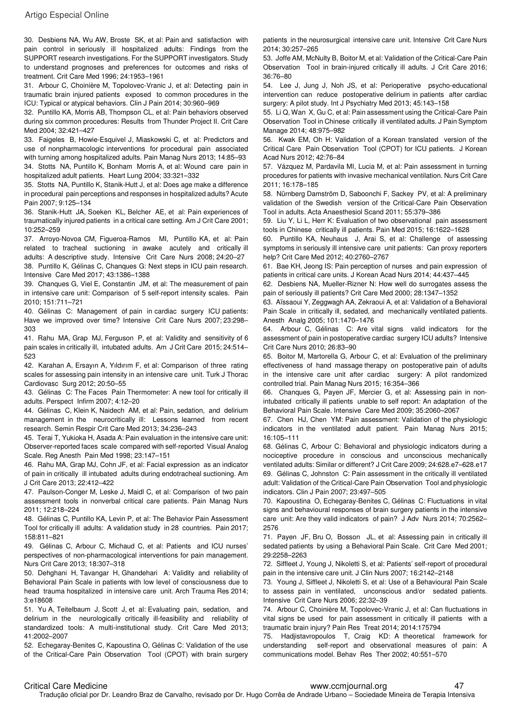30. Desbiens NA, Wu AW, Broste SK, et al: Pain and satisfaction with pain control in seriously ill hospitalized adults: Findings from the SUPPORT research investigations. For the SUPPORT investigators. Study to understand prognoses and preferences for outcomes and risks of treatment. Crit Care Med 1996; 24:1953–1961

31. Arbour C, Choinière M, Topolovec-Vranic J, et al: Detecting pain in traumatic brain injured patients exposed to common procedures in the ICU: Typical or atypical behaviors. Clin J Pain 2014; 30:960–969

32. Puntillo KA, Morris AB, Thompson CL, et al: Pain behaviors observed during six common procedures: Results from Thunder Project II. Crit Care Med 2004; 32:421–427

33. Faigeles B, Howie-Esquivel J, Miaskowski C, et al: Predictors and use of nonpharmacologic interventions for procedural pain associated with turning among hospitalized adults. Pain Manag Nurs 2013; 14:85–93 34. Stotts NA, Puntillo K, Bonham Morris A, et al: Wound care pain in hospitalized adult patients. Heart Lung 2004; 33:321–332

35. Stotts NA, Puntillo K, Stanik-Hutt J, et al: Does age make a difference in procedural pain perceptions and responses in hospitalized adults? Acute Pain 2007; 9:125–134

36. Stanik-Hutt JA, Soeken KL, Belcher AE, et al: Pain experiences of traumatically injured patients in a critical care setting. Am J Crit Care 2001; 10:252–259

37. Arroyo-Novoa CM, Figueroa-Ramos MI, Puntillo KA, et al: Pain related to tracheal suctioning in awake acutely and critically ill adults: A descriptive study. Intensive Crit Care Nurs 2008; 24:20–27 38. Puntillo K, Gélinas C, Chanques G: Next steps in ICU pain research.

Intensive Care Med 2017; 43:1386–1388

39. Chanques G, Viel E, Constantin JM, et al: The measurement of pain in intensive care unit: Comparison of 5 self-report intensity scales. Pain 2010; 151:711–721

40. Gélinas C: Management of pain in cardiac surgery ICU patients: Have we improved over time? Intensive Crit Care Nurs 2007; 23:298– 303

41. Rahu MA, Grap MJ, Ferguson P, et al: Validity and sensitivity of 6 pain scales in critically ill, intubated adults. Am J Crit Care 2015; 24:514– 523

42. Karahan A, Ersayın A, Yıldırım F, et al: Comparison of three rating scales for assessing pain intensity in an intensive care unit. Turk J Thorac Cardiovasc Surg 2012; 20:50–55

43. Gélinas C: The Faces Pain Thermometer: A new tool for critically ill adults. Perspect Infirm 2007; 4:12–20

44. Gélinas C, Klein K, Naidech AM, et al: Pain, sedation, and delirium management in the neurocritically ill: Lessons learned from recent research. Semin Respir Crit Care Med 2013; 34:236–243

45. Terai T, Yukioka H, Asada A: Pain evaluation in the intensive care unit: Observer-reported faces scale compared with self-reported Visual Analog Scale. Reg Anesth Pain Med 1998; 23:147–151

46. Rahu MA, Grap MJ, Cohn JF, et al: Facial expression as an indicator of pain in critically ill intubated adults during endotracheal suctioning. Am J Crit Care 2013; 22:412–422

47. Paulson-Conger M, Leske J, Maidl C, et al: Comparison of two pain assessment tools in nonverbal critical care patients. Pain Manag Nurs 2011; 12:218–224

48. Gélinas C, Puntillo KA, Levin P, et al: The Behavior Pain Assessment Tool for critically ill adults: A validation study in 28 countries. Pain 2017; 158:811–821

49. Gélinas C, Arbour C, Michaud C, et al: Patients and ICU nurses' perspectives of non-pharmacological interventions for pain management. Nurs Crit Care 2013; 18:307–318

50. Dehghani H, Tavangar H, Ghandehari A: Validity and reliability of Behavioral Pain Scale in patients with low level of consciousness due to head trauma hospitalized in intensive care unit. Arch Trauma Res 2014; 3:e18608

51. Yu A, Teitelbaum J, Scott J, et al: Evaluating pain, sedation, and delirium in the neurologically critically ill-feasibility and reliability of standardized tools: A multi-institutional study. Crit Care Med 2013; 41:2002–2007

52. Echegaray-Benites C, Kapoustina O, Gélinas C: Validation of the use of the Critical-Care Pain Observation Tool (CPOT) with brain surgery

patients in the neurosurgical intensive care unit. Intensive Crit Care Nurs 2014; 30:257–265

53. Joffe AM, McNulty B, Boitor M, et al: Validation of the Critical-Care Pain Observation Tool in brain-injured critically ill adults. J Crit Care 2016; 36:76–80

54. Lee J, Jung J, Noh JS, et al: Perioperative psycho-educational intervention can reduce postoperative delirium in patients after cardiac surgery: A pilot study. Int J Psychiatry Med 2013; 45:143–158

55. Li Q, Wan X, Gu C, et al: Pain assessment using the Critical-Care Pain Observation Tool in Chinese critically ill ventilated adults. J Pain Symptom Manage 2014; 48:975–982

56. Kwak EM, Oh H: Validation of a Korean translated version of the Critical Care Pain Observation Tool (CPOT) for ICU patients. J Korean Acad Nurs 2012; 42:76–84

57. Vázquez M, Pardavila MI, Lucia M, et al: Pain assessment in turning procedures for patients with invasive mechanical ventilation. Nurs Crit Care 2011; 16:178–185

58. Nürnberg Damström D, Saboonchi F, Sackey PV, et al: A preliminary validation of the Swedish version of the Critical-Care Pain Observation Tool in adults. Acta Anaesthesiol Scand 2011; 55:379–386

59. Liu Y, Li L, Herr K: Evaluation of two observational pain assessment tools in Chinese critically ill patients. Pain Med 2015; 16:1622–1628

60. Puntillo KA, Neuhaus J, Arai S, et al: Challenge of assessing symptoms in seriously ill intensive care unit patients: Can proxy reporters help? Crit Care Med 2012; 40:2760–2767

61. Bae KH, Jeong IS: Pain perception of nurses and pain expression of patients in critical care units. J Korean Acad Nurs 2014; 44:437–445

62. Desbiens NA, Mueller-Rizner N: How well do surrogates assess the pain of seriously ill patients? Crit Care Med 2000; 28:1347–1352

63. Aïssaoui Y, Zeggwagh AA, Zekraoui A, et al: Validation of a Behavioral Pain Scale in critically ill, sedated, and mechanically ventilated patients. Anesth Analg 2005; 101:1470–1476

64. Arbour C, Gélinas C: Are vital signs valid indicators for the assessment of pain in postoperative cardiac surgery ICU adults? Intensive Crit Care Nurs 2010; 26:83–90

65. Boitor M, Martorella G, Arbour C, et al: Evaluation of the preliminary effectiveness of hand massage therapy on postoperative pain of adults in the intensive care unit after cardiac surgery: A pilot randomized controlled trial. Pain Manag Nurs 2015; 16:354–366

66. Chanques G, Payen JF, Mercier G, et al: Assessing pain in nonintubated critically ill patients unable to self report: An adaptation of the Behavioral Pain Scale. Intensive Care Med 2009; 35:2060–2067

67. Chen HJ, Chen YM: Pain assessment: Validation of the physiologic indicators in the ventilated adult patient. Pain Manag Nurs 2015; 16:105–111

68. Gélinas C, Arbour C: Behavioral and physiologic indicators during a nociceptive procedure in conscious and unconscious mechanically ventilated adults: Similar or different? J Crit Care 2009; 24:628.e7–628.e17 69. Gélinas C, Johnston C: Pain assessment in the critically ill ventilated adult: Validation of the Critical-Care Pain Observation Tool and physiologic indicators. Clin J Pain 2007; 23:497–505

70. Kapoustina O, Echegaray-Benites C, Gélinas C: Fluctuations in vital signs and behavioural responses of brain surgery patients in the intensive care unit: Are they valid indicators of pain? J Adv Nurs 2014; 70:2562– 2576

71. Payen JF, Bru O, Bosson JL, et al: Assessing pain in critically ill sedated patients by using a Behavioral Pain Scale. Crit Care Med 2001; 29:2258–2263

72. Siffleet J, Young J, Nikoletti S, et al: Patients' self-report of procedural pain in the intensive care unit. J Clin Nurs 2007; 16:2142–2148

73. Young J, Siffleet J, Nikoletti S, et al: Use of a Behavioural Pain Scale to assess pain in ventilated, unconscious and/or sedated patients. Intensive Crit Care Nurs 2006; 22:32–39

74. Arbour C, Choinière M, Topolovec-Vranic J, et al: Can fluctuations in vital signs be used for pain assessment in critically ill patients with a traumatic brain injury? Pain Res Treat 2014; 2014:175794

75. Hadjistavropoulos T, Craig KD: A theoretical framework for understanding self-report and observational measures of pain: A communications model. Behav Res Ther 2002; 40:551–570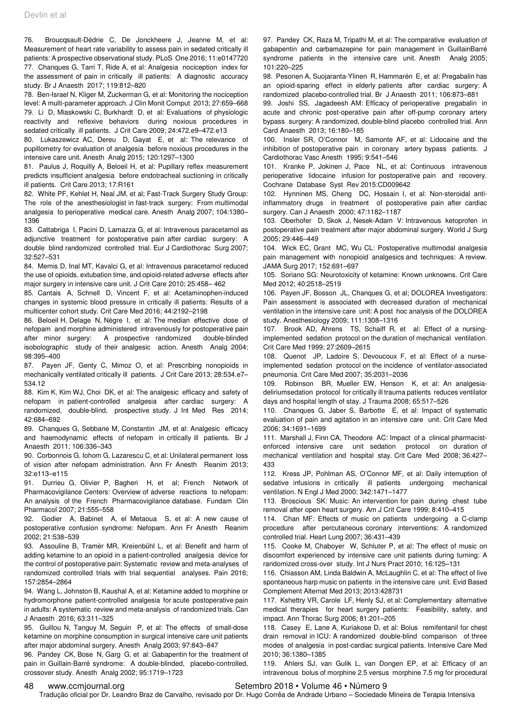76. Broucqsault-Dédrie C, De Jonckheere J, Jeanne M, et al: Measurement of heart rate variability to assess pain in sedated critically ill patients: A prospective observational study. PLoS One 2016; 11:e0147720 77. Chanques G, Tarri T, Ride A, et al: Analgesia nociception index for the assessment of pain in critically ill patients: A diagnostic accuracy study. Br J Anaesth 2017; 119:812–820

78. Ben-Israel N, Kliger M, Zuckerman G, et al: Monitoring the nociception level: A multi-parameter approach. J Clin Monit Comput 2013; 27:659–668 79. Li D, Miaskowski C, Burkhardt D, et al: Evaluations of physiologic reactivity and reflexive behaviors during noxious procedures in sedated critically ill patients. J Crit Care 2009; 24:472.e9–472.e13

80. Lukaszewicz AC, Dereu D, Gayat E, et al: The relevance of pupillometry for evaluation of analgesia before noxious procedures in the intensive care unit. Anesth Analg 2015; 120:1297–1300

81. Paulus J, Roquilly A, Beloeil H, et al: Pupillary reflex measurement predicts insufficient analgesia before endotracheal suctioning in critically ill patients. Crit Care 2013; 17:R161

82. White PF, Kehlet H, Neal JM, et al; Fast-Track Surgery Study Group: The role of the anesthesiologist in fast-track surgery: From multimodal analgesia to perioperative medical care. Anesth Analg 2007; 104:1380– 1396

83. Cattabriga I, Pacini D, Lamazza G, et al: Intravenous paracetamol as adjunctive treatment for postoperative pain after cardiac surgery: A double blind randomized controlled trial. Eur J Cardiothorac Surg 2007; 32:527–531

84. Memis D, Inal MT, Kavalci G, et al: Intravenous paracetamol reduced the use of opioids, extubation time, and opioid-related adverse effects after major surgery in intensive care unit. J Crit Care 2010; 25:458– 462

85. Cantais A, Schnell D, Vincent F, et al: Acetaminophen-induced changes in systemic blood pressure in critically ill patients: Results of a multicenter cohort study. Crit Care Med 2016; 44:2192–2198

86. Beloeil H, Delage N, Nègre I, et al: The median effective dose of nefopam and morphine administered intravenously for postoperative pain after minor surgery: A prospective randomized double-blinded isobolographic study of their analgesic action. Anesth Analg 2004; 98:395–400

87. Payen JF, Genty C, Mimoz O, et al: Prescribing nonopioids in mechanically ventilated critically ill patients. J Crit Care 2013; 28:534.e7– 534.12

88. Kim K, Kim WJ, Choi DK, et al: The analgesic efficacy and safety of nefopam in patient-controlled analgesia after cardiac surgery: A randomized, double-blind, prospective study. J Int Med Res 2014; 42:684–692

89. Chanques G, Sebbane M, Constantin JM, et al: Analgesic efficacy and haemodynamic effects of nefopam in critically ill patients. Br J Anaesth 2011; 106:336–343

90. Corbonnois G, Iohom G, Lazarescu C, et al: Unilateral permanent loss of vision after nefopam administration. Ann Fr Anesth Reanim 2013; 32:e113–e115

91. Durrieu G, Olivier P, Bagheri H, et al; French Network of Pharmacovigilance Centers: Overview of adverse reactions to nefopam: An analysis of the French Pharmacovigilance database. Fundam Clin Pharmacol 2007; 21:555–558

92. Godier A, Babinet A, el Metaoua S, et al: A new cause of postoperative confusion syndrome: Nefopam. Ann Fr Anesth Reanim 2002; 21:538–539

93. Assouline B, Tramèr MR, Kreienbühl L, et al: Benefit and harm of adding ketamine to an opioid in a patient-controlled analgesia device for the control of postoperative pain: Systematic review and meta-analyses of randomized controlled trials with trial sequential analyses. Pain 2016; 157:2854–2864

94. Wang L, Johnston B, Kaushal A, et al: Ketamine added to morphine or hydromorphone patient-controlled analgesia for acute postoperative pain in adults: A systematic review and meta-analysis of randomized trials. Can J Anaesth 2016; 63:311–325

95. Guillou N, Tanguy M, Seguin P, et al: The effects of small-dose ketamine on morphine consumption in surgical intensive care unit patients after major abdominal surgery. Anesth Analg 2003; 97:843–847

96. Pandey CK, Bose N, Garg G, et al: Gabapentin for the treatment of pain in Guillain-Barré syndrome: A double-blinded, placebo-controlled, crossover study. Anesth Analg 2002; 95:1719–1723

97. Pandey CK, Raza M, Tripathi M, et al: The comparative evaluation of gabapentin and carbamazepine for pain management in GuillainBarré syndrome patients in the intensive care unit. Anesth Analg 2005; 101:220–225

98. Pesonen A, Suojaranta-Ylinen R, Hammarén E, et al: Pregabalin has an opioid-sparing effect in elderly patients after cardiac surgery: A randomized placebo-controlled trial. Br J Anaesth 2011; 106:873–881

99. Joshi SS, Jagadeesh AM: Efficacy of perioperative pregabalin in acute and chronic post-operative pain after off-pump coronary artery bypass surgery: A randomized, double-blind placebo controlled trial. Ann Card Anaesth 2013; 16:180–185

100. Insler SR, O'Connor M, Samonte AF, et al: Lidocaine and the inhibition of postoperative pain in coronary artery bypass patients. J Cardiothorac Vasc Anesth 1995; 9:541–546

101. Kranke P, Jokinen J, Pace NL, et al: Continuous intravenous perioperative lidocaine infusion for postoperative pain and recovery. Cochrane Database Syst Rev 2015:CD009642

102. Hynninen MS, Cheng DC, Hossain I, et al: Non-steroidal antiinflammatory drugs in treatment of postoperative pain after cardiac surgery. Can J Anaesth 2000; 47:1182–1187

103. Oberhofer D, Skok J, Nesek-Adam V: Intravenous ketoprofen in postoperative pain treatment after major abdominal surgery. World J Surg 2005; 29:446–449

104. Wick EC, Grant MC, Wu CL: Postoperative multimodal analgesia pain management with nonopioid analgesics and techniques: A review. JAMA Surg 2017; 152:691–697

105. Soriano SG: Neurotoxicity of ketamine: Known unknowns. Crit Care Med 2012; 40:2518–2519

106. Payen JF, Bosson JL, Chanques G, et al; DOLOREA Investigators: Pain assessment is associated with decreased duration of mechanical ventilation in the intensive care unit: A post hoc analysis of the DOLOREA study. Anesthesiology 2009; 111:1308–1316

107. Brook AD, Ahrens TS, Schaiff R, et al: Effect of a nursingimplemented sedation protocol on the duration of mechanical ventilation. Crit Care Med 1999; 27:2609–2615

108. Quenot JP, Ladoire S, Devoucoux F, et al: Effect of a nurseimplemented sedation protocol on the incidence of ventilator-associated pneumonia. Crit Care Med 2007; 35:2031–2036

109. Robinson BR, Mueller EW, Henson K, et al: An analgesiadeliriumsedation protocol for critically ill trauma patients reduces ventilator days and hospital length of stay. J Trauma 2008; 65:517–526

110. Chanques G, Jaber S, Barbotte E, et al: Impact of systematic evaluation of pain and agitation in an intensive care unit. Crit Care Med 2006; 34:1691–1699

111. Marshall J, Finn CA, Theodore AC: Impact of a clinical pharmacistenforced intensive care unit sedation protocol on duration of mechanical ventilation and hospital stay. Crit Care Med 2008; 36:427– 433

112. Kress JP, Pohlman AS, O'Connor MF, et al: Daily interruption of sedative infusions in critically ill patients undergoing mechanical ventilation. N Engl J Med 2000; 342:1471–1477

113. Broscious SK: Music: An intervention for pain during chest tube removal after open heart surgery. Am J Crit Care 1999; 8:410–415

114. Chan MF: Effects of music on patients undergoing a C-clamp procedure after percutaneous coronary interventions: A randomized controlled trial. Heart Lung 2007; 36:431–439

115. Cooke M, Chaboyer W, Schluter P, et al: The effect of music on discomfort experienced by intensive care unit patients during turning: A randomized cross-over study. Int J Nurs Pract 2010; 16:125–131

116. Chiasson AM, Linda Baldwin A, McLaughlin C, et al: The effect of live spontaneous harp music on patients in the intensive care unit. Evid Based Complement Alternat Med 2013; 2013:428731

117. Kshettry VR, Carole LF, Henly SJ, et al: Complementary alternative medical therapies for heart surgery patients: Feasibility, safety, and impact. Ann Thorac Surg 2006; 81:201–205

118. Casey E, Lane A, Kuriakose D, et al: Bolus remifentanil for chest drain removal in ICU: A randomized double-blind comparison of three modes of analgesia in post-cardiac surgical patients. Intensive Care Med 2010; 36:1380–1385

119. Ahlers SJ, van Gulik L, van Dongen EP, et al: Efficacy of an intravenous bolus of morphine 2.5 versus morphine 7.5 mg for procedural

#### 48 www.ccmjournal.org Setembro 2018 • Volume 46 • Número 9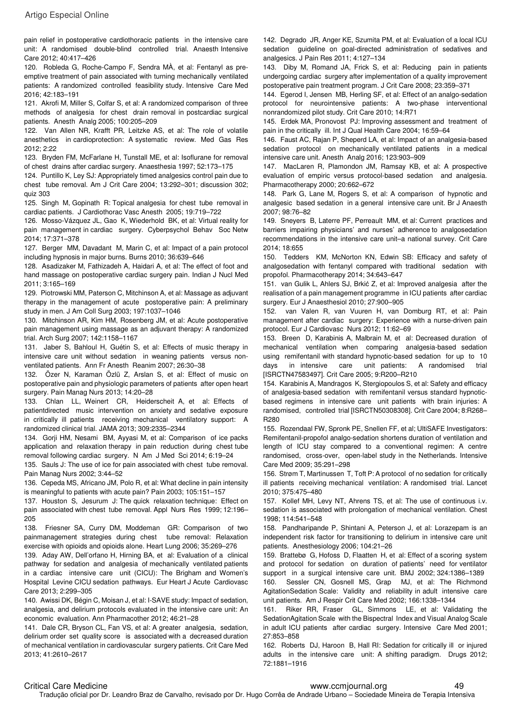pain relief in postoperative cardiothoracic patients in the intensive care unit: A randomised double-blind controlled trial. Anaesth Intensive Care 2012; 40:417–426

120. Robleda G, Roche-Campo F, Sendra MÀ, et al: Fentanyl as preemptive treatment of pain associated with turning mechanically ventilated patients: A randomized controlled feasibility study. Intensive Care Med 2016; 42:183–191

121. Akrofi M, Miller S, Colfar S, et al: A randomized comparison of three methods of analgesia for chest drain removal in postcardiac surgical patients. Anesth Analg 2005; 100:205–209

122. Van Allen NR, Krafft PR, Leitzke AS, et al: The role of volatile anesthetics in cardioprotection: A systematic review. Med Gas Res 2012; 2:22

123. Bryden FM, McFarlane H, Tunstall ME, et al: Isoflurane for removal of chest drains after cardiac surgery. Anaesthesia 1997; 52:173–175

124. Puntillo K, Ley SJ: Appropriately timed analgesics control pain due to chest tube removal. Am J Crit Care 2004; 13:292–301; discussion 302; quiz 303

125. Singh M, Gopinath R: Topical analgesia for chest tube removal in cardiac patients. J Cardiothorac Vasc Anesth 2005; 19:719–722

126. Mosso-Vázquez JL, Gao K, Wiederhold BK, et al: Virtual reality for pain management in cardiac surgery. Cyberpsychol Behav Soc Netw 2014; 17:371–378

127. Berger MM, Davadant M, Marin C, et al: Impact of a pain protocol including hypnosis in major burns. Burns 2010; 36:639–646

128. Asadizaker M, Fathizadeh A, Haidari A, et al: The effect of foot and hand massage on postoperative cardiac surgery pain. Indian J Nucl Med 2011; 3:165–169

129. Piotrowski MM, Paterson C, Mitchinson A, et al: Massage as adjuvant therapy in the management of acute postoperative pain: A preliminary study in men. J Am Coll Surg 2003; 197:1037–1046

130. Mitchinson AR, Kim HM, Rosenberg JM, et al: Acute postoperative pain management using massage as an adjuvant therapy: A randomized trial. Arch Surg 2007; 142:1158–1167

131. Jaber S, Bahloul H, Guétin S, et al: Effects of music therapy in intensive care unit without sedation in weaning patients versus nonventilated patients. Ann Fr Anesth Reanim 2007; 26:30–38

132. Özer N, Karaman Özlü Z, Arslan S, et al: Effect of music on postoperative pain and physiologic parameters of patients after open heart surgery. Pain Manag Nurs 2013; 14:20–28

133. Chlan LL, Weinert CR, Heiderscheit A, et al: Effects of patientdirected music intervention on anxiety and sedative exposure in critically ill patients receiving mechanical ventilatory support: A randomized clinical trial. JAMA 2013; 309:2335–2344

134. Gorji HM, Nesami BM, Ayyasi M, et al: Comparison of ice packs application and relaxation therapy in pain reduction during chest tube removal following cardiac surgery. N Am J Med Sci 2014; 6:19–24

135. Sauls J: The use of ice for pain associated with chest tube removal. Pain Manag Nurs 2002; 3:44–52

136. Cepeda MS, Africano JM, Polo R, et al: What decline in pain intensity is meaningful to patients with acute pain? Pain 2003; 105:151–157

137. Houston S, Jesurum J: The quick relaxation technique: Effect on pain associated with chest tube removal. Appl Nurs Res 1999; 12:196– 205

138. Friesner SA, Curry DM, Moddeman GR: Comparison of two painmanagement strategies during chest tube removal: Relaxation exercise with opioids and opioids alone. Heart Lung 2006; 35:269–276

139. Aday AW, Dell'orfano H, Hirning BA, et al: Evaluation of a clinical pathway for sedation and analgesia of mechanically ventilated patients in a cardiac intensive care unit (CICU): The Brigham and Women's Hospital Levine CICU sedation pathways. Eur Heart J Acute Cardiovasc Care 2013; 2:299–305

140. Awissi DK, Bégin C, Moisan J, et al: I-SAVE study: Impact of sedation, analgesia, and delirium protocols evaluated in the intensive care unit: An economic evaluation. Ann Pharmacother 2012; 46:21–28

141. Dale CR, Bryson CL, Fan VS, et al: A greater analgesia, sedation, delirium order set quality score is associated with a decreased duration of mechanical ventilation in cardiovascular surgery patients. Crit Care Med 2013; 41:2610–2617

142. Degrado JR, Anger KE, Szumita PM, et al: Evaluation of a local ICU sedation guideline on goal-directed administration of sedatives and analgesics. J Pain Res 2011; 4:127–134

143. Diby M, Romand JA, Frick S, et al: Reducing pain in patients undergoing cardiac surgery after implementation of a quality improvement postoperative pain treatment program. J Crit Care 2008; 23:359–371

144. Egerod I, Jensen MB, Herling SF, et al: Effect of an analgo-sedation protocol for neurointensive patients: A two-phase interventional nonrandomized pilot study. Crit Care 2010; 14:R71

145. Erdek MA, Pronovost PJ: Improving assessment and treatment of pain in the critically ill. Int J Qual Health Care 2004; 16:59–64

146. Faust AC, Rajan P, Sheperd LA, et al: Impact of an analgesia-based sedation protocol on mechanically ventilated patients in a medical intensive care unit. Anesth Analg 2016; 123:903–909

147. MacLaren R, Plamondon JM, Ramsay KB, et al: A prospective evaluation of empiric versus protocol-based sedation and analgesia. Pharmacotherapy 2000; 20:662–672

148. Park G, Lane M, Rogers S, et al: A comparison of hypnotic and analgesic based sedation in a general intensive care unit. Br J Anaesth 2007; 98:76–82

149. Sneyers B, Laterre PF, Perreault MM, et al: Current practices and barriers impairing physicians' and nurses' adherence to analgosedation recommendations in the intensive care unit–a national survey. Crit Care 2014; 18:655

150. Tedders KM, McNorton KN, Edwin SB: Efficacy and safety of analgosedation with fentanyl compared with traditional sedation with propofol. Pharmacotherapy 2014; 34:643–647

151. van Gulik L, Ahlers SJ, Brkić Z, et al: Improved analgesia after the realisation of a pain management programme in ICU patients after cardiac surgery. Eur J Anaesthesiol 2010; 27:900–905

152. van Valen R, van Vuuren H, van Domburg RT, et al: Pain management after cardiac surgery: Experience with a nurse-driven pain protocol. Eur J Cardiovasc Nurs 2012; 11:62–69

153. Breen D, Karabinis A, Malbrain M, et al: Decreased duration of mechanical ventilation when comparing analgesia-based sedation using remifentanil with standard hypnotic-based sedation for up to 10 days in intensive care unit patients: A randomised trial [ISRCTN47583497]. Crit Care 2005; 9:R200–R210

154. Karabinis A, Mandragos K, Stergiopoulos S, et al: Safety and efficacy of analgesia-based sedation with remifentanil versus standard hypnoticbased regimens in intensive care unit patients with brain injuries: A randomised, controlled trial [ISRCTN50308308]. Crit Care 2004; 8:R268– R280

155. Rozendaal FW, Spronk PE, Snellen FF, et al; UltiSAFE Investigators: Remifentanil-propofol analgo-sedation shortens duration of ventilation and length of ICU stay compared to a conventional regimen: A centre randomised, cross-over, open-label study in the Netherlands. Intensive Care Med 2009; 35:291–298

156. Strøm T, Martinussen T, Toft P: A protocol of no sedation for critically ill patients receiving mechanical ventilation: A randomised trial. Lancet 2010; 375:475–480

157. Kollef MH, Levy NT, Ahrens TS, et al: The use of continuous i.v. sedation is associated with prolongation of mechanical ventilation. Chest 1998; 114:541–548

158. Pandharipande P, Shintani A, Peterson J, et al: Lorazepam is an independent risk factor for transitioning to delirium in intensive care unit patients. Anesthesiology 2006; 104:21–26

159. Brattebø G, Hofoss D, Flaatten H, et al: Effect of a scoring system and protocol for sedation on duration of patients' need for ventilator support in a surgical intensive care unit. BMJ 2002; 324:1386–1389 160. Sessler CN, Gosnell MS, Grap MJ, et al: The Richmond AgitationSedation Scale: Validity and reliability in adult intensive care unit patients. Am J Respir Crit Care Med 2002; 166:1338–1344

161. Riker RR, Fraser GL, Simmons LE, et al: Validating the SedationAgitation Scale with the Bispectral Index and Visual Analog Scale in adult ICU patients after cardiac surgery. Intensive Care Med 2001; 27:853–858

162. Roberts DJ, Haroon B, Hall RI: Sedation for critically ill or injured adults in the intensive care unit: A shifting paradigm. Drugs 2012; 72:1881–1916

#### Critical Care Medicine www.ccmjournal.org 49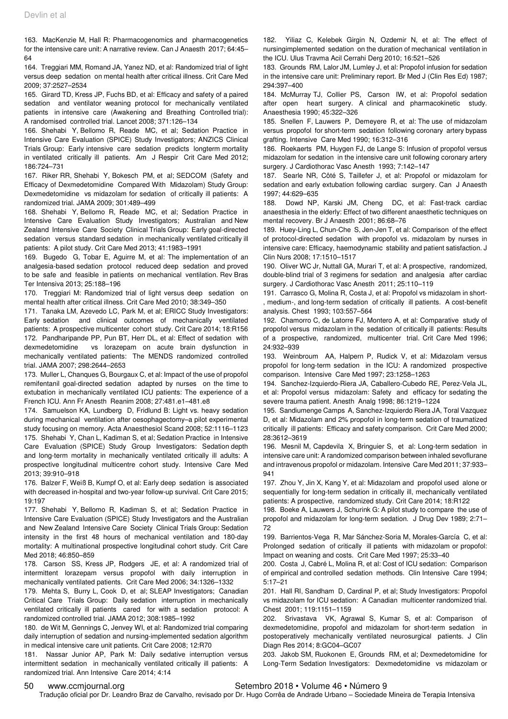163. MacKenzie M, Hall R: Pharmacogenomics and pharmacogenetics for the intensive care unit: A narrative review. Can J Anaesth 2017; 64:45– 64

164. Treggiari MM, Romand JA, Yanez ND, et al: Randomized trial of light versus deep sedation on mental health after critical illness. Crit Care Med 2009; 37:2527–2534

165. Girard TD, Kress JP, Fuchs BD, et al: Efficacy and safety of a paired sedation and ventilator weaning protocol for mechanically ventilated patients in intensive care (Awakening and Breathing Controlled trial): A randomised controlled trial. Lancet 2008; 371:126–134

166. Shehabi Y, Bellomo R, Reade MC, et al; Sedation Practice in Intensive Care Evaluation (SPICE) Study Investigators; ANZICS Clinical Trials Group: Early intensive care sedation predicts longterm mortality in ventilated critically ill patients. Am J Respir Crit Care Med 2012; 186:724–731

167. Riker RR, Shehabi Y, Bokesch PM, et al; SEDCOM (Safety and Efficacy of Dexmedetomidine Compared With Midazolam) Study Group: Dexmedetomidine vs midazolam for sedation of critically ill patients: A randomized trial. JAMA 2009; 301:489–499

168. Shehabi Y, Bellomo R, Reade MC, et al; Sedation Practice in Intensive Care Evaluation Study Investigators; Australian and New Zealand Intensive Care Society Clinical Trials Group: Early goal-directed sedation versus standard sedation in mechanically ventilated critically ill patients: A pilot study. Crit Care Med 2013; 41:1983–1991

169. Bugedo G, Tobar E, Aguirre M, et al: The implementation of an analgesia-based sedation protocol reduced deep sedation and proved to be safe and feasible in patients on mechanical ventilation. Rev Bras Ter Intensiva 2013; 25:188–196

170. Treggiari M: Randomized trial of light versus deep sedation on mental health after critical illness. Crit Care Med 2010; 38:349–350

171. Tanaka LM, Azevedo LC, Park M, et al; ERICC Study Investigators: Early sedation and clinical outcomes of mechanically ventilated patients: A prospective multicenter cohort study. Crit Care 2014; 18:R156 172. Pandharipande PP, Pun BT, Herr DL, et al: Effect of sedation with dexmedetomidine vs lorazepam on acute brain dysfunction in mechanically ventilated patients: The MENDS randomized controlled trial. JAMA 2007; 298:2644–2653

173. Muller L, Chanques G, Bourgaux C, et al: Impact of the use of propofol remifentanil goal-directed sedation adapted by nurses on the time to extubation in mechanically ventilated ICU patients: The experience of a French ICU. Ann Fr Anesth Reanim 2008; 27:481.e1–481.e8

174. Samuelson KA, Lundberg D, Fridlund B: Light vs. heavy sedation during mechanical ventilation after oesophagectomy–a pilot experimental study focusing on memory. Acta Anaesthesiol Scand 2008; 52:1116–1123 175. Shehabi Y, Chan L, Kadiman S, et al; Sedation Practice in Intensive Care Evaluation (SPICE) Study Group Investigators: Sedation depth and long-term mortality in mechanically ventilated critically ill adults: A prospective longitudinal multicentre cohort study. Intensive Care Med 2013; 39:910–918

176. Balzer F, Weiß B, Kumpf O, et al: Early deep sedation is associated with decreased in-hospital and two-year follow-up survival. Crit Care 2015; 19:197

177. Shehabi Y, Bellomo R, Kadiman S, et al; Sedation Practice in Intensive Care Evaluation (SPICE) Study Investigators and the Australian and New Zealand Intensive Care Society Clinical Trials Group: Sedation intensity in the first 48 hours of mechanical ventilation and 180-day mortality: A multinational prospective longitudinal cohort study. Crit Care Med 2018; 46:850–859

178. Carson SS, Kress JP, Rodgers JE, et al: A randomized trial of intermittent lorazepam versus propofol with daily interruption in mechanically ventilated patients. Crit Care Med 2006; 34:1326–1332

179. Mehta S, Burry L, Cook D, et al; SLEAP Investigators; Canadian Critical Care Trials Group: Daily sedation interruption in mechanically ventilated critically ill patients cared for with a sedation protocol: A randomized controlled trial. JAMA 2012; 308:1985–1992

180. de Wit M, Gennings C, Jenvey WI, et al: Randomized trial comparing daily interruption of sedation and nursing-implemented sedation algorithm in medical intensive care unit patients. Crit Care 2008; 12:R70

181. Nassar Junior AP, Park M: Daily sedative interruption versus intermittent sedation in mechanically ventilated critically ill patients: A randomized trial. Ann Intensive Care 2014; 4:14

182. Yiliaz C, Kelebek Girgin N, Ozdemir N, et al: The effect of nursingimplemented sedation on the duration of mechanical ventilation in the ICU. Ulus Travma Acil Cerrahi Derg 2010; 16:521–526

183. Grounds RM, Lalor JM, Lumley J, et al: Propofol infusion for sedation in the intensive care unit: Preliminary report. Br Med J (Clin Res Ed) 1987; 294:397–400

184. McMurray TJ, Collier PS, Carson IW, et al: Propofol sedation after open heart surgery. A clinical and pharmacokinetic study. Anaesthesia 1990; 45:322–326

185. Snellen F, Lauwers P, Demeyere R, et al: The use of midazolam versus propofol for short-term sedation following coronary artery bypass grafting. Intensive Care Med 1990; 16:312–316

186. Roekaerts PM, Huygen FJ, de Lange S: Infusion of propofol versus midazolam for sedation in the intensive care unit following coronary artery surgery. J Cardiothorac Vasc Anesth 1993; 7:142–147

187. Searle NR, Côté S, Taillefer J, et al: Propofol or midazolam for sedation and early extubation following cardiac surgery. Can J Anaesth 1997; 44:629–635

188. Dowd NP, Karski JM, Cheng DC, et al: Fast-track cardiac anaesthesia in the elderly: Effect of two different anaesthetic techniques on mental recovery. Br J Anaesth 2001; 86:68–76

189. Huey-Ling L, Chun-Che S, Jen-Jen T, et al: Comparison of the effect of protocol-directed sedation with propofol vs. midazolam by nurses in intensive care: Efficacy, haemodynamic stability and patient satisfaction. J Clin Nurs 2008; 17:1510–1517

190. Oliver WC Jr, Nuttall GA, Murari T, et al: A prospective, randomized, double-blind trial of 3 regimens for sedation and analgesia after cardiac surgery. J Cardiothorac Vasc Anesth 2011; 25:110–119

191. Carrasco G, Molina R, Costa J, et al: Propofol vs midazolam in short- , medium-, and long-term sedation of critically ill patients. A cost-benefit analysis. Chest 1993; 103:557–564

192. Chamorro C, de Latorre FJ, Montero A, et al: Comparative study of propofol versus midazolam in the sedation of critically ill patients: Results of a prospective, randomized, multicenter trial. Crit Care Med 1996; 24:932–939

193. Weinbroum AA, Halpern P, Rudick V, et al: Midazolam versus propofol for long-term sedation in the ICU: A randomized prospective comparison. Intensive Care Med 1997; 23:1258–1263

194. Sanchez-Izquierdo-Riera JA, Caballero-Cubedo RE, Perez-Vela JL, et al: Propofol versus midazolam: Safety and efficacy for sedating the severe trauma patient. Anesth Analg 1998; 86:1219–1224

195. Sandiumenge Camps A, Sanchez-Izquierdo Riera JA, Toral Vazquez D, et al: Midazolam and 2% propofol in long-term sedation of traumatized critically ill patients: Efficacy and safety comparison. Crit Care Med 2000; 28:3612–3619

196. Mesnil M, Capdevila X, Bringuier S, et al: Long-term sedation in intensive care unit: A randomized comparison between inhaled sevoflurane and intravenous propofol or midazolam. Intensive Care Med 2011; 37:933– 941

197. Zhou Y, Jin X, Kang Y, et al: Midazolam and propofol used alone or sequentially for long-term sedation in critically ill, mechanically ventilated patients: A prospective, randomized study. Crit Care 2014; 18:R122

198. Boeke A, Lauwers J, Schurink G: A pilot study to compare the use of propofol and midazolam for long-term sedation. J Drug Dev 1989; 2:71– 72

199. Barrientos-Vega R, Mar Sánchez-Soria M, Morales-García C, et al: Prolonged sedation of critically ill patients with midazolam or propofol: Impact on weaning and costs. Crit Care Med 1997; 25:33–40

200. Costa J, Cabré L, Molina R, et al: Cost of ICU sedation: Comparison of empirical and controlled sedation methods. Clin Intensive Care 1994; 5:17–21

201. Hall RI, Sandham D, Cardinal P, et al; Study Investigators: Propofol vs midazolam for ICU sedation: A Canadian multicenter randomized trial. Chest 2001; 119:1151–1159

202. Srivastava VK, Agrawal S, Kumar S, et al: Comparison of dexmedetomidine, propofol and midazolam for short-term sedation in postoperatively mechanically ventilated neurosurgical patients. J Clin Diagn Res 2014; 8:GC04–GC07

203. Jakob SM, Ruokonen E, Grounds RM, et al; Dexmedetomidine for Long-Term Sedation Investigators: Dexmedetomidine vs midazolam or

#### 50 www.ccmjournal.org Setembro 2018 • Volume 46 • Número 9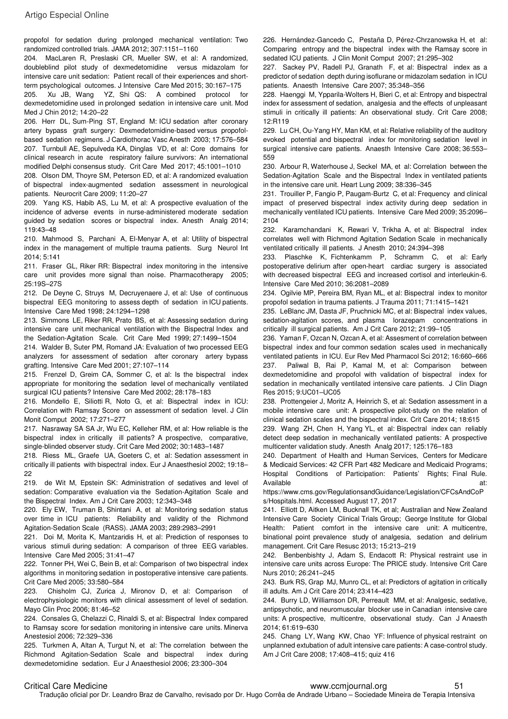propofol for sedation during prolonged mechanical ventilation: Two randomized controlled trials. JAMA 2012; 307:1151–1160

204. MacLaren R, Preslaski CR, Mueller SW, et al: A randomized, doubleblind pilot study of dexmedetomidine versus midazolam for intensive care unit sedation: Patient recall of their experiences and shortterm psychological outcomes. J Intensive Care Med 2015; 30:167–175

205. Xu JB, Wang YZ, Shi QS: A combined protocol for dexmedetomidine used in prolonged sedation in intensive care unit. Mod Med J Chin 2012; 14:20–22

206. Herr DL, Sum-Ping ST, England M: ICU sedation after coronary artery bypass graft surgery: Dexmedetomidine-based versus propofolbased sedation regimens. J Cardiothorac Vasc Anesth 2003; 17:576–584 207. Turnbull AE, Sepulveda KA, Dinglas VD, et al: Core domains for clinical research in acute respiratory failure survivors: An international modified Delphi consensus study. Crit Care Med 2017; 45:1001–1010

208. Olson DM, Thoyre SM, Peterson ED, et al: A randomized evaluation of bispectral index-augmented sedation assessment in neurological patients. Neurocrit Care 2009; 11:20–27

209. Yang KS, Habib AS, Lu M, et al: A prospective evaluation of the incidence of adverse events in nurse-administered moderate sedation guided by sedation scores or bispectral index. Anesth Analg 2014; 119:43–48

210. Mahmood S, Parchani A, El-Menyar A, et al: Utility of bispectral index in the management of multiple trauma patients. Surg Neurol Int 2014; 5:141

211. Fraser GL, Riker RR: Bispectral index monitoring in the intensive care unit provides more signal than noise. Pharmacotherapy 2005; 25:19S–27S

212. De Deyne C, Struys M, Decruyenaere J, et al: Use of continuous bispectral EEG monitoring to assess depth of sedation in ICU patients. Intensive Care Med 1998; 24:1294–1298

213. Simmons LE, Riker RR, Prato BS, et al: Assessing sedation during intensive care unit mechanical ventilation with the Bispectral Index and the Sedation-Agitation Scale. Crit Care Med 1999; 27:1499–1504

214. Walder B, Suter PM, Romand JA: Evaluation of two processed EEG analyzers for assessment of sedation after coronary artery bypass grafting. Intensive Care Med 2001; 27:107–114

215. Frenzel D, Greim CA, Sommer C, et al: Is the bispectral index appropriate for monitoring the sedation level of mechanically ventilated surgical ICU patients? Intensive Care Med 2002; 28:178–183

216. Mondello E, Siliotti R, Noto G, et al: Bispectral index in ICU: Correlation with Ramsay Score on assessment of sedation level. J Clin Monit Comput 2002; 17:271–277

217. Nasraway SA SA Jr, Wu EC, Kelleher RM, et al: How reliable is the bispectral index in critically ill patients? A prospective, comparative, single-blinded observer study. Crit Care Med 2002; 30:1483–1487

218. Riess ML, Graefe UA, Goeters C, et al: Sedation assessment in critically ill patients with bispectral index. Eur J Anaesthesiol 2002; 19:18– 22

219. de Wit M, Epstein SK: Administration of sedatives and level of sedation: Comparative evaluation via the Sedation-Agitation Scale and the Bispectral Index. Am J Crit Care 2003; 12:343–348

220. Ely EW, Truman B, Shintani A, et al: Monitoring sedation status over time in ICU patients: Reliability and validity of the Richmond Agitation-Sedation Scale (RASS). JAMA 2003; 289:2983–2991

221. Doi M, Morita K, Mantzaridis H, et al: Prediction of responses to various stimuli during sedation: A comparison of three EEG variables. Intensive Care Med 2005; 31:41–47

222. Tonner PH, Wei C, Bein B, et al: Comparison of two bispectral index algorithms in monitoring sedation in postoperative intensive care patients. Crit Care Med 2005; 33:580–584

223. Chisholm CJ, Zurica J, Mironov D, et al: Comparison of electrophysiologic monitors with clinical assessment of level of sedation. Mayo Clin Proc 2006; 81:46–52

224. Consales G, Chelazzi C, Rinaldi S, et al: Bispectral Index compared to Ramsay score for sedation monitoring in intensive care units. Minerva Anestesiol 2006; 72:329–336

225. Turkmen A, Altan A, Turgut N, et al: The correlation between the Richmond Agitation-Sedation Scale and bispectral index during dexmedetomidine sedation. Eur J Anaesthesiol 2006; 23:300–304

226. Hernández-Gancedo C, Pestaña D, Pérez-Chrzanowska H, et al: Comparing entropy and the bispectral index with the Ramsay score in sedated ICU patients. J Clin Monit Comput 2007; 21:295–302

227. Sackey PV, Radell PJ, Granath F, et al: Bispectral index as a predictor of sedation depth during isoflurane or midazolam sedation in ICU patients. Anaesth Intensive Care 2007; 35:348–356

228. Haenggi M, Ypparila-Wolters H, Bieri C, et al: Entropy and bispectral index for assessment of sedation, analgesia and the effects of unpleasant stimuli in critically ill patients: An observational study. Crit Care 2008; 12:R119

229. Lu CH, Ou-Yang HY, Man KM, et al: Relative reliability of the auditory evoked potential and bispectral index for monitoring sedation level in surgical intensive care patients. Anaesth Intensive Care 2008; 36:553– 559

230. Arbour R, Waterhouse J, Seckel MA, et al: Correlation between the Sedation-Agitation Scale and the Bispectral Index in ventilated patients in the intensive care unit. Heart Lung 2009; 38:336–345

231. Trouiller P, Fangio P, Paugam-Burtz C, et al: Frequency and clinical impact of preserved bispectral index activity during deep sedation in mechanically ventilated ICU patients. Intensive Care Med 2009; 35:2096– 2104

232. Karamchandani K, Rewari V, Trikha A, et al: Bispectral index correlates well with Richmond Agitation Sedation Scale in mechanically ventilated critically ill patients. J Anesth 2010; 24:394–398

233. Plaschke K, Fichtenkamm P, Schramm C, et al: Early postoperative delirium after open-heart cardiac surgery is associated with decreased bispectral EEG and increased cortisol and interleukin-6. Intensive Care Med 2010; 36:2081–2089

234. Ogilvie MP, Pereira BM, Ryan ML, et al: Bispectral index to monitor propofol sedation in trauma patients. J Trauma 2011; 71:1415–1421

235. LeBlanc JM, Dasta JF, Pruchnicki MC, et al: Bispectral index values, sedation-agitation scores, and plasma lorazepam concentrations in critically ill surgical patients. Am J Crit Care 2012; 21:99–105

236. Yaman F, Ozcan N, Ozcan A, et al: Assesment of correlation between bispectral index and four common sedation scales used in mechanically ventilated patients in ICU. Eur Rev Med Pharmacol Sci 2012; 16:660–666 237. Paliwal B, Rai P, Kamal M, et al: Comparison between dexmedetomidine and propofol with validation of bispectral index for sedation in mechanically ventilated intensive care patients. J Clin Diagn Res 2015; 9:UC01–UC05

238. Prottengeier J, Moritz A, Heinrich S, et al: Sedation assessment in a mobile intensive care unit: A prospective pilot-study on the relation of clinical sedation scales and the bispectral index. Crit Care 2014; 18:615

239. Wang ZH, Chen H, Yang YL, et al: Bispectral index can reliably detect deep sedation in mechanically ventilated patients: A prospective multicenter validation study. Anesth Analg 2017; 125:176–183

240. Department of Health and Human Services, Centers for Medicare & Medicaid Services: 42 CFR Part 482 Medicare and Medicaid Programs; Hospital Conditions of Participation: Patients' Rights; Final Rule. Available at:

https://www.cms.gov/RegulationsandGuidance/Legislation/CFCsAndCoP s/Hospitals.html. Accessed August 17, 2017

241. Elliott D, Aitken LM, Bucknall TK, et al; Australian and New Zealand Intensive Care Society Clinical Trials Group; George Institute for Global Health: Patient comfort in the intensive care unit: A multicentre, binational point prevalence study of analgesia, sedation and delirium management. Crit Care Resusc 2013; 15:213–219

242. Benbenbishty J, Adam S, Endacott R: Physical restraint use in intensive care units across Europe: The PRICE study. Intensive Crit Care Nurs 2010; 26:241–245

243. Burk RS, Grap MJ, Munro CL, et al: Predictors of agitation in critically ill adults. Am J Crit Care 2014; 23:414–423

244. Burry LD, Williamson DR, Perreault MM, et al: Analgesic, sedative, antipsychotic, and neuromuscular blocker use in Canadian intensive care units: A prospective, multicentre, observational study. Can J Anaesth 2014; 61:619–630

245. Chang LY, Wang KW, Chao YF: Influence of physical restraint on unplanned extubation of adult intensive care patients: A case-control study. Am J Crit Care 2008; 17:408–415; quiz 416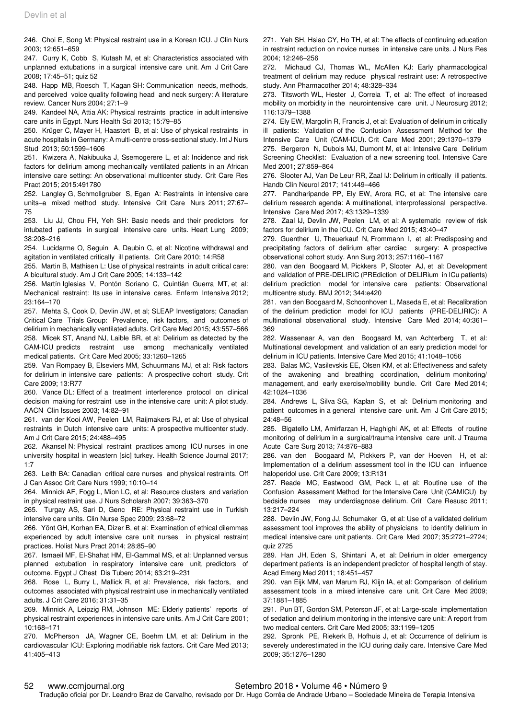246. Choi E, Song M: Physical restraint use in a Korean ICU. J Clin Nurs 2003; 12:651–659

247. Curry K, Cobb S, Kutash M, et al: Characteristics associated with unplanned extubations in a surgical intensive care unit. Am J Crit Care 2008; 17:45–51; quiz 52

248. Happ MB, Roesch T, Kagan SH: Communication needs, methods, and perceived voice quality following head and neck surgery: A literature review. Cancer Nurs 2004; 27:1–9

249. Kandeel NA, Attia AK: Physical restraints practice in adult intensive care units in Egypt. Nurs Health Sci 2013; 15:79–85

250. Krüger C, Mayer H, Haastert B, et al: Use of physical restraints in acute hospitals in Germany: A multi-centre cross-sectional study. Int J Nurs Stud 2013; 50:1599–1606

251. Kwizera A, Nakibuuka J, Ssemogerere L, et al: Incidence and risk factors for delirium among mechanically ventilated patients in an African intensive care setting: An observational multicenter study. Crit Care Res Pract 2015; 2015:491780

252. Langley G, Schmollgruber S, Egan A: Restraints in intensive care units–a mixed method study. Intensive Crit Care Nurs 2011; 27:67– 75

253. Liu JJ, Chou FH, Yeh SH: Basic needs and their predictors for intubated patients in surgical intensive care units. Heart Lung 2009; 38:208–216

254. Lucidarme O, Seguin A, Daubin C, et al: Nicotine withdrawal and agitation in ventilated critically ill patients. Crit Care 2010; 14:R58

255. Martin B, Mathisen L: Use of physical restraints in adult critical care: A bicultural study. Am J Crit Care 2005; 14:133–142

256. Martín Iglesias V, Pontón Soriano C, Quintián Guerra MT, et al: Mechanical restraint: Its use in intensive cares. Enferm Intensiva 2012; 23:164–170

257. Mehta S, Cook D, Devlin JW, et al; SLEAP Investigators; Canadian Critical Care Trials Group: Prevalence, risk factors, and outcomes of delirium in mechanically ventilated adults. Crit Care Med 2015; 43:557–566 258. Micek ST, Anand NJ, Laible BR, et al: Delirium as detected by the CAM-ICU predicts restraint use among mechanically ventilated medical patients. Crit Care Med 2005; 33:1260–1265

259. Van Rompaey B, Elseviers MM, Schuurmans MJ, et al: Risk factors for delirium in intensive care patients: A prospective cohort study. Crit Care 2009; 13:R77

260. Vance DL: Effect of a treatment interference protocol on clinical decision making for restraint use in the intensive care unit: A pilot study. AACN Clin Issues 2003; 14:82–91

261. van der Kooi AW, Peelen LM, Raijmakers RJ, et al: Use of physical restraints in Dutch intensive care units: A prospective multicenter study. Am J Crit Care 2015; 24:488–495

262. Akansel N: Physical restraint practices among ICU nurses in one university hospital in weastern [sic] turkey. Health Science Journal 2017; 1:7

263. Leith BA: Canadian critical care nurses and physical restraints. Off J Can Assoc Crit Care Nurs 1999; 10:10–14

264. Minnick AF, Fogg L, Mion LC, et al: Resource clusters and variation in physical restraint use. J Nurs Scholarsh 2007; 39:363–370

265. Turgay AS, Sari D, Genc RE: Physical restraint use in Turkish intensive care units. Clin Nurse Spec 2009; 23:68–72

266. Yönt GH, Korhan EA, Dizer B, et al: Examination of ethical dilemmas experienced by adult intensive care unit nurses in physical restraint practices. Holist Nurs Pract 2014; 28:85–90

267. Ismaeil MF, El-Shahat HM, El-Gammal MS, et al: Unplanned versus planned extubation in respiratory intensive care unit, predictors of outcome. Egypt J Chest Dis Tuberc 2014; 63:219–231

268. Rose L, Burry L, Mallick R, et al: Prevalence, risk factors, and outcomes associated with physical restraint use in mechanically ventilated adults. J Crit Care 2016; 31:31–35

269. Minnick A, Leipzig RM, Johnson ME: Elderly patients' reports of physical restraint experiences in intensive care units. Am J Crit Care 2001; 10:168–171

270. McPherson JA, Wagner CE, Boehm LM, et al: Delirium in the cardiovascular ICU: Exploring modifiable risk factors. Crit Care Med 2013; 41:405–413

271. Yeh SH, Hsiao CY, Ho TH, et al: The effects of continuing education in restraint reduction on novice nurses in intensive care units. J Nurs Res 2004; 12:246–256

272. Michaud CJ, Thomas WL, McAllen KJ: Early pharmacological treatment of delirium may reduce physical restraint use: A retrospective study. Ann Pharmacother 2014; 48:328–334

273. Titsworth WL, Hester J, Correia T, et al: The effect of increased mobility on morbidity in the neurointensive care unit. J Neurosurg 2012; 116:1379–1388

274. Ely EW, Margolin R, Francis J, et al: Evaluation of delirium in critically ill patients: Validation of the Confusion Assessment Method for the Intensive Care Unit (CAM-ICU). Crit Care Med 2001; 29:1370–1379

275. Bergeron N, Dubois MJ, Dumont M, et al: Intensive Care Delirium Screening Checklist: Evaluation of a new screening tool. Intensive Care Med 2001; 27:859–864

276. Slooter AJ, Van De Leur RR, Zaal IJ: Delirium in critically ill patients. Handb Clin Neurol 2017; 141:449–466

277. Pandharipande PP, Ely EW, Arora RC, et al: The intensive care delirium research agenda: A multinational, interprofessional perspective. Intensive Care Med 2017; 43:1329–1339

278. Zaal IJ, Devlin JW, Peelen LM, et al: A systematic review of risk factors for delirium in the ICU. Crit Care Med 2015; 43:40–47

279. Guenther U, Theuerkauf N, Frommann I, et al: Predisposing and precipitating factors of delirium after cardiac surgery: A prospective observational cohort study. Ann Surg 2013; 257:1160–1167

280. van den Boogaard M, Pickkers P, Slooter AJ, et al: Development and validation of PRE-DELIRIC (PREdiction of DELIRium in ICu patients) delirium prediction model for intensive care patients: Observational multicentre study. BMJ 2012; 344:e420

281. van den Boogaard M, Schoonhoven L, Maseda E, et al: Recalibration of the delirium prediction model for ICU patients (PRE-DELIRIC): A multinational observational study. Intensive Care Med 2014; 40:361– 369

282. Wassenaar A, van den Boogaard M, van Achterberg T, et al: Multinational development and validation of an early prediction model for delirium in ICU patients. Intensive Care Med 2015; 41:1048–1056

283. Balas MC, Vasilevskis EE, Olsen KM, et al: Effectiveness and safety of the awakening and breathing coordination, delirium monitoring/ management, and early exercise/mobility bundle. Crit Care Med 2014; 42:1024–1036

284. Andrews L, Silva SG, Kaplan S, et al: Delirium monitoring and patient outcomes in a general intensive care unit. Am J Crit Care 2015; 24:48–56

285. Bigatello LM, Amirfarzan H, Haghighi AK, et al: Effects of routine monitoring of delirium in a surgical/trauma intensive care unit. J Trauma Acute Care Surg 2013; 74:876–883

286. van den Boogaard M, Pickkers P, van der Hoeven H, et al: Implementation of a delirium assessment tool in the ICU can influence haloperidol use. Crit Care 2009; 13:R131

287. Reade MC, Eastwood GM, Peck L, et al: Routine use of the Confusion Assessment Method for the Intensive Care Unit (CAMICU) by bedside nurses may underdiagnose delirium. Crit Care Resusc 2011; 13:217–224

288. Devlin JW, Fong JJ, Schumaker G, et al: Use of a validated delirium assessment tool improves the ability of physicians to identify delirium in medical intensive care unit patients. Crit Care Med 2007; 35:2721–2724; quiz 2725

289. Han JH, Eden S, Shintani A, et al: Delirium in older emergency department patients is an independent predictor of hospital length of stay. Acad Emerg Med 2011; 18:451–457

290. van Eijk MM, van Marum RJ, Klijn IA, et al: Comparison of delirium assessment tools in a mixed intensive care unit. Crit Care Med 2009; 37:1881–1885

291. Pun BT, Gordon SM, Peterson JF, et al: Large-scale implementation of sedation and delirium monitoring in the intensive care unit: A report from two medical centers. Crit Care Med 2005; 33:1199–1205

292. Spronk PE, Riekerk B, Hofhuis J, et al: Occurrence of delirium is severely underestimated in the ICU during daily care. Intensive Care Med 2009; 35:1276–1280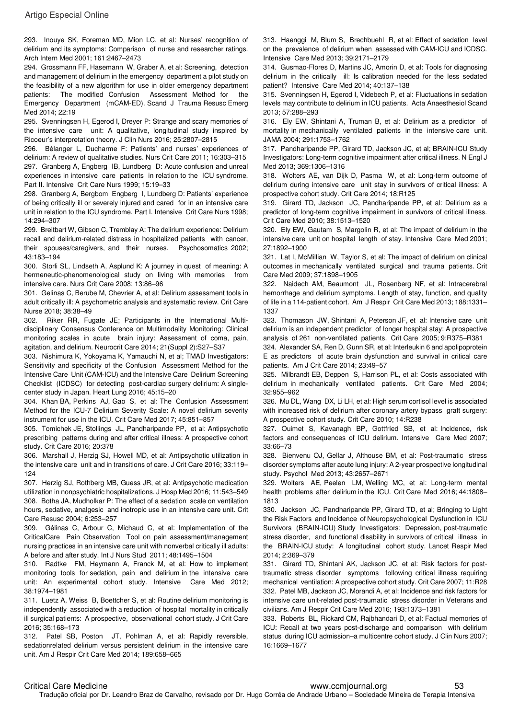293. Inouye SK, Foreman MD, Mion LC, et al: Nurses' recognition of delirium and its symptoms: Comparison of nurse and researcher ratings. Arch Intern Med 2001; 161:2467–2473

294. Grossmann FF, Hasemann W, Graber A, et al: Screening, detection and management of delirium in the emergency department a pilot study on the feasibility of a new algorithm for use in older emergency department patients: The modified Confusion Assessment Method for the Emergency Department (mCAM-ED). Scand J Trauma Resusc Emerg Med 2014; 22:19

295. Svenningsen H, Egerod I, Dreyer P: Strange and scary memories of the intensive care unit: A qualitative, longitudinal study inspired by Ricoeur's interpretation theory. J Clin Nurs 2016; 25:2807–2815

296. Bélanger L, Ducharme F: Patients' and nurses' experiences of delirium: A review of qualitative studies. Nurs Crit Care 2011; 16:303–315 297. Granberg A, Engberg IB, Lundberg D: Acute confusion and unreal experiences in intensive care patients in relation to the ICU syndrome. Part II. Intensive Crit Care Nurs 1999; 15:19–33

298. Granberg A, Bergbom Engberg I, Lundberg D: Patients' experience of being critically ill or severely injured and cared for in an intensive care unit in relation to the ICU syndrome. Part I. Intensive Crit Care Nurs 1998; 14:294–307

299. Breitbart W, Gibson C, Tremblay A: The delirium experience: Delirium recall and delirium-related distress in hospitalized patients with cancer, their spouses/caregivers, and their nurses. Psychosomatics 2002; 43:183–194

300. Storli SL, Lindseth A, Asplund K: A journey in quest of meaning: A hermeneutic-phenomenological study on living with memories from intensive care. Nurs Crit Care 2008; 13:86–96

301. Gelinas C, Berube M, Chevrier A, et al: Delirium assessment tools in adult critically ill: A psychometric analysis and systematic review. Crit Care Nurse 2018; 38:38–49

302. Riker RR, Fugate JE; Participants in the International Multidisciplinary Consensus Conference on Multimodality Monitoring: Clinical monitoring scales in acute brain injury: Assessment of coma, pain, agitation, and delirium. Neurocrit Care 2014; 21(Suppl 2):S27–S37

303. Nishimura K, Yokoyama K, Yamauchi N, et al; TMAD Investigators: Sensitivity and specificity of the Confusion Assessment Method for the Intensive Care Unit (CAM-ICU) and the Intensive Care Delirium Screening Checklist (ICDSC) for detecting post-cardiac surgery delirium: A singlecenter study in Japan. Heart Lung 2016; 45:15–20

304. Khan BA, Perkins AJ, Gao S, et al: The Confusion Assessment Method for the ICU-7 Delirium Severity Scale: A novel delirium severity instrument for use in the ICU. Crit Care Med 2017; 45:851–857

305. Tomichek JE, Stollings JL, Pandharipande PP, et al: Antipsychotic prescribing patterns during and after critical illness: A prospective cohort study. Crit Care 2016; 20:378

306. Marshall J, Herzig SJ, Howell MD, et al: Antipsychotic utilization in the intensive care unit and in transitions of care. J Crit Care 2016; 33:119– 124

307. Herzig SJ, Rothberg MB, Guess JR, et al: Antipsychotic medication utilization in nonpsychiatric hospitalizations. J Hosp Med 2016; 11:543–549 308. Botha JA, Mudholkar P: The effect of a sedation scale on ventilation hours, sedative, analgesic and inotropic use in an intensive care unit. Crit Care Resusc 2004; 6:253–257

309. Gélinas C, Arbour C, Michaud C, et al: Implementation of the CriticalCare Pain Observation Tool on pain assessment/management nursing practices in an intensive care unit with nonverbal critically ill adults: A before and after study. Int J Nurs Stud 2011; 48:1495–1504

310. Radtke FM, Heymann A, Franck M, et al: How to implement monitoring tools for sedation, pain and delirium in the intensive care unit: An experimental cohort study. Intensive Care Med 2012; 38:1974–1981

311. Luetz A, Weiss B, Boettcher S, et al: Routine delirium monitoring is independently associated with a reduction of hospital mortality in critically ill surgical patients: A prospective, observational cohort study. J Crit Care 2016; 35:168–173

312. Patel SB, Poston JT, Pohlman A, et al: Rapidly reversible, sedationrelated delirium versus persistent delirium in the intensive care unit. Am J Respir Crit Care Med 2014; 189:658–665

313. Haenggi M, Blum S, Brechbuehl R, et al: Effect of sedation level on the prevalence of delirium when assessed with CAM-ICU and ICDSC. Intensive Care Med 2013; 39:2171–2179

314. Gusmao-Flores D, Martins JC, Amorin D, et al: Tools for diagnosing delirium in the critically ill: Is calibration needed for the less sedated patient? Intensive Care Med 2014; 40:137–138

315. Svenningsen H, Egerod I, Videbech P, et al: Fluctuations in sedation levels may contribute to delirium in ICU patients. Acta Anaesthesiol Scand 2013; 57:288–293

316. Ely EW, Shintani A, Truman B, et al: Delirium as a predictor of mortality in mechanically ventilated patients in the intensive care unit. JAMA 2004; 291:1753–1762

317. Pandharipande PP, Girard TD, Jackson JC, et al; BRAIN-ICU Study Investigators: Long-term cognitive impairment after critical illness. N Engl J Med 2013; 369:1306–1316

318. Wolters AE, van Dijk D, Pasma W, et al: Long-term outcome of delirium during intensive care unit stay in survivors of critical illness: A prospective cohort study. Crit Care 2014; 18:R125

319. Girard TD, Jackson JC, Pandharipande PP, et al: Delirium as a predictor of long-term cognitive impairment in survivors of critical illness. Crit Care Med 2010; 38:1513–1520

320. Ely EW, Gautam S, Margolin R, et al: The impact of delirium in the intensive care unit on hospital length of stay. Intensive Care Med 2001; 27:1892–1900

321. Lat I, McMillian W, Taylor S, et al: The impact of delirium on clinical outcomes in mechanically ventilated surgical and trauma patients. Crit Care Med 2009; 37:1898–1905

322. Naidech AM, Beaumont JL, Rosenberg NF, et al: Intracerebral hemorrhage and delirium symptoms. Length of stay, function, and quality of life in a 114-patient cohort. Am J Respir Crit Care Med 2013; 188:1331– 1337

323. Thomason JW, Shintani A, Peterson JF, et al: Intensive care unit delirium is an independent predictor of longer hospital stay: A prospective analysis of 261 non-ventilated patients. Crit Care 2005; 9:R375–R381

324. Alexander SA, Ren D, Gunn SR, et al: Interleukin 6 and apolipoprotein E as predictors of acute brain dysfunction and survival in critical care patients. Am J Crit Care 2014; 23:49–57

325. Milbrandt EB, Deppen S, Harrison PL, et al: Costs associated with delirium in mechanically ventilated patients. Crit Care Med 2004; 32:955–962

326. Mu DL, Wang DX, Li LH, et al: High serum cortisol level is associated with increased risk of delirium after coronary artery bypass graft surgery: A prospective cohort study. Crit Care 2010; 14:R238

327. Ouimet S, Kavanagh BP, Gottfried SB, et al: Incidence, risk factors and consequences of ICU delirium. Intensive Care Med 2007; 33:66–73

328. Bienvenu OJ, Gellar J, Althouse BM, et al: Post-traumatic stress disorder symptoms after acute lung injury: A 2-year prospective longitudinal study. Psychol Med 2013; 43:2657–2671

329. Wolters AE, Peelen LM, Welling MC, et al: Long-term mental health problems after delirium in the ICU. Crit Care Med 2016; 44:1808– 1813

330. Jackson JC, Pandharipande PP, Girard TD, et al; Bringing to Light the Risk Factors and Incidence of Neuropsychological Dysfunction in ICU Survivors (BRAIN-ICU) Study Investigators: Depression, post-traumatic stress disorder, and functional disability in survivors of critical illness in the BRAIN-ICU study: A longitudinal cohort study. Lancet Respir Med 2014; 2:369–379

331. Girard TD, Shintani AK, Jackson JC, et al: Risk factors for posttraumatic stress disorder symptoms following critical illness requiring mechanical ventilation: A prospective cohort study. Crit Care 2007; 11:R28 332. Patel MB, Jackson JC, Morandi A, et al: Incidence and risk factors for intensive care unit-related post-traumatic stress disorder in Veterans and civilians. Am J Respir Crit Care Med 2016; 193:1373–1381

333. Roberts BL, Rickard CM, Rajbhandari D, et al: Factual memories of ICU: Recall at two years post-discharge and comparison with delirium status during ICU admission–a multicentre cohort study. J Clin Nurs 2007; 16:1669–1677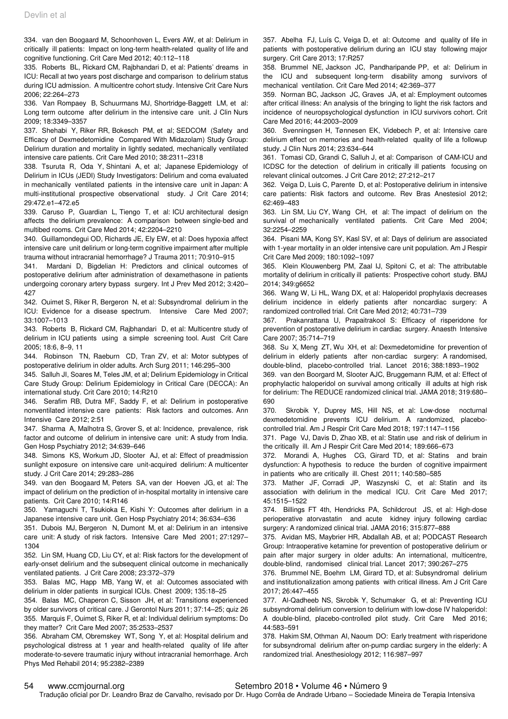334. van den Boogaard M, Schoonhoven L, Evers AW, et al: Delirium in critically ill patients: Impact on long-term health-related quality of life and cognitive functioning. Crit Care Med 2012; 40:112–118

335. Roberts BL, Rickard CM, Rajbhandari D, et al: Patients' dreams in ICU: Recall at two years post discharge and comparison to delirium status during ICU admission. A multicentre cohort study. Intensive Crit Care Nurs 2006; 22:264–273

336. Van Rompaey B, Schuurmans MJ, Shortridge-Baggett LM, et al: Long term outcome after delirium in the intensive care unit. J Clin Nurs 2009; 18:3349–3357

337. Shehabi Y, Riker RR, Bokesch PM, et al; SEDCOM (Safety and Efficacy of Dexmedetomidine Compared With Midazolam) Study Group: Delirium duration and mortality in lightly sedated, mechanically ventilated intensive care patients. Crit Care Med 2010; 38:2311–2318

338. Tsuruta R, Oda Y, Shintani A, et al; Japanese Epidemiology of Delirium in ICUs (JEDI) Study Investigators: Delirium and coma evaluated in mechanically ventilated patients in the intensive care unit in Japan: A multi-institutional prospective observational study. J Crit Care 2014; 29:472.e1–472.e5

339. Caruso P, Guardian L, Tiengo T, et al: ICU architectural design affects the delirium prevalence: A comparison between single-bed and multibed rooms. Crit Care Med 2014; 42:2204–2210

340. Guillamondegui OD, Richards JE, Ely EW, et al: Does hypoxia affect intensive care unit delirium or long-term cognitive impairment after multiple trauma without intracranial hemorrhage? J Trauma 2011; 70:910–915

341. Mardani D, Bigdelian H: Predictors and clinical outcomes of postoperative delirium after administration of dexamethasone in patients undergoing coronary artery bypass surgery. Int J Prev Med 2012; 3:420– 427

342. Ouimet S, Riker R, Bergeron N, et al: Subsyndromal delirium in the ICU: Evidence for a disease spectrum. Intensive Care Med 2007; 33:1007–1013

343. Roberts B, Rickard CM, Rajbhandari D, et al: Multicentre study of delirium in ICU patients using a simple screening tool. Aust Crit Care 2005; 18:6, 8–9, 11

344. Robinson TN, Raeburn CD, Tran ZV, et al: Motor subtypes of postoperative delirium in older adults. Arch Surg 2011; 146:295–300

345. Salluh JI, Soares M, Teles JM, et al; Delirium Epidemiology in Critical Care Study Group: Delirium Epidemiology in Critical Care (DECCA): An international study. Crit Care 2010; 14:R210

346. Serafim RB, Dutra MF, Saddy F, et al: Delirium in postoperative nonventilated intensive care patients: Risk factors and outcomes. Ann Intensive Care 2012; 2:51

347. Sharma A, Malhotra S, Grover S, et al: Incidence, prevalence, risk factor and outcome of delirium in intensive care unit: A study from India. Gen Hosp Psychiatry 2012; 34:639–646

348. Simons KS, Workum JD, Slooter AJ, et al: Effect of preadmission sunlight exposure on intensive care unit-acquired delirium: A multicenter study. J Crit Care 2014; 29:283–286

349. van den Boogaard M, Peters SA, van der Hoeven JG, et al: The impact of delirium on the prediction of in-hospital mortality in intensive care patients. Crit Care 2010; 14:R146

350. Yamaguchi T, Tsukioka E, Kishi Y: Outcomes after delirium in a Japanese intensive care unit. Gen Hosp Psychiatry 2014; 36:634–636

351. Dubois MJ, Bergeron N, Dumont M, et al: Delirium in an intensive care unit: A study of risk factors. Intensive Care Med 2001; 27:1297– 1304

352. Lin SM, Huang CD, Liu CY, et al: Risk factors for the development of early-onset delirium and the subsequent clinical outcome in mechanically ventilated patients. J Crit Care 2008; 23:372–379

353. Balas MC, Happ MB, Yang W, et al: Outcomes associated with delirium in older patients in surgical ICUs. Chest 2009; 135:18–25

354. Balas MC, Chaperon C, Sisson JH, et al: Transitions experienced by older survivors of critical care. J Gerontol Nurs 2011; 37:14–25; quiz 26 355. Marquis F, Ouimet S, Riker R, et al: Individual delirium symptoms: Do they matter? Crit Care Med 2007; 35:2533–2537

356. Abraham CM, Obremskey WT, Song Y, et al: Hospital delirium and psychological distress at 1 year and health-related quality of life after moderate-to-severe traumatic injury without intracranial hemorrhage. Arch Phys Med Rehabil 2014; 95:2382–2389

357. Abelha FJ, Luís C, Veiga D, et al: Outcome and quality of life in patients with postoperative delirium during an ICU stay following major surgery. Crit Care 2013; 17:R257

358. Brummel NE, Jackson JC, Pandharipande PP, et al: Delirium in the ICU and subsequent long-term disability among survivors of mechanical ventilation. Crit Care Med 2014; 42:369–377

359. Norman BC, Jackson JC, Graves JA, et al: Employment outcomes after critical illness: An analysis of the bringing to light the risk factors and incidence of neuropsychological dysfunction in ICU survivors cohort. Crit Care Med 2016; 44:2003–2009

360. Svenningsen H, Tønnesen EK, Videbech P, et al: Intensive care delirium effect on memories and health-related quality of life a followup study. J Clin Nurs 2014; 23:634–644

361. Tomasi CD, Grandi C, Salluh J, et al: Comparison of CAM-ICU and ICDSC for the detection of delirium in critically ill patients focusing on relevant clinical outcomes. J Crit Care 2012; 27:212–217

362. Veiga D, Luis C, Parente D, et al: Postoperative delirium in intensive care patients: Risk factors and outcome. Rev Bras Anestesiol 2012; 62:469–483

363. Lin SM, Liu CY, Wang CH, et al: The impact of delirium on the survival of mechanically ventilated patients. Crit Care Med 2004; 32:2254–2259

364. Pisani MA, Kong SY, Kasl SV, et al: Days of delirium are associated with 1-year mortality in an older intensive care unit population. Am J Respir Crit Care Med 2009; 180:1092–1097

365. Klein Klouwenberg PM, Zaal IJ, Spitoni C, et al: The attributable mortality of delirium in critically ill patients: Prospective cohort study. BMJ 2014; 349:g6652

366. Wang W, Li HL, Wang DX, et al: Haloperidol prophylaxis decreases delirium incidence in elderly patients after noncardiac surgery: A randomized controlled trial. Crit Care Med 2012; 40:731–739

367. Prakanrattana U, Prapaitrakool S: Efficacy of risperidone for prevention of postoperative delirium in cardiac surgery. Anaesth Intensive Care 2007; 35:714–719

368. Su X, Meng ZT, Wu XH, et al: Dexmedetomidine for prevention of delirium in elderly patients after non-cardiac surgery: A randomised, double-blind, placebo-controlled trial. Lancet 2016; 388:1893–1902

369. van den Boorgard M, Slooter AJC, Bruggemann RJM, et al: Effect of prophylactic haloperidol on survival among critically ill adults at high risk for delirium: The REDUCE randomized clinical trial. JAMA 2018; 319:680– 690

370. Skrobik Y, Duprey MS, Hill NS, et al: Low-dose nocturnal dexmedetomidine prevents ICU delirium. A randomized, placebocontrolled trial. Am J Respir Crit Care Med 2018; 197:1147–1156

371. Page VJ, Davis D, Zhao XB, et al: Statin use and risk of delirium in the critically ill. Am J Respir Crit Care Med 2014; 189:666–673

372. Morandi A, Hughes CG, Girard TD, et al: Statins and brain dysfunction: A hypothesis to reduce the burden of cognitive impairment in patients who are critically ill. Chest 2011; 140:580–585

373. Mather JF, Corradi JP, Waszynski C, et al: Statin and its association with delirium in the medical ICU. Crit Care Med 2017; 45:1515–1522

374. Billings FT 4th, Hendricks PA, Schildcrout JS, et al: High-dose perioperative atorvastatin and acute kidney injury following cardiac surgery: A randomized clinical trial. JAMA 2016; 315:877–888

375. Avidan MS, Maybrier HR, Abdallah AB, et al; PODCAST Research Group: Intraoperative ketamine for prevention of postoperative delirium or pain after major surgery in older adults: An international, multicentre, double-blind, randomised clinical trial. Lancet 2017; 390:267–275

376. Brummel NE, Boehm LM, Girard TD, et al: Subsyndromal delirium and institutionalization among patients with critical illness. Am J Crit Care 2017; 26:447–455

377. Al-Qadheeb NS, Skrobik Y, Schumaker G, et al: Preventing ICU subsyndromal delirium conversion to delirium with low-dose IV haloperidol: A double-blind, placebo-controlled pilot study. Crit Care Med 2016; 44:583–591

378. Hakim SM, Othman AI, Naoum DO: Early treatment with risperidone for subsyndromal delirium after on-pump cardiac surgery in the elderly: A randomized trial. Anesthesiology 2012; 116:987–997

#### 54 www.ccmjournal.org Setembro 2018 • Volume 46 • Número 9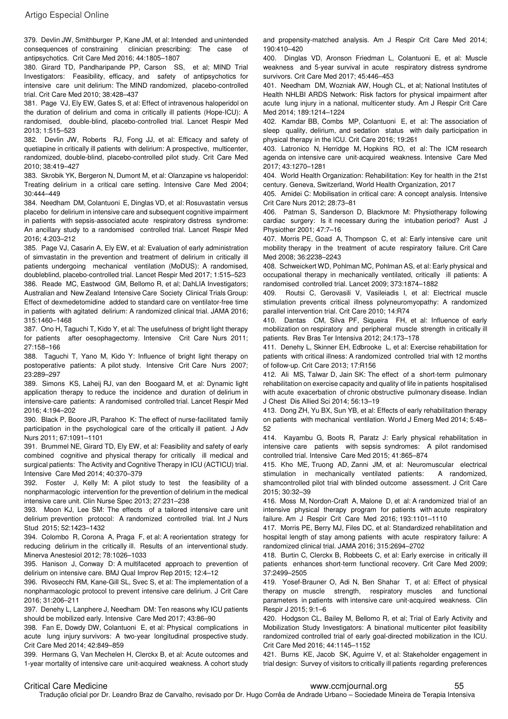379. Devlin JW, Smithburger P, Kane JM, et al: Intended and unintended consequences of constraining clinician prescribing: The case of antipsychotics. Crit Care Med 2016; 44:1805–1807

380. Girard TD, Pandharipande PP, Carson SS, et al; MIND Trial Investigators: Feasibility, efficacy, and safety of antipsychotics for intensive care unit delirium: The MIND randomized, placebo-controlled trial. Crit Care Med 2010; 38:428–437

381. Page VJ, Ely EW, Gates S, et al: Effect of intravenous haloperidol on the duration of delirium and coma in critically ill patients (Hope-ICU): A randomised, double-blind, placebo-controlled trial. Lancet Respir Med 2013; 1:515–523

382. Devlin JW, Roberts RJ, Fong JJ, et al: Efficacy and safety of quetiapine in critically ill patients with delirium: A prospective, multicenter, randomized, double-blind, placebo-controlled pilot study. Crit Care Med 2010; 38:419–427

383. Skrobik YK, Bergeron N, Dumont M, et al: Olanzapine vs haloperidol: Treating delirium in a critical care setting. Intensive Care Med 2004; 30:444–449

384. Needham DM, Colantuoni E, Dinglas VD, et al: Rosuvastatin versus placebo for delirium in intensive care and subsequent cognitive impairment in patients with sepsis-associated acute respiratory distress syndrome: An ancillary study to a randomised controlled trial. Lancet Respir Med 2016; 4:203–212

385. Page VJ, Casarin A, Ely EW, et al: Evaluation of early administration of simvastatin in the prevention and treatment of delirium in critically ill patients undergoing mechanical ventilation (MoDUS): A randomised, doubleblind, placebo-controlled trial. Lancet Respir Med 2017; 1:515–523 386. Reade MC, Eastwood GM, Bellomo R, et al; DahLIA Investigators; Australian and New Zealand Intensive Care Society Clinical Trials Group: Effect of dexmedetomidine added to standard care on ventilator-free time in patients with agitated delirium: A randomized clinical trial. JAMA 2016; 315:1460–1468

387. Ono H, Taguchi T, Kido Y, et al: The usefulness of bright light therapy for patients after oesophagectomy. Intensive Crit Care Nurs 2011; 27:158–166

388. Taguchi T, Yano M, Kido Y: Influence of bright light therapy on postoperative patients: A pilot study. Intensive Crit Care Nurs 2007; 23:289–297

389. Simons KS, Laheij RJ, van den Boogaard M, et al: Dynamic light application therapy to reduce the incidence and duration of delirium in intensive-care patients: A randomised controlled trial. Lancet Respir Med 2016; 4:194–202

390. Black P, Boore JR, Parahoo K: The effect of nurse-facilitated family participation in the psychological care of the critically ill patient. J Adv Nurs 2011; 67:1091–1101

391. Brummel NE, Girard TD, Ely EW, et al: Feasibility and safety of early combined cognitive and physical therapy for critically ill medical and surgical patients: The Activity and Cognitive Therapy in ICU (ACTICU) trial. Intensive Care Med 2014; 40:370–379

392. Foster J, Kelly M: A pilot study to test the feasibility of a nonpharmacologic intervention for the prevention of delirium in the medical intensive care unit. Clin Nurse Spec 2013; 27:231–238

393. Moon KJ, Lee SM: The effects of a tailored intensive care unit delirium prevention protocol: A randomized controlled trial. Int J Nurs Stud 2015; 52:1423–1432

394. Colombo R, Corona A, Praga F, et al: A reorientation strategy for reducing delirium in the critically ill. Results of an interventional study. Minerva Anestesiol 2012; 78:1026–1033

395. Hanison J, Conway D: A multifaceted approach to prevention of delirium on intensive care. BMJ Qual Improv Rep 2015; 12:4–12

396. Rivosecchi RM, Kane-Gill SL, Svec S, et al: The implementation of a nonpharmacologic protocol to prevent intensive care delirium. J Crit Care 2016; 31:206–211

397. Denehy L, Lanphere J, Needham DM: Ten reasons why ICU patients should be mobilized early. Intensive Care Med 2017; 43:86–90

398. Fan E, Dowdy DW, Colantuoni E, et al: Physical complications in acute lung injury survivors: A two-year longitudinal prospective study. Crit Care Med 2014; 42:849–859

399. Hermans G, Van Mechelen H, Clerckx B, et al: Acute outcomes and 1-year mortality of intensive care unit-acquired weakness. A cohort study

and propensity-matched analysis. Am J Respir Crit Care Med 2014; 190:410–420

400. Dinglas VD, Aronson Friedman L, Colantuoni E, et al: Muscle weakness and 5-year survival in acute respiratory distress syndrome survivors. Crit Care Med 2017; 45:446–453

401. Needham DM, Wozniak AW, Hough CL, et al; National Institutes of Health NHLBI ARDS Network: Risk factors for physical impairment after acute lung injury in a national, multicenter study. Am J Respir Crit Care Med 2014; 189:1214–1224

402. Kamdar BB, Combs MP, Colantuoni E, et al: The association of sleep quality, delirium, and sedation status with daily participation in physical therapy in the ICU. Crit Care 2016; 19:261

403. Latronico N, Herridge M, Hopkins RO, et al: The ICM research agenda on intensive care unit-acquired weakness. Intensive Care Med 2017; 43:1270–1281

404. World Health Organization: Rehabilitation: Key for health in the 21st century. Geneva, Switzerland, World Health Organization, 2017

405. Amidei C: Mobilisation in critical care: A concept analysis. Intensive Crit Care Nurs 2012; 28:73–81

406. Patman S, Sanderson D, Blackmore M: Physiotherapy following cardiac surgery: Is it necessary during the intubation period? Aust J Physiother 2001; 47:7–16

407. Morris PE, Goad A, Thompson C, et al: Early intensive care unit mobility therapy in the treatment of acute respiratory failure. Crit Care Med 2008; 36:2238–2243

408. Schweickert WD, Pohlman MC, Pohlman AS, et al: Early physical and occupational therapy in mechanically ventilated, critically ill patients: A randomised controlled trial. Lancet 2009; 373:1874–1882

409. Routsi C, Gerovasili V, Vasileiadis I, et al: Electrical muscle stimulation prevents critical illness polyneuromyopathy: A randomized parallel intervention trial. Crit Care 2010; 14:R74

410. Dantas CM, Silva PF, Siqueira FH, et al: Influence of early mobilization on respiratory and peripheral muscle strength in critically ill patients. Rev Bras Ter Intensiva 2012; 24:173–178

411. Denehy L, Skinner EH, Edbrooke L, et al: Exercise rehabilitation for patients with critical illness: A randomized controlled trial with 12 months of follow-up. Crit Care 2013; 17:R156

412. Ali MS, Talwar D, Jain SK: The effect of a short-term pulmonary rehabilitation on exercise capacity and quality of life in patients hospitalised with acute exacerbation of chronic obstructive pulmonary disease. Indian J Chest Dis Allied Sci 2014; 56:13–19

413. Dong ZH, Yu BX, Sun YB, et al: Effects of early rehabilitation therapy on patients with mechanical ventilation. World J Emerg Med 2014; 5:48– 52

414. Kayambu G, Boots R, Paratz J: Early physical rehabilitation in intensive care patients with sepsis syndromes: A pilot randomised controlled trial. Intensive Care Med 2015; 41:865–874

415. Kho ME, Truong AD, Zanni JM, et al: Neuromuscular electrical stimulation in mechanically ventilated patients: A randomized, shamcontrolled pilot trial with blinded outcome assessment. J Crit Care 2015; 30:32–39

416. Moss M, Nordon-Craft A, Malone D, et al: A randomized trial of an intensive physical therapy program for patients with acute respiratory failure. Am J Respir Crit Care Med 2016; 193:1101–1110

417. Morris PE, Berry MJ, Files DC, et al: Standardized rehabilitation and hospital length of stay among patients with acute respiratory failure: A randomized clinical trial. JAMA 2016; 315:2694–2702

418. Burtin C, Clerckx B, Robbeets C, et al: Early exercise in critically ill patients enhances short-term functional recovery. Crit Care Med 2009; 37:2499–2505

419. Yosef-Brauner O, Adi N, Ben Shahar T, et al: Effect of physical therapy on muscle strength, respiratory muscles and functional parameters in patients with intensive care unit-acquired weakness. Clin Respir J 2015; 9:1–6

420. Hodgson CL, Bailey M, Bellomo R, et al; Trial of Early Activity and Mobilization Study Investigators: A binational multicenter pilot feasibility randomized controlled trial of early goal-directed mobilization in the ICU. Crit Care Med 2016; 44:1145–1152

421. Burns KE, Jacob SK, Aguirre V, et al: Stakeholder engagement in trial design: Survey of visitors to critically ill patients regarding preferences

#### Critical Care Medicine www.ccmjournal.org 55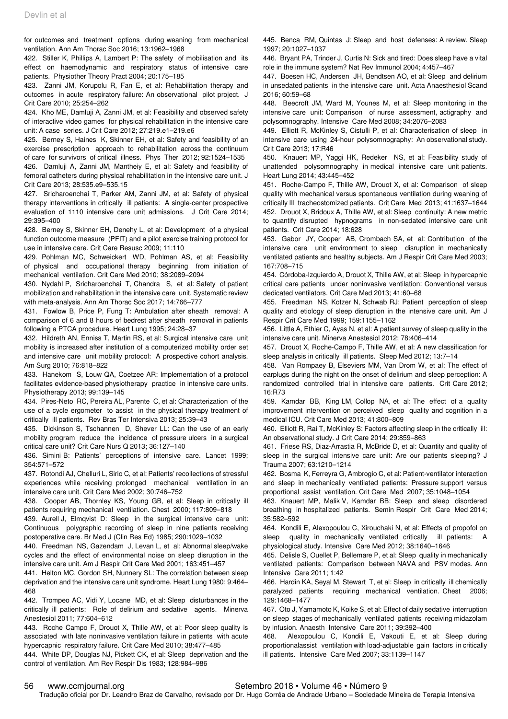for outcomes and treatment options during weaning from mechanical ventilation. Ann Am Thorac Soc 2016; 13:1962–1968

422. Stiller K, Phillips A, Lambert P: The safety of mobilisation and its effect on haemodynamic and respiratory status of intensive care patients. Physiother Theory Pract 2004; 20:175–185

423. Zanni JM, Korupolu R, Fan E, et al: Rehabilitation therapy and outcomes in acute respiratory failure: An observational pilot project. J Crit Care 2010; 25:254–262

424. Kho ME, Damluji A, Zanni JM, et al: Feasibility and observed safety of interactive video games for physical rehabilitation in the intensive care unit: A case series. J Crit Care 2012; 27:219.e1–219.e6

425. Berney S, Haines K, Skinner EH, et al: Safety and feasibility of an exercise prescription approach to rehabilitation across the continuum of care for survivors of critical illness. Phys Ther 2012; 92:1524–1535

426. Damluji A, Zanni JM, Mantheiy E, et al: Safety and feasibility of femoral catheters during physical rehabilitation in the intensive care unit. J Crit Care 2013; 28:535.e9–535.15

427. Sricharoenchai T, Parker AM, Zanni JM, et al: Safety of physical therapy interventions in critically ill patients: A single-center prospective evaluation of 1110 intensive care unit admissions. J Crit Care 2014; 29:395–400

428. Berney S, Skinner EH, Denehy L, et al: Development of a physical function outcome measure (PFIT) and a pilot exercise training protocol for use in intensive care. Crit Care Resusc 2009; 11:110

429. Pohlman MC, Schweickert WD, Pohlman AS, et al: Feasibility of physical and occupational therapy beginning from initiation of mechanical ventilation. Crit Care Med 2010; 38:2089–2094

430. Nydahl P, Sricharoenchai T, Chandra S, et al: Safety of patient mobilization and rehabilitation in the intensive care unit. Systematic review with meta-analysis. Ann Am Thorac Soc 2017; 14:766–777

431. Fowlow B, Price P, Fung T: Ambulation after sheath removal: A comparison of 6 and 8 hours of bedrest after sheath removal in patients following a PTCA procedure. Heart Lung 1995; 24:28–37

432. Hildreth AN, Enniss T, Martin RS, et al: Surgical intensive care unit mobility is increased after institution of a computerized mobility order set and intensive care unit mobility protocol: A prospective cohort analysis. Am Surg 2010; 76:818–822

433. Hanekom S, Louw QA, Coetzee AR: Implementation of a protocol facilitates evidence-based physiotherapy practice in intensive care units. Physiotherapy 2013; 99:139–145

434. Pires-Neto RC, Pereira AL, Parente C, et al: Characterization of the use of a cycle ergometer to assist in the physical therapy treatment of critically ill patients. Rev Bras Ter Intensiva 2013; 25:39–43

435. Dickinson S, Tschannen D, Shever LL: Can the use of an early mobility program reduce the incidence of pressure ulcers in a surgical critical care unit? Crit Care Nurs Q 2013; 36:127–140

436. Simini B: Patients' perceptions of intensive care. Lancet 1999; 354:571–572

437. Rotondi AJ, Chelluri L, Sirio C, et al: Patients' recollections of stressful experiences while receiving prolonged mechanical ventilation in an intensive care unit. Crit Care Med 2002; 30:746–752

438. Cooper AB, Thornley KS, Young GB, et al: Sleep in critically ill patients requiring mechanical ventilation. Chest 2000; 117:809–818

439. Aurell J, Elmqvist D: Sleep in the surgical intensive care unit: Continuous polygraphic recording of sleep in nine patients receiving postoperative care. Br Med J (Clin Res Ed) 1985; 290:1029–1032

440. Freedman NS, Gazendam J, Levan L, et al: Abnormal sleep/wake cycles and the effect of environmental noise on sleep disruption in the intensive care unit. Am J Respir Crit Care Med 2001; 163:451–457

441. Helton MC, Gordon SH, Nunnery SL: The correlation between sleep deprivation and the intensive care unit syndrome. Heart Lung 1980; 9:464– 468

442. Trompeo AC, Vidi Y, Locane MD, et al: Sleep disturbances in the critically ill patients: Role of delirium and sedative agents. Minerva Anestesiol 2011; 77:604–612

443. Roche Campo F, Drouot X, Thille AW, et al: Poor sleep quality is associated with late noninvasive ventilation failure in patients with acute hypercapnic respiratory failure. Crit Care Med 2010; 38:477–485

444. White DP, Douglas NJ, Pickett CK, et al: Sleep deprivation and the control of ventilation. Am Rev Respir Dis 1983; 128:984–986

445. Benca RM, Quintas J: Sleep and host defenses: A review. Sleep 1997; 20:1027–1037

446. Bryant PA, Trinder J, Curtis N: Sick and tired: Does sleep have a vital role in the immune system? Nat Rev Immunol 2004; 4:457–467

447. Boesen HC, Andersen JH, Bendtsen AO, et al: Sleep and delirium in unsedated patients in the intensive care unit. Acta Anaesthesiol Scand 2016; 60:59–68

448. Beecroft JM, Ward M, Younes M, et al: Sleep monitoring in the intensive care unit: Comparison of nurse assessment, actigraphy and polysomnography. Intensive Care Med 2008; 34:2076–2083

449. Elliott R, McKinley S, Cistulli P, et al: Characterisation of sleep in intensive care using 24-hour polysomnography: An observational study. Crit Care 2013; 17:R46

450. Knauert MP, Yaggi HK, Redeker NS, et al: Feasibility study of unattended polysomnography in medical intensive care unit patients. Heart Lung 2014; 43:445–452

451. Roche-Campo F, Thille AW, Drouot X, et al: Comparison of sleep quality with mechanical versus spontaneous ventilation during weaning of critically III tracheostomized patients. Crit Care Med 2013; 41:1637–1644 452. Drouot X, Bridoux A, Thille AW, et al: Sleep continuity: A new metric to quantify disrupted hypnograms in non-sedated intensive care unit patients. Crit Care 2014; 18:628

453. Gabor JY, Cooper AB, Crombach SA, et al: Contribution of the intensive care unit environment to sleep disruption in mechanically ventilated patients and healthy subjects. Am J Respir Crit Care Med 2003; 167:708–715

454. Córdoba-Izquierdo A, Drouot X, Thille AW, et al: Sleep in hypercapnic critical care patients under noninvasive ventilation: Conventional versus dedicated ventilators. Crit Care Med 2013; 41:60–68

455. Freedman NS, Kotzer N, Schwab RJ: Patient perception of sleep quality and etiology of sleep disruption in the intensive care unit. Am J Respir Crit Care Med 1999; 159:1155–1162

456. Little A, Ethier C, Ayas N, et al: A patient survey of sleep quality in the intensive care unit. Minerva Anestesiol 2012; 78:406–414

457. Drouot X, Roche-Campo F, Thille AW, et al: A new classification for sleep analysis in critically ill patients. Sleep Med 2012; 13:7–14

458. Van Rompaey B, Elseviers MM, Van Drom W, et al: The effect of earplugs during the night on the onset of delirium and sleep perception: A randomized controlled trial in intensive care patients. Crit Care 2012; 16:R73

459. Kamdar BB, King LM, Collop NA, et al: The effect of a quality improvement intervention on perceived sleep quality and cognition in a medical ICU. Crit Care Med 2013; 41:800–809

460. Elliott R, Rai T, McKinley S: Factors affecting sleep in the critically ill: An observational study. J Crit Care 2014; 29:859–863

461. Friese RS, Diaz-Arrastia R, McBride D, et al: Quantity and quality of sleep in the surgical intensive care unit: Are our patients sleeping? J Trauma 2007; 63:1210–1214

462. Bosma K, Ferreyra G, Ambrogio C, et al: Patient-ventilator interaction and sleep in mechanically ventilated patients: Pressure support versus proportional assist ventilation. Crit Care Med 2007; 35:1048–1054

463. Knauert MP, Malik V, Kamdar BB: Sleep and sleep disordered breathing in hospitalized patients. Semin Respir Crit Care Med 2014; 35:582–592

464. Kondili E, Alexopoulou C, Xirouchaki N, et al: Effects of propofol on sleep quality in mechanically ventilated critically ill patients: A physiological study. Intensive Care Med 2012; 38:1640–1646

465. Delisle S, Ouellet P, Bellemare P, et al: Sleep quality in mechanically ventilated patients: Comparison between NAVA and PSV modes. Ann Intensive Care 2011; 1:42

466. Hardin KA, Seyal M, Stewart T, et al: Sleep in critically ill chemically paralyzed patients requiring mechanical ventilation. Chest 2006; 129:1468–1477

467. Oto J, Yamamoto K, Koike S, et al: Effect of daily sedative interruption on sleep stages of mechanically ventilated patients receiving midazolam by infusion. Anaesth Intensive Care 2011; 39:392–400

468. Alexopoulou C, Kondili E, Vakouti E, et al: Sleep during proportionalassist ventilation with load-adjustable gain factors in critically ill patients. Intensive Care Med 2007; 33:1139–1147

#### 56 www.ccmjournal.org Setembro 2018 • Volume 46 • Número 9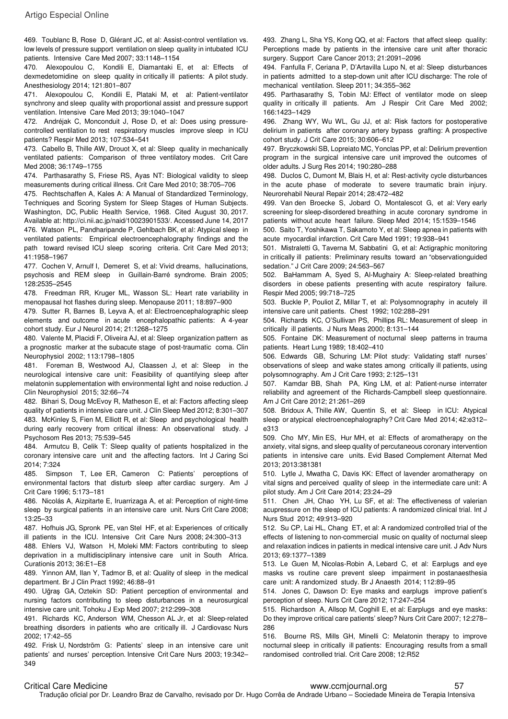469. Toublanc B, Rose D, Glérant JC, et al: Assist-control ventilation vs. low levels of pressure support ventilation on sleep quality in intubated ICU patients. Intensive Care Med 2007; 33:1148–1154

470. Alexopoulou C, Kondili E, Diamantaki E, et al: Effects of dexmedetomidine on sleep quality in critically ill patients: A pilot study. Anesthesiology 2014; 121:801–807

471. Alexopoulou C, Kondili E, Plataki M, et al: Patient-ventilator synchrony and sleep quality with proportional assist and pressure support ventilation. Intensive Care Med 2013; 39:1040–1047

472. Andréjak C, Monconduit J, Rose D, et al: Does using pressurecontrolled ventilation to rest respiratory muscles improve sleep in ICU patients? Respir Med 2013; 107:534–541

473. Cabello B, Thille AW, Drouot X, et al: Sleep quality in mechanically ventilated patients: Comparison of three ventilatory modes. Crit Care Med 2008; 36:1749–1755

474. Parthasarathy S, Friese RS, Ayas NT: Biological validity to sleep measurements during critical illness. Crit Care Med 2010; 38:705–706

475. Rechtschaffen A, Kales A: A Manual of Standardized Terminology, Techniques and Scoring System for Sleep Stages of Human Subjects. Washington, DC, Public Health Service, 1968. Cited August 30, 2017. Available at: http://ci.nii.ac.jp/naid/10023901533/. Accessed June 14, 2017 476. Watson PL, Pandharipande P, Gehlbach BK, et al: Atypical sleep in ventilated patients: Empirical electroencephalography findings and the path toward revised ICU sleep scoring criteria. Crit Care Med 2013; 41:1958–1967

477. Cochen V, Arnulf I, Demeret S, et al: Vivid dreams, hallucinations, psychosis and REM sleep in Guillain-Barré syndrome. Brain 2005; 128:2535–2545

478. Freedman RR, Kruger ML, Wasson SL: Heart rate variability in menopausal hot flashes during sleep. Menopause 2011; 18:897–900

479. Sutter R, Barnes B, Leyva A, et al: Electroencephalographic sleep elements and outcome in acute encephalopathic patients: A 4-year cohort study. Eur J Neurol 2014; 21:1268–1275

480. Valente M, Placidi F, Oliveira AJ, et al: Sleep organization pattern as a prognostic marker at the subacute stage of post-traumatic coma. Clin Neurophysiol 2002; 113:1798–1805

481. Foreman B, Westwood AJ, Claassen J, et al: Sleep in the neurological intensive care unit: Feasibility of quantifying sleep after melatonin supplementation with environmental light and noise reduction. J Clin Neurophysiol 2015; 32:66–74

482. Bihari S, Doug McEvoy R, Matheson E, et al: Factors affecting sleep quality of patients in intensive care unit. J Clin Sleep Med 2012; 8:301–307 483. McKinley S, Fien M, Elliott R, et al: Sleep and psychological health during early recovery from critical illness: An observational study. J Psychosom Res 2013; 75:539–545

484. Armutcu B, Celik T: Sleep quality of patients hospitalized in the coronary intensive care unit and the affecting factors. Int J Caring Sci 2014; 7:324

485. Simpson T, Lee ER, Cameron C: Patients' perceptions of environmental factors that disturb sleep after cardiac surgery. Am J Crit Care 1996; 5:173–181

486. Nicolás A, Aizpitarte E, Iruarrizaga A, et al: Perception of night-time sleep by surgical patients in an intensive care unit. Nurs Crit Care 2008; 13:25–33

487. Hofhuis JG, Spronk PE, van Stel HF, et al: Experiences of critically ill patients in the ICU. Intensive Crit Care Nurs 2008; 24:300–313

488. Ehlers VJ, Watson H, Moleki MM: Factors contributing to sleep deprivation in a multidisciplinary intensive care unit in South Africa. Curationis 2013; 36:E1–E8

489. Yinnon AM, Ilan Y, Tadmor B, et al: Quality of sleep in the medical department. Br J Clin Pract 1992; 46:88–91

490. Uğraş GA, Oztekin SD: Patient perception of environmental and nursing factors contributing to sleep disturbances in a neurosurgical intensive care unit. Tohoku J Exp Med 2007; 212:299–308

491. Richards KC, Anderson WM, Chesson AL Jr, et al: Sleep-related breathing disorders in patients who are critically ill. J Cardiovasc Nurs 2002; 17:42–55

492. Frisk U, Nordström G: Patients' sleep in an intensive care unit patients' and nurses' perception. Intensive Crit Care Nurs 2003; 19:342– 349

493. Zhang L, Sha YS, Kong QQ, et al: Factors that affect sleep quality: Perceptions made by patients in the intensive care unit after thoracic surgery. Support Care Cancer 2013; 21:2091–2096

494. Fanfulla F, Ceriana P, D'Artavilla Lupo N, et al: Sleep disturbances in patients admitted to a step-down unit after ICU discharge: The role of mechanical ventilation. Sleep 2011; 34:355–362

495. Parthasarathy S, Tobin MJ: Effect of ventilator mode on sleep quality in critically ill patients. Am J Respir Crit Care Med 2002: 166:1423–1429

496. Zhang WY, Wu WL, Gu JJ, et al: Risk factors for postoperative delirium in patients after coronary artery bypass grafting: A prospective cohort study. J Crit Care 2015; 30:606–612

497. Bryczkowski SB, Lopreiato MC, Yonclas PP, et al: Delirium prevention program in the surgical intensive care unit improved the outcomes of older adults. J Surg Res 2014; 190:280–288

498. Duclos C, Dumont M, Blais H, et al: Rest-activity cycle disturbances in the acute phase of moderate to severe traumatic brain injury. Neurorehabil Neural Repair 2014; 28:472–482

499. Van den Broecke S, Jobard O, Montalescot G, et al: Very early screening for sleep-disordered breathing in acute coronary syndrome in patients without acute heart failure. Sleep Med 2014; 15:1539–1546

500. Saito T, Yoshikawa T, Sakamoto Y, et al: Sleep apnea in patients with acute myocardial infarction. Crit Care Med 1991; 19:938–941

501. Mistraletti G, Taverna M, Sabbatini G, et al: Actigraphic monitoring in critically ill patients: Preliminary results toward an "observationguided sedation." J Crit Care 2009; 24:563–567

502. BaHammam A, Syed S, Al-Mughairy A: Sleep-related breathing disorders in obese patients presenting with acute respiratory failure. Respir Med 2005; 99:718–725

503. Buckle P, Pouliot Z, Millar T, et al: Polysomnography in acutely ill intensive care unit patients. Chest 1992; 102:288–291

504. Richards KC, O'Sullivan PS, Phillips RL: Measurement of sleep in critically ill patients. J Nurs Meas 2000; 8:131–144

505. Fontaine DK: Measurement of nocturnal sleep patterns in trauma patients. Heart Lung 1989; 18:402–410

506. Edwards GB, Schuring LM: Pilot study: Validating staff nurses' observations of sleep and wake states among critically ill patients, using polysomnography. Am J Crit Care 1993; 2:125–131

507. Kamdar BB, Shah PA, King LM, et al: Patient-nurse interrater reliability and agreement of the Richards-Campbell sleep questionnaire. Am J Crit Care 2012; 21:261–269

508. Bridoux A, Thille AW, Quentin S, et al: Sleep in ICU: Atypical sleep or atypical electroencephalography? Crit Care Med 2014; 42:e312– e313

509. Cho MY, Min ES, Hur MH, et al: Effects of aromatherapy on the anxiety, vital signs, and sleep quality of percutaneous coronary intervention patients in intensive care units. Evid Based Complement Alternat Med 2013; 2013:381381

510. Lytle J, Mwatha C, Davis KK: Effect of lavender aromatherapy on vital signs and perceived quality of sleep in the intermediate care unit: A pilot study. Am J Crit Care 2014; 23:24–29

511. Chen JH, Chao YH, Lu SF, et al: The effectiveness of valerian acupressure on the sleep of ICU patients: A randomized clinical trial. Int J Nurs Stud 2012; 49:913–920

512. Su CP, Lai HL, Chang ET, et al: A randomized controlled trial of the effects of listening to non-commercial music on quality of nocturnal sleep and relaxation indices in patients in medical intensive care unit. J Adv Nurs 2013; 69:1377–1389

513. Le Guen M, Nicolas-Robin A, Lebard C, et al: Earplugs and eye masks vs routine care prevent sleep impairment in postanaesthesia care unit: A randomized study. Br J Anaesth 2014; 112:89–95

514. Jones C, Dawson D: Eye masks and earplugs improve patient's perception of sleep. Nurs Crit Care 2012; 17:247–254

515. Richardson A, Allsop M, Coghill E, et al: Earplugs and eye masks: Do they improve critical care patients' sleep? Nurs Crit Care 2007; 12:278– 286

516. Bourne RS, Mills GH, Minelli C: Melatonin therapy to improve nocturnal sleep in critically ill patients: Encouraging results from a small randomised controlled trial. Crit Care 2008; 12:R52

#### Critical Care Medicine www.ccmjournal.org 57